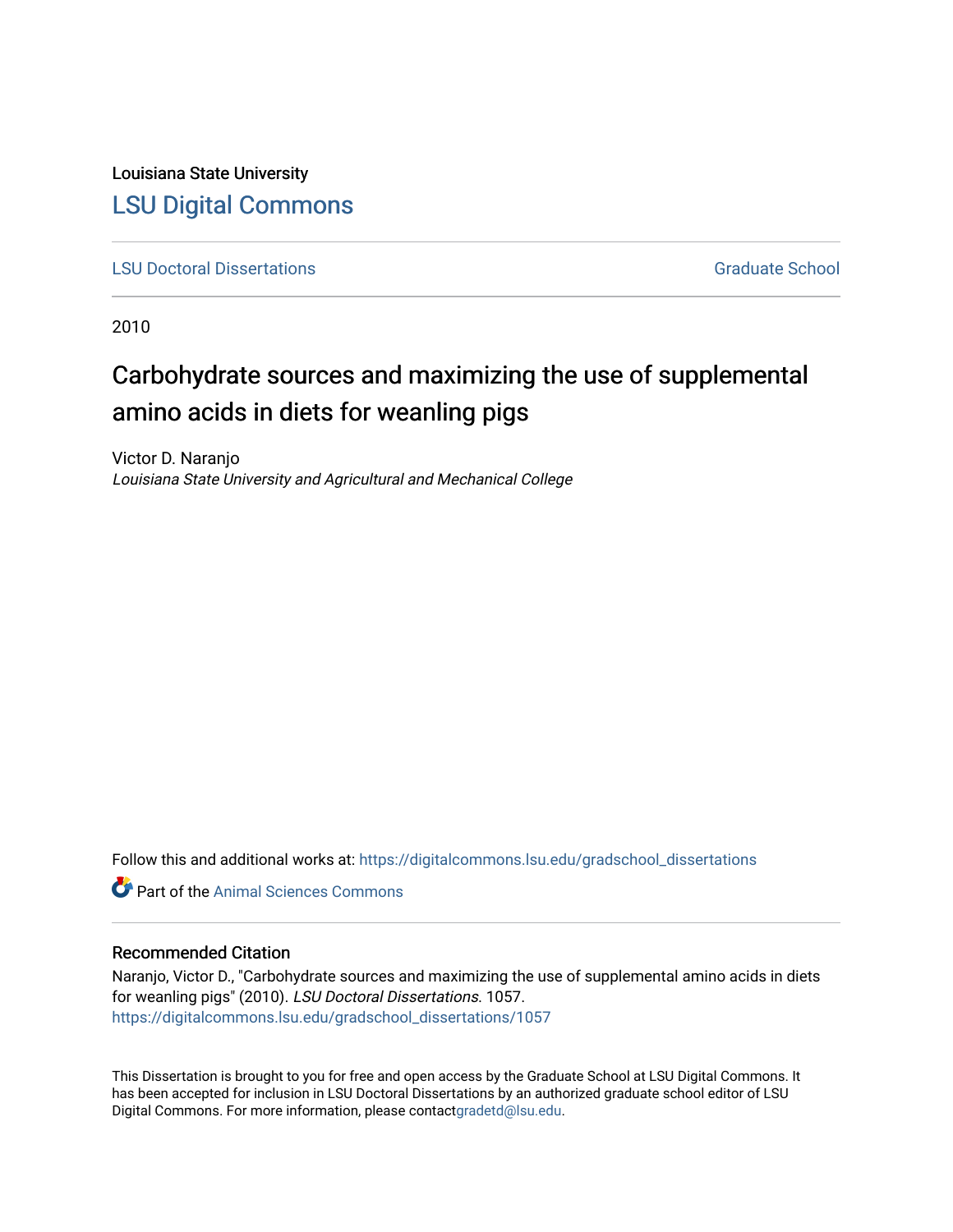Louisiana State University [LSU Digital Commons](https://digitalcommons.lsu.edu/)

**[LSU Doctoral Dissertations](https://digitalcommons.lsu.edu/gradschool_dissertations) Graduate School** Controller Controller Controller Controller Controller Controller Controller Controller Controller Controller Controller Controller Controller Controller Controller Controller C

2010

# Carbohydrate sources and maximizing the use of supplemental amino acids in diets for weanling pigs

Victor D. Naranjo Louisiana State University and Agricultural and Mechanical College

Follow this and additional works at: [https://digitalcommons.lsu.edu/gradschool\\_dissertations](https://digitalcommons.lsu.edu/gradschool_dissertations?utm_source=digitalcommons.lsu.edu%2Fgradschool_dissertations%2F1057&utm_medium=PDF&utm_campaign=PDFCoverPages)

**C** Part of the Animal Sciences Commons

#### Recommended Citation

Naranjo, Victor D., "Carbohydrate sources and maximizing the use of supplemental amino acids in diets for weanling pigs" (2010). LSU Doctoral Dissertations. 1057. [https://digitalcommons.lsu.edu/gradschool\\_dissertations/1057](https://digitalcommons.lsu.edu/gradschool_dissertations/1057?utm_source=digitalcommons.lsu.edu%2Fgradschool_dissertations%2F1057&utm_medium=PDF&utm_campaign=PDFCoverPages)

This Dissertation is brought to you for free and open access by the Graduate School at LSU Digital Commons. It has been accepted for inclusion in LSU Doctoral Dissertations by an authorized graduate school editor of LSU Digital Commons. For more information, please contac[tgradetd@lsu.edu.](mailto:gradetd@lsu.edu)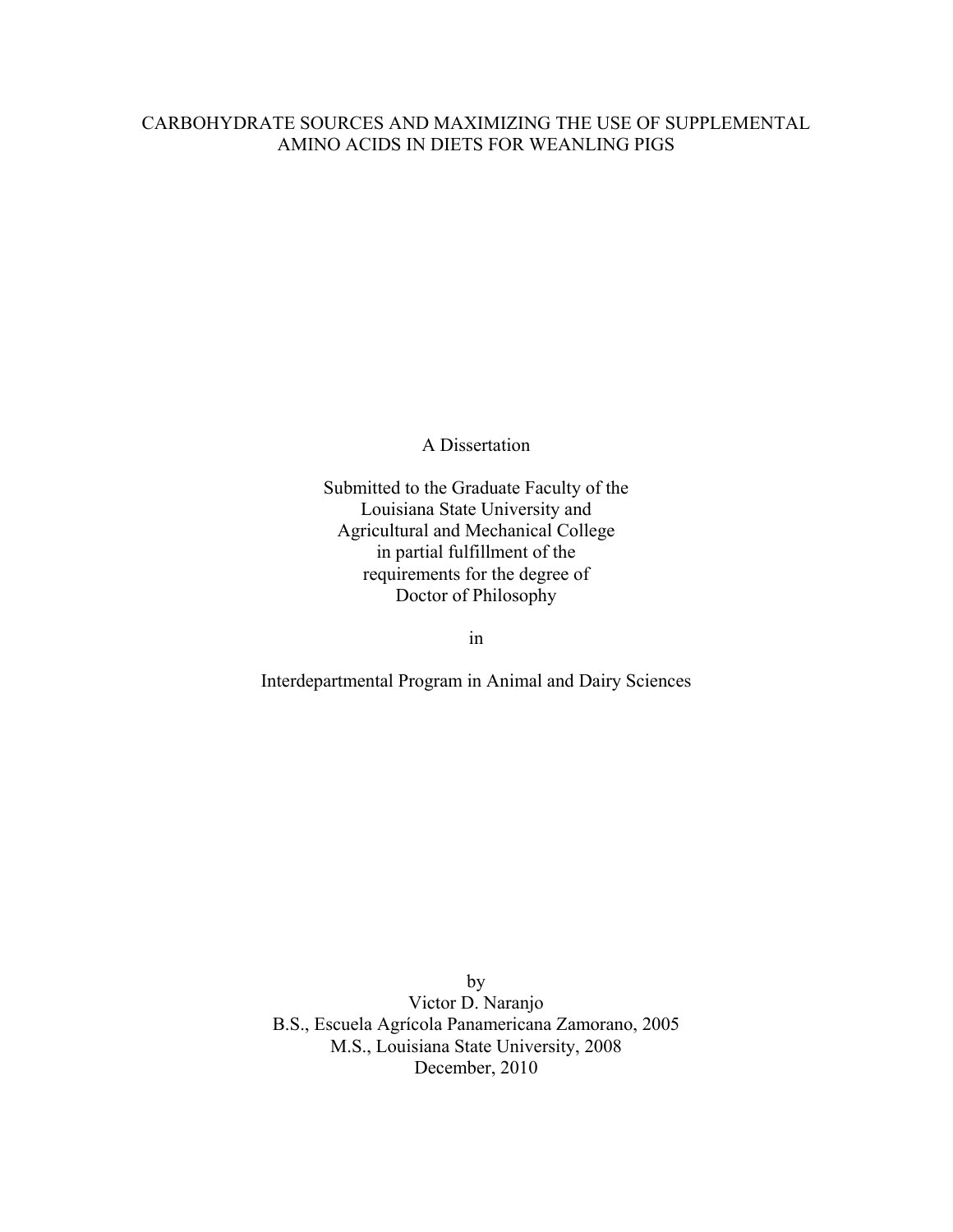## CARBOHYDRATE SOURCES AND MAXIMIZING THE USE OF SUPPLEMENTAL AMINO ACIDS IN DIETS FOR WEANLING PIGS

A Dissertation

Submitted to the Graduate Faculty of the Louisiana State University and Agricultural and Mechanical College in partial fulfillment of the requirements for the degree of Doctor of Philosophy

in

Interdepartmental Program in Animal and Dairy Sciences

by Victor D. Naranjo B.S., Escuela Agrícola Panamericana Zamorano, 2005 M.S., Louisiana State University, 2008 December, 2010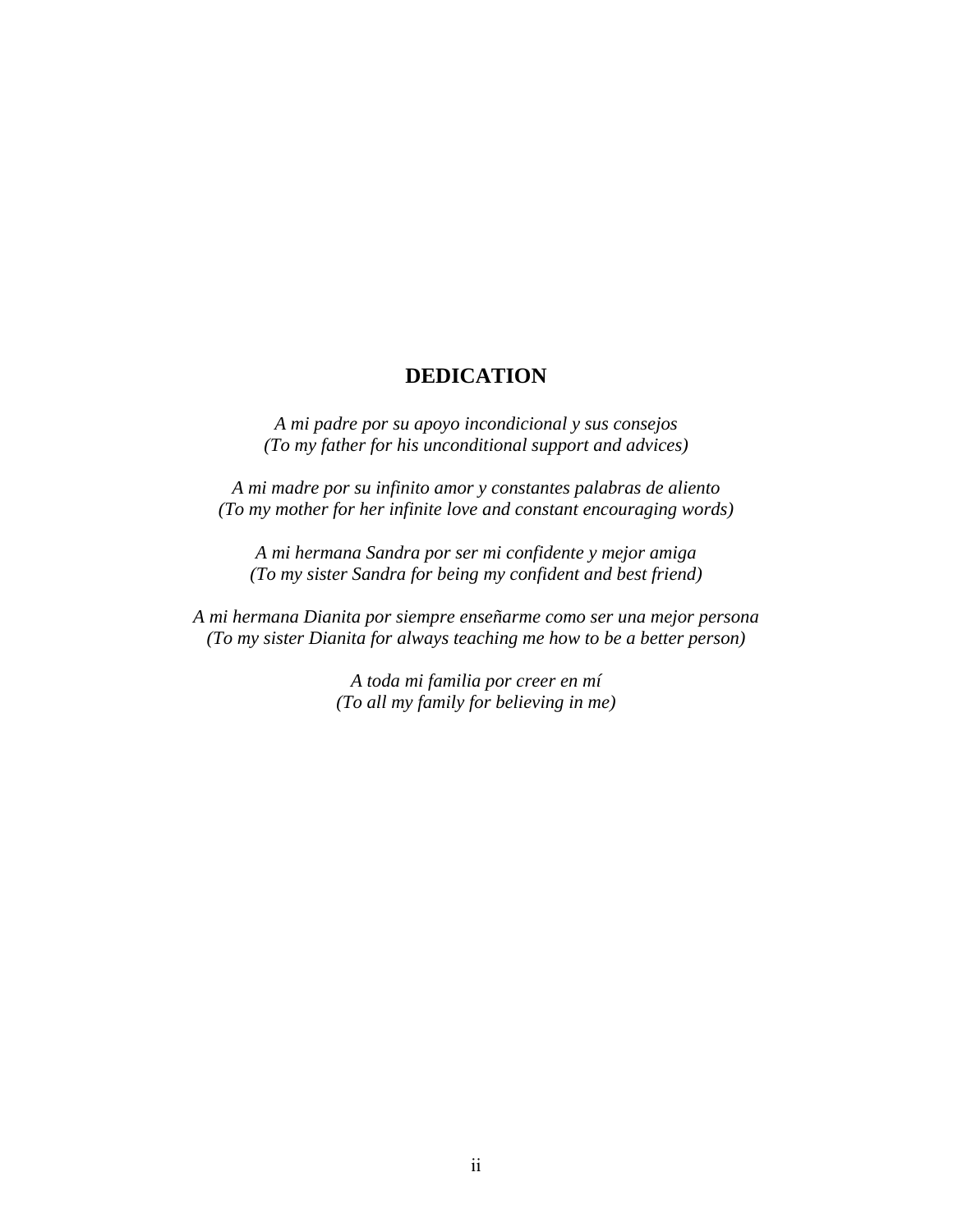## **DEDICATION**

*A mi padre por su apoyo incondicional y sus consejos (To my father for his unconditional support and advices)* 

*A mi madre por su infinito amor y constantes palabras de aliento (To my mother for her infinite love and constant encouraging words)* 

*A mi hermana Sandra por ser mi confidente y mejor amiga (To my sister Sandra for being my confident and best friend)* 

*A mi hermana Dianita por siempre enseñarme como ser una mejor persona (To my sister Dianita for always teaching me how to be a better person)* 

> *A toda mi familia por creer en mí (To all my family for believing in me)*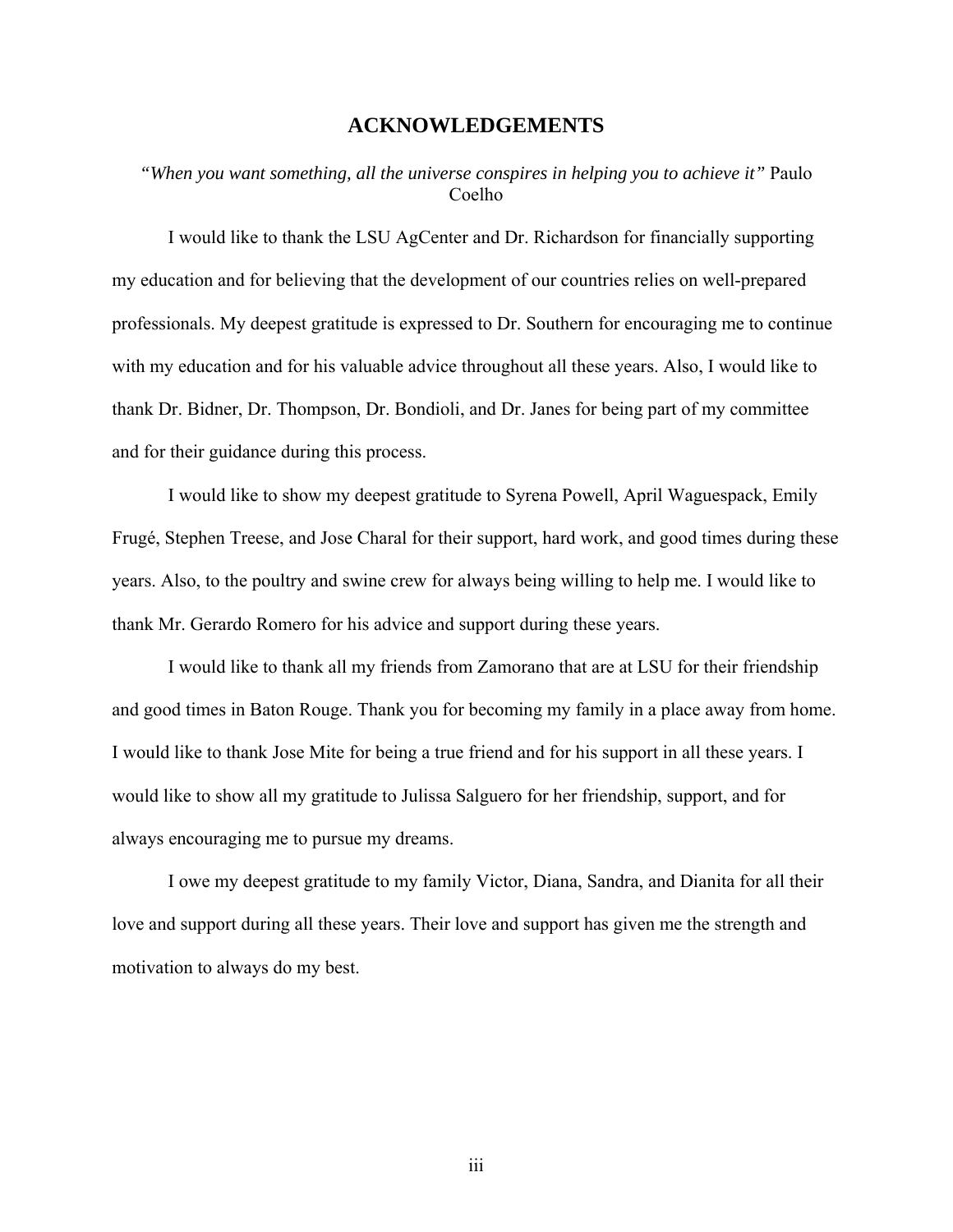## **ACKNOWLEDGEMENTS**

## *"When you want something, all the universe conspires in helping you to achieve it"* Paulo Coelho

I would like to thank the LSU AgCenter and Dr. Richardson for financially supporting my education and for believing that the development of our countries relies on well-prepared professionals. My deepest gratitude is expressed to Dr. Southern for encouraging me to continue with my education and for his valuable advice throughout all these years. Also, I would like to thank Dr. Bidner, Dr. Thompson, Dr. Bondioli, and Dr. Janes for being part of my committee and for their guidance during this process.

I would like to show my deepest gratitude to Syrena Powell, April Waguespack, Emily Frugé, Stephen Treese, and Jose Charal for their support, hard work, and good times during these years. Also, to the poultry and swine crew for always being willing to help me. I would like to thank Mr. Gerardo Romero for his advice and support during these years.

I would like to thank all my friends from Zamorano that are at LSU for their friendship and good times in Baton Rouge. Thank you for becoming my family in a place away from home. I would like to thank Jose Mite for being a true friend and for his support in all these years. I would like to show all my gratitude to Julissa Salguero for her friendship, support, and for always encouraging me to pursue my dreams.

I owe my deepest gratitude to my family Victor, Diana, Sandra, and Dianita for all their love and support during all these years. Their love and support has given me the strength and motivation to always do my best.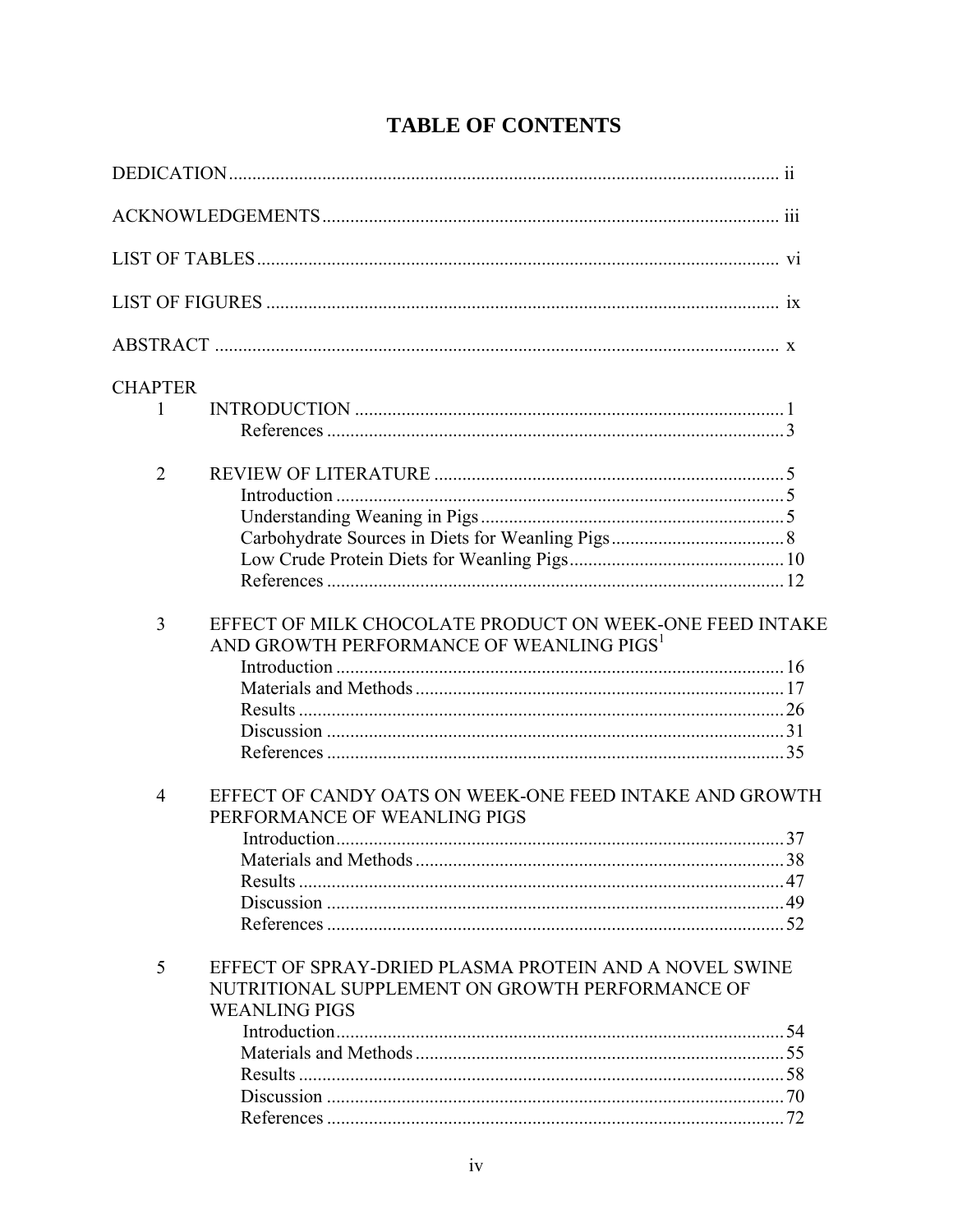| <b>CHAPTER</b> |                                                                                                                                   |  |
|----------------|-----------------------------------------------------------------------------------------------------------------------------------|--|
| 1              |                                                                                                                                   |  |
| $\overline{2}$ |                                                                                                                                   |  |
|                |                                                                                                                                   |  |
|                |                                                                                                                                   |  |
|                |                                                                                                                                   |  |
|                |                                                                                                                                   |  |
|                |                                                                                                                                   |  |
| 3              | EFFECT OF MILK CHOCOLATE PRODUCT ON WEEK-ONE FEED INTAKE<br>AND GROWTH PERFORMANCE OF WEANLING PIGS <sup>1</sup>                  |  |
|                |                                                                                                                                   |  |
|                |                                                                                                                                   |  |
|                |                                                                                                                                   |  |
|                |                                                                                                                                   |  |
| $\overline{4}$ | EFFECT OF CANDY OATS ON WEEK-ONE FEED INTAKE AND GROWTH<br>PERFORMANCE OF WEANLING PIGS                                           |  |
|                |                                                                                                                                   |  |
|                |                                                                                                                                   |  |
|                |                                                                                                                                   |  |
|                |                                                                                                                                   |  |
| 5              | EFFECT OF SPRAY-DRIED PLASMA PROTEIN AND A NOVEL SWINE<br>NUTRITIONAL SUPPLEMENT ON GROWTH PERFORMANCE OF<br><b>WEANLING PIGS</b> |  |
|                |                                                                                                                                   |  |
|                |                                                                                                                                   |  |
|                |                                                                                                                                   |  |
|                |                                                                                                                                   |  |
|                |                                                                                                                                   |  |

# **TABLE OF CONTENTS**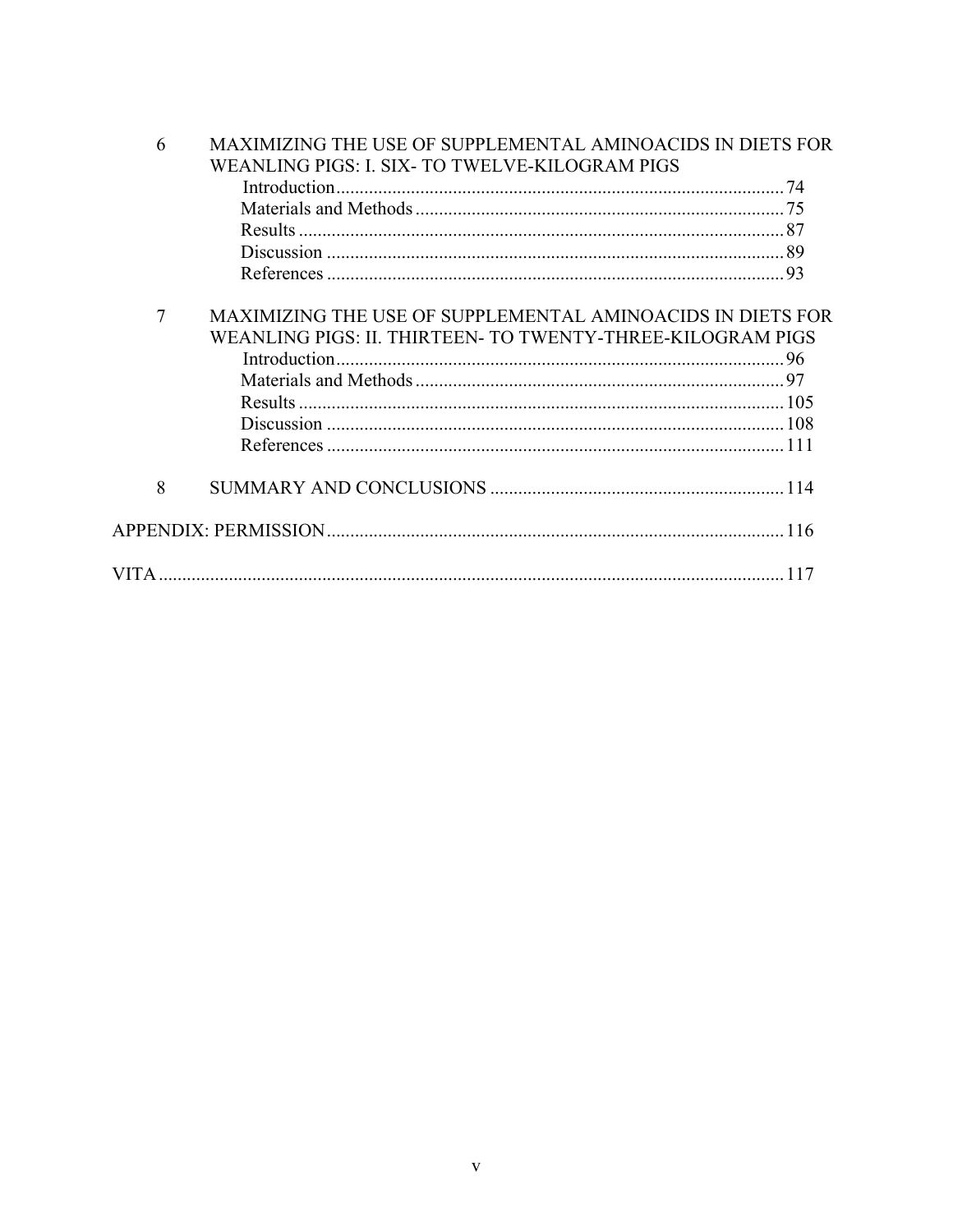| 6 | MAXIMIZING THE USE OF SUPPLEMENTAL AMINOACIDS IN DIETS FOR |  |  |  |  |
|---|------------------------------------------------------------|--|--|--|--|
|   | WEANLING PIGS: I. SIX- TO TWELVE-KILOGRAM PIGS             |  |  |  |  |
|   | Introduction.                                              |  |  |  |  |
|   |                                                            |  |  |  |  |
|   |                                                            |  |  |  |  |
|   |                                                            |  |  |  |  |
|   |                                                            |  |  |  |  |
| 7 | MAXIMIZING THE USE OF SUPPLEMENTAL AMINOACIDS IN DIETS FOR |  |  |  |  |
|   | WEANLING PIGS: II. THIRTEEN- TO TWENTY-THREE-KILOGRAM PIGS |  |  |  |  |
|   |                                                            |  |  |  |  |
|   |                                                            |  |  |  |  |
|   |                                                            |  |  |  |  |
|   |                                                            |  |  |  |  |
|   |                                                            |  |  |  |  |
| 8 |                                                            |  |  |  |  |
|   |                                                            |  |  |  |  |
|   |                                                            |  |  |  |  |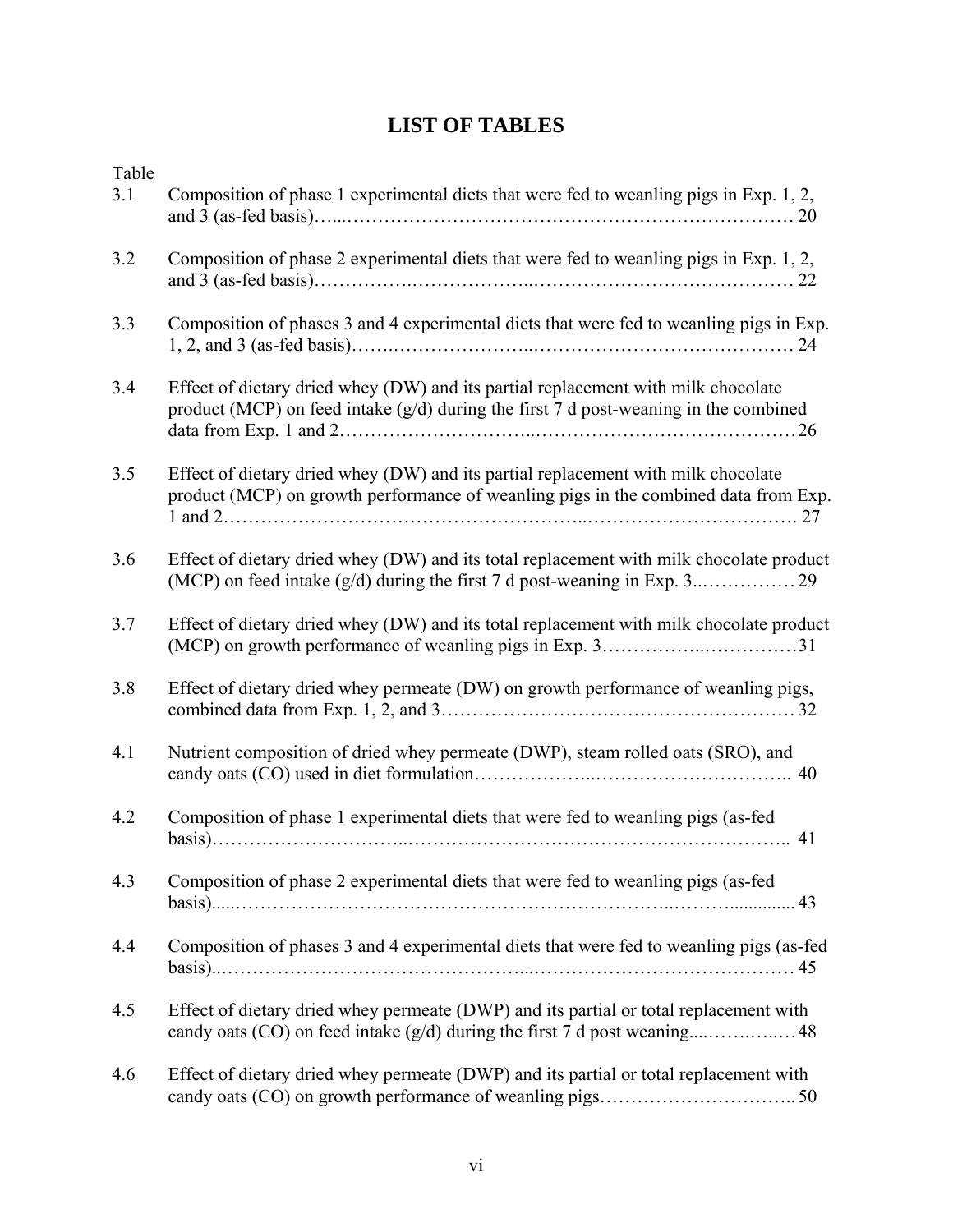## **LIST OF TABLES**

| Table<br>3.1 | Composition of phase 1 experimental diets that were fed to weanling pigs in Exp. 1, 2,                                                                                      |
|--------------|-----------------------------------------------------------------------------------------------------------------------------------------------------------------------------|
| 3.2          | Composition of phase 2 experimental diets that were fed to weanling pigs in Exp. 1, 2,                                                                                      |
| 3.3          | Composition of phases 3 and 4 experimental diets that were fed to weanling pigs in Exp.                                                                                     |
| 3.4          | Effect of dietary dried whey (DW) and its partial replacement with milk chocolate<br>product (MCP) on feed intake $(g/d)$ during the first 7 d post-weaning in the combined |
| 3.5          | Effect of dietary dried whey (DW) and its partial replacement with milk chocolate<br>product (MCP) on growth performance of weanling pigs in the combined data from Exp.    |
| 3.6          | Effect of dietary dried whey (DW) and its total replacement with milk chocolate product                                                                                     |
| 3.7          | Effect of dietary dried whey (DW) and its total replacement with milk chocolate product                                                                                     |
| 3.8          | Effect of dietary dried whey permeate (DW) on growth performance of weanling pigs,                                                                                          |
| 4.1          | Nutrient composition of dried whey permeate (DWP), steam rolled oats (SRO), and                                                                                             |
| 4.2          | Composition of phase 1 experimental diets that were fed to weanling pigs (as-fed                                                                                            |
| 4.3          | Composition of phase 2 experimental diets that were fed to weanling pigs (as-fed                                                                                            |
| 4.4          | Composition of phases 3 and 4 experimental diets that were fed to weanling pigs (as-fed                                                                                     |
| 4.5          | Effect of dietary dried whey permeate (DWP) and its partial or total replacement with                                                                                       |
| 4.6          | Effect of dietary dried whey permeate (DWP) and its partial or total replacement with                                                                                       |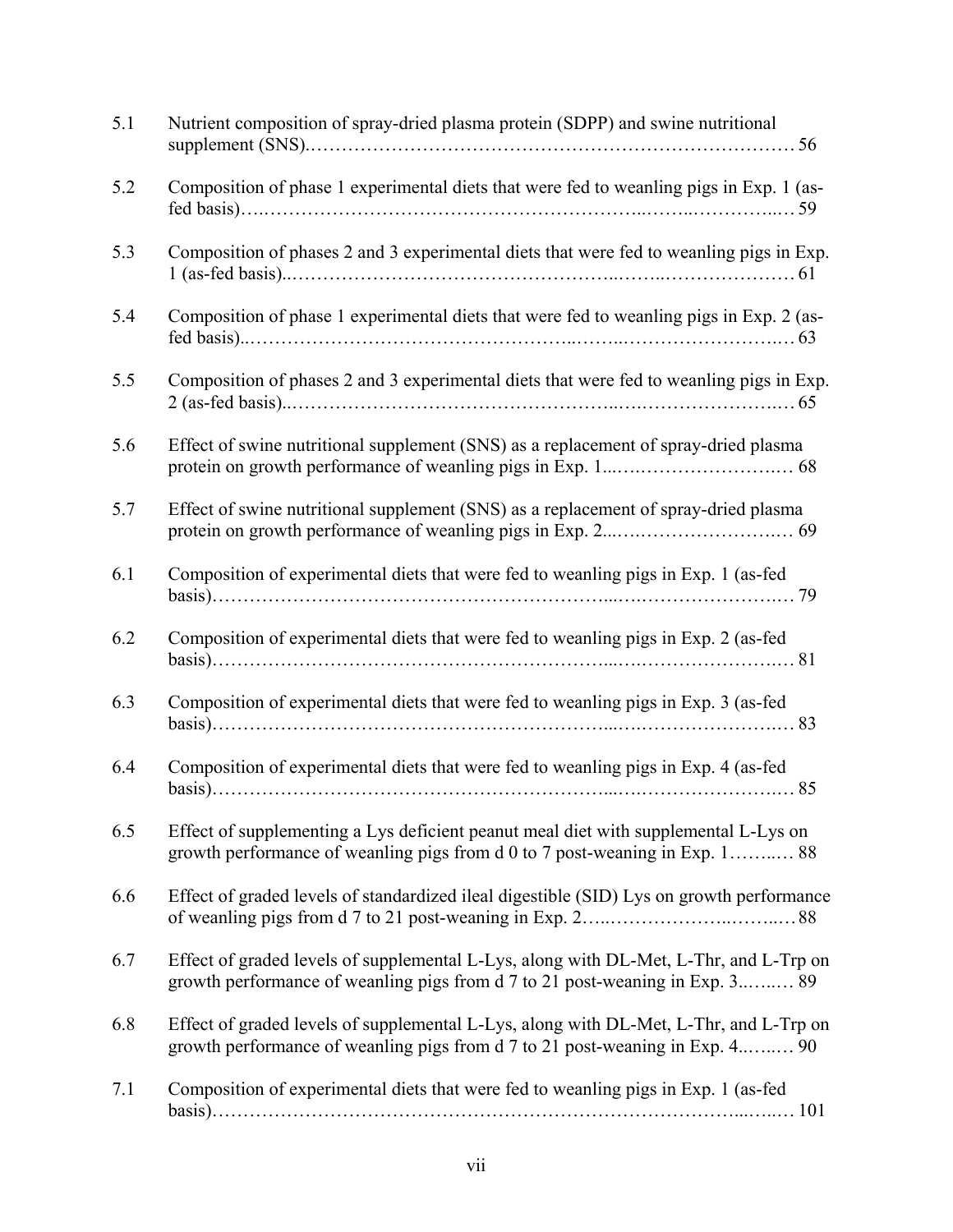| 5.1 | Nutrient composition of spray-dried plasma protein (SDPP) and swine nutritional                                                                                       |
|-----|-----------------------------------------------------------------------------------------------------------------------------------------------------------------------|
| 5.2 | Composition of phase 1 experimental diets that were fed to weanling pigs in Exp. 1 (as-                                                                               |
| 5.3 | Composition of phases 2 and 3 experimental diets that were fed to weanling pigs in Exp.                                                                               |
| 5.4 | Composition of phase 1 experimental diets that were fed to weanling pigs in Exp. 2 (as-                                                                               |
| 5.5 | Composition of phases 2 and 3 experimental diets that were fed to weanling pigs in Exp.                                                                               |
| 5.6 | Effect of swine nutritional supplement (SNS) as a replacement of spray-dried plasma                                                                                   |
| 5.7 | Effect of swine nutritional supplement (SNS) as a replacement of spray-dried plasma                                                                                   |
| 6.1 | Composition of experimental diets that were fed to weanling pigs in Exp. 1 (as-fed                                                                                    |
| 6.2 | Composition of experimental diets that were fed to weanling pigs in Exp. 2 (as-fed                                                                                    |
| 6.3 | Composition of experimental diets that were fed to weanling pigs in Exp. 3 (as-fed                                                                                    |
| 6.4 | Composition of experimental diets that were fed to weanling pigs in Exp. 4 (as-fed                                                                                    |
| 6.5 | Effect of supplementing a Lys deficient peanut meal diet with supplemental L-Lys on<br>growth performance of weanling pigs from d 0 to 7 post-weaning in Exp. 1 88    |
| 6.6 | Effect of graded levels of standardized ileal digestible (SID) Lys on growth performance                                                                              |
| 6.7 | Effect of graded levels of supplemental L-Lys, along with DL-Met, L-Thr, and L-Trp on<br>growth performance of weanling pigs from d 7 to 21 post-weaning in Exp. 3 89 |
| 6.8 | Effect of graded levels of supplemental L-Lys, along with DL-Met, L-Thr, and L-Trp on<br>growth performance of weanling pigs from d 7 to 21 post-weaning in Exp. 4 90 |
| 7.1 | Composition of experimental diets that were fed to weanling pigs in Exp. 1 (as-fed                                                                                    |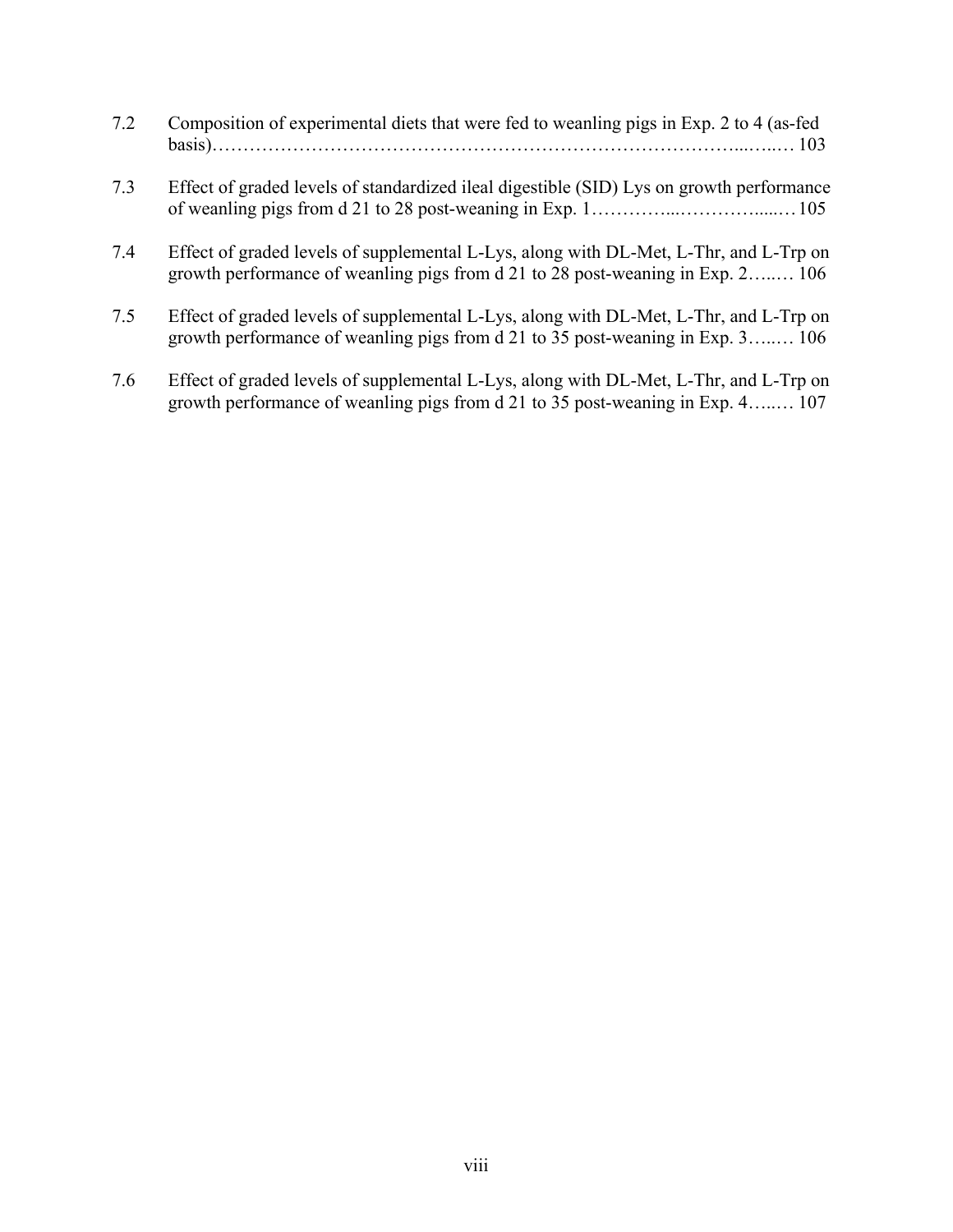- 7.2 Composition of experimental diets that were fed to weanling pigs in Exp. 2 to 4 (as-fed basis)…………………………………………………………………………...…..… 103
- 7.3 Effect of graded levels of standardized ileal digestible (SID) Lys on growth performance of weanling pigs from  $d$  21 to 28 post-weaning in Exp. 1…  $\ldots$   $\ldots$   $\ldots$   $\ldots$   $\ldots$  105
- 7.4 Effect of graded levels of supplemental L-Lys, along with DL-Met, L-Thr, and L-Trp on growth performance of weanling pigs from d 21 to 28 post-weaning in Exp. 2…..… 106
- 7.5 Effect of graded levels of supplemental L-Lys, along with DL-Met, L-Thr, and L-Trp on growth performance of weanling pigs from d 21 to 35 post-weaning in Exp. 3…..… 106
- 7.6 Effect of graded levels of supplemental L-Lys, along with DL-Met, L-Thr, and L-Trp on growth performance of weanling pigs from d 21 to 35 post-weaning in Exp. 4…..… 107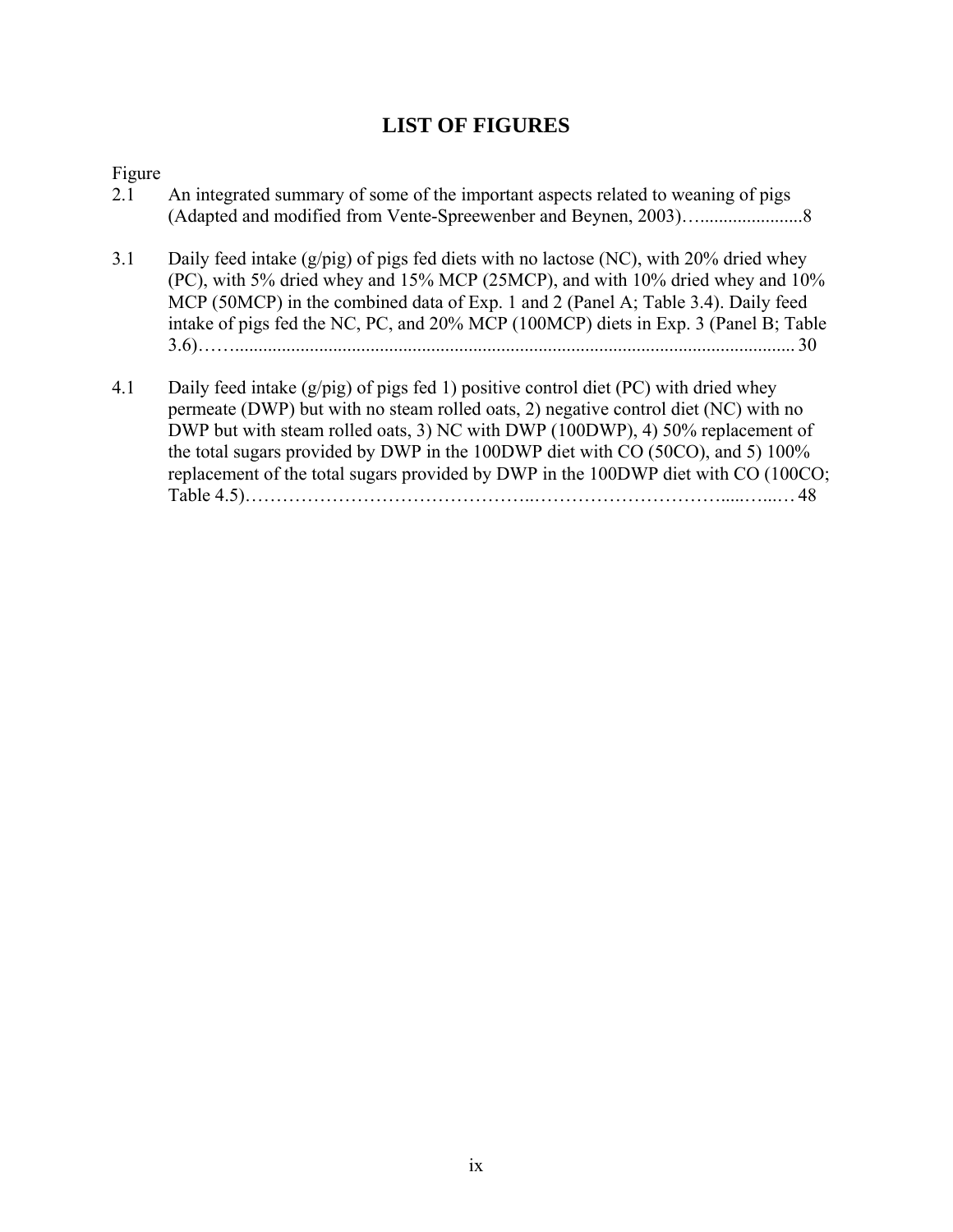## **LIST OF FIGURES**

# Figure

| 2.1 | An integrated summary of some of the important aspects related to weaning of pigs                                                                                                                                                                                                                                                                                                                                                       |
|-----|-----------------------------------------------------------------------------------------------------------------------------------------------------------------------------------------------------------------------------------------------------------------------------------------------------------------------------------------------------------------------------------------------------------------------------------------|
| 3.1 | Daily feed intake $(g/pig)$ of pigs fed diets with no lactose (NC), with 20% dried whey<br>(PC), with 5% dried whey and 15% MCP (25MCP), and with 10% dried whey and 10%<br>MCP (50MCP) in the combined data of Exp. 1 and 2 (Panel A; Table 3.4). Daily feed<br>intake of pigs fed the NC, PC, and 20% MCP (100MCP) diets in Exp. 3 (Panel B; Table                                                                                    |
| 4.1 | Daily feed intake $(g/pig)$ of pigs fed 1) positive control diet (PC) with dried whey<br>permeate (DWP) but with no steam rolled oats, 2) negative control diet (NC) with no<br>DWP but with steam rolled oats, 3) NC with DWP (100DWP), 4) 50% replacement of<br>the total sugars provided by DWP in the 100DWP diet with CO (50CO), and 5) 100%<br>replacement of the total sugars provided by DWP in the 100DWP diet with CO (100CO; |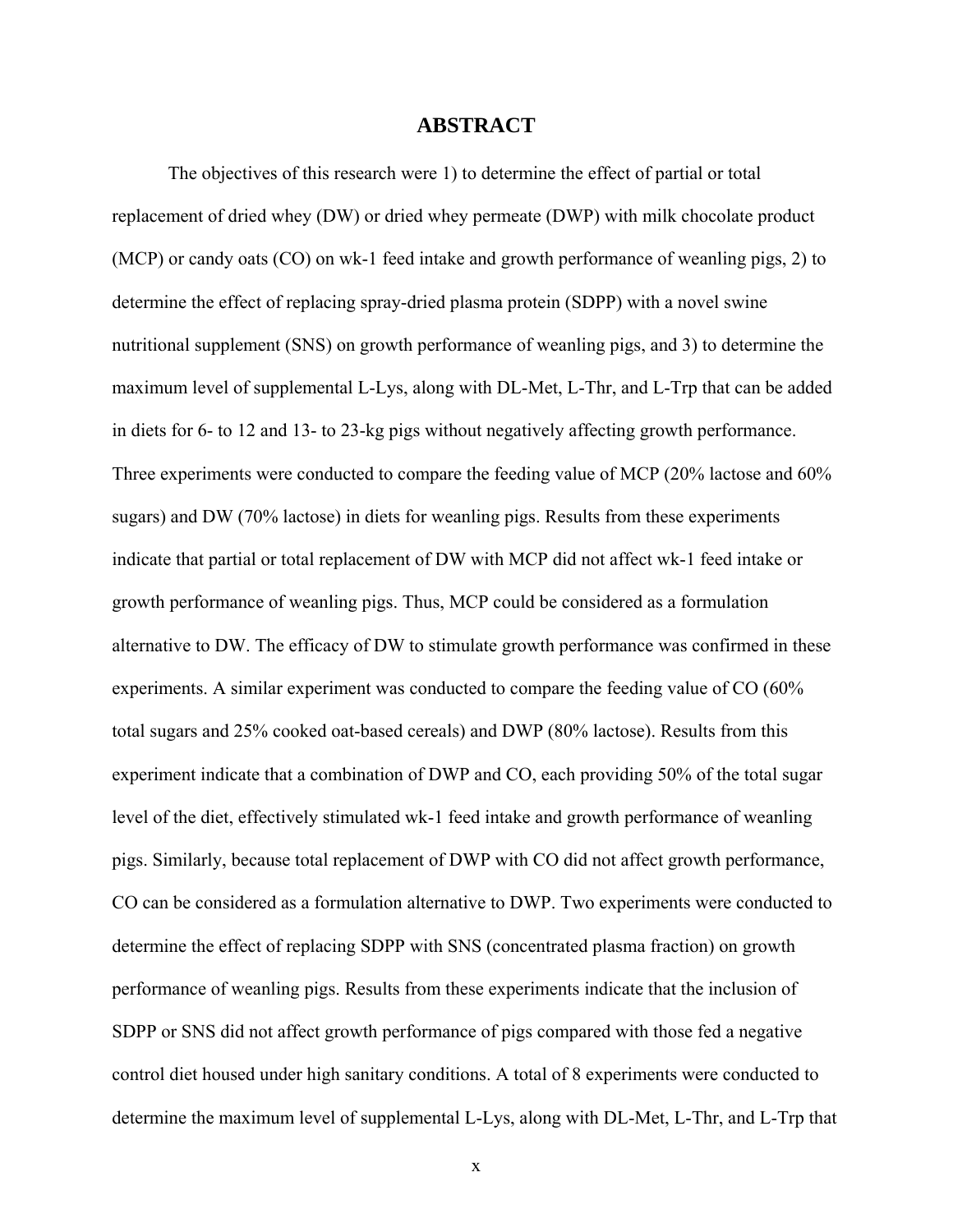### **ABSTRACT**

The objectives of this research were 1) to determine the effect of partial or total replacement of dried whey (DW) or dried whey permeate (DWP) with milk chocolate product (MCP) or candy oats (CO) on wk-1 feed intake and growth performance of weanling pigs, 2) to determine the effect of replacing spray-dried plasma protein (SDPP) with a novel swine nutritional supplement (SNS) on growth performance of weanling pigs, and 3) to determine the maximum level of supplemental L-Lys, along with DL-Met, L-Thr, and L-Trp that can be added in diets for 6- to 12 and 13- to 23-kg pigs without negatively affecting growth performance. Three experiments were conducted to compare the feeding value of MCP (20% lactose and 60% sugars) and DW (70% lactose) in diets for weanling pigs. Results from these experiments indicate that partial or total replacement of DW with MCP did not affect wk-1 feed intake or growth performance of weanling pigs. Thus, MCP could be considered as a formulation alternative to DW. The efficacy of DW to stimulate growth performance was confirmed in these experiments. A similar experiment was conducted to compare the feeding value of CO (60% total sugars and 25% cooked oat-based cereals) and DWP (80% lactose). Results from this experiment indicate that a combination of DWP and CO, each providing 50% of the total sugar level of the diet, effectively stimulated wk-1 feed intake and growth performance of weanling pigs. Similarly, because total replacement of DWP with CO did not affect growth performance, CO can be considered as a formulation alternative to DWP. Two experiments were conducted to determine the effect of replacing SDPP with SNS (concentrated plasma fraction) on growth performance of weanling pigs. Results from these experiments indicate that the inclusion of SDPP or SNS did not affect growth performance of pigs compared with those fed a negative control diet housed under high sanitary conditions. A total of 8 experiments were conducted to determine the maximum level of supplemental L-Lys, along with DL-Met, L-Thr, and L-Trp that

x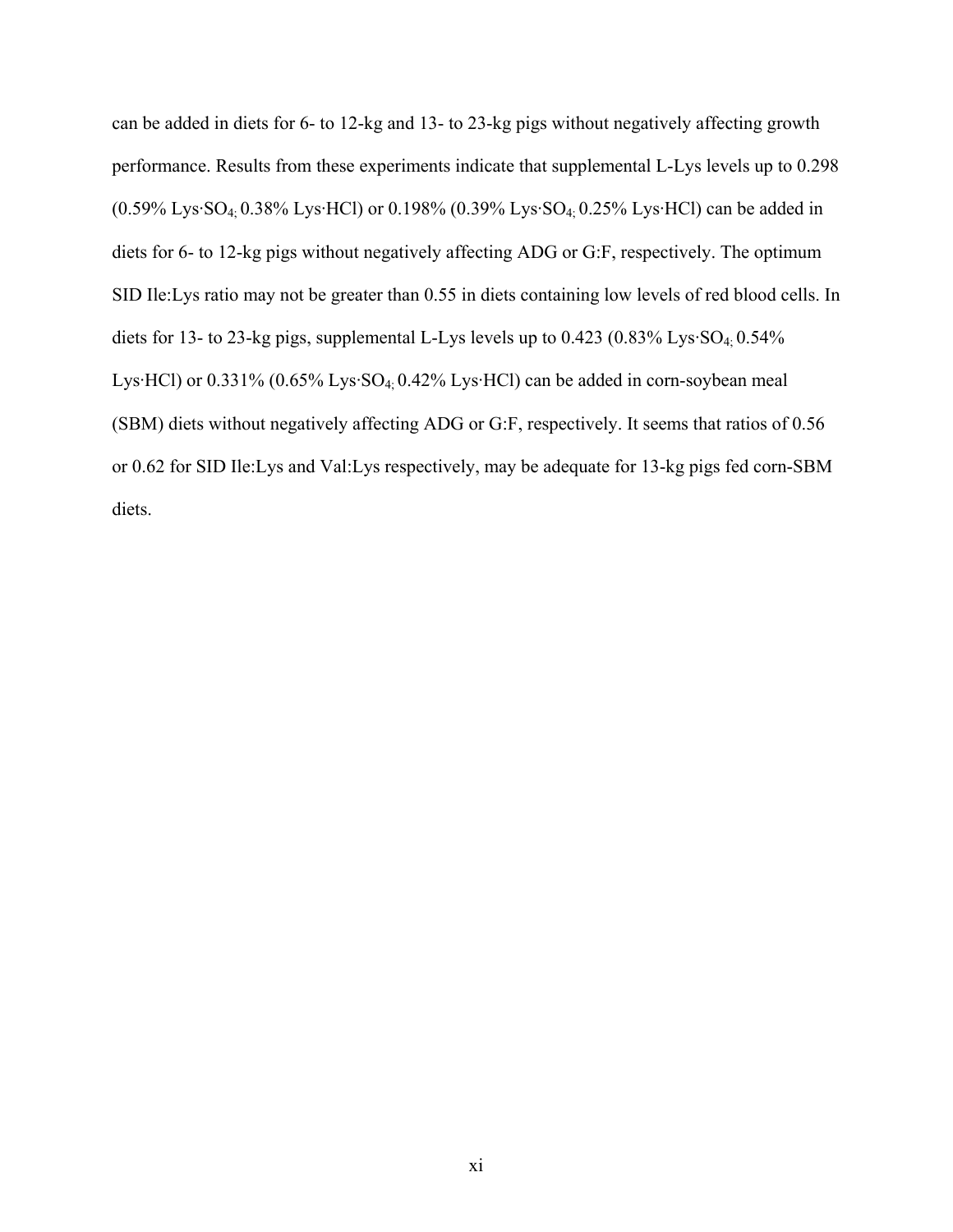can be added in diets for 6- to 12-kg and 13- to 23-kg pigs without negatively affecting growth performance. Results from these experiments indicate that supplemental L-Lys levels up to 0.298 (0.59% Lys·SO4; 0.38% Lys·HCl) or 0.198% (0.39% Lys·SO4; 0.25% Lys·HCl) can be added in diets for 6- to 12-kg pigs without negatively affecting ADG or G:F, respectively. The optimum SID Ile:Lys ratio may not be greater than 0.55 in diets containing low levels of red blood cells. In diets for 13- to 23-kg pigs, supplemental L-Lys levels up to  $0.423$  ( $0.83\%$  Lys·SO<sub>4;</sub>  $0.54\%$ ) Lys·HCl) or 0.331% (0.65% Lys·SO4; 0.42% Lys·HCl) can be added in corn-soybean meal (SBM) diets without negatively affecting ADG or G:F, respectively. It seems that ratios of 0.56 or 0.62 for SID Ile:Lys and Val:Lys respectively, may be adequate for 13-kg pigs fed corn-SBM diets.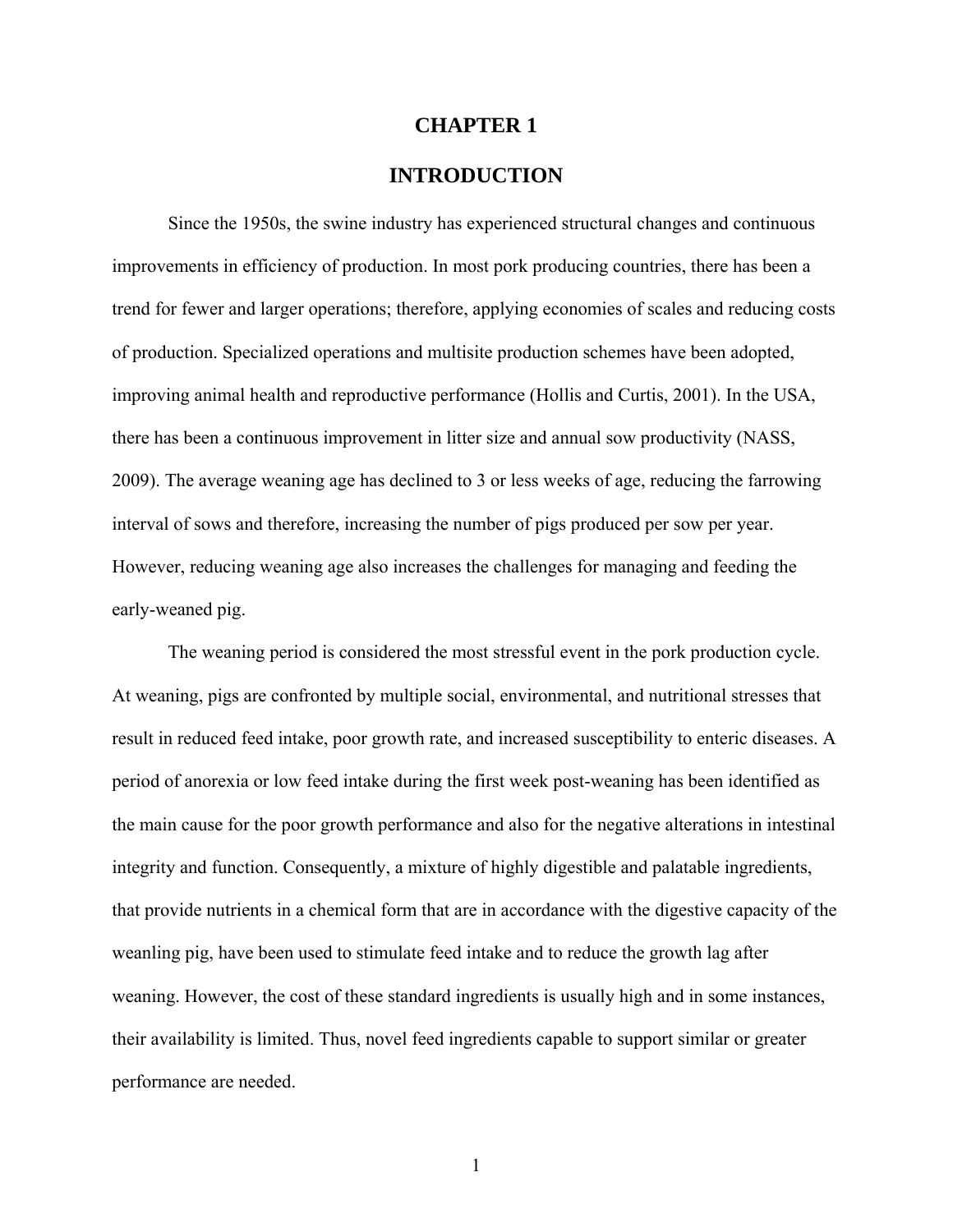### **CHAPTER 1**

## **INTRODUCTION**

Since the 1950s, the swine industry has experienced structural changes and continuous improvements in efficiency of production. In most pork producing countries, there has been a trend for fewer and larger operations; therefore, applying economies of scales and reducing costs of production. Specialized operations and multisite production schemes have been adopted, improving animal health and reproductive performance (Hollis and Curtis, 2001). In the USA, there has been a continuous improvement in litter size and annual sow productivity (NASS, 2009). The average weaning age has declined to 3 or less weeks of age, reducing the farrowing interval of sows and therefore, increasing the number of pigs produced per sow per year. However, reducing weaning age also increases the challenges for managing and feeding the early-weaned pig.

The weaning period is considered the most stressful event in the pork production cycle. At weaning, pigs are confronted by multiple social, environmental, and nutritional stresses that result in reduced feed intake, poor growth rate, and increased susceptibility to enteric diseases. A period of anorexia or low feed intake during the first week post-weaning has been identified as the main cause for the poor growth performance and also for the negative alterations in intestinal integrity and function. Consequently, a mixture of highly digestible and palatable ingredients, that provide nutrients in a chemical form that are in accordance with the digestive capacity of the weanling pig, have been used to stimulate feed intake and to reduce the growth lag after weaning. However, the cost of these standard ingredients is usually high and in some instances, their availability is limited. Thus, novel feed ingredients capable to support similar or greater performance are needed.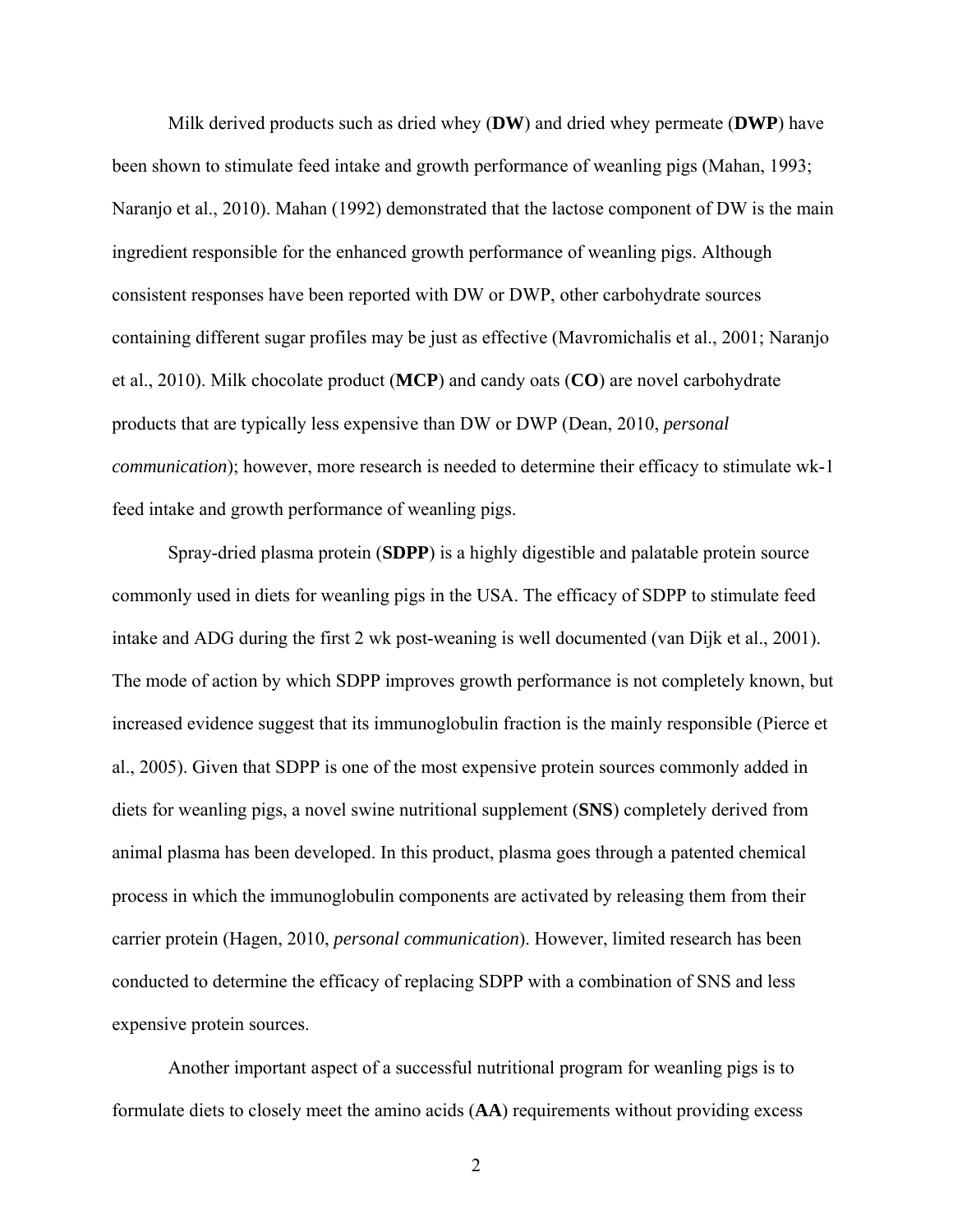Milk derived products such as dried whey (**DW**) and dried whey permeate (**DWP**) have been shown to stimulate feed intake and growth performance of weanling pigs (Mahan, 1993; Naranjo et al., 2010). Mahan (1992) demonstrated that the lactose component of DW is the main ingredient responsible for the enhanced growth performance of weanling pigs. Although consistent responses have been reported with DW or DWP, other carbohydrate sources containing different sugar profiles may be just as effective (Mavromichalis et al., 2001; Naranjo et al., 2010). Milk chocolate product (**MCP**) and candy oats (**CO**) are novel carbohydrate products that are typically less expensive than DW or DWP (Dean, 2010, *personal communication*); however, more research is needed to determine their efficacy to stimulate wk-1 feed intake and growth performance of weanling pigs.

Spray-dried plasma protein (**SDPP**) is a highly digestible and palatable protein source commonly used in diets for weanling pigs in the USA. The efficacy of SDPP to stimulate feed intake and ADG during the first 2 wk post-weaning is well documented (van Dijk et al., 2001). The mode of action by which SDPP improves growth performance is not completely known, but increased evidence suggest that its immunoglobulin fraction is the mainly responsible (Pierce et al., 2005). Given that SDPP is one of the most expensive protein sources commonly added in diets for weanling pigs, a novel swine nutritional supplement (**SNS**) completely derived from animal plasma has been developed. In this product, plasma goes through a patented chemical process in which the immunoglobulin components are activated by releasing them from their carrier protein (Hagen, 2010, *personal communication*). However, limited research has been conducted to determine the efficacy of replacing SDPP with a combination of SNS and less expensive protein sources.

Another important aspect of a successful nutritional program for weanling pigs is to formulate diets to closely meet the amino acids (**AA**) requirements without providing excess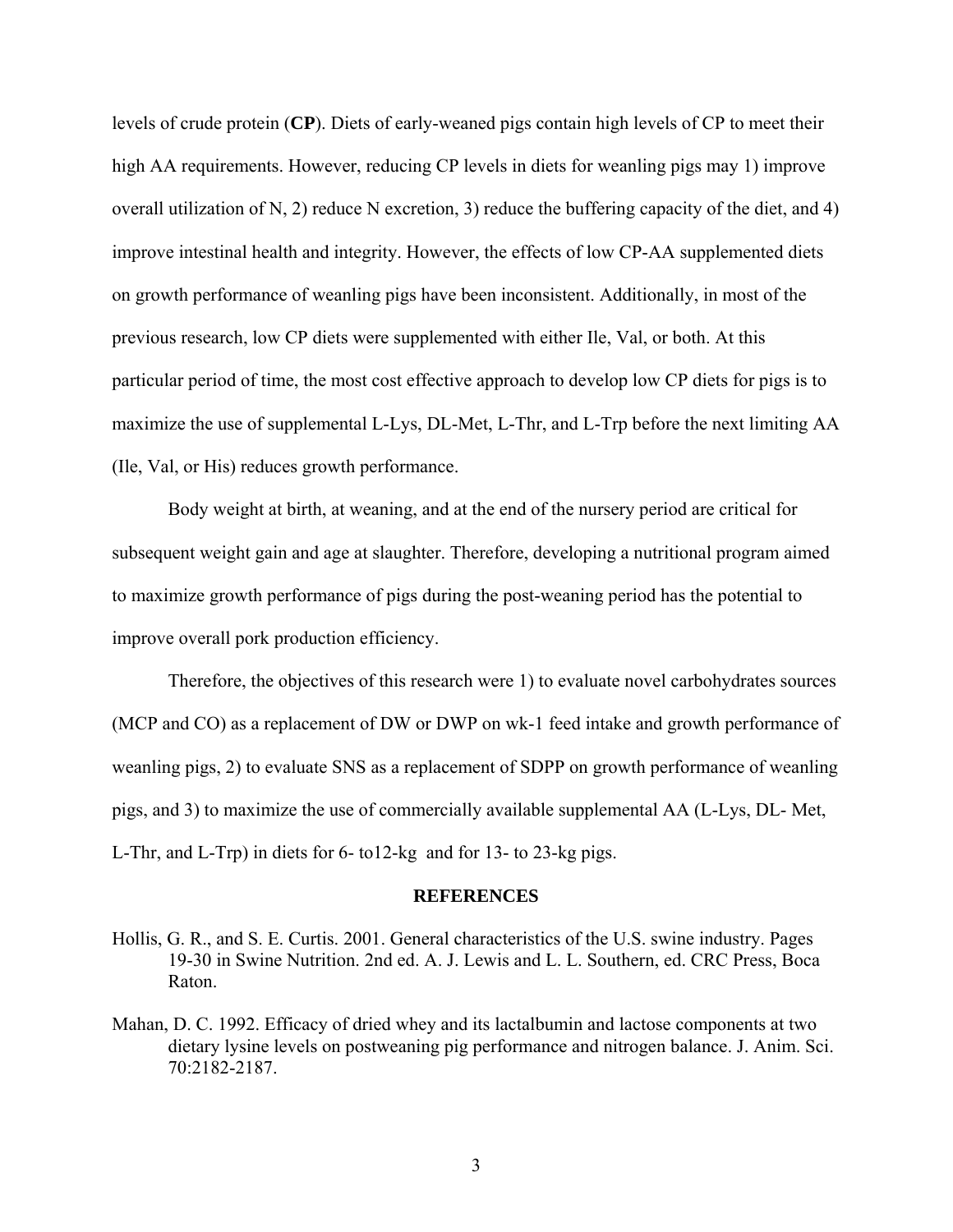levels of crude protein (**CP**). Diets of early-weaned pigs contain high levels of CP to meet their high AA requirements. However, reducing CP levels in diets for weanling pigs may 1) improve overall utilization of N, 2) reduce N excretion, 3) reduce the buffering capacity of the diet, and 4) improve intestinal health and integrity. However, the effects of low CP-AA supplemented diets on growth performance of weanling pigs have been inconsistent. Additionally, in most of the previous research, low CP diets were supplemented with either Ile, Val, or both. At this particular period of time, the most cost effective approach to develop low CP diets for pigs is to maximize the use of supplemental L-Lys, DL-Met, L-Thr, and L-Trp before the next limiting AA (Ile, Val, or His) reduces growth performance.

Body weight at birth, at weaning, and at the end of the nursery period are critical for subsequent weight gain and age at slaughter. Therefore, developing a nutritional program aimed to maximize growth performance of pigs during the post-weaning period has the potential to improve overall pork production efficiency.

 Therefore, the objectives of this research were 1) to evaluate novel carbohydrates sources (MCP and CO) as a replacement of DW or DWP on wk-1 feed intake and growth performance of weanling pigs, 2) to evaluate SNS as a replacement of SDPP on growth performance of weanling pigs, and 3) to maximize the use of commercially available supplemental AA (L-Lys, DL- Met, L-Thr, and L-Trp) in diets for 6- to12-kg and for 13- to 23-kg pigs.

#### **REFERENCES**

- Hollis, G. R., and S. E. Curtis. 2001. General characteristics of the U.S. swine industry. Pages 19-30 in Swine Nutrition. 2nd ed. A. J. Lewis and L. L. Southern, ed. CRC Press, Boca Raton.
- Mahan, D. C. 1992. Efficacy of dried whey and its lactalbumin and lactose components at two dietary lysine levels on postweaning pig performance and nitrogen balance. J. Anim. Sci. 70:2182-2187.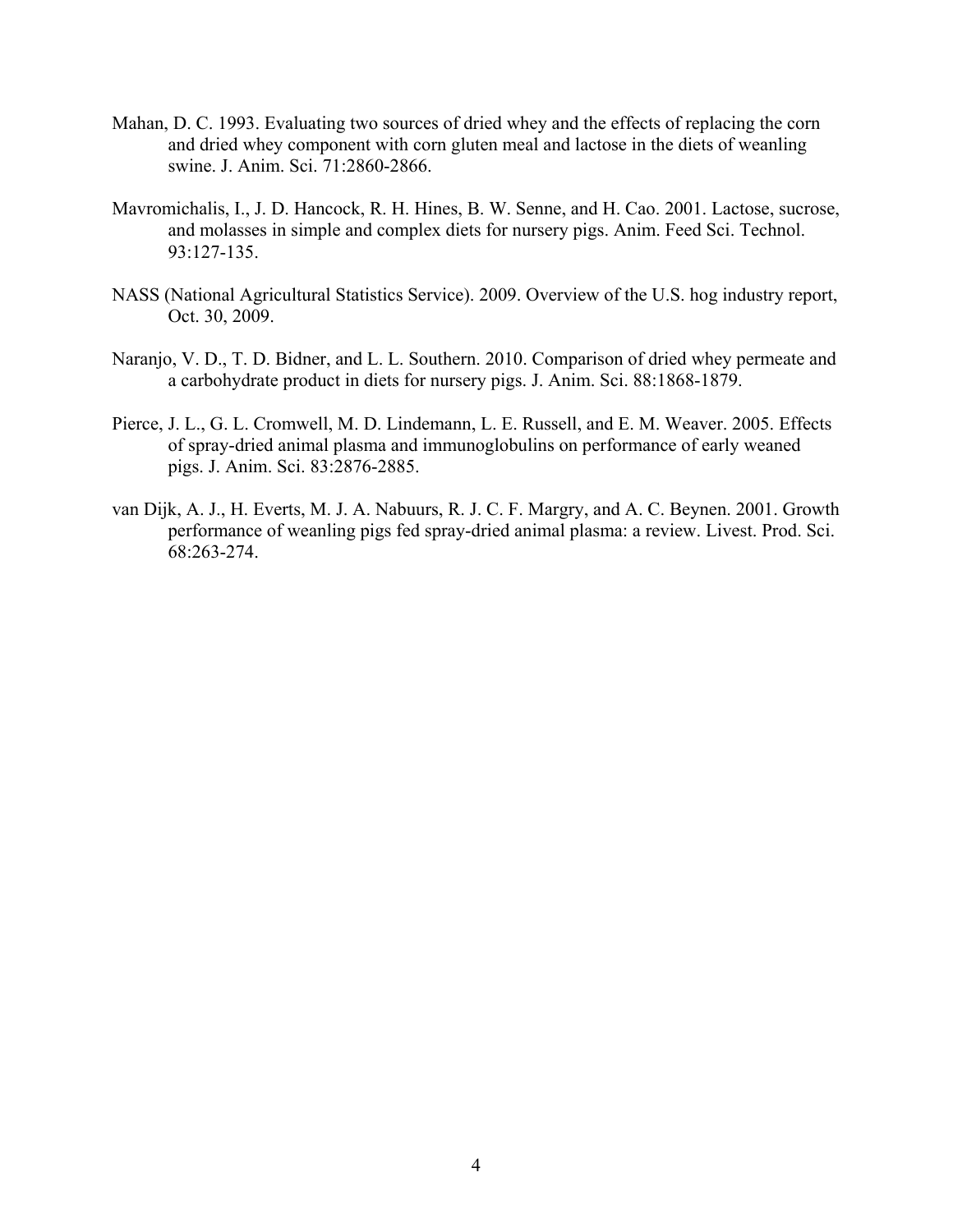- Mahan, D. C. 1993. Evaluating two sources of dried whey and the effects of replacing the corn and dried whey component with corn gluten meal and lactose in the diets of weanling swine. J. Anim. Sci. 71:2860-2866.
- Mavromichalis, I., J. D. Hancock, R. H. Hines, B. W. Senne, and H. Cao. 2001. Lactose, sucrose, and molasses in simple and complex diets for nursery pigs. Anim. Feed Sci. Technol. 93:127-135.
- NASS (National Agricultural Statistics Service). 2009. Overview of the U.S. hog industry report, Oct. 30, 2009.
- Naranjo, V. D., T. D. Bidner, and L. L. Southern. 2010. Comparison of dried whey permeate and a carbohydrate product in diets for nursery pigs. J. Anim. Sci. 88:1868-1879.
- Pierce, J. L., G. L. Cromwell, M. D. Lindemann, L. E. Russell, and E. M. Weaver. 2005. Effects of spray-dried animal plasma and immunoglobulins on performance of early weaned pigs. J. Anim. Sci. 83:2876-2885.
- van Dijk, A. J., H. Everts, M. J. A. Nabuurs, R. J. C. F. Margry, and A. C. Beynen. 2001. Growth performance of weanling pigs fed spray-dried animal plasma: a review. Livest. Prod. Sci. 68:263-274.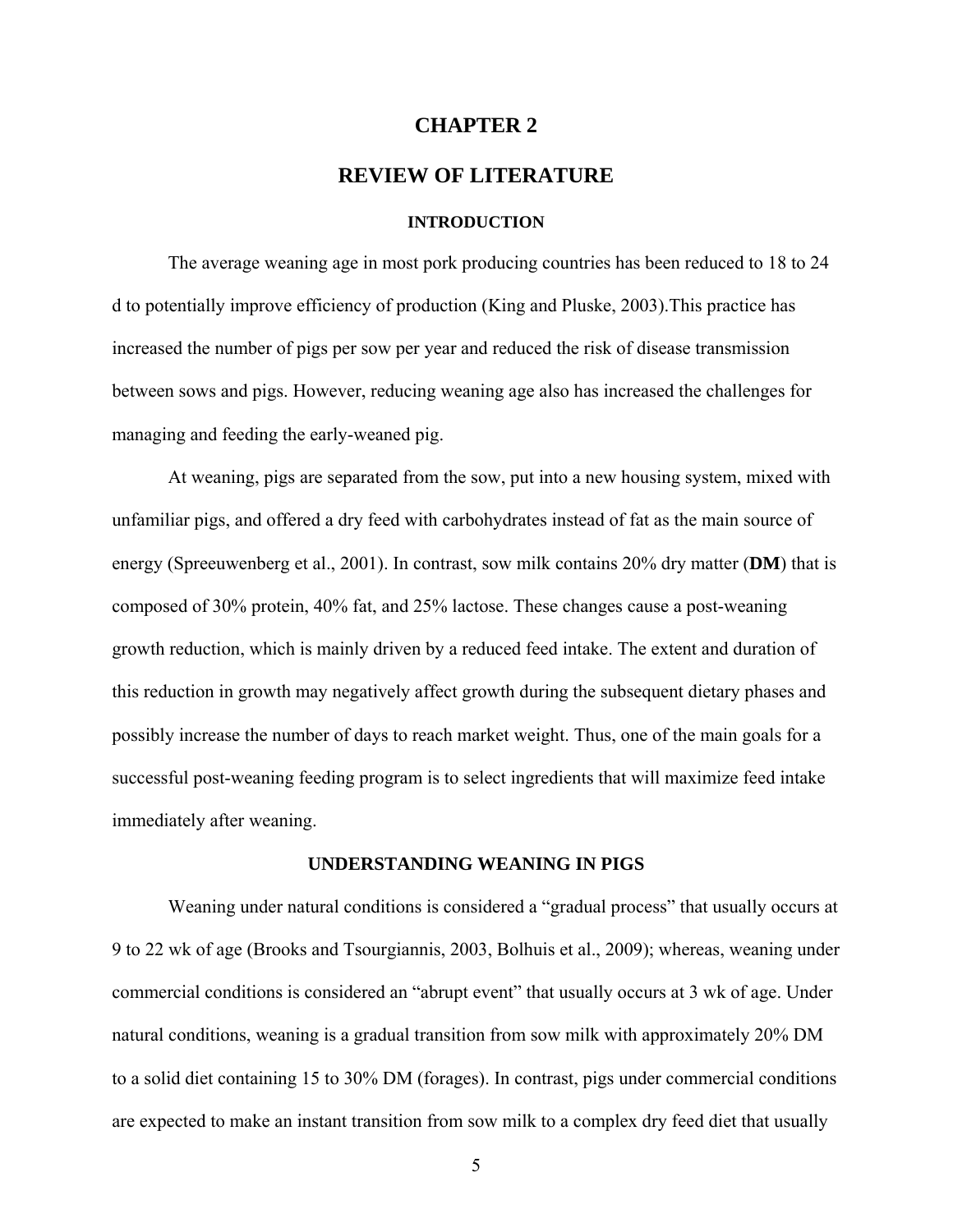### **CHAPTER 2**

## **REVIEW OF LITERATURE**

#### **INTRODUCTION**

The average weaning age in most pork producing countries has been reduced to 18 to 24 d to potentially improve efficiency of production (King and Pluske, 2003).This practice has increased the number of pigs per sow per year and reduced the risk of disease transmission between sows and pigs. However, reducing weaning age also has increased the challenges for managing and feeding the early-weaned pig.

At weaning, pigs are separated from the sow, put into a new housing system, mixed with unfamiliar pigs, and offered a dry feed with carbohydrates instead of fat as the main source of energy (Spreeuwenberg et al., 2001). In contrast, sow milk contains 20% dry matter (**DM**) that is composed of 30% protein, 40% fat, and 25% lactose. These changes cause a post-weaning growth reduction, which is mainly driven by a reduced feed intake. The extent and duration of this reduction in growth may negatively affect growth during the subsequent dietary phases and possibly increase the number of days to reach market weight. Thus, one of the main goals for a successful post-weaning feeding program is to select ingredients that will maximize feed intake immediately after weaning.

### **UNDERSTANDING WEANING IN PIGS**

Weaning under natural conditions is considered a "gradual process" that usually occurs at 9 to 22 wk of age (Brooks and Tsourgiannis, 2003, Bolhuis et al., 2009); whereas, weaning under commercial conditions is considered an "abrupt event" that usually occurs at 3 wk of age. Under natural conditions, weaning is a gradual transition from sow milk with approximately 20% DM to a solid diet containing 15 to 30% DM (forages). In contrast, pigs under commercial conditions are expected to make an instant transition from sow milk to a complex dry feed diet that usually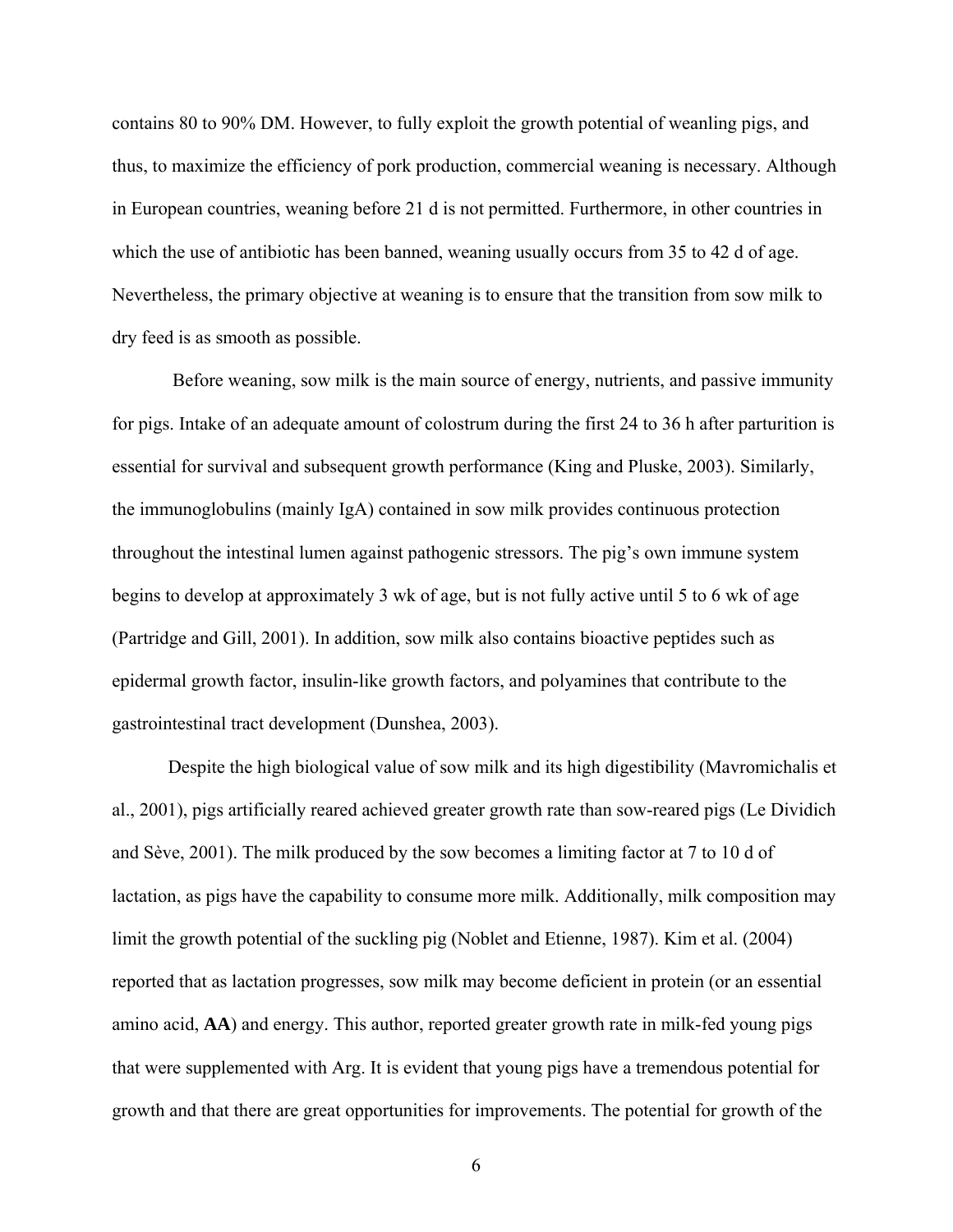contains 80 to 90% DM. However, to fully exploit the growth potential of weanling pigs, and thus, to maximize the efficiency of pork production, commercial weaning is necessary. Although in European countries, weaning before 21 d is not permitted. Furthermore, in other countries in which the use of antibiotic has been banned, weaning usually occurs from 35 to 42 d of age. Nevertheless, the primary objective at weaning is to ensure that the transition from sow milk to dry feed is as smooth as possible.

 Before weaning, sow milk is the main source of energy, nutrients, and passive immunity for pigs. Intake of an adequate amount of colostrum during the first 24 to 36 h after parturition is essential for survival and subsequent growth performance (King and Pluske, 2003). Similarly, the immunoglobulins (mainly IgA) contained in sow milk provides continuous protection throughout the intestinal lumen against pathogenic stressors. The pig's own immune system begins to develop at approximately 3 wk of age, but is not fully active until 5 to 6 wk of age (Partridge and Gill, 2001). In addition, sow milk also contains bioactive peptides such as epidermal growth factor, insulin-like growth factors, and polyamines that contribute to the gastrointestinal tract development (Dunshea, 2003).

Despite the high biological value of sow milk and its high digestibility (Mavromichalis et al., 2001), pigs artificially reared achieved greater growth rate than sow-reared pigs (Le Dividich and Sève, 2001). The milk produced by the sow becomes a limiting factor at 7 to 10 d of lactation, as pigs have the capability to consume more milk. Additionally, milk composition may limit the growth potential of the suckling pig (Noblet and Etienne, 1987). Kim et al. (2004) reported that as lactation progresses, sow milk may become deficient in protein (or an essential amino acid, **AA**) and energy. This author, reported greater growth rate in milk-fed young pigs that were supplemented with Arg. It is evident that young pigs have a tremendous potential for growth and that there are great opportunities for improvements. The potential for growth of the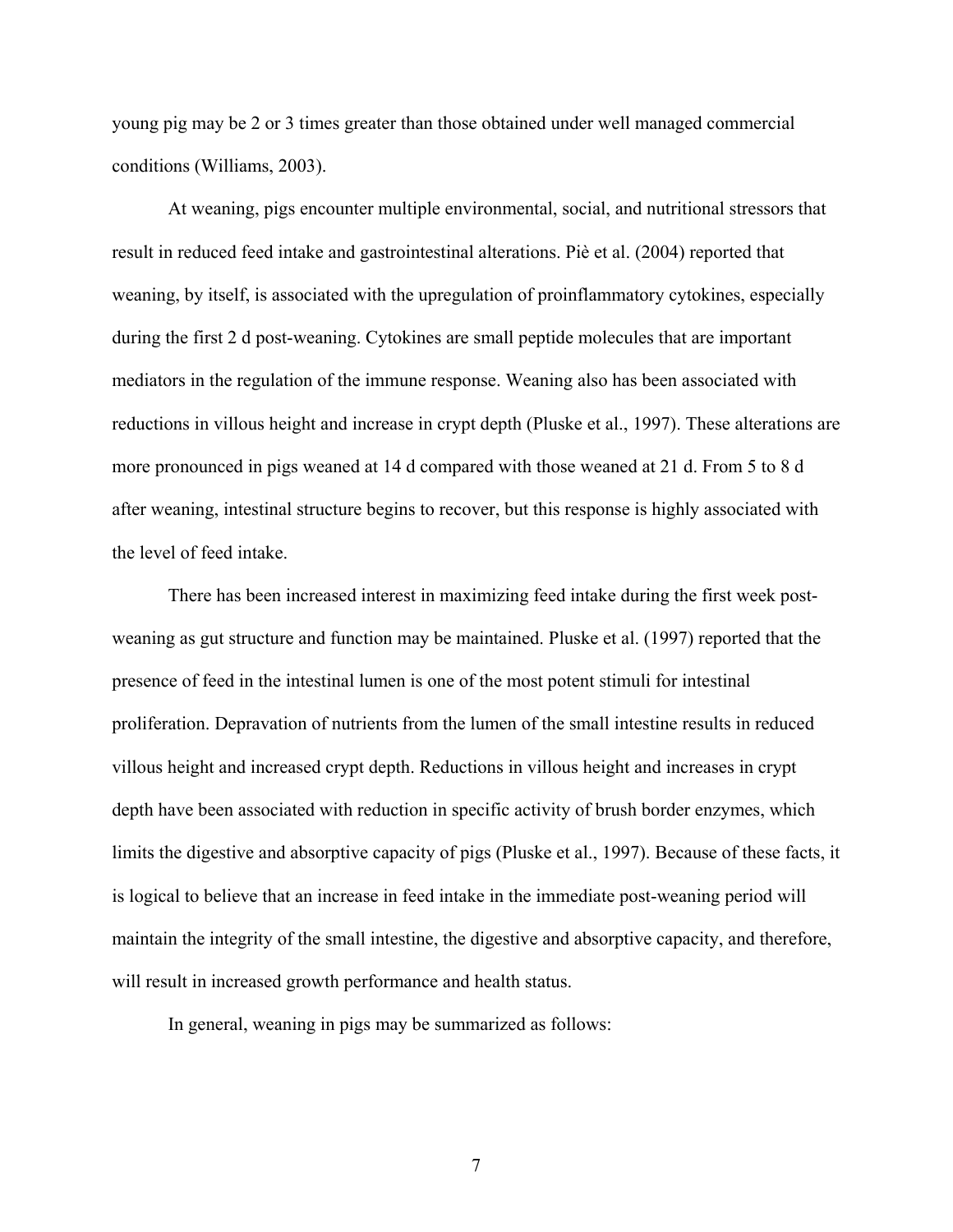young pig may be 2 or 3 times greater than those obtained under well managed commercial conditions (Williams, 2003).

At weaning, pigs encounter multiple environmental, social, and nutritional stressors that result in reduced feed intake and gastrointestinal alterations. Piè et al. (2004) reported that weaning, by itself, is associated with the upregulation of proinflammatory cytokines, especially during the first 2 d post-weaning. Cytokines are small peptide molecules that are important mediators in the regulation of the immune response. Weaning also has been associated with reductions in villous height and increase in crypt depth (Pluske et al., 1997). These alterations are more pronounced in pigs weaned at 14 d compared with those weaned at 21 d. From 5 to 8 d after weaning, intestinal structure begins to recover, but this response is highly associated with the level of feed intake.

 There has been increased interest in maximizing feed intake during the first week postweaning as gut structure and function may be maintained. Pluske et al. (1997) reported that the presence of feed in the intestinal lumen is one of the most potent stimuli for intestinal proliferation. Depravation of nutrients from the lumen of the small intestine results in reduced villous height and increased crypt depth. Reductions in villous height and increases in crypt depth have been associated with reduction in specific activity of brush border enzymes, which limits the digestive and absorptive capacity of pigs (Pluske et al., 1997). Because of these facts, it is logical to believe that an increase in feed intake in the immediate post-weaning period will maintain the integrity of the small intestine, the digestive and absorptive capacity, and therefore, will result in increased growth performance and health status.

In general, weaning in pigs may be summarized as follows: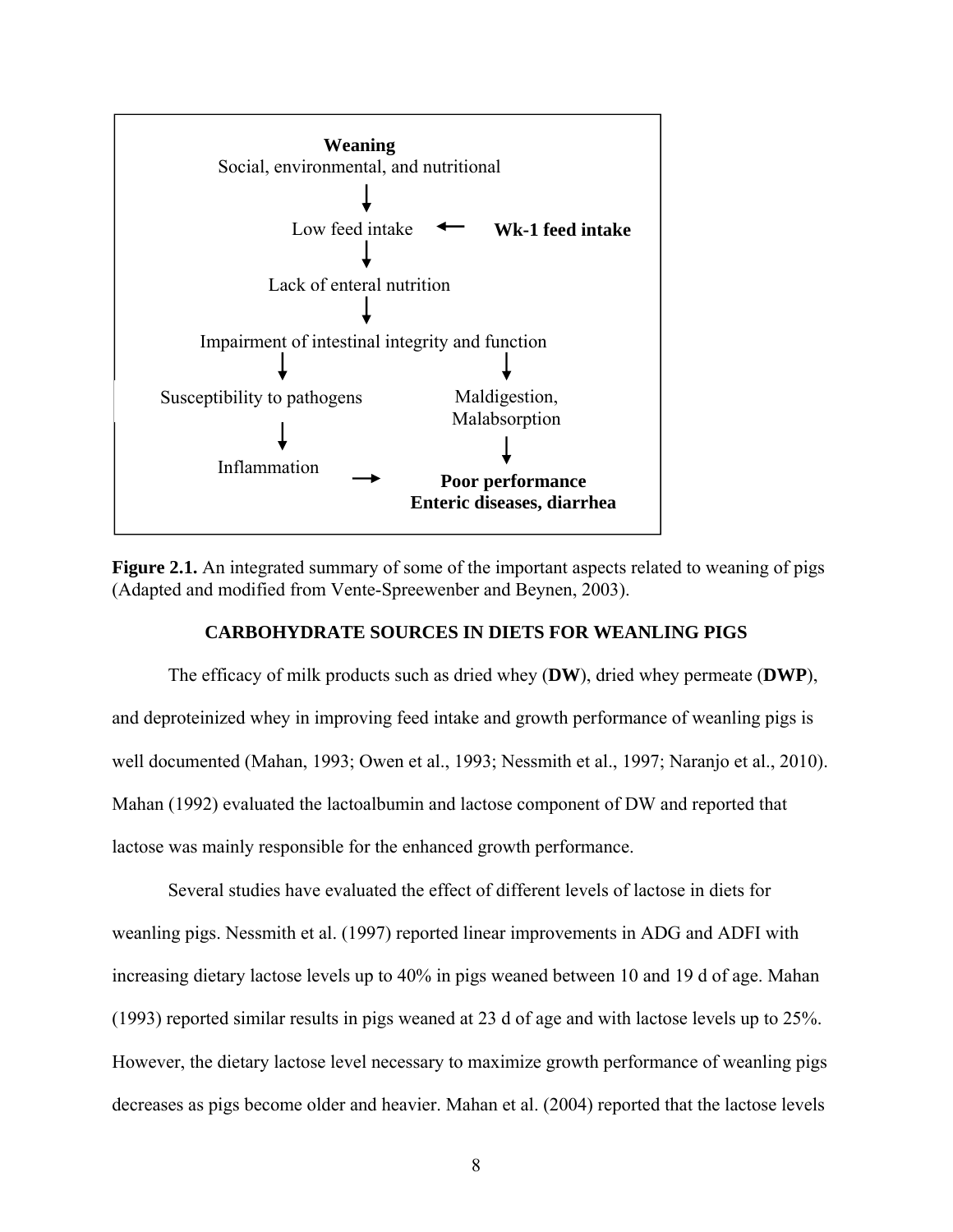

**Figure 2.1.** An integrated summary of some of the important aspects related to weaning of pigs (Adapted and modified from Vente-Spreewenber and Beynen, 2003).

## **CARBOHYDRATE SOURCES IN DIETS FOR WEANLING PIGS**

The efficacy of milk products such as dried whey (**DW**), dried whey permeate (**DWP**), and deproteinized whey in improving feed intake and growth performance of weanling pigs is well documented (Mahan, 1993; Owen et al., 1993; Nessmith et al., 1997; Naranjo et al., 2010). Mahan (1992) evaluated the lactoalbumin and lactose component of DW and reported that lactose was mainly responsible for the enhanced growth performance.

Several studies have evaluated the effect of different levels of lactose in diets for weanling pigs. Nessmith et al. (1997) reported linear improvements in ADG and ADFI with increasing dietary lactose levels up to 40% in pigs weaned between 10 and 19 d of age. Mahan (1993) reported similar results in pigs weaned at 23 d of age and with lactose levels up to 25%. However, the dietary lactose level necessary to maximize growth performance of weanling pigs decreases as pigs become older and heavier. Mahan et al. (2004) reported that the lactose levels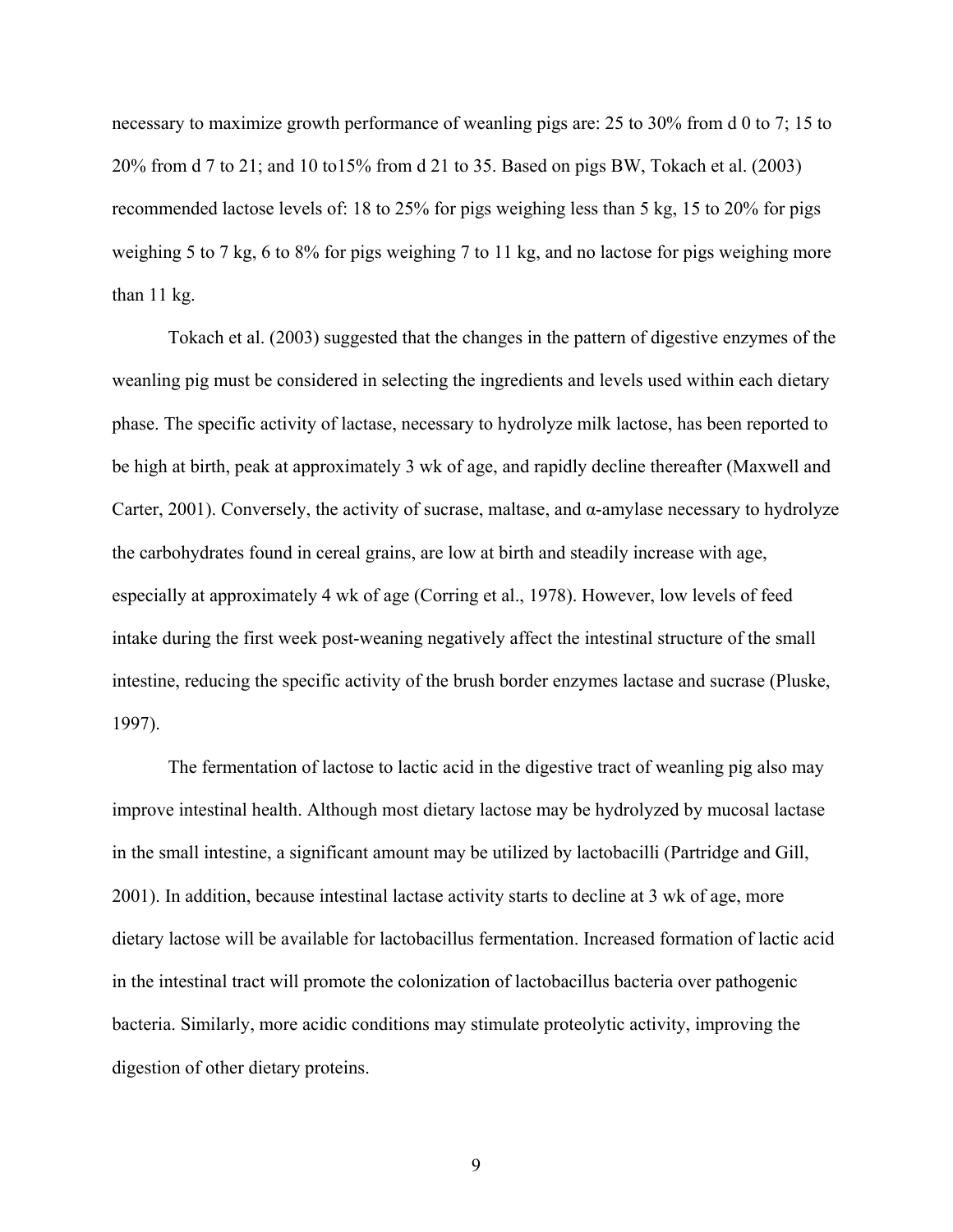necessary to maximize growth performance of weanling pigs are: 25 to 30% from d 0 to 7; 15 to 20% from d 7 to 21; and 10 to15% from d 21 to 35. Based on pigs BW, Tokach et al. (2003) recommended lactose levels of: 18 to 25% for pigs weighing less than 5 kg, 15 to 20% for pigs weighing 5 to 7 kg, 6 to 8% for pigs weighing 7 to 11 kg, and no lactose for pigs weighing more than 11 kg.

Tokach et al. (2003) suggested that the changes in the pattern of digestive enzymes of the weanling pig must be considered in selecting the ingredients and levels used within each dietary phase. The specific activity of lactase, necessary to hydrolyze milk lactose, has been reported to be high at birth, peak at approximately 3 wk of age, and rapidly decline thereafter (Maxwell and Carter, 2001). Conversely, the activity of sucrase, maltase, and α-amylase necessary to hydrolyze the carbohydrates found in cereal grains, are low at birth and steadily increase with age, especially at approximately 4 wk of age (Corring et al., 1978). However, low levels of feed intake during the first week post-weaning negatively affect the intestinal structure of the small intestine, reducing the specific activity of the brush border enzymes lactase and sucrase (Pluske, 1997).

The fermentation of lactose to lactic acid in the digestive tract of weanling pig also may improve intestinal health. Although most dietary lactose may be hydrolyzed by mucosal lactase in the small intestine, a significant amount may be utilized by lactobacilli (Partridge and Gill, 2001). In addition, because intestinal lactase activity starts to decline at 3 wk of age, more dietary lactose will be available for lactobacillus fermentation. Increased formation of lactic acid in the intestinal tract will promote the colonization of lactobacillus bacteria over pathogenic bacteria. Similarly, more acidic conditions may stimulate proteolytic activity, improving the digestion of other dietary proteins.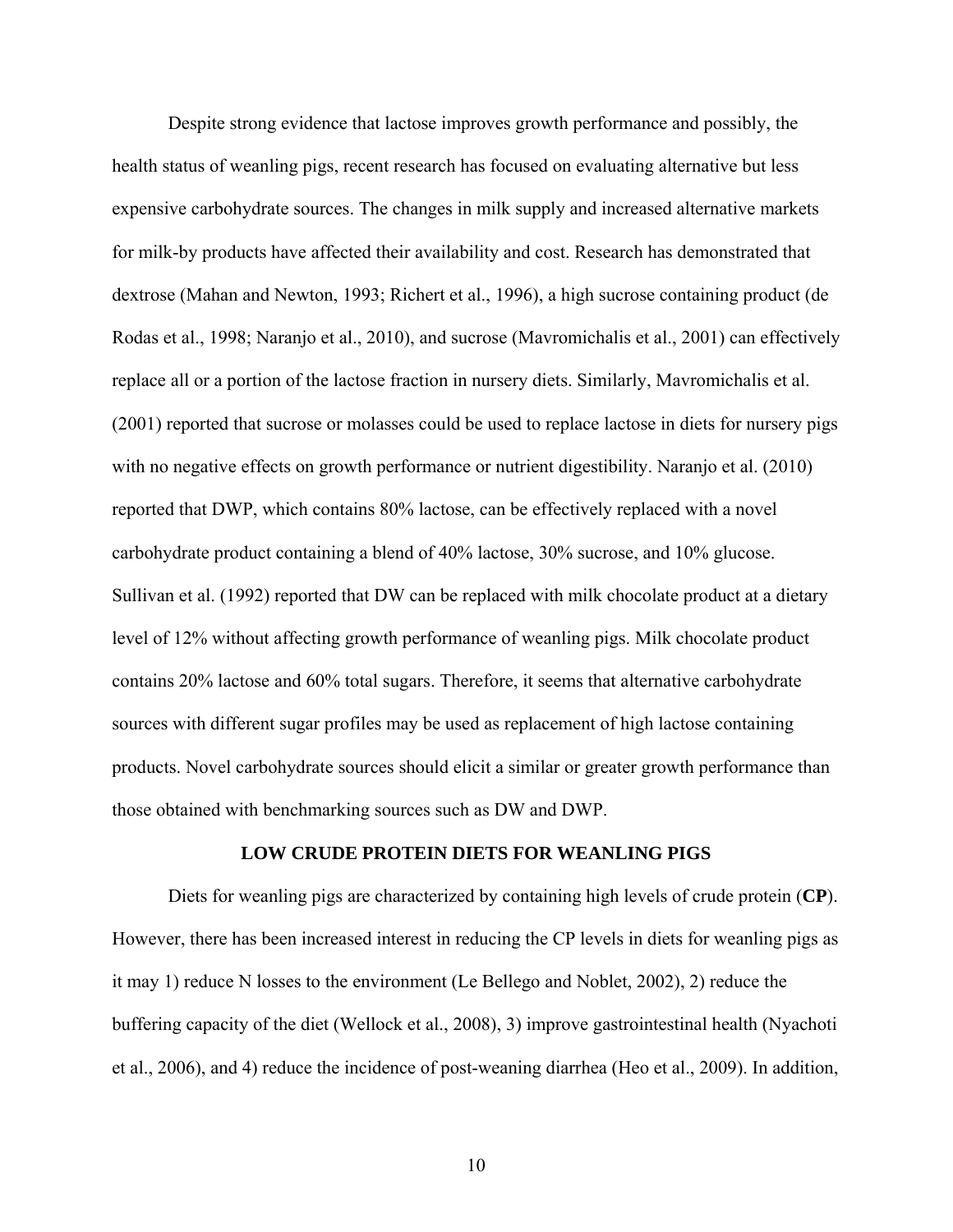Despite strong evidence that lactose improves growth performance and possibly, the health status of weanling pigs, recent research has focused on evaluating alternative but less expensive carbohydrate sources. The changes in milk supply and increased alternative markets for milk-by products have affected their availability and cost. Research has demonstrated that dextrose (Mahan and Newton, 1993; Richert et al., 1996), a high sucrose containing product (de Rodas et al., 1998; Naranjo et al., 2010), and sucrose (Mavromichalis et al., 2001) can effectively replace all or a portion of the lactose fraction in nursery diets. Similarly, Mavromichalis et al. (2001) reported that sucrose or molasses could be used to replace lactose in diets for nursery pigs with no negative effects on growth performance or nutrient digestibility. Naranjo et al. (2010) reported that DWP, which contains 80% lactose, can be effectively replaced with a novel carbohydrate product containing a blend of 40% lactose, 30% sucrose, and 10% glucose. Sullivan et al. (1992) reported that DW can be replaced with milk chocolate product at a dietary level of 12% without affecting growth performance of weanling pigs. Milk chocolate product contains 20% lactose and 60% total sugars. Therefore, it seems that alternative carbohydrate sources with different sugar profiles may be used as replacement of high lactose containing products. Novel carbohydrate sources should elicit a similar or greater growth performance than those obtained with benchmarking sources such as DW and DWP.

#### **LOW CRUDE PROTEIN DIETS FOR WEANLING PIGS**

Diets for weanling pigs are characterized by containing high levels of crude protein (**CP**). However, there has been increased interest in reducing the CP levels in diets for weanling pigs as it may 1) reduce N losses to the environment (Le Bellego and Noblet, 2002), 2) reduce the buffering capacity of the diet (Wellock et al., 2008), 3) improve gastrointestinal health (Nyachoti et al., 2006), and 4) reduce the incidence of post-weaning diarrhea (Heo et al., 2009). In addition,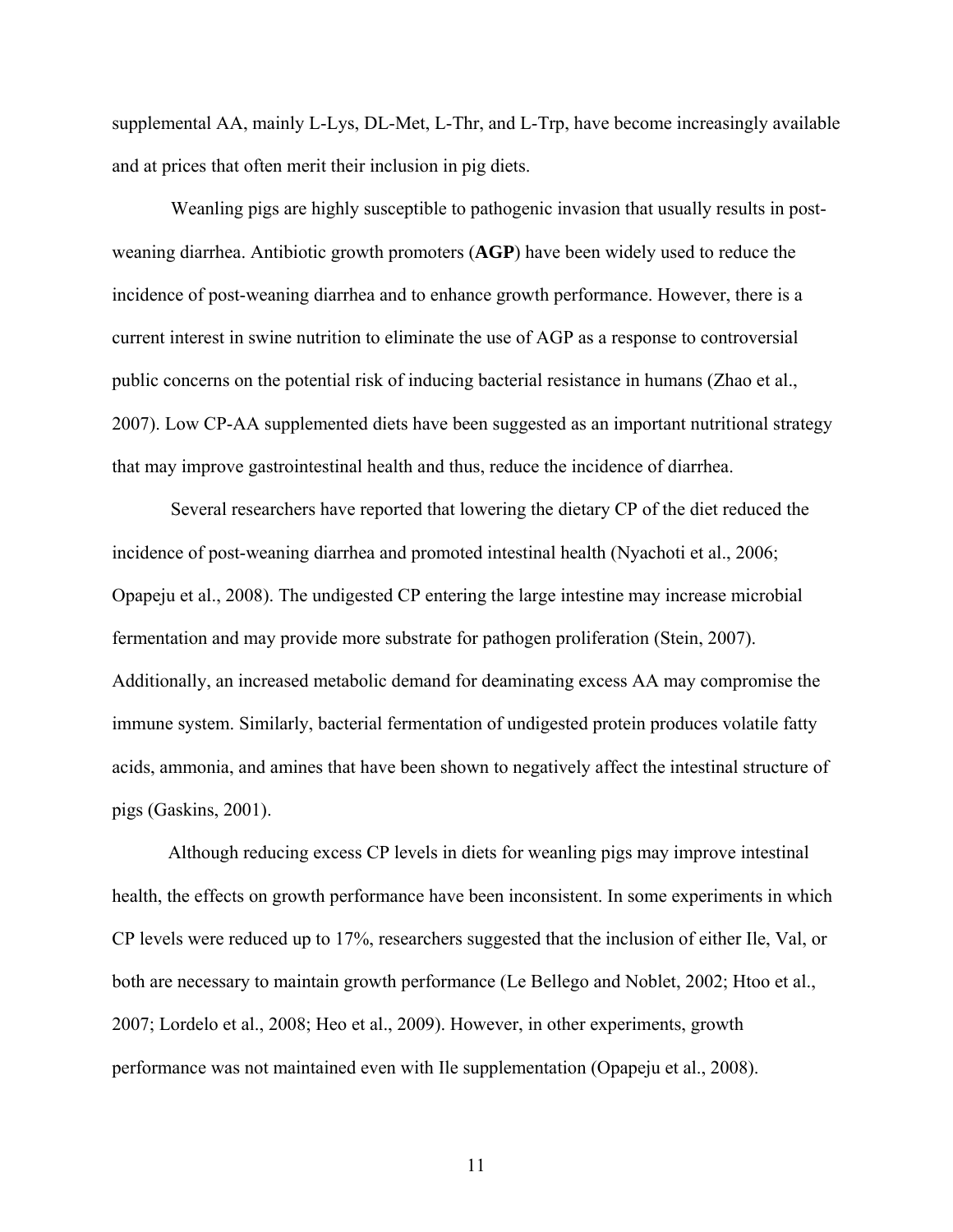supplemental AA, mainly L-Lys, DL-Met, L-Thr, and L-Trp, have become increasingly available and at prices that often merit their inclusion in pig diets.

 Weanling pigs are highly susceptible to pathogenic invasion that usually results in postweaning diarrhea. Antibiotic growth promoters (**AGP**) have been widely used to reduce the incidence of post-weaning diarrhea and to enhance growth performance. However, there is a current interest in swine nutrition to eliminate the use of AGP as a response to controversial public concerns on the potential risk of inducing bacterial resistance in humans (Zhao et al., 2007). Low CP-AA supplemented diets have been suggested as an important nutritional strategy that may improve gastrointestinal health and thus, reduce the incidence of diarrhea.

 Several researchers have reported that lowering the dietary CP of the diet reduced the incidence of post-weaning diarrhea and promoted intestinal health (Nyachoti et al., 2006; Opapeju et al., 2008). The undigested CP entering the large intestine may increase microbial fermentation and may provide more substrate for pathogen proliferation (Stein, 2007). Additionally, an increased metabolic demand for deaminating excess AA may compromise the immune system. Similarly, bacterial fermentation of undigested protein produces volatile fatty acids, ammonia, and amines that have been shown to negatively affect the intestinal structure of pigs (Gaskins, 2001).

Although reducing excess CP levels in diets for weanling pigs may improve intestinal health, the effects on growth performance have been inconsistent. In some experiments in which CP levels were reduced up to 17%, researchers suggested that the inclusion of either Ile, Val, or both are necessary to maintain growth performance (Le Bellego and Noblet, 2002; Htoo et al., 2007; Lordelo et al., 2008; Heo et al., 2009). However, in other experiments, growth performance was not maintained even with Ile supplementation (Opapeju et al., 2008).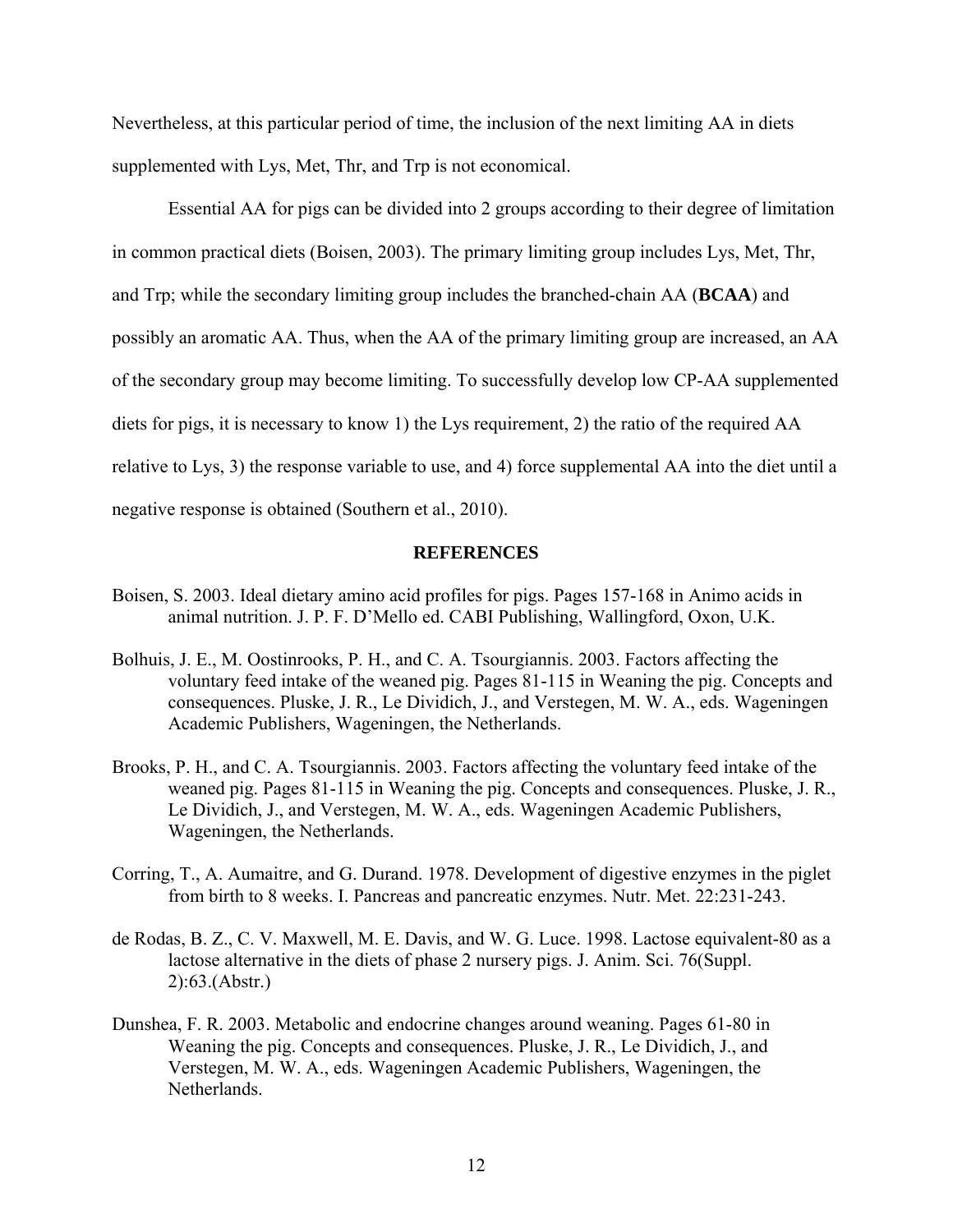Nevertheless, at this particular period of time, the inclusion of the next limiting AA in diets supplemented with Lys, Met, Thr, and Trp is not economical.

Essential AA for pigs can be divided into 2 groups according to their degree of limitation in common practical diets (Boisen, 2003). The primary limiting group includes Lys, Met, Thr, and Trp; while the secondary limiting group includes the branched-chain AA (**BCAA**) and possibly an aromatic AA. Thus, when the AA of the primary limiting group are increased, an AA of the secondary group may become limiting. To successfully develop low CP-AA supplemented diets for pigs, it is necessary to know 1) the Lys requirement, 2) the ratio of the required AA relative to Lys, 3) the response variable to use, and 4) force supplemental AA into the diet until a negative response is obtained (Southern et al., 2010).

### **REFERENCES**

- Boisen, S. 2003. Ideal dietary amino acid profiles for pigs. Pages 157-168 in Animo acids in animal nutrition. J. P. F. D'Mello ed. CABI Publishing, Wallingford, Oxon, U.K.
- Bolhuis, J. E., M. Oostinrooks, P. H., and C. A. Tsourgiannis. 2003. Factors affecting the voluntary feed intake of the weaned pig. Pages 81-115 in Weaning the pig. Concepts and consequences. Pluske, J. R., Le Dividich, J., and Verstegen, M. W. A., eds. Wageningen Academic Publishers, Wageningen, the Netherlands.
- Brooks, P. H., and C. A. Tsourgiannis. 2003. Factors affecting the voluntary feed intake of the weaned pig. Pages 81-115 in Weaning the pig. Concepts and consequences. Pluske, J. R., Le Dividich, J., and Verstegen, M. W. A., eds. Wageningen Academic Publishers, Wageningen, the Netherlands.
- Corring, T., A. Aumaitre, and G. Durand. 1978. Development of digestive enzymes in the piglet from birth to 8 weeks. I. Pancreas and pancreatic enzymes. Nutr. Met. 22:231-243.
- de Rodas, B. Z., C. V. Maxwell, M. E. Davis, and W. G. Luce. 1998. Lactose equivalent-80 as a lactose alternative in the diets of phase 2 nursery pigs. J. Anim. Sci. 76(Suppl. 2):63.(Abstr.)
- Dunshea, F. R. 2003. Metabolic and endocrine changes around weaning. Pages 61-80 in Weaning the pig. Concepts and consequences. Pluske, J. R., Le Dividich, J., and Verstegen, M. W. A., eds. Wageningen Academic Publishers, Wageningen, the Netherlands.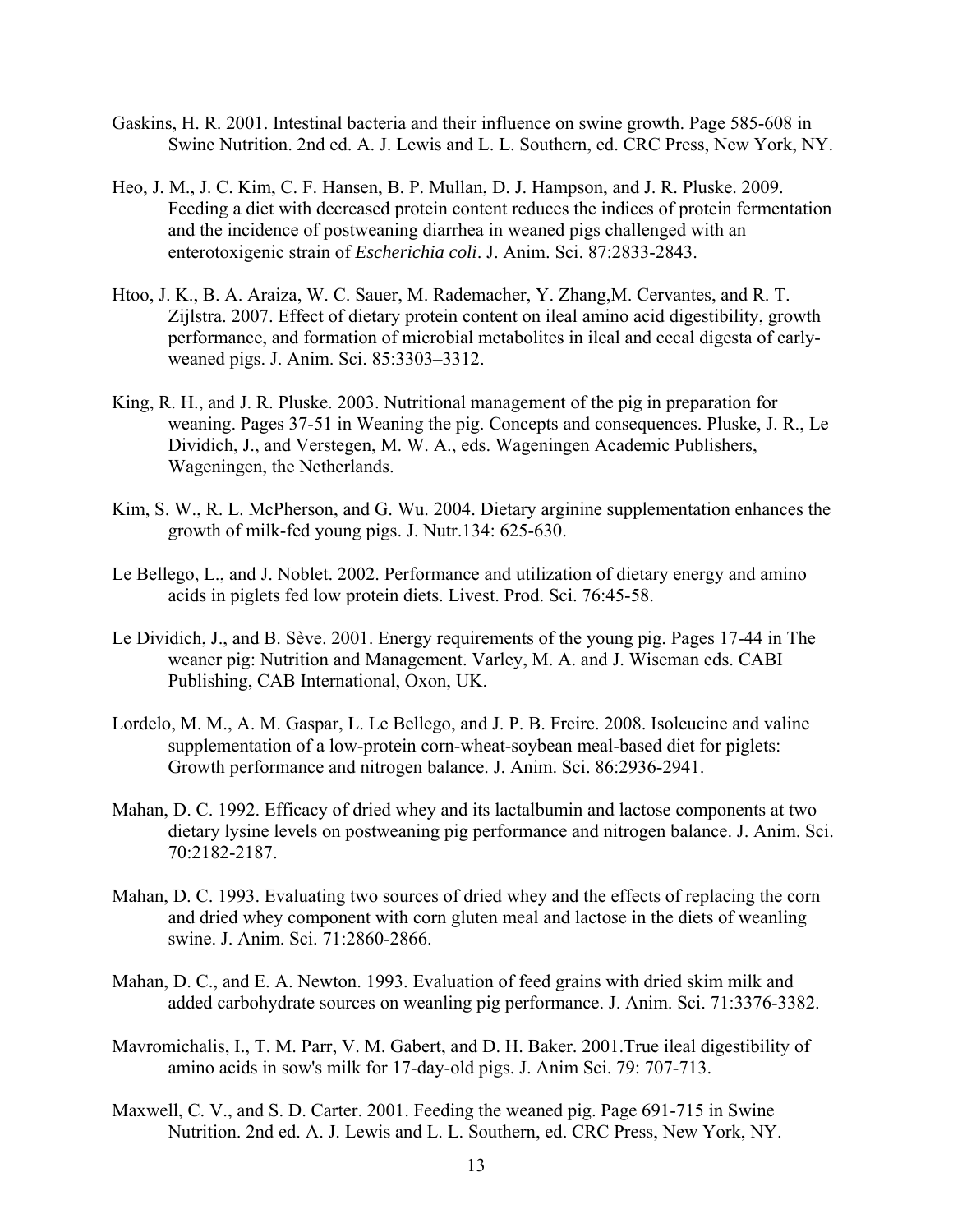- Gaskins, H. R. 2001. Intestinal bacteria and their influence on swine growth. Page 585-608 in Swine Nutrition. 2nd ed. A. J. Lewis and L. L. Southern, ed. CRC Press, New York, NY.
- Heo, J. M., J. C. Kim, C. F. Hansen, B. P. Mullan, D. J. Hampson, and J. R. Pluske. 2009. Feeding a diet with decreased protein content reduces the indices of protein fermentation and the incidence of postweaning diarrhea in weaned pigs challenged with an enterotoxigenic strain of *Escherichia coli*. J. Anim. Sci. 87:2833-2843.
- Htoo, J. K., B. A. Araiza, W. C. Sauer, M. Rademacher, Y. Zhang,M. Cervantes, and R. T. Zijlstra. 2007. Effect of dietary protein content on ileal amino acid digestibility, growth performance, and formation of microbial metabolites in ileal and cecal digesta of earlyweaned pigs. J. Anim. Sci. 85:3303–3312.
- King, R. H., and J. R. Pluske. 2003. Nutritional management of the pig in preparation for weaning. Pages 37-51 in Weaning the pig. Concepts and consequences. Pluske, J. R., Le Dividich, J., and Verstegen, M. W. A., eds. Wageningen Academic Publishers, Wageningen, the Netherlands.
- Kim, S. W., R. L. McPherson, and G. Wu. 2004. Dietary arginine supplementation enhances the growth of milk-fed young pigs. J. Nutr.134: 625-630.
- Le Bellego, L., and J. Noblet. 2002. Performance and utilization of dietary energy and amino acids in piglets fed low protein diets. Livest. Prod. Sci. 76:45-58.
- Le Dividich, J., and B. Sève. 2001. Energy requirements of the young pig. Pages 17-44 in The weaner pig: Nutrition and Management. Varley, M. A. and J. Wiseman eds. CABI Publishing, CAB International, Oxon, UK.
- Lordelo, M. M., A. M. Gaspar, L. Le Bellego, and J. P. B. Freire. 2008. Isoleucine and valine supplementation of a low-protein corn-wheat-soybean meal-based diet for piglets: Growth performance and nitrogen balance. J. Anim. Sci. 86:2936-2941.
- Mahan, D. C. 1992. Efficacy of dried whey and its lactalbumin and lactose components at two dietary lysine levels on postweaning pig performance and nitrogen balance. J. Anim. Sci. 70:2182-2187.
- Mahan, D. C. 1993. Evaluating two sources of dried whey and the effects of replacing the corn and dried whey component with corn gluten meal and lactose in the diets of weanling swine. J. Anim. Sci. 71:2860-2866.
- Mahan, D. C., and E. A. Newton. 1993. Evaluation of feed grains with dried skim milk and added carbohydrate sources on weanling pig performance. J. Anim. Sci. 71:3376-3382.
- Mavromichalis, I., T. M. Parr, V. M. Gabert, and D. H. Baker. 2001.True ileal digestibility of amino acids in sow's milk for 17-day-old pigs. J. Anim Sci. 79: 707-713.
- Maxwell, C. V., and S. D. Carter. 2001. Feeding the weaned pig. Page 691-715 in Swine Nutrition. 2nd ed. A. J. Lewis and L. L. Southern, ed. CRC Press, New York, NY.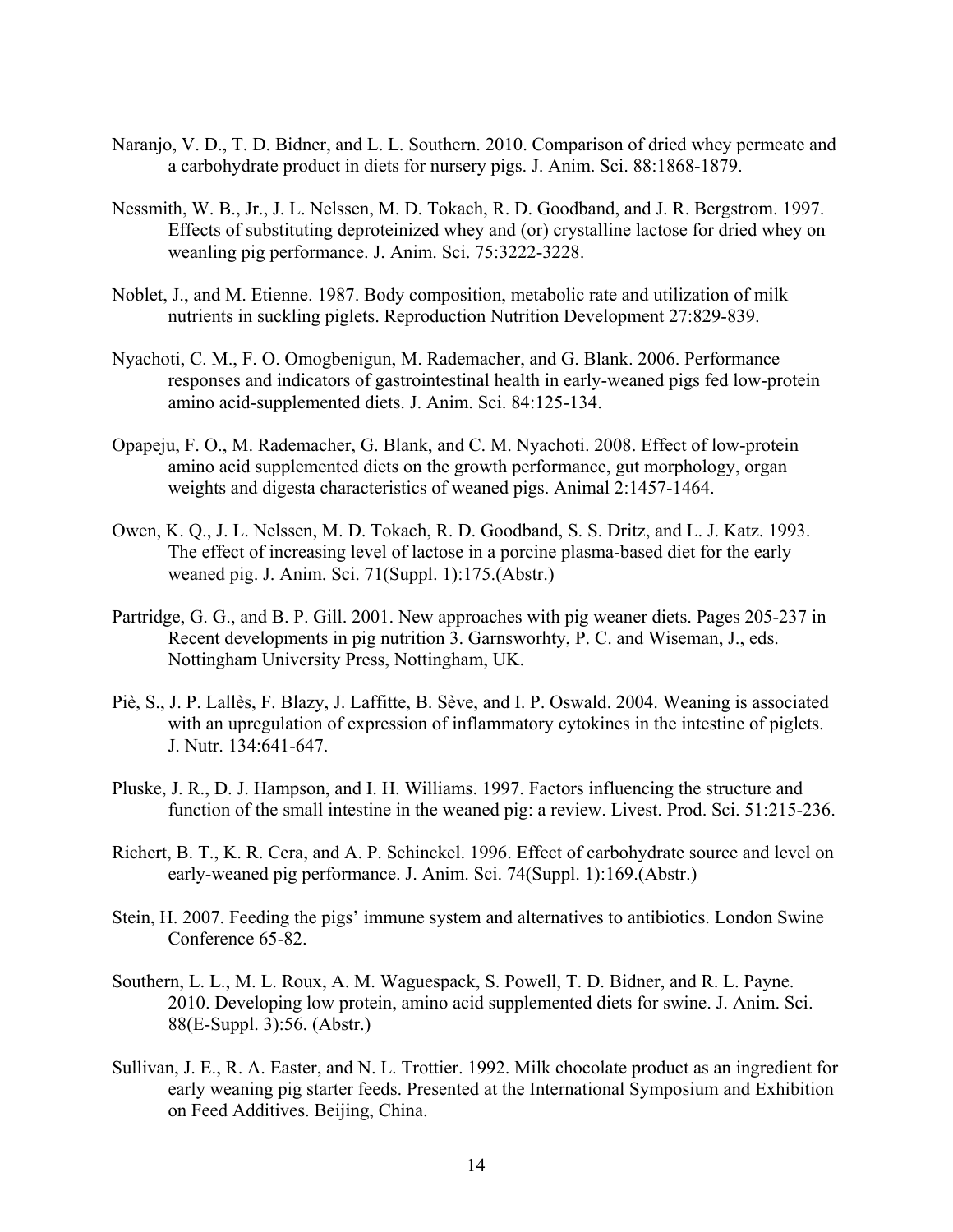- Naranjo, V. D., T. D. Bidner, and L. L. Southern. 2010. Comparison of dried whey permeate and a carbohydrate product in diets for nursery pigs. J. Anim. Sci. 88:1868-1879.
- Nessmith, W. B., Jr., J. L. Nelssen, M. D. Tokach, R. D. Goodband, and J. R. Bergstrom. 1997. Effects of substituting deproteinized whey and (or) crystalline lactose for dried whey on weanling pig performance. J. Anim. Sci. 75:3222-3228.
- Noblet, J., and M. Etienne. 1987. Body composition, metabolic rate and utilization of milk nutrients in suckling piglets. Reproduction Nutrition Development 27:829-839.
- Nyachoti, C. M., F. O. Omogbenigun, M. Rademacher, and G. Blank. 2006. Performance responses and indicators of gastrointestinal health in early-weaned pigs fed low-protein amino acid-supplemented diets. J. Anim. Sci. 84:125-134.
- Opapeju, F. O., M. Rademacher, G. Blank, and C. M. Nyachoti. 2008. Effect of low-protein amino acid supplemented diets on the growth performance, gut morphology, organ weights and digesta characteristics of weaned pigs. Animal 2:1457-1464.
- Owen, K. Q., J. L. Nelssen, M. D. Tokach, R. D. Goodband, S. S. Dritz, and L. J. Katz. 1993. The effect of increasing level of lactose in a porcine plasma-based diet for the early weaned pig. J. Anim. Sci. 71(Suppl. 1):175.(Abstr.)
- Partridge, G. G., and B. P. Gill. 2001. New approaches with pig weaner diets. Pages 205-237 in Recent developments in pig nutrition 3. Garnsworhty, P. C. and Wiseman, J., eds. Nottingham University Press, Nottingham, UK.
- Piè, S., J. P. Lallès, F. Blazy, J. Laffitte, B. Sève, and I. P. Oswald. 2004. Weaning is associated with an upregulation of expression of inflammatory cytokines in the intestine of piglets. J. Nutr. 134:641-647.
- Pluske, J. R., D. J. Hampson, and I. H. Williams. 1997. Factors influencing the structure and function of the small intestine in the weaned pig: a review. Livest. Prod. Sci. 51:215-236.
- Richert, B. T., K. R. Cera, and A. P. Schinckel. 1996. Effect of carbohydrate source and level on early-weaned pig performance. J. Anim. Sci. 74(Suppl. 1):169.(Abstr.)
- Stein, H. 2007. Feeding the pigs' immune system and alternatives to antibiotics. London Swine Conference 65-82.
- Southern, L. L., M. L. Roux, A. M. Waguespack, S. Powell, T. D. Bidner, and R. L. Payne. 2010. Developing low protein, amino acid supplemented diets for swine. J. Anim. Sci. 88(E-Suppl. 3):56. (Abstr.)
- Sullivan, J. E., R. A. Easter, and N. L. Trottier. 1992. Milk chocolate product as an ingredient for early weaning pig starter feeds. Presented at the International Symposium and Exhibition on Feed Additives. Beijing, China.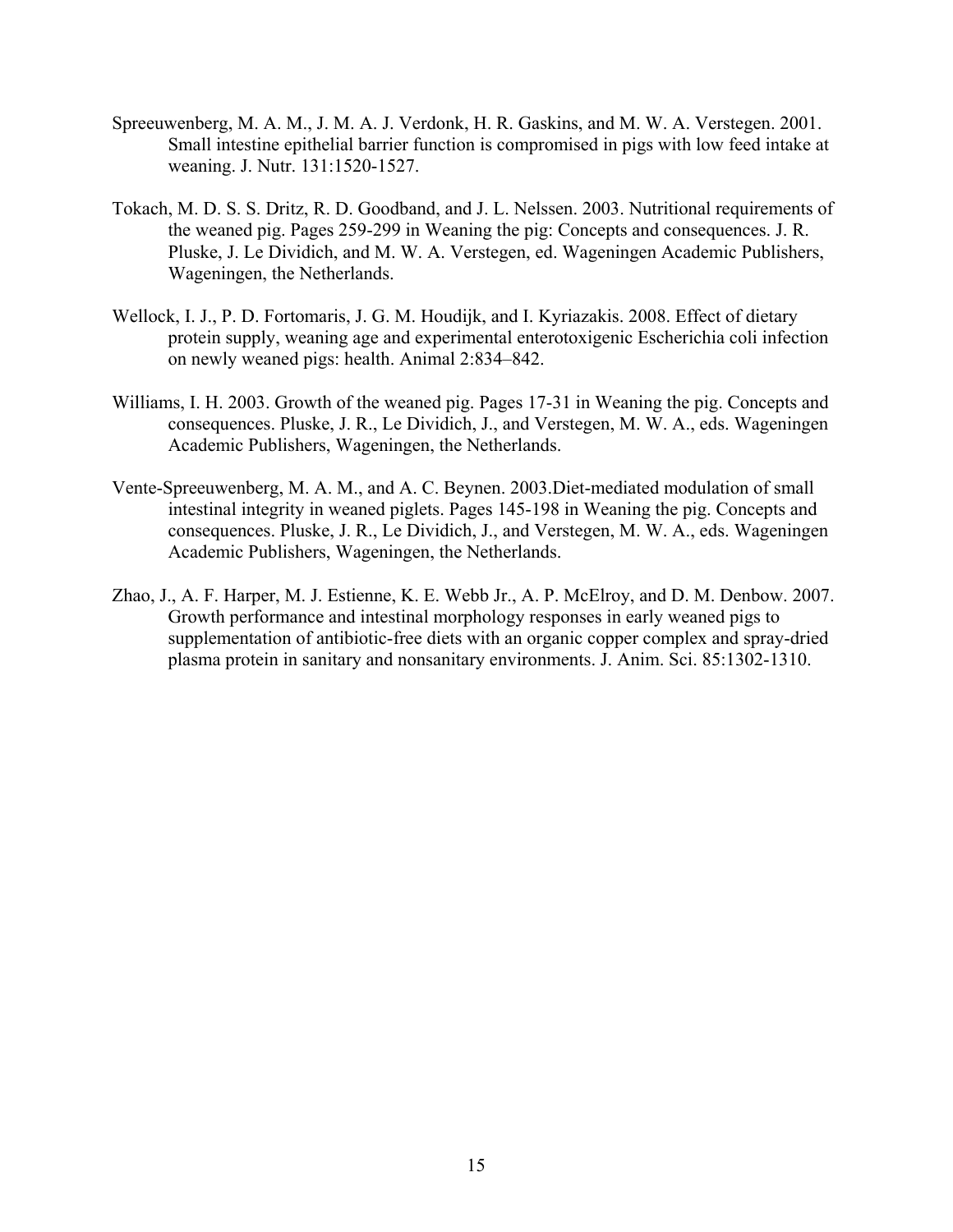- Spreeuwenberg, M. A. M., J. M. A. J. Verdonk, H. R. Gaskins, and M. W. A. Verstegen. 2001. Small intestine epithelial barrier function is compromised in pigs with low feed intake at weaning. J. Nutr. 131:1520-1527.
- Tokach, M. D. S. S. Dritz, R. D. Goodband, and J. L. Nelssen. 2003. Nutritional requirements of the weaned pig. Pages 259-299 in Weaning the pig: Concepts and consequences. J. R. Pluske, J. Le Dividich, and M. W. A. Verstegen, ed. Wageningen Academic Publishers, Wageningen, the Netherlands.
- Wellock, I. J., P. D. Fortomaris, J. G. M. Houdijk, and I. Kyriazakis. 2008. Effect of dietary protein supply, weaning age and experimental enterotoxigenic Escherichia coli infection on newly weaned pigs: health. Animal 2:834–842.
- Williams, I. H. 2003. Growth of the weaned pig. Pages 17-31 in Weaning the pig. Concepts and consequences. Pluske, J. R., Le Dividich, J., and Verstegen, M. W. A., eds. Wageningen Academic Publishers, Wageningen, the Netherlands.
- Vente-Spreeuwenberg, M. A. M., and A. C. Beynen. 2003.Diet-mediated modulation of small intestinal integrity in weaned piglets. Pages 145-198 in Weaning the pig. Concepts and consequences. Pluske, J. R., Le Dividich, J., and Verstegen, M. W. A., eds. Wageningen Academic Publishers, Wageningen, the Netherlands.
- Zhao, J., A. F. Harper, M. J. Estienne, K. E. Webb Jr., A. P. McElroy, and D. M. Denbow. 2007. Growth performance and intestinal morphology responses in early weaned pigs to supplementation of antibiotic-free diets with an organic copper complex and spray-dried plasma protein in sanitary and nonsanitary environments. J. Anim. Sci. 85:1302-1310.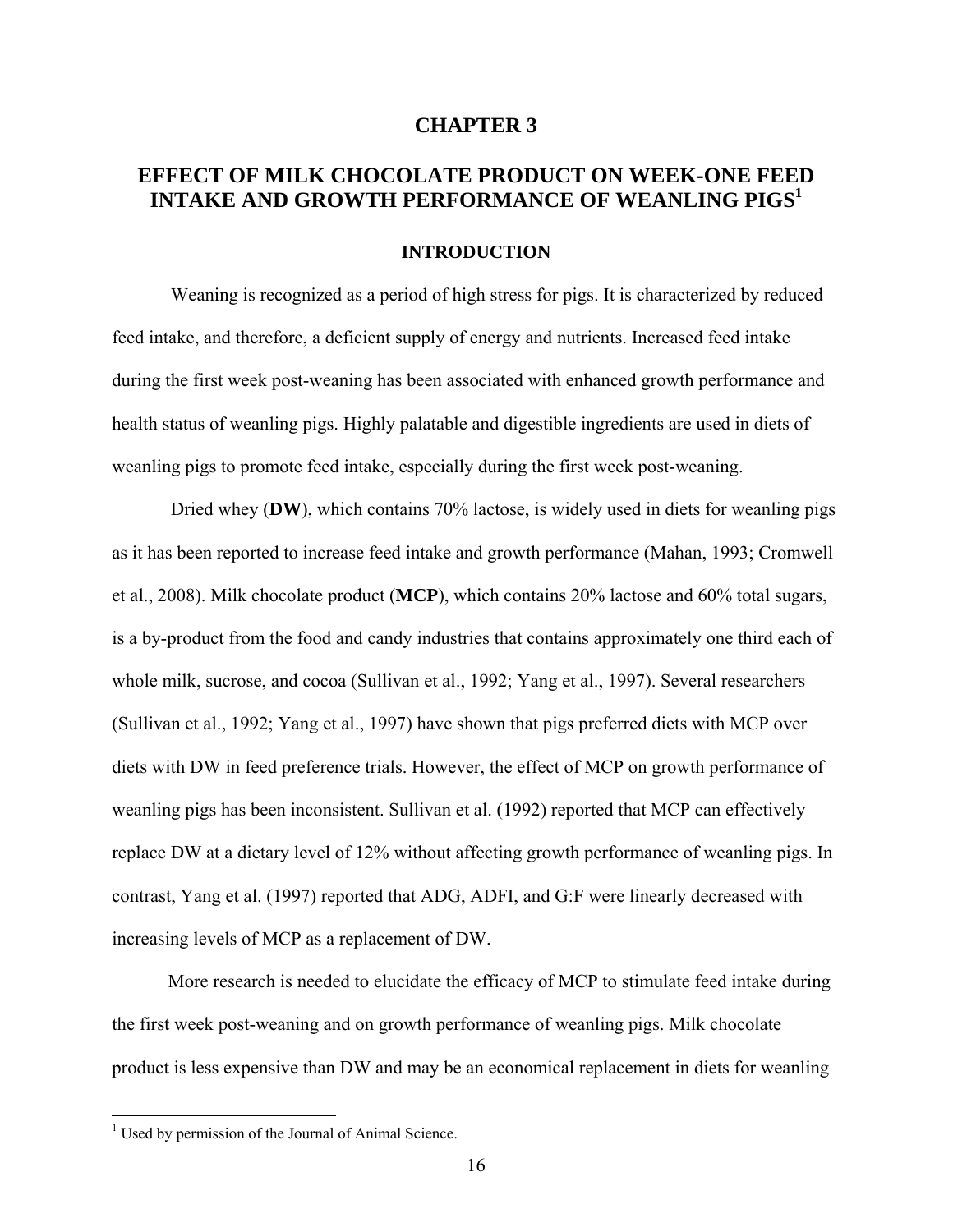## **CHAPTER 3**

## **EFFECT OF MILK CHOCOLATE PRODUCT ON WEEK-ONE FEED INTAKE AND GROWTH PERFORMANCE OF WEANLING PIGS<sup>1</sup>**

### **INTRODUCTION**

 Weaning is recognized as a period of high stress for pigs. It is characterized by reduced feed intake, and therefore, a deficient supply of energy and nutrients. Increased feed intake during the first week post-weaning has been associated with enhanced growth performance and health status of weanling pigs. Highly palatable and digestible ingredients are used in diets of weanling pigs to promote feed intake, especially during the first week post-weaning.

 Dried whey (**DW**), which contains 70% lactose, is widely used in diets for weanling pigs as it has been reported to increase feed intake and growth performance (Mahan, 1993; Cromwell et al., 2008). Milk chocolate product (**MCP**), which contains 20% lactose and 60% total sugars, is a by-product from the food and candy industries that contains approximately one third each of whole milk, sucrose, and cocoa (Sullivan et al., 1992; Yang et al., 1997). Several researchers (Sullivan et al., 1992; Yang et al., 1997) have shown that pigs preferred diets with MCP over diets with DW in feed preference trials. However, the effect of MCP on growth performance of weanling pigs has been inconsistent. Sullivan et al. (1992) reported that MCP can effectively replace DW at a dietary level of 12% without affecting growth performance of weanling pigs. In contrast, Yang et al. (1997) reported that ADG, ADFI, and G:F were linearly decreased with increasing levels of MCP as a replacement of DW.

More research is needed to elucidate the efficacy of MCP to stimulate feed intake during the first week post-weaning and on growth performance of weanling pigs. Milk chocolate product is less expensive than DW and may be an economical replacement in diets for weanling

 $\overline{a}$ 

<sup>&</sup>lt;sup>1</sup> Used by permission of the Journal of Animal Science.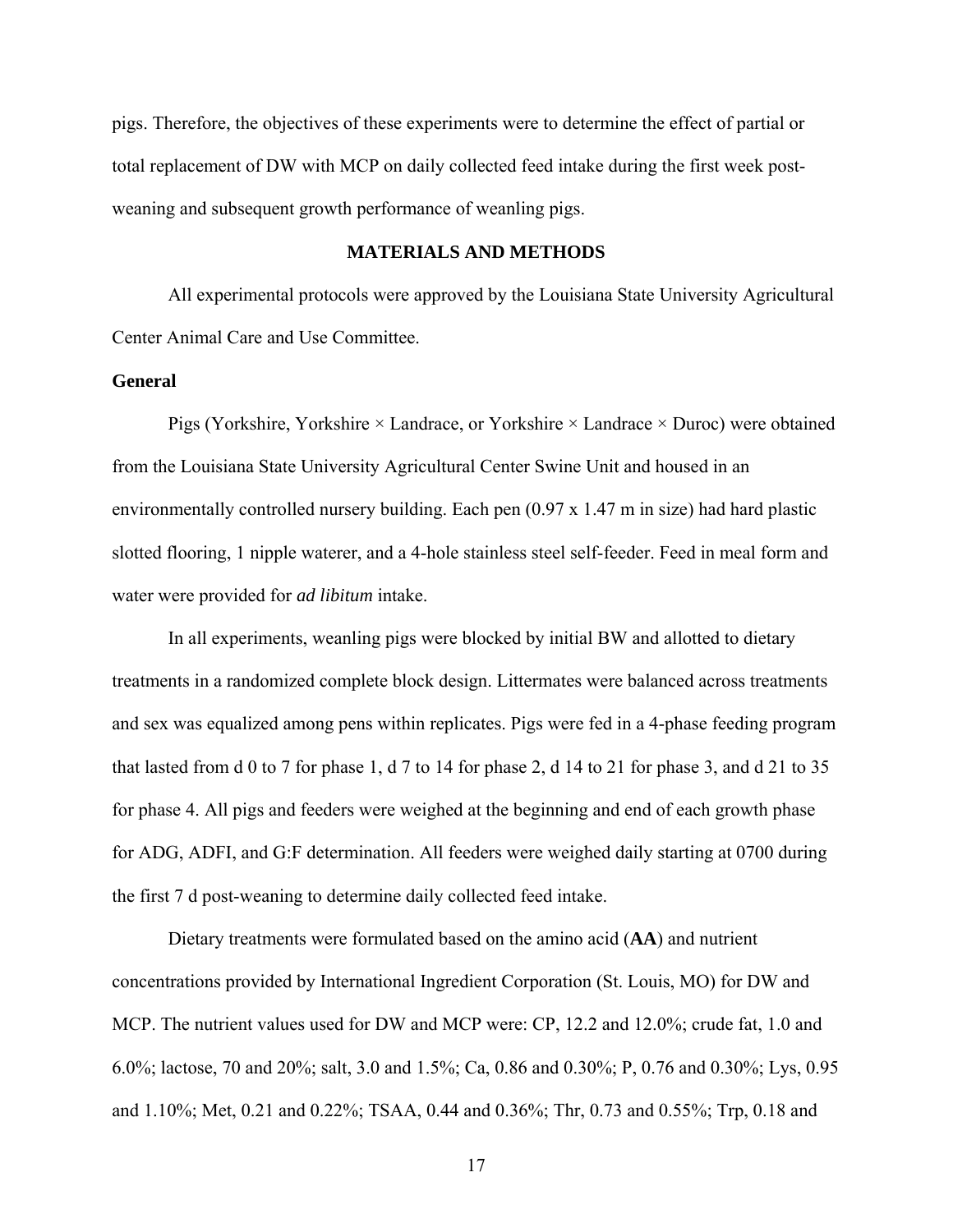pigs. Therefore, the objectives of these experiments were to determine the effect of partial or total replacement of DW with MCP on daily collected feed intake during the first week postweaning and subsequent growth performance of weanling pigs.

## **MATERIALS AND METHODS**

All experimental protocols were approved by the Louisiana State University Agricultural Center Animal Care and Use Committee.

## **General**

Pigs (Yorkshire, Yorkshire  $\times$  Landrace, or Yorkshire  $\times$  Landrace  $\times$  Duroc) were obtained from the Louisiana State University Agricultural Center Swine Unit and housed in an environmentally controlled nursery building. Each pen (0.97 x 1.47 m in size) had hard plastic slotted flooring, 1 nipple waterer, and a 4-hole stainless steel self-feeder. Feed in meal form and water were provided for *ad libitum* intake.

In all experiments, weanling pigs were blocked by initial BW and allotted to dietary treatments in a randomized complete block design. Littermates were balanced across treatments and sex was equalized among pens within replicates. Pigs were fed in a 4-phase feeding program that lasted from d 0 to 7 for phase 1, d 7 to 14 for phase 2, d 14 to 21 for phase 3, and d 21 to 35 for phase 4. All pigs and feeders were weighed at the beginning and end of each growth phase for ADG, ADFI, and G:F determination. All feeders were weighed daily starting at 0700 during the first 7 d post-weaning to determine daily collected feed intake.

Dietary treatments were formulated based on the amino acid (**AA**) and nutrient concentrations provided by International Ingredient Corporation (St. Louis, MO) for DW and MCP. The nutrient values used for DW and MCP were: CP, 12.2 and 12.0%; crude fat, 1.0 and 6.0%; lactose, 70 and 20%; salt, 3.0 and 1.5%; Ca, 0.86 and 0.30%; P, 0.76 and 0.30%; Lys, 0.95 and 1.10%; Met, 0.21 and 0.22%; TSAA, 0.44 and 0.36%; Thr, 0.73 and 0.55%; Trp, 0.18 and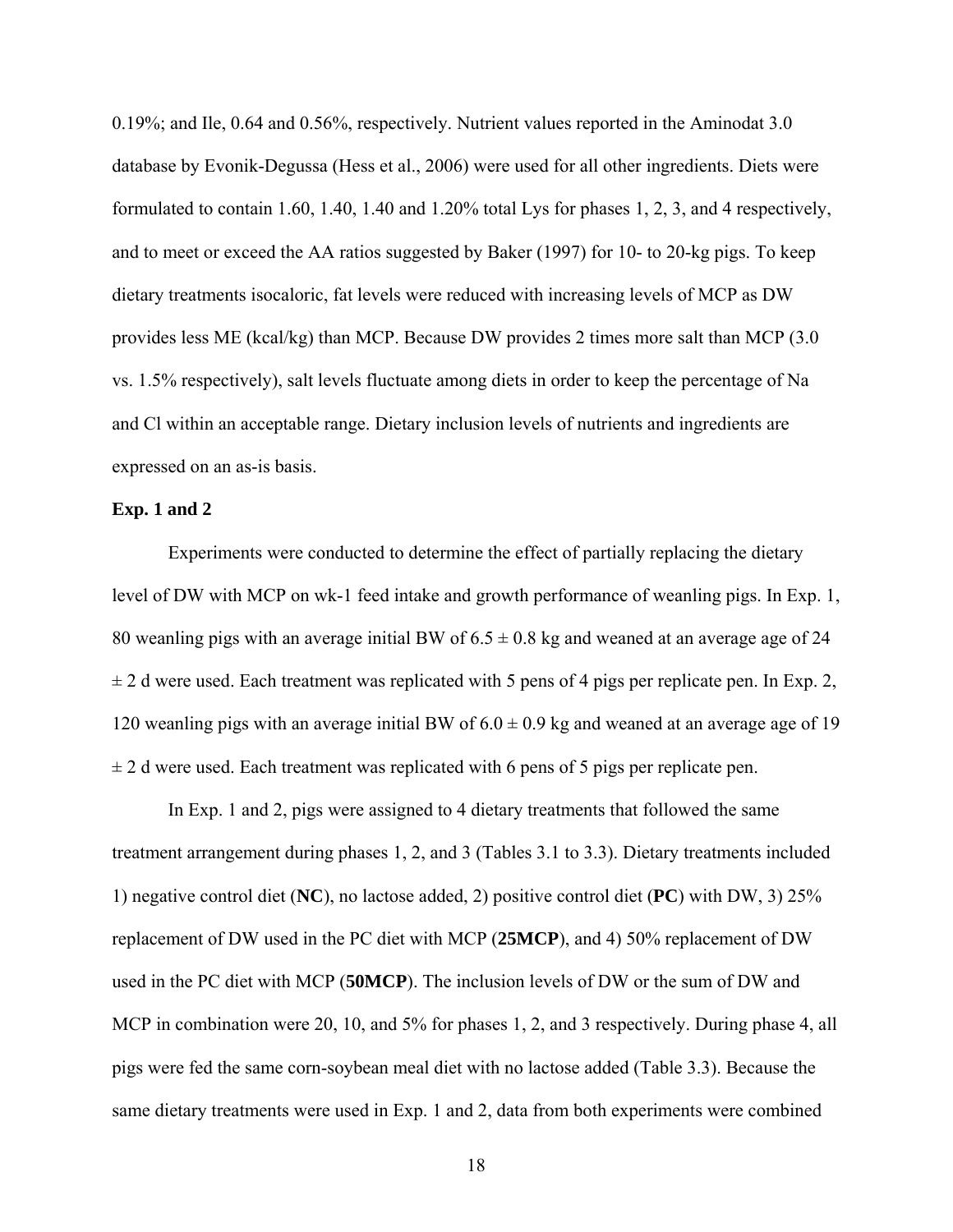0.19%; and Ile, 0.64 and 0.56%, respectively. Nutrient values reported in the Aminodat 3.0 database by Evonik-Degussa (Hess et al., 2006) were used for all other ingredients. Diets were formulated to contain 1.60, 1.40, 1.40 and 1.20% total Lys for phases 1, 2, 3, and 4 respectively, and to meet or exceed the AA ratios suggested by Baker (1997) for 10- to 20-kg pigs. To keep dietary treatments isocaloric, fat levels were reduced with increasing levels of MCP as DW provides less ME (kcal/kg) than MCP. Because DW provides 2 times more salt than MCP (3.0 vs. 1.5% respectively), salt levels fluctuate among diets in order to keep the percentage of Na and Cl within an acceptable range. Dietary inclusion levels of nutrients and ingredients are expressed on an as-is basis.

#### **Exp. 1 and 2**

 Experiments were conducted to determine the effect of partially replacing the dietary level of DW with MCP on wk-1 feed intake and growth performance of weanling pigs. In Exp. 1, 80 weanling pigs with an average initial BW of  $6.5 \pm 0.8$  kg and weaned at an average age of 24  $\pm$  2 d were used. Each treatment was replicated with 5 pens of 4 pigs per replicate pen. In Exp. 2, 120 weanling pigs with an average initial BW of  $6.0 \pm 0.9$  kg and weaned at an average age of 19  $\pm$  2 d were used. Each treatment was replicated with 6 pens of 5 pigs per replicate pen.

In Exp. 1 and 2, pigs were assigned to 4 dietary treatments that followed the same treatment arrangement during phases 1, 2, and 3 (Tables 3.1 to 3.3). Dietary treatments included 1) negative control diet (**NC**), no lactose added, 2) positive control diet (**PC**) with DW, 3) 25% replacement of DW used in the PC diet with MCP (**25MCP**), and 4) 50% replacement of DW used in the PC diet with MCP (**50MCP**). The inclusion levels of DW or the sum of DW and MCP in combination were 20, 10, and 5% for phases 1, 2, and 3 respectively. During phase 4, all pigs were fed the same corn-soybean meal diet with no lactose added (Table 3.3). Because the same dietary treatments were used in Exp. 1 and 2, data from both experiments were combined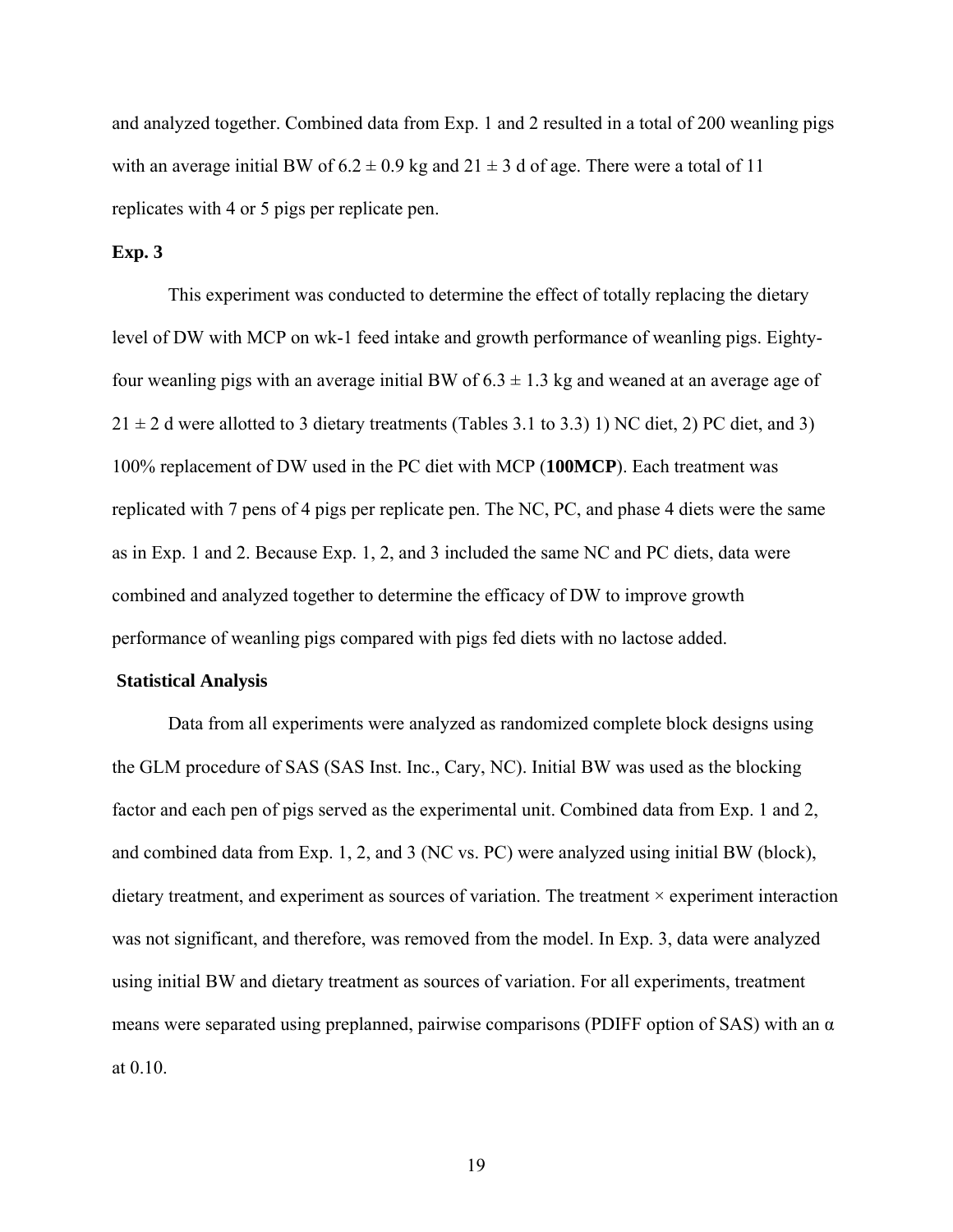and analyzed together. Combined data from Exp. 1 and 2 resulted in a total of 200 weanling pigs with an average initial BW of  $6.2 \pm 0.9$  kg and  $21 \pm 3$  d of age. There were a total of 11 replicates with 4 or 5 pigs per replicate pen.

### **Exp. 3**

 This experiment was conducted to determine the effect of totally replacing the dietary level of DW with MCP on wk-1 feed intake and growth performance of weanling pigs. Eightyfour weanling pigs with an average initial BW of  $6.3 \pm 1.3$  kg and weaned at an average age of  $21 \pm 2$  d were allotted to 3 dietary treatments (Tables 3.1 to 3.3) 1) NC diet, 2) PC diet, and 3) 100% replacement of DW used in the PC diet with MCP (**100MCP**). Each treatment was replicated with 7 pens of 4 pigs per replicate pen. The NC, PC, and phase 4 diets were the same as in Exp. 1 and 2. Because Exp. 1, 2, and 3 included the same NC and PC diets, data were combined and analyzed together to determine the efficacy of DW to improve growth performance of weanling pigs compared with pigs fed diets with no lactose added.

### **Statistical Analysis**

Data from all experiments were analyzed as randomized complete block designs using the GLM procedure of SAS (SAS Inst. Inc., Cary, NC). Initial BW was used as the blocking factor and each pen of pigs served as the experimental unit. Combined data from Exp. 1 and 2, and combined data from Exp. 1, 2, and 3 (NC vs. PC) were analyzed using initial BW (block), dietary treatment, and experiment as sources of variation. The treatment  $\times$  experiment interaction was not significant, and therefore, was removed from the model. In Exp. 3, data were analyzed using initial BW and dietary treatment as sources of variation. For all experiments, treatment means were separated using preplanned, pairwise comparisons (PDIFF option of SAS) with an α at 0.10.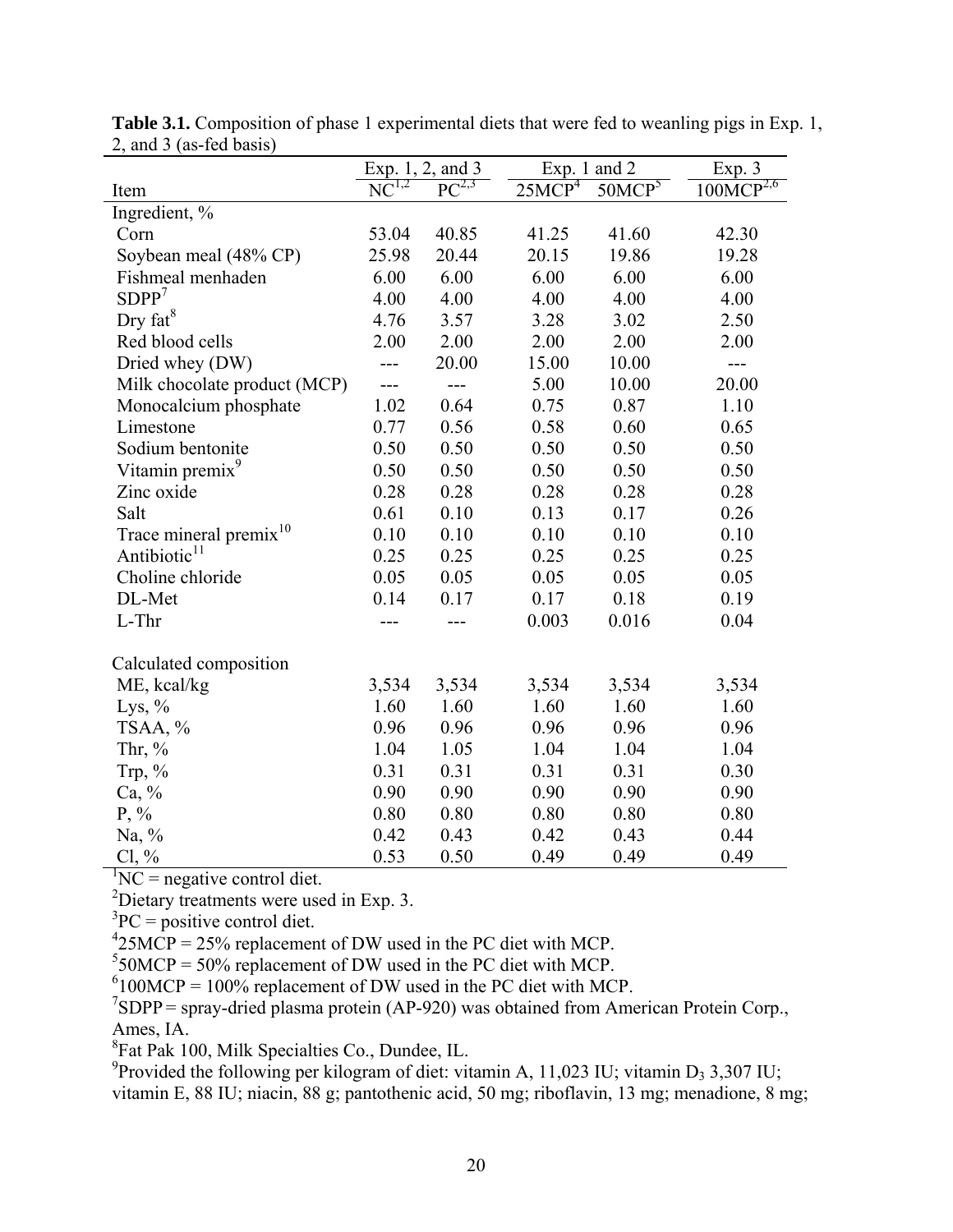|                                    | Exp. 1, 2, and 3 |            | Exp. 1 and 2       | Exp. 3             |                |
|------------------------------------|------------------|------------|--------------------|--------------------|----------------|
| Item                               | $NC^{1,2}$       | $PC^{2,3}$ | 25MCP <sup>4</sup> | 50MCP <sup>5</sup> | $100MCP^{2,6}$ |
| Ingredient, %                      |                  |            |                    |                    |                |
| Corn                               | 53.04            | 40.85      | 41.25              | 41.60              | 42.30          |
| Soybean meal (48% CP)              | 25.98            | 20.44      | 20.15              | 19.86              | 19.28          |
| Fishmeal menhaden                  | 6.00             | 6.00       | 6.00               | 6.00               | 6.00           |
| SDPP <sup>7</sup>                  | 4.00             | 4.00       | 4.00               | 4.00               | 4.00           |
| Dry $fat^8$                        | 4.76             | 3.57       | 3.28               | 3.02               | 2.50           |
| Red blood cells                    | 2.00             | 2.00       | 2.00               | 2.00               | 2.00           |
| Dried whey (DW)                    | ---              | 20.00      | 15.00              | 10.00              | $---$          |
| Milk chocolate product (MCP)       | $---$            | ---        | 5.00               | 10.00              | 20.00          |
| Monocalcium phosphate              | 1.02             | 0.64       | 0.75               | 0.87               | 1.10           |
| Limestone                          | 0.77             | 0.56       | 0.58               | 0.60               | 0.65           |
| Sodium bentonite                   | 0.50             | 0.50       | 0.50               | 0.50               | 0.50           |
| Vitamin premix <sup>9</sup>        | 0.50             | 0.50       | 0.50               | 0.50               | 0.50           |
| Zinc oxide                         | 0.28             | 0.28       | 0.28               | 0.28               | 0.28           |
| Salt                               | 0.61             | 0.10       | 0.13               | 0.17               | 0.26           |
| Trace mineral premix <sup>10</sup> | 0.10             | 0.10       | 0.10               | 0.10               | 0.10           |
| Antibiotic <sup>11</sup>           | 0.25             | 0.25       | 0.25               | 0.25               | 0.25           |
| Choline chloride                   | 0.05             | 0.05       | 0.05               | 0.05               | 0.05           |
| DL-Met                             | 0.14             | 0.17       | 0.17               | 0.18               | 0.19           |
| L-Thr                              |                  |            | 0.003              | 0.016              | 0.04           |
| Calculated composition             |                  |            |                    |                    |                |
| ME, kcal/kg                        | 3,534            | 3,534      | 3,534              | 3,534              | 3,534          |
| Lys, $\%$                          | 1.60             | 1.60       | 1.60               | 1.60               | 1.60           |
| TSAA, %                            | 0.96             | 0.96       | 0.96               | 0.96               | 0.96           |
| Thr, %                             | 1.04             | 1.05       | 1.04               | 1.04               | 1.04           |
| Trp, $%$                           | 0.31             | 0.31       | 0.31               | 0.31               | 0.30           |
| Ca, %                              | 0.90             | 0.90       | 0.90               | 0.90               | 0.90           |
| $P, \%$                            | 0.80             | 0.80       | 0.80               | 0.80               | 0.80           |
| Na, %                              | 0.42             | 0.43       | 0.42               | 0.43               | 0.44           |
| $Cl, \%$                           | 0.53             | 0.50       | 0.49               | 0.49               | 0.49           |

**Table 3.1.** Composition of phase 1 experimental diets that were fed to weanling pigs in Exp. 1, 2, and 3 (as-fed basis)

 ${}^{1}NC$  = negative control diet.

<sup>2</sup>Dietary treatments were used in Exp. 3.

 ${}^{3}PC =$  positive control diet.

 $^{4}$ 25MCP = 25% replacement of DW used in the PC diet with MCP.

 $550MCP = 50\%$  replacement of DW used in the PC diet with MCP.

 $6100MCP = 100\%$  replacement of DW used in the PC diet with MCP.

 $^7$ SDPP = spray-dried plasma protein (AP-920) was obtained from American Protein Corp., Ames, IA.

8 Fat Pak 100, Milk Specialties Co., Dundee, IL.

<sup>9</sup> Provided the following per kilogram of diet: vitamin A, 11,023 IU; vitamin D<sub>3</sub> 3,307 IU;

vitamin E, 88 IU; niacin, 88 g; pantothenic acid, 50 mg; riboflavin, 13 mg; menadione, 8 mg;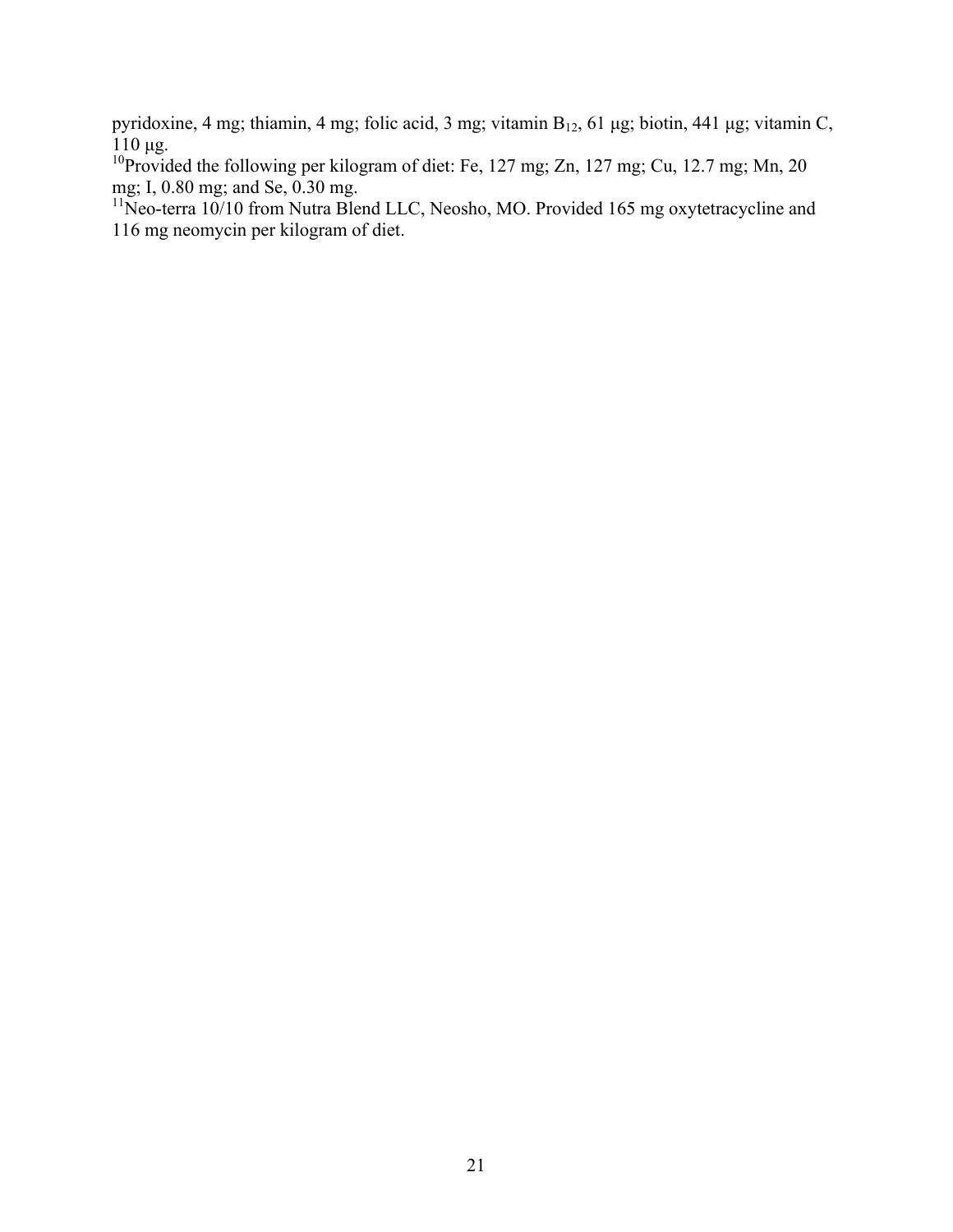pyridoxine, 4 mg; thiamin, 4 mg; folic acid, 3 mg; vitamin B<sub>12</sub>, 61 μg; biotin, 441 μg; vitamin C,  $110 \mu$ g.

<sup>10</sup>Provided the following per kilogram of diet: Fe, 127 mg; Zn, 127 mg; Cu, 12.7 mg; Mn, 20 mg; I, 0.80 mg; and Se, 0.30 mg.

 $11$ Neo-terra 10/10 from Nutra Blend LLC, Neosho, MO. Provided 165 mg oxytetracycline and 116 mg neomycin per kilogram of diet.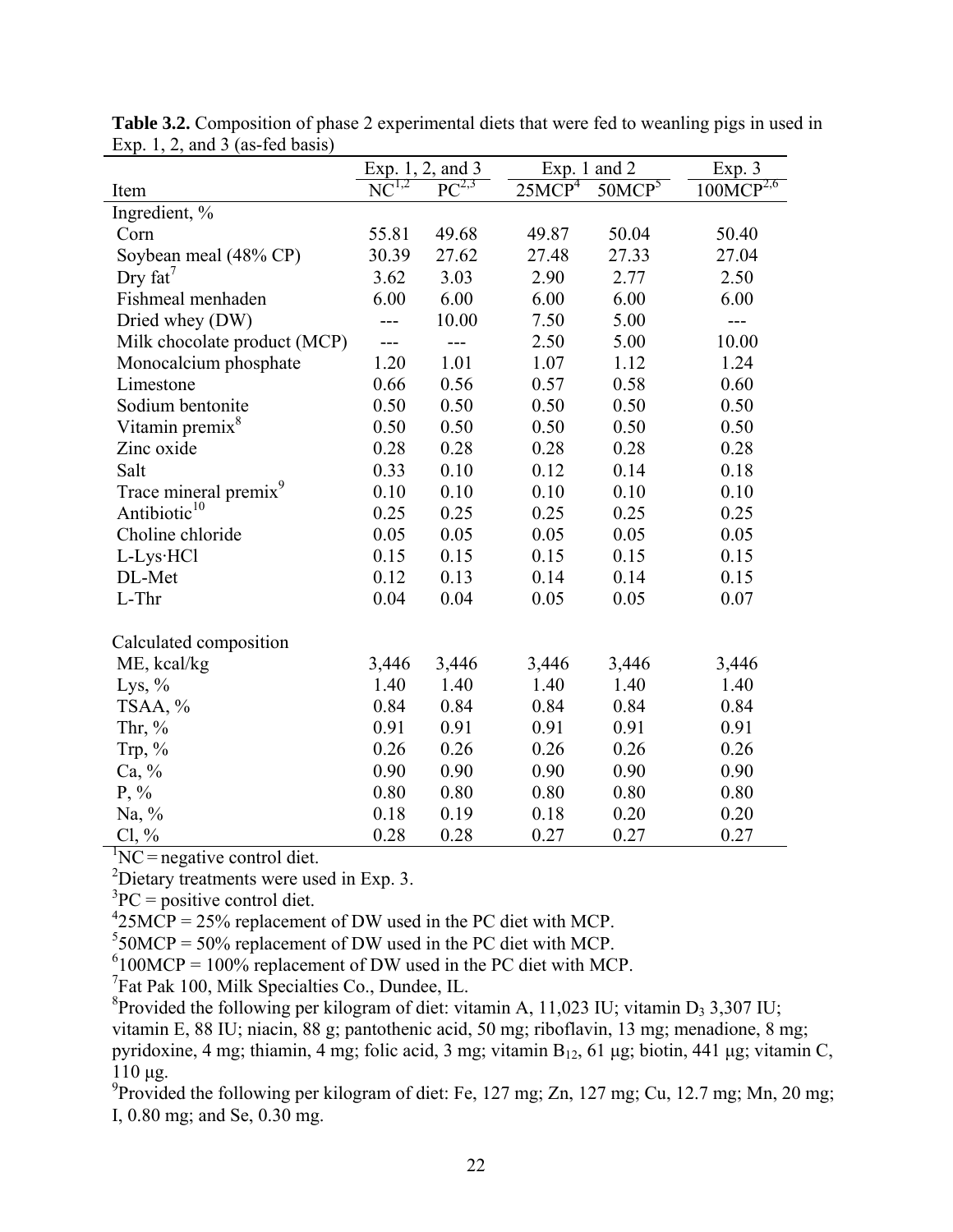|                                   | Exp. 1, 2, and 3<br>Exp. 1 and $2$ |            | Exp. 3             |                    |                |
|-----------------------------------|------------------------------------|------------|--------------------|--------------------|----------------|
| Item                              | $NC^{1,2}$                         | $PC^{2,3}$ | 25MCP <sup>4</sup> | 50MCP <sup>5</sup> | $100MCP^{2,6}$ |
| Ingredient, %                     |                                    |            |                    |                    |                |
| Corn                              | 55.81                              | 49.68      | 49.87              | 50.04              | 50.40          |
| Soybean meal (48% CP)             | 30.39                              | 27.62      | 27.48              | 27.33              | 27.04          |
| Dry $fat'$                        | 3.62                               | 3.03       | 2.90               | 2.77               | 2.50           |
| Fishmeal menhaden                 | 6.00                               | 6.00       | 6.00               | 6.00               | 6.00           |
| Dried whey (DW)                   |                                    | 10.00      | 7.50               | 5.00               | $---$          |
| Milk chocolate product (MCP)      | $---$                              | $---$      | 2.50               | 5.00               | 10.00          |
| Monocalcium phosphate             | 1.20                               | 1.01       | 1.07               | 1.12               | 1.24           |
| Limestone                         | 0.66                               | 0.56       | 0.57               | 0.58               | 0.60           |
| Sodium bentonite                  | 0.50                               | 0.50       | 0.50               | 0.50               | 0.50           |
| Vitamin premix <sup>8</sup>       | 0.50                               | 0.50       | 0.50               | 0.50               | 0.50           |
| Zinc oxide                        | 0.28                               | 0.28       | 0.28               | 0.28               | 0.28           |
| Salt                              | 0.33                               | 0.10       | 0.12               | 0.14               | 0.18           |
| Trace mineral premix <sup>9</sup> | 0.10                               | 0.10       | 0.10               | 0.10               | 0.10           |
| Antibiotic <sup>10</sup>          | 0.25                               | 0.25       | 0.25               | 0.25               | 0.25           |
| Choline chloride                  | 0.05                               | 0.05       | 0.05               | 0.05               | 0.05           |
| L-Lys·HCl                         | 0.15                               | 0.15       | 0.15               | 0.15               | 0.15           |
| DL-Met                            | 0.12                               | 0.13       | 0.14               | 0.14               | 0.15           |
| L-Thr                             | 0.04                               | 0.04       | 0.05               | 0.05               | 0.07           |
| Calculated composition            |                                    |            |                    |                    |                |
| ME, kcal/kg                       | 3,446                              | 3,446      | 3,446              | 3,446              | 3,446          |
| Lys, $\%$                         | 1.40                               | 1.40       | 1.40               | 1.40               | 1.40           |
| TSAA, %                           | 0.84                               | 0.84       | 0.84               | 0.84               | 0.84           |
| Thr, $%$                          | 0.91                               | 0.91       | 0.91               | 0.91               | 0.91           |
| Trp, $%$                          | 0.26                               | 0.26       | 0.26               | 0.26               | 0.26           |
| Ca, %                             | 0.90                               | 0.90       | 0.90               | 0.90               | 0.90           |
| $P, \%$                           | 0.80                               | 0.80       | 0.80               | 0.80               | 0.80           |
| Na, $\%$                          | 0.18                               | 0.19       | 0.18               | 0.20               | 0.20           |
| $Cl, \%$                          | 0.28                               | 0.28       | 0.27               | 0.27               | 0.27           |

**Table 3.2.** Composition of phase 2 experimental diets that were fed to weanling pigs in used in Exp. 1, 2, and 3 (as-fed basis)

 ${}^{1}NC$  = negative control diet.

2 Dietary treatments were used in Exp. 3.

 ${}^{3}PC =$  positive control diet.

 $^{4}$ 25MCP = 25% replacement of DW used in the PC diet with MCP.

 $550MCP = 50\%$  replacement of DW used in the PC diet with MCP.

 $6100MCP = 100\%$  replacement of DW used in the PC diet with MCP.

7 Fat Pak 100, Milk Specialties Co., Dundee, IL.

<sup>8</sup> Provided the following per kilogram of diet: vitamin A, 11,023 IU; vitamin D<sub>3</sub> 3,307 IU; vitamin E, 88 IU; niacin, 88 g; pantothenic acid, 50 mg; riboflavin, 13 mg; menadione, 8 mg; pyridoxine, 4 mg; thiamin, 4 mg; folic acid, 3 mg; vitamin B<sub>12</sub>, 61 μg; biotin, 441 μg; vitamin C, 110 μg.

<sup>9</sup> Provided the following per kilogram of diet: Fe, 127 mg; Zn, 127 mg; Cu, 12.7 mg; Mn, 20 mg; I, 0.80 mg; and Se, 0.30 mg.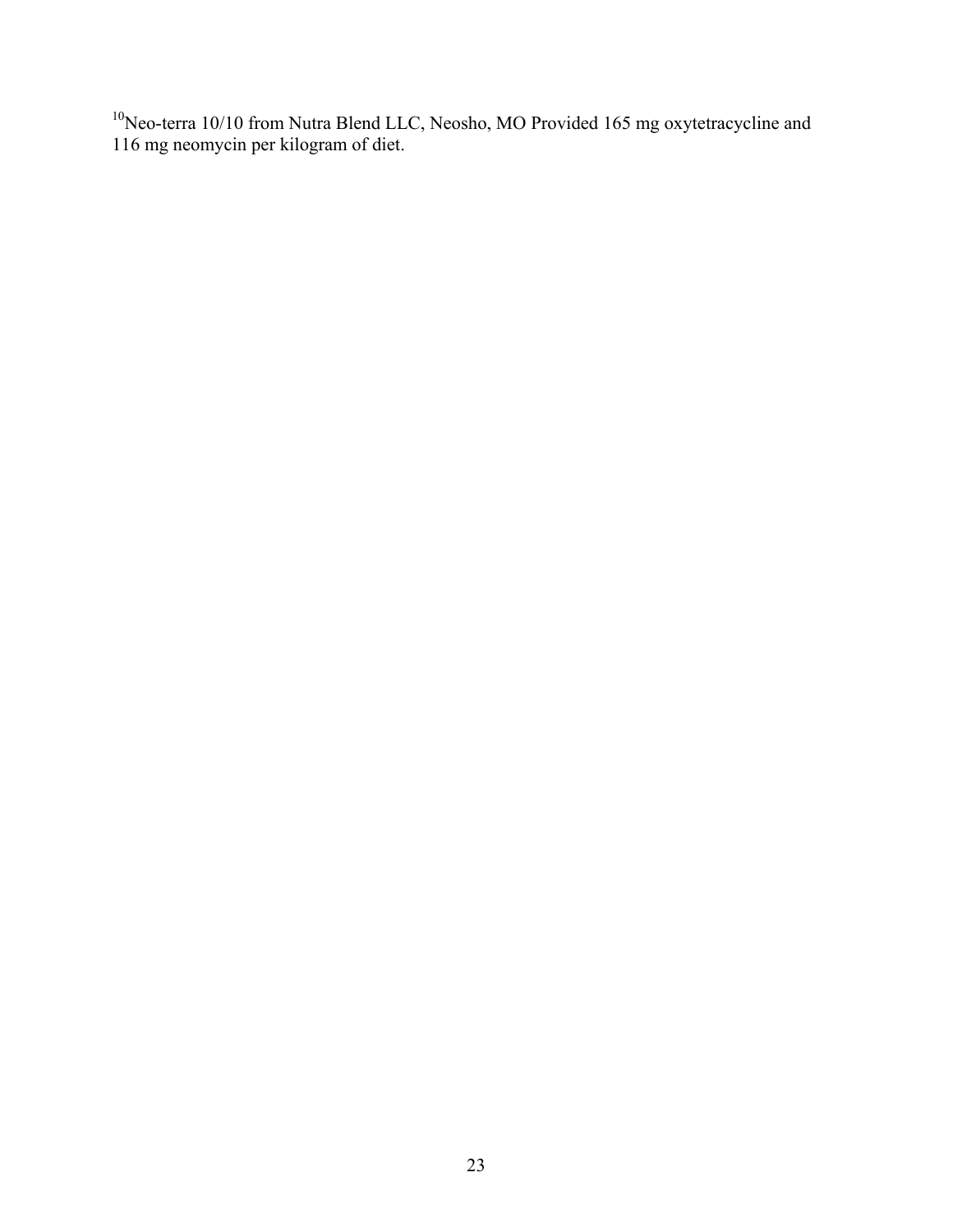Neo-terra 10/10 from Nutra Blend LLC, Neosho, MO Provided 165 mg oxytetracycline and 116 mg neomycin per kilogram of diet.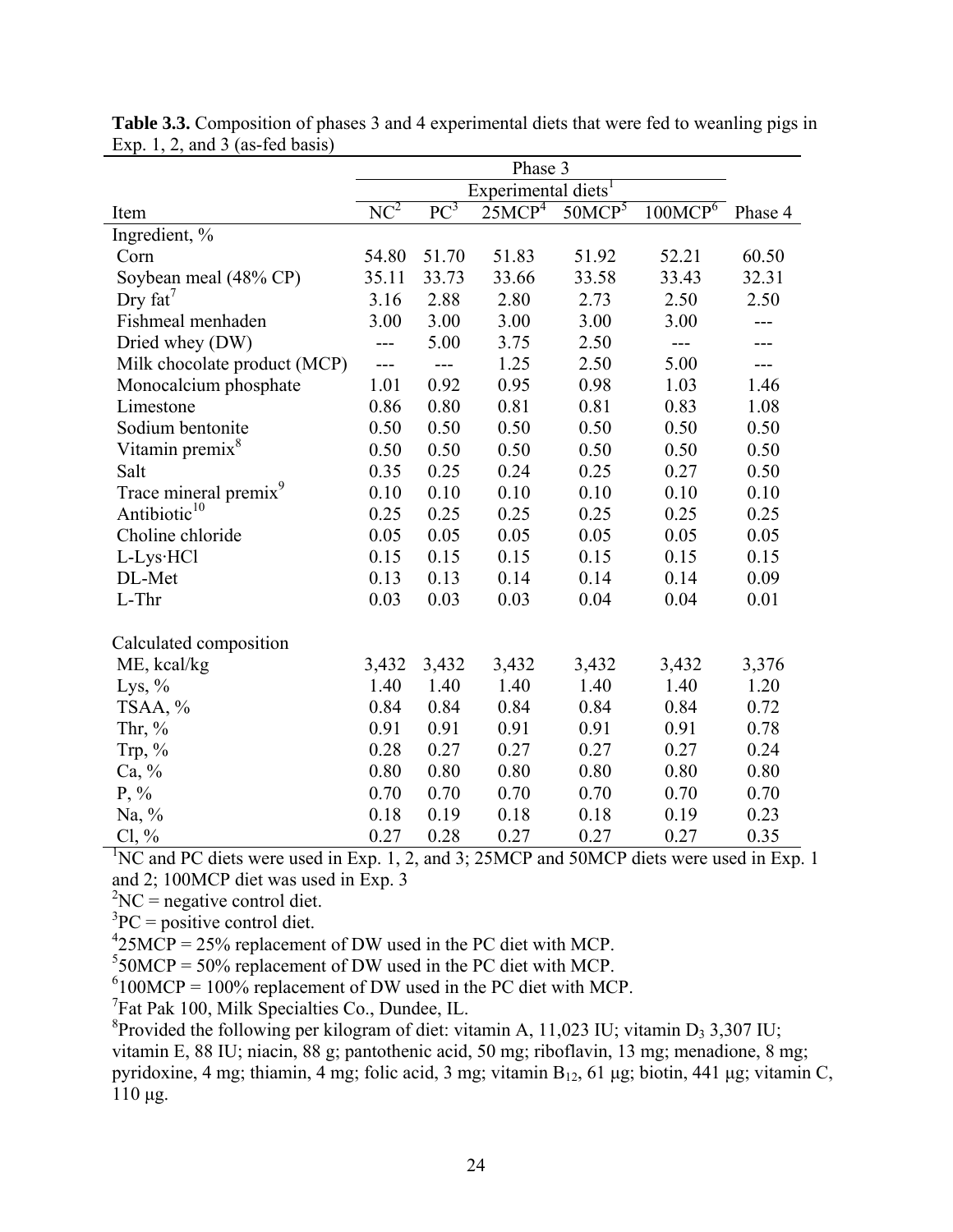|                                   | Phase 3                         |        |                    |                    |                     |         |
|-----------------------------------|---------------------------------|--------|--------------------|--------------------|---------------------|---------|
|                                   | Experimental diets <sup>1</sup> |        |                    |                    |                     |         |
| Item                              | $NC^2$                          | $PC^3$ | 25MCP <sup>4</sup> | 50MCP <sup>5</sup> | 100MCP <sup>6</sup> | Phase 4 |
| Ingredient, %                     |                                 |        |                    |                    |                     |         |
| Corn                              | 54.80                           | 51.70  | 51.83              | 51.92              | 52.21               | 60.50   |
| Soybean meal (48% CP)             | 35.11                           | 33.73  | 33.66              | 33.58              | 33.43               | 32.31   |
| Dry $fat'$                        | 3.16                            | 2.88   | 2.80               | 2.73               | 2.50                | 2.50    |
| Fishmeal menhaden                 | 3.00                            | 3.00   | 3.00               | 3.00               | 3.00                | ---     |
| Dried whey (DW)                   |                                 | 5.00   | 3.75               | 2.50               | $---$               |         |
| Milk chocolate product (MCP)      | ---                             |        | 1.25               | 2.50               | 5.00                | ---     |
| Monocalcium phosphate             | 1.01                            | 0.92   | 0.95               | 0.98               | 1.03                | 1.46    |
| Limestone                         | 0.86                            | 0.80   | 0.81               | 0.81               | 0.83                | 1.08    |
| Sodium bentonite                  | 0.50                            | 0.50   | 0.50               | 0.50               | 0.50                | 0.50    |
| Vitamin premix <sup>8</sup>       | 0.50                            | 0.50   | 0.50               | 0.50               | 0.50                | 0.50    |
| Salt                              | 0.35                            | 0.25   | 0.24               | 0.25               | 0.27                | 0.50    |
| Trace mineral premix <sup>9</sup> | 0.10                            | 0.10   | 0.10               | 0.10               | 0.10                | 0.10    |
| Antibiotic <sup>10</sup>          | 0.25                            | 0.25   | 0.25               | 0.25               | 0.25                | 0.25    |
| Choline chloride                  | 0.05                            | 0.05   | 0.05               | 0.05               | 0.05                | 0.05    |
| L-Lys·HCl                         | 0.15                            | 0.15   | 0.15               | 0.15               | 0.15                | 0.15    |
| DL-Met                            | 0.13                            | 0.13   | 0.14               | 0.14               | 0.14                | 0.09    |
| L-Thr                             | 0.03                            | 0.03   | 0.03               | 0.04               | 0.04                | 0.01    |
| Calculated composition            |                                 |        |                    |                    |                     |         |
| ME, kcal/kg                       | 3,432                           | 3,432  | 3,432              | 3,432              | 3,432               | 3,376   |
| Lys, $\%$                         | 1.40                            | 1.40   | 1.40               | 1.40               | 1.40                | 1.20    |
| TSAA, %                           | 0.84                            | 0.84   | 0.84               | 0.84               | 0.84                | 0.72    |
| Thr, $%$                          | 0.91                            | 0.91   | 0.91               | 0.91               | 0.91                | 0.78    |
| Trp, $\%$                         | 0.28                            | 0.27   | 0.27               | 0.27               | 0.27                | 0.24    |
| Ca, %                             | 0.80                            | 0.80   | 0.80               | 0.80               | 0.80                | 0.80    |
| $P, \%$                           | 0.70                            | 0.70   | 0.70               | 0.70               | 0.70                | 0.70    |
| Na, $\%$                          | 0.18                            | 0.19   | 0.18               | 0.18               | 0.19                | 0.23    |
| $Cl, \%$                          | 0.27                            | 0.28   | 0.27               | 0.27               | 0.27                | 0.35    |

**Table 3.3.** Composition of phases 3 and 4 experimental diets that were fed to weanling pigs in Exp. 1, 2, and  $3$  (as-fed basis)

<sup>1</sup>NC and PC diets were used in Exp. 1, 2, and 3; 25MCP and 50MCP diets were used in Exp. 1 and 2; 100MCP diet was used in Exp. 3

 ${}^{2}NC$  = negative control diet.

 ${}^{3}PC =$  positive control diet.

 $^{4}$ 25MCP = 25% replacement of DW used in the PC diet with MCP.

 $550MCP = 50\%$  replacement of DW used in the PC diet with MCP.

 $6100MCP = 100\%$  replacement of DW used in the PC diet with MCP.

<sup>7</sup>Fat Pak 100, Milk Specialties Co., Dundee, IL.

<sup>8</sup> Provided the following per kilogram of diet: vitamin A, 11,023 IU; vitamin D<sub>3</sub> 3,307 IU; vitamin E, 88 IU; niacin, 88 g; pantothenic acid, 50 mg; riboflavin, 13 mg; menadione, 8 mg; pyridoxine, 4 mg; thiamin, 4 mg; folic acid, 3 mg; vitamin  $B_{12}$ , 61 μg; biotin, 441 μg; vitamin C, 110 μg.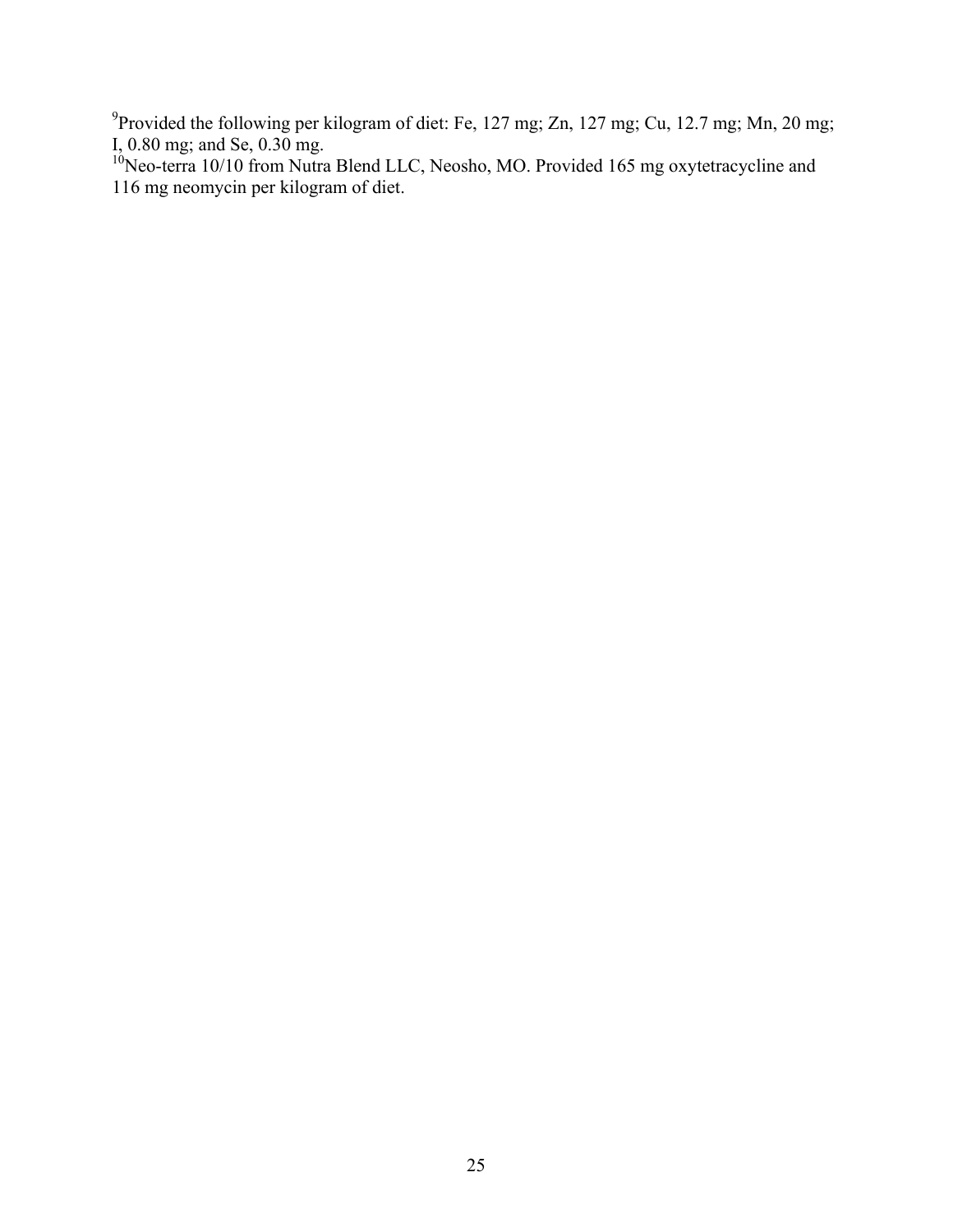<sup>9</sup> Provided the following per kilogram of diet: Fe, 127 mg; Zn, 127 mg; Cu, 12.7 mg; Mn, 20 mg; I, 0.80 mg; and Se, 0.30 mg.

<sup>10</sup>Neo-terra 10/10 from Nutra Blend LLC, Neosho, MO. Provided 165 mg oxytetracycline and 116 mg neomycin per kilogram of diet.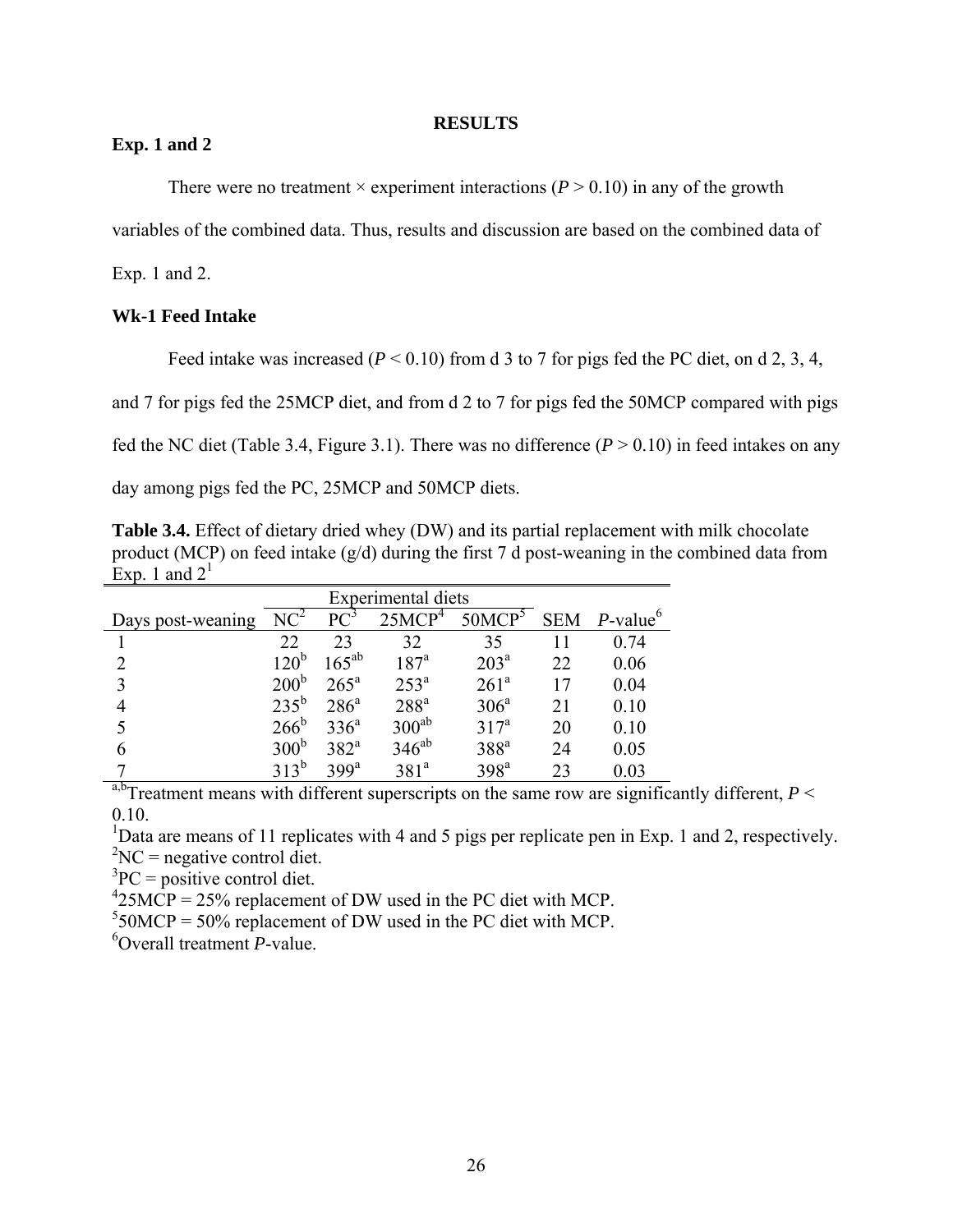## **RESULTS**

# **Exp. 1 and 2**

There were no treatment  $\times$  experiment interactions ( $P > 0.10$ ) in any of the growth

variables of the combined data. Thus, results and discussion are based on the combined data of

Exp. 1 and 2.

# **Wk-1 Feed Intake**

Feed intake was increased ( $P < 0.10$ ) from d 3 to 7 for pigs fed the PC diet, on d 2, 3, 4,

and 7 for pigs fed the 25MCP diet, and from d 2 to 7 for pigs fed the 50MCP compared with pigs

fed the NC diet (Table 3.4, Figure 3.1). There was no difference  $(P > 0.10)$  in feed intakes on any

day among pigs fed the PC, 25MCP and 50MCP diets.

**Table 3.4.** Effect of dietary dried whey (DW) and its partial replacement with milk chocolate product (MCP) on feed intake (g/d) during the first 7 d post-weaning in the combined data from Exp. 1 and  $2<sup>1</sup>$ 

|                   |                  | Experimental diets |                    |                    |            |                         |
|-------------------|------------------|--------------------|--------------------|--------------------|------------|-------------------------|
| Days post-weaning | NC <sup>2</sup>  | $PC^3$             | 25MCP <sup>4</sup> | 50MCP <sup>5</sup> | <b>SEM</b> | $P$ -value <sup>6</sup> |
|                   | 22               | 23                 | 32                 | 35                 | 11         | 0.74                    |
|                   | 120 <sup>b</sup> | $165^{ab}$         | 187 <sup>a</sup>   | 203 <sup>a</sup>   | 22         | 0.06                    |
| $\mathcal{E}$     | 200 <sup>b</sup> | $265^{\circ}$      | $253^{\circ}$      | 261 <sup>a</sup>   | 17         | 0.04                    |
|                   | $235^{\rm b}$    | $286^a$            | 288 <sup>a</sup>   | 306 <sup>a</sup>   | 21         | 0.10                    |
|                   | $266^{\rm b}$    | 336 <sup>a</sup>   | $300^{ab}$         | $317^a$            | 20         | 0.10                    |
| 6                 | 300 <sup>b</sup> | 382 <sup>a</sup>   | $346^{ab}$         | $388^a$            | 24         | 0.05                    |
| $-1$              | $313^b$          | 399 <sup>a</sup>   | 381 <sup>a</sup>   | 398 <sup>a</sup>   | 23         | 0.03                    |

<sup>a,b</sup>Treatment means with different superscripts on the same row are significantly different,  $P \leq$ 0.10.

<sup>1</sup>Data are means of 11 replicates with 4 and 5 pigs per replicate pen in Exp. 1 and 2, respectively.  ${}^{2}NC$  = negative control diet.

 ${}^{3}PC =$  positive control diet.

 $^{4}$ 25MCP = 25% replacement of DW used in the PC diet with MCP.

 $550MCP = 50\%$  replacement of DW used in the PC diet with MCP.

6 Overall treatment *P*-value.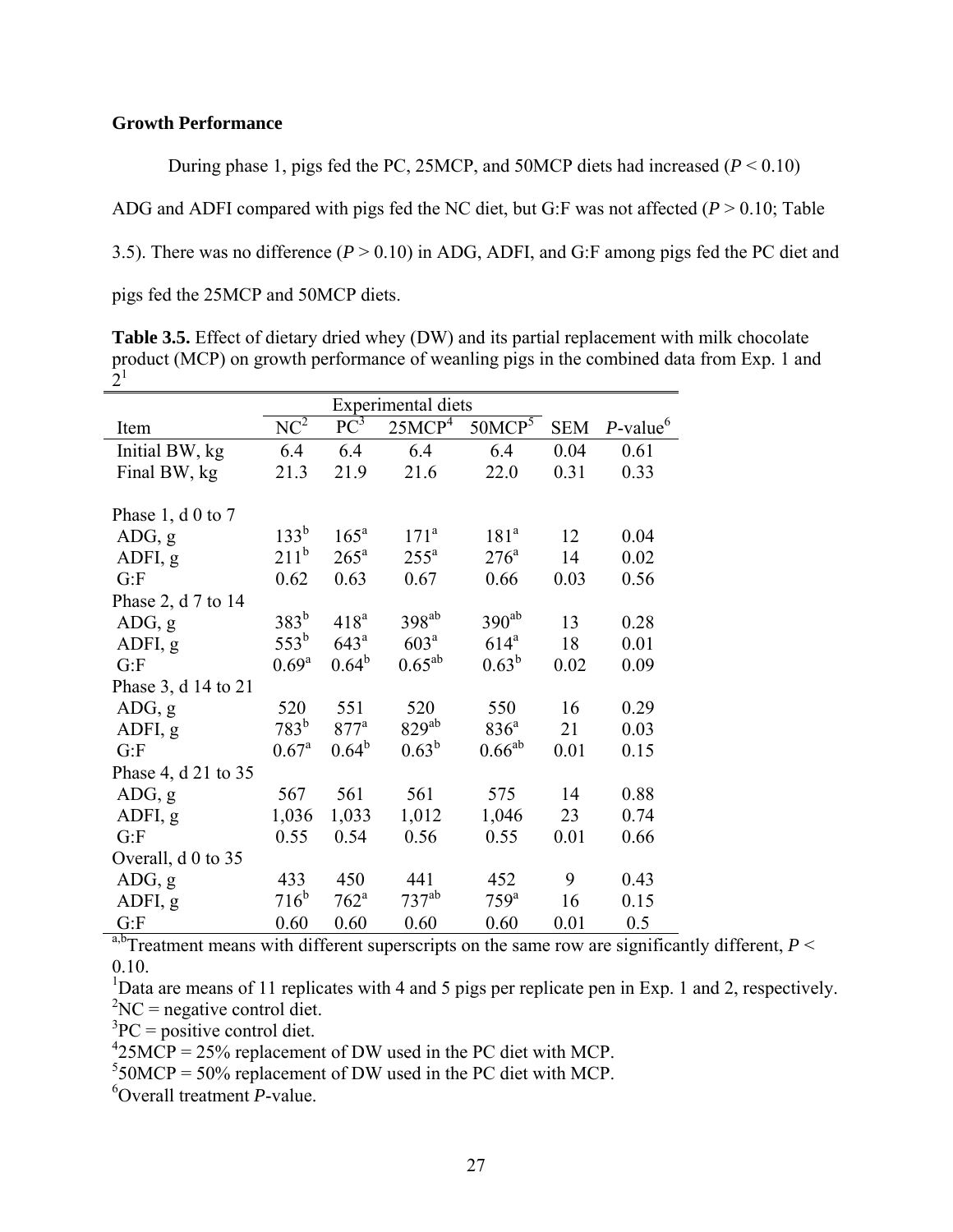# **Growth Performance**

During phase 1, pigs fed the PC, 25MCP, and 50MCP diets had increased (*P* < 0.10)

ADG and ADFI compared with pigs fed the NC diet, but G:F was not affected  $(P > 0.10$ ; Table

3.5). There was no difference (*P* > 0.10) in ADG, ADFI, and G:F among pigs fed the PC diet and

pigs fed the 25MCP and 50MCP diets.

**Table 3.5.** Effect of dietary dried whey (DW) and its partial replacement with milk chocolate product (MCP) on growth performance of weanling pigs in the combined data from Exp. 1 and  $2<sup>1</sup>$ 

|                          |                  | Experimental diets |                    |                    |            |                         |
|--------------------------|------------------|--------------------|--------------------|--------------------|------------|-------------------------|
| Item                     | $NC^2$           | $PC^3$             | 25MCP <sup>4</sup> | 50MCP <sup>5</sup> | <b>SEM</b> | $P$ -value <sup>6</sup> |
| Initial BW, kg           | 6.4              | 6.4                | 6.4                | 6.4                | 0.04       | 0.61                    |
| Final BW, kg             | 21.3             | 21.9               | 21.6               | 22.0               | 0.31       | 0.33                    |
|                          |                  |                    |                    |                    |            |                         |
| Phase 1, $d \theta$ to 7 |                  |                    |                    |                    |            |                         |
| ADG, g                   | $133^{b}$        | $165^{\mathrm{a}}$ | 171 <sup>a</sup>   | 181 <sup>a</sup>   | 12         | 0.04                    |
| ADFI, g                  | $211^b$          | $265^{\circ}$      | $255^{\mathrm{a}}$ | $276^{\circ}$      | 14         | 0.02                    |
| G: F                     | 0.62             | 0.63               | 0.67               | 0.66               | 0.03       | 0.56                    |
| Phase 2, d 7 to 14       |                  |                    |                    |                    |            |                         |
| ADG, g                   | $383^b$          | 418 <sup>a</sup>   | $398^{ab}$         | $390^{ab}$         | 13         | 0.28                    |
| ADFI, g                  | $553^b$          | $643^{\mathrm{a}}$ | 603 <sup>a</sup>   | $614^a$            | 18         | 0.01                    |
| G: F                     | $0.69^{\rm a}$   | $0.64^b$           | $0.65^{ab}$        | $0.63^b$           | 0.02       | 0.09                    |
| Phase 3, d 14 to 21      |                  |                    |                    |                    |            |                         |
| ADG, g                   | 520              | 551                | 520                | 550                | 16         | 0.29                    |
| ADFI, g                  | 783 <sup>b</sup> | $877$ <sup>a</sup> | $829^{ab}$         | 836 <sup>a</sup>   | 21         | 0.03                    |
| G: F                     | $0.67^{\rm a}$   | $0.64^b$           | $0.63^b$           | $0.66^{ab}$        | 0.01       | 0.15                    |
| Phase 4, d 21 to 35      |                  |                    |                    |                    |            |                         |
| ADG, g                   | 567              | 561                | 561                | 575                | 14         | 0.88                    |
| ADFI, g                  | 1,036            | 1,033              | 1,012              | 1,046              | 23         | 0.74                    |
| G: F                     | 0.55             | 0.54               | 0.56               | 0.55               | 0.01       | 0.66                    |
| Overall, d 0 to 35       |                  |                    |                    |                    |            |                         |
| ADG, g                   | 433              | 450                | 441                | 452                | 9          | 0.43                    |
| ADFI, g                  | $716^b$          | $762^{\mathrm{a}}$ | $737^{ab}$         | $759^{\text{a}}$   | 16         | 0.15                    |
| G: F                     | 0.60             | 0.60               | 0.60               | 0.60               | 0.01       | 0.5                     |

 $\frac{a_0}{b_0}$ Treatment means with different superscripts on the same row are significantly different, *P* < 0.10.

<sup>1</sup>Data are means of 11 replicates with 4 and 5 pigs per replicate pen in Exp. 1 and 2, respectively.  ${}^{2}NC$  = negative control diet.

 ${}^{3}PC =$  positive control diet.

 $^{4}$ 25MCP = 25% replacement of DW used in the PC diet with MCP.

 $550MCP = 50\%$  replacement of DW used in the PC diet with MCP.

6 Overall treatment *P*-value.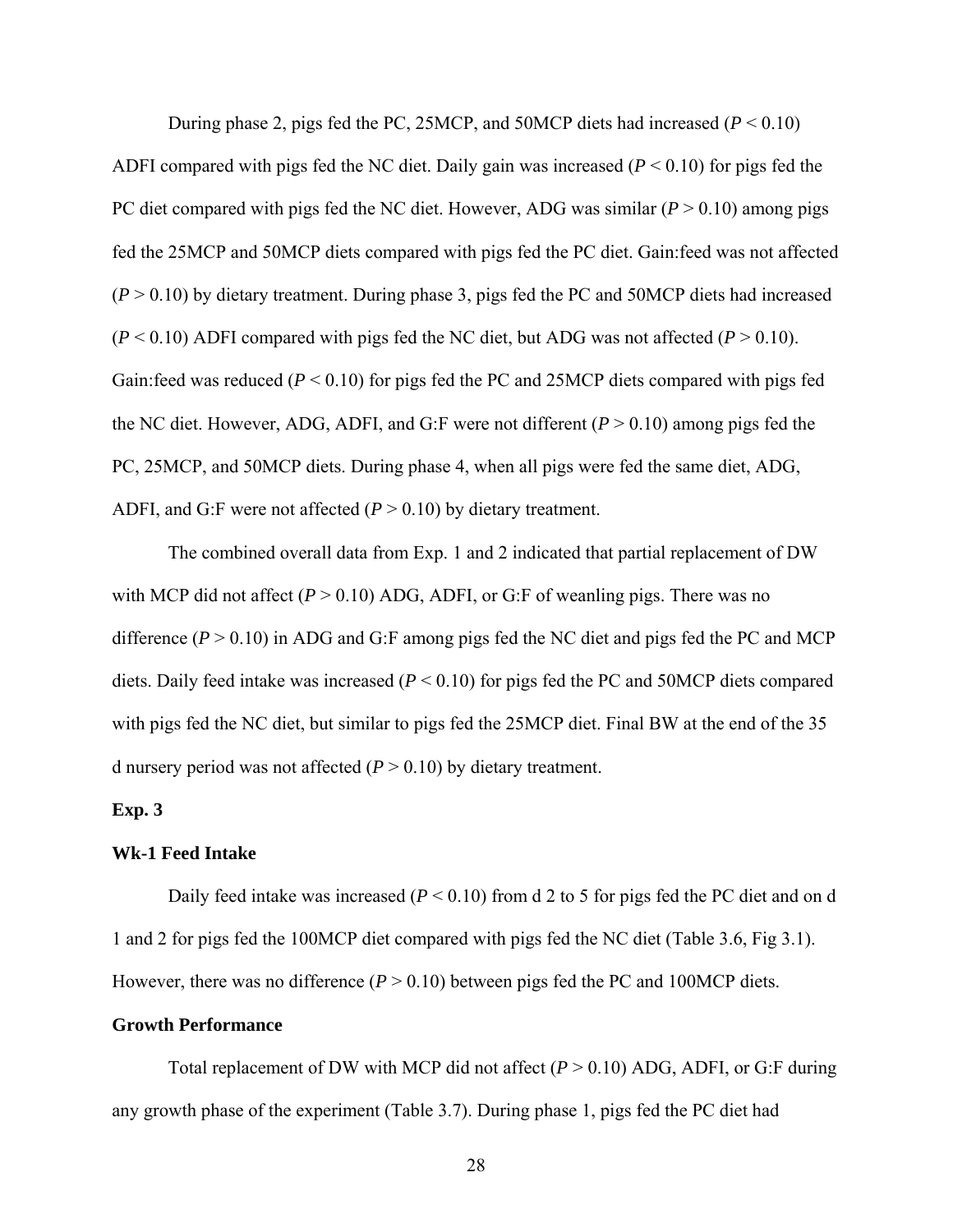During phase 2, pigs fed the PC, 25MCP, and 50MCP diets had increased  $(P < 0.10)$ ADFI compared with pigs fed the NC diet. Daily gain was increased (*P* < 0.10) for pigs fed the PC diet compared with pigs fed the NC diet. However, ADG was similar (*P* > 0.10) among pigs fed the 25MCP and 50MCP diets compared with pigs fed the PC diet. Gain:feed was not affected  $(P > 0.10)$  by dietary treatment. During phase 3, pigs fed the PC and 50MCP diets had increased  $(P < 0.10)$  ADFI compared with pigs fed the NC diet, but ADG was not affected  $(P > 0.10)$ . Gain:feed was reduced (*P* < 0.10) for pigs fed the PC and 25MCP diets compared with pigs fed the NC diet. However, ADG, ADFI, and G:F were not different  $(P > 0.10)$  among pigs fed the PC, 25MCP, and 50MCP diets. During phase 4, when all pigs were fed the same diet, ADG, ADFI, and G:F were not affected  $(P > 0.10)$  by dietary treatment.

The combined overall data from Exp. 1 and 2 indicated that partial replacement of DW with MCP did not affect  $(P > 0.10)$  ADG, ADFI, or G:F of weanling pigs. There was no difference  $(P > 0.10)$  in ADG and G:F among pigs fed the NC diet and pigs fed the PC and MCP diets. Daily feed intake was increased (*P* < 0.10) for pigs fed the PC and 50MCP diets compared with pigs fed the NC diet, but similar to pigs fed the 25MCP diet. Final BW at the end of the 35 d nursery period was not affected  $(P > 0.10)$  by dietary treatment.

#### **Exp. 3**

#### **Wk-1 Feed Intake**

Daily feed intake was increased ( $P < 0.10$ ) from d 2 to 5 for pigs fed the PC diet and on d 1 and 2 for pigs fed the 100MCP diet compared with pigs fed the NC diet (Table 3.6, Fig 3.1). However, there was no difference  $(P > 0.10)$  between pigs fed the PC and 100MCP diets.

# **Growth Performance**

Total replacement of DW with MCP did not affect  $(P > 0.10)$  ADG, ADFI, or G:F during any growth phase of the experiment (Table 3.7). During phase 1, pigs fed the PC diet had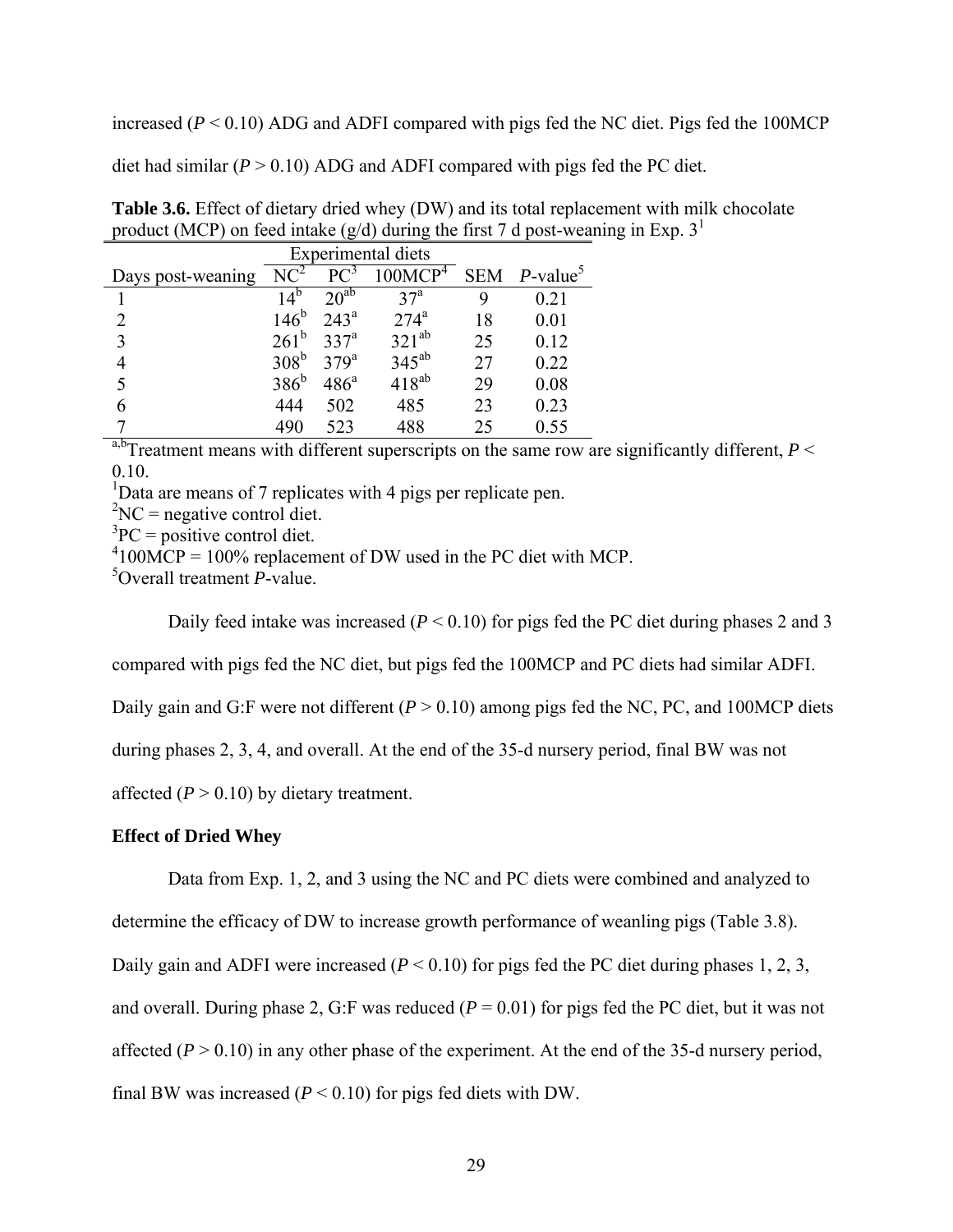increased  $(P < 0.10)$  ADG and ADFI compared with pigs fed the NC diet. Pigs fed the 100MCP

diet had similar  $(P > 0.10)$  ADG and ADFI compared with pigs fed the PC diet.

| Experimental diets |                  |                  |                     |    |                               |  |  |  |  |
|--------------------|------------------|------------------|---------------------|----|-------------------------------|--|--|--|--|
| Days post-weaning  | $NC^2$           | PC <sup>3</sup>  | 100MCP <sup>4</sup> |    | $SEM$ $P$ -value <sup>5</sup> |  |  |  |  |
|                    | 14 <sup>b</sup>  | $20^{ab}$        | 37 <sup>a</sup>     | 9  | 0.21                          |  |  |  |  |
| າ                  | $146^{\rm b}$    | 243 <sup>a</sup> | 274 <sup>a</sup>    | 18 | 0.01                          |  |  |  |  |
| 3                  | $261^{\rm b}$    | 337 <sup>a</sup> | $321^{ab}$          | 25 | 0.12                          |  |  |  |  |
|                    | 308 <sup>b</sup> | 379 <sup>a</sup> | $345^{ab}$          | 27 | 0.22                          |  |  |  |  |
| 5                  | $386^b$          | $486^{\circ}$    | $418^{ab}$          | 29 | 0.08                          |  |  |  |  |
| 6                  | 444              | 502              | 485                 | 23 | 0.23                          |  |  |  |  |
|                    | 490              | 523              | 488                 | 25 | 0.55                          |  |  |  |  |

**Table 3.6.** Effect of dietary dried whey (DW) and its total replacement with milk chocolate product (MCP) on feed intake (g/d) during the first 7 d post-weaning in Exp.  $3<sup>1</sup>$ 

<sup>a,b</sup>Treatment means with different superscripts on the same row are significantly different,  $P \leq$ 0.10.

<sup>1</sup>Data are means of 7 replicates with 4 pigs per replicate pen.

 ${}^{2}NC$  = negative control diet.

 ${}^{3}PC =$  positive control diet.

 $^{4}$ 100MCP = 100% replacement of DW used in the PC diet with MCP.

5 Overall treatment *P*-value.

Daily feed intake was increased (*P* < 0.10) for pigs fed the PC diet during phases 2 and 3

compared with pigs fed the NC diet, but pigs fed the 100MCP and PC diets had similar ADFI.

Daily gain and G:F were not different  $(P > 0.10)$  among pigs fed the NC, PC, and 100MCP diets

during phases 2, 3, 4, and overall. At the end of the 35-d nursery period, final BW was not

affected  $(P > 0.10)$  by dietary treatment.

## **Effect of Dried Whey**

Data from Exp. 1, 2, and 3 using the NC and PC diets were combined and analyzed to

determine the efficacy of DW to increase growth performance of weanling pigs (Table 3.8).

Daily gain and ADFI were increased  $(P < 0.10)$  for pigs fed the PC diet during phases 1, 2, 3,

and overall. During phase 2, G:F was reduced  $(P = 0.01)$  for pigs fed the PC diet, but it was not

affected  $(P > 0.10)$  in any other phase of the experiment. At the end of the 35-d nursery period,

final BW was increased  $(P < 0.10)$  for pigs fed diets with DW.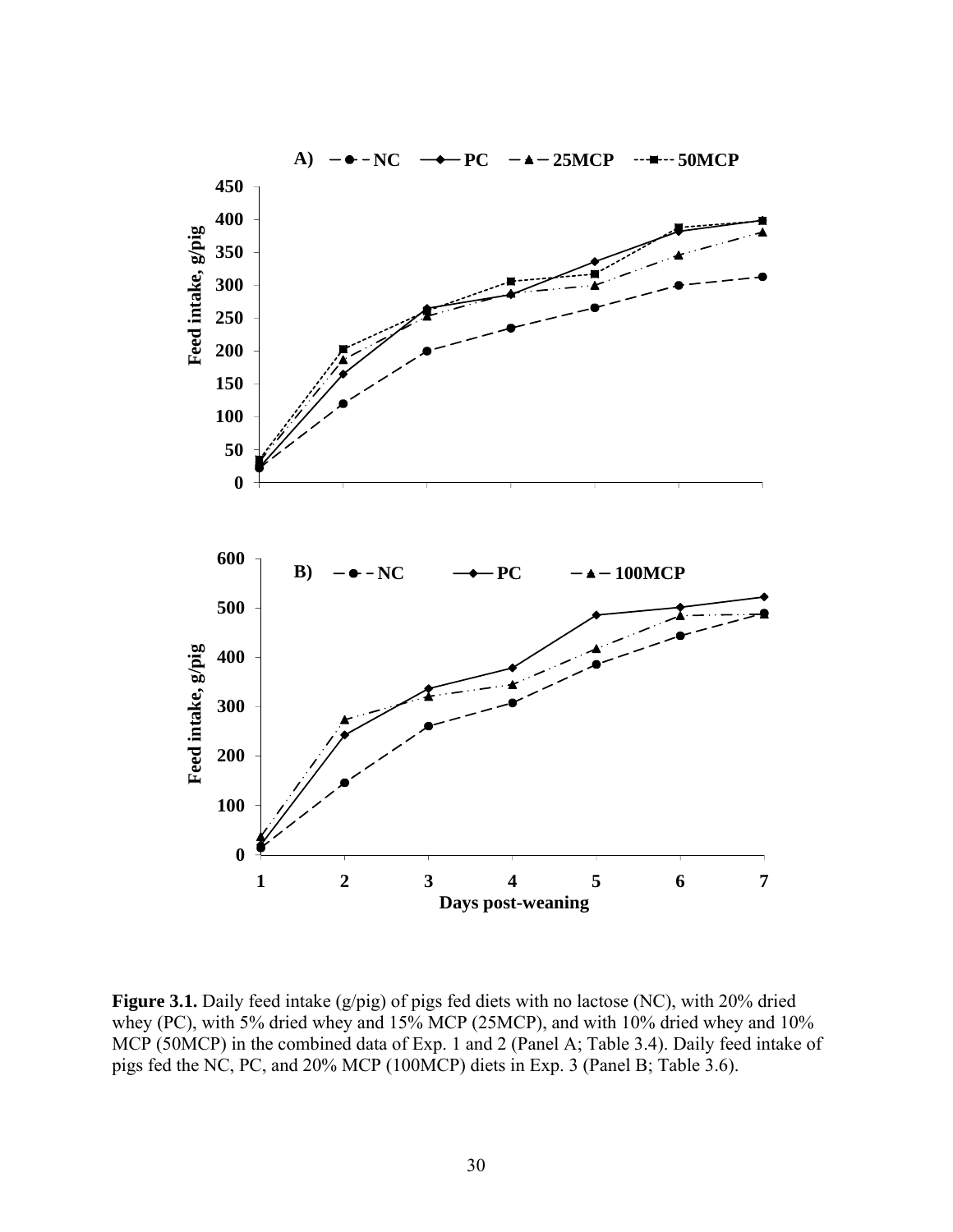

Figure 3.1. Daily feed intake (g/pig) of pigs fed diets with no lactose (NC), with 20% dried whey (PC), with 5% dried whey and 15% MCP (25MCP), and with 10% dried whey and 10% MCP (50MCP) in the combined data of Exp. 1 and 2 (Panel A; Table 3.4). Daily feed intake of pigs fed the NC, PC, and 20% MCP (100MCP) diets in Exp. 3 (Panel B; Table 3.6).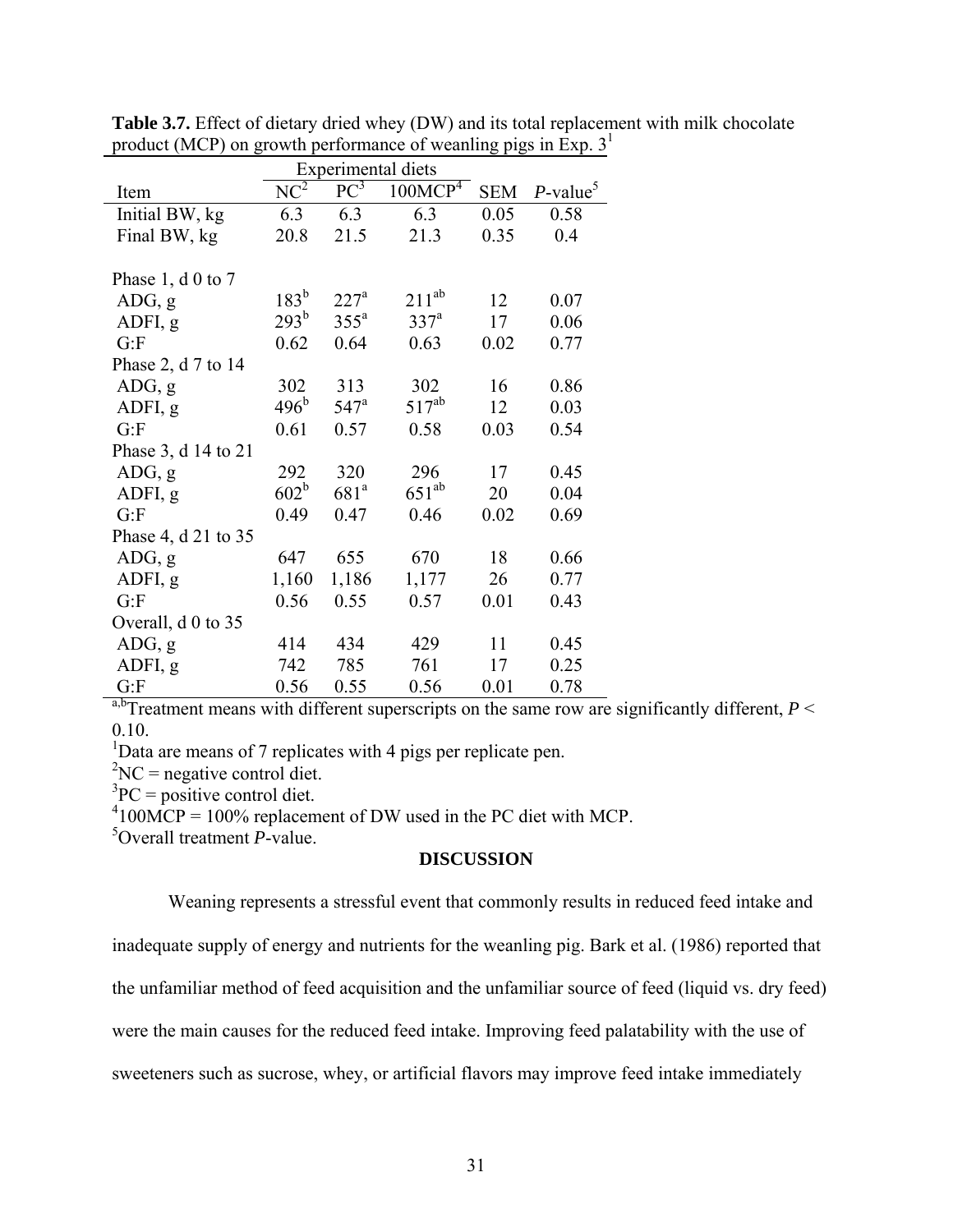|                     |                  | Experimental diets |                     |            |                         |
|---------------------|------------------|--------------------|---------------------|------------|-------------------------|
| Item                | $NC^2$           | $PC^3$             | 100MCP <sup>4</sup> | <b>SEM</b> | $P$ -value <sup>5</sup> |
| Initial BW, kg      | 6.3              | 6.3                | 6.3                 | 0.05       | 0.58                    |
| Final BW, kg        | 20.8             | 21.5               | 21.3                | 0.35       | 0.4                     |
|                     |                  |                    |                     |            |                         |
| Phase 1, d 0 to 7   |                  |                    |                     |            |                         |
| ADG, g              | $183^b$          | 227 <sup>a</sup>   | $211^{ab}$          | 12         | 0.07                    |
| ADFI, g             | $293^{\rm b}$    | 355 <sup>a</sup>   | 337 <sup>a</sup>    | 17         | 0.06                    |
| G: F                | 0.62             | 0.64               | 0.63                | 0.02       | 0.77                    |
| Phase 2, d 7 to 14  |                  |                    |                     |            |                         |
| ADG, g              | 302              | 313                | 302                 | 16         | 0.86                    |
| ADFI, g             | 496 <sup>b</sup> | 547 <sup>a</sup>   | $517^{ab}$          | 12         | 0.03                    |
| G: F                | 0.61             | 0.57               | 0.58                | 0.03       | 0.54                    |
| Phase 3, d 14 to 21 |                  |                    |                     |            |                         |
| ADG, g              | 292              | 320                | 296                 | 17         | 0.45                    |
| ADFI, g             | $602^b$          | 681 <sup>a</sup>   | $651^{ab}$          | 20         | 0.04                    |
| G: F                | 0.49             | 0.47               | 0.46                | 0.02       | 0.69                    |
| Phase 4, d 21 to 35 |                  |                    |                     |            |                         |
| ADG, g              | 647              | 655                | 670                 | 18         | 0.66                    |
| ADFI, g             | 1,160            | 1,186              | 1,177               | 26         | 0.77                    |
| G: F                | 0.56             | 0.55               | 0.57                | 0.01       | 0.43                    |
| Overall, d 0 to 35  |                  |                    |                     |            |                         |
| ADG, g              | 414              | 434                | 429                 | 11         | 0.45                    |
| ADFI, g             | 742              | 785                | 761                 | 17         | 0.25                    |
| G: F                | 0.56             | 0.55               | 0.56                | 0.01       | 0.78                    |

**Table 3.7.** Effect of dietary dried whey (DW) and its total replacement with milk chocolate product (MCP) on growth performance of weanling pigs in Exp.  $3<sup>1</sup>$ 

a,b<sub>Treatment means with different superscripts on the same row are significantly different,  $P \leq$ </sub> 0.10.

<sup>1</sup>Data are means of 7 replicates with 4 pigs per replicate pen.

 ${}^{2}NC$  = negative control diet.

 ${}^{3}PC =$  positive control diet.

 $^{4}$ 100MCP = 100% replacement of DW used in the PC diet with MCP.

5 Overall treatment *P*-value.

# **DISCUSSION**

Weaning represents a stressful event that commonly results in reduced feed intake and

inadequate supply of energy and nutrients for the weanling pig. Bark et al. (1986) reported that

the unfamiliar method of feed acquisition and the unfamiliar source of feed (liquid vs. dry feed)

were the main causes for the reduced feed intake. Improving feed palatability with the use of

sweeteners such as sucrose, whey, or artificial flavors may improve feed intake immediately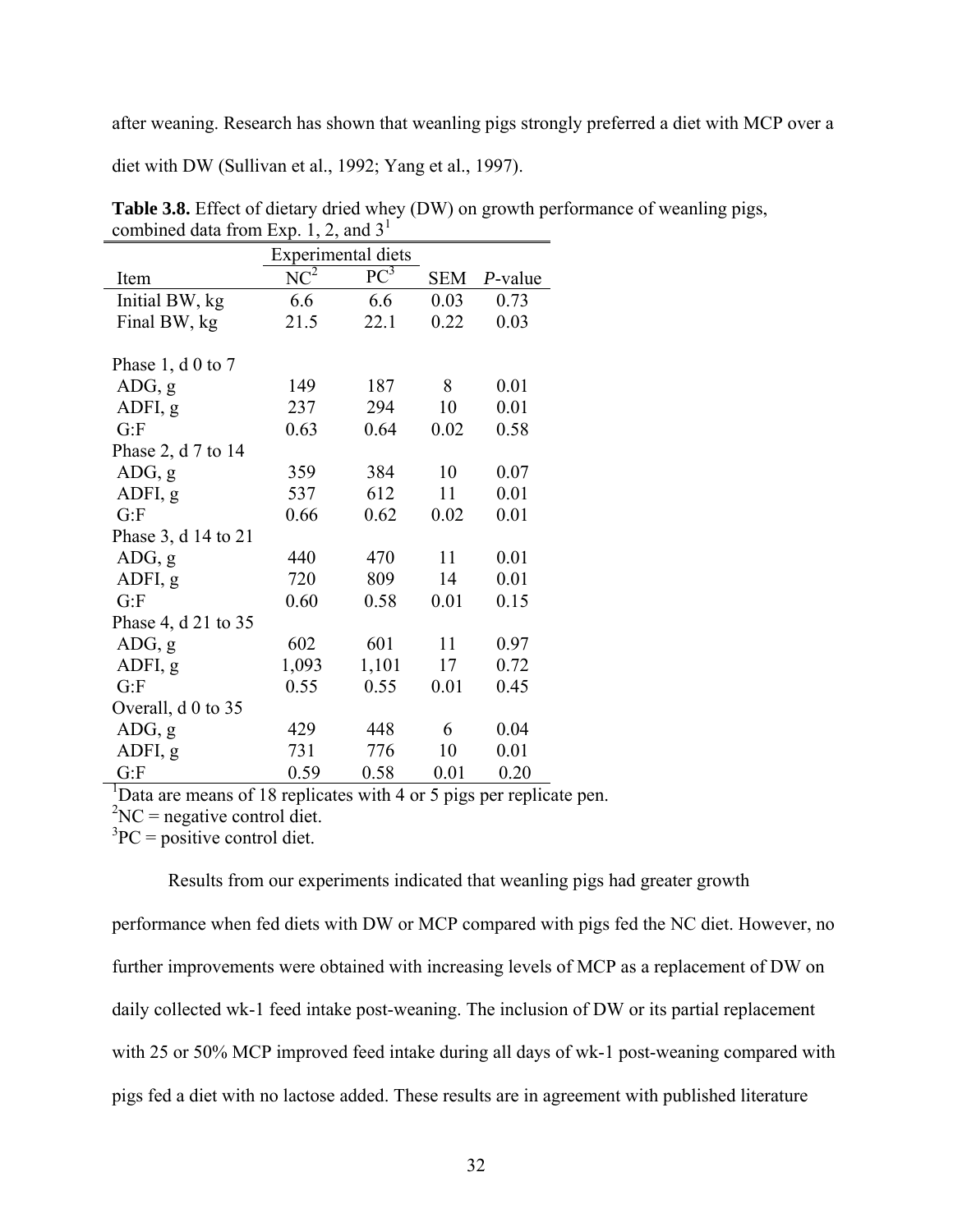after weaning. Research has shown that weanling pigs strongly preferred a diet with MCP over a

diet with DW (Sullivan et al., 1992; Yang et al., 1997).

|                          |        | Experimental diets |            |            |
|--------------------------|--------|--------------------|------------|------------|
| Item                     | $NC^2$ | $PC^3$             | <b>SEM</b> | $P$ -value |
| Initial BW, kg           | 6.6    | 6.6                | 0.03       | 0.73       |
| Final BW, kg             | 21.5   | 22.1               | 0.22       | 0.03       |
|                          |        |                    |            |            |
| Phase $1, d \, 0$ to $7$ |        |                    |            |            |
| ADG, g                   | 149    | 187                | 8          | 0.01       |
| ADFI, g                  | 237    | 294                | 10         | 0.01       |
| G: F                     | 0.63   | 0.64               | 0.02       | 0.58       |
| Phase 2, d 7 to 14       |        |                    |            |            |
| ADG, g                   | 359    | 384                | 10         | 0.07       |
| ADFI, g                  | 537    | 612                | 11         | 0.01       |
| G: F                     | 0.66   | 0.62               | 0.02       | 0.01       |
| Phase 3, d 14 to 21      |        |                    |            |            |
| ADG, g                   | 440    | 470                | 11         | 0.01       |
| ADFI, g                  | 720    | 809                | 14         | 0.01       |
| G: F                     | 0.60   | 0.58               | 0.01       | 0.15       |
| Phase 4, d 21 to 35      |        |                    |            |            |
| ADG, g                   | 602    | 601                | 11         | 0.97       |
| ADFI, g                  | 1,093  | 1,101              | 17         | 0.72       |
| G: F                     | 0.55   | 0.55               | 0.01       | 0.45       |
| Overall, d 0 to 35       |        |                    |            |            |
| ADG, g                   | 429    | 448                | 6          | 0.04       |
| ADFI, g                  | 731    | 776                | 10         | 0.01       |
| G:F                      | 0.59   | 0.58               | 0.01       | 0.20       |

**Table 3.8.** Effect of dietary dried whey (DW) on growth performance of weanling pigs, combined data from Exp. 1, 2, and  $3<sup>1</sup>$ 

<sup>1</sup>Data are means of 18 replicates with 4 or 5 pigs per replicate pen.

 ${}^{2}NC$  = negative control diet.

 ${}^{3}PC =$  positive control diet.

Results from our experiments indicated that weanling pigs had greater growth

performance when fed diets with DW or MCP compared with pigs fed the NC diet. However, no further improvements were obtained with increasing levels of MCP as a replacement of DW on daily collected wk-1 feed intake post-weaning. The inclusion of DW or its partial replacement with 25 or 50% MCP improved feed intake during all days of wk-1 post-weaning compared with pigs fed a diet with no lactose added. These results are in agreement with published literature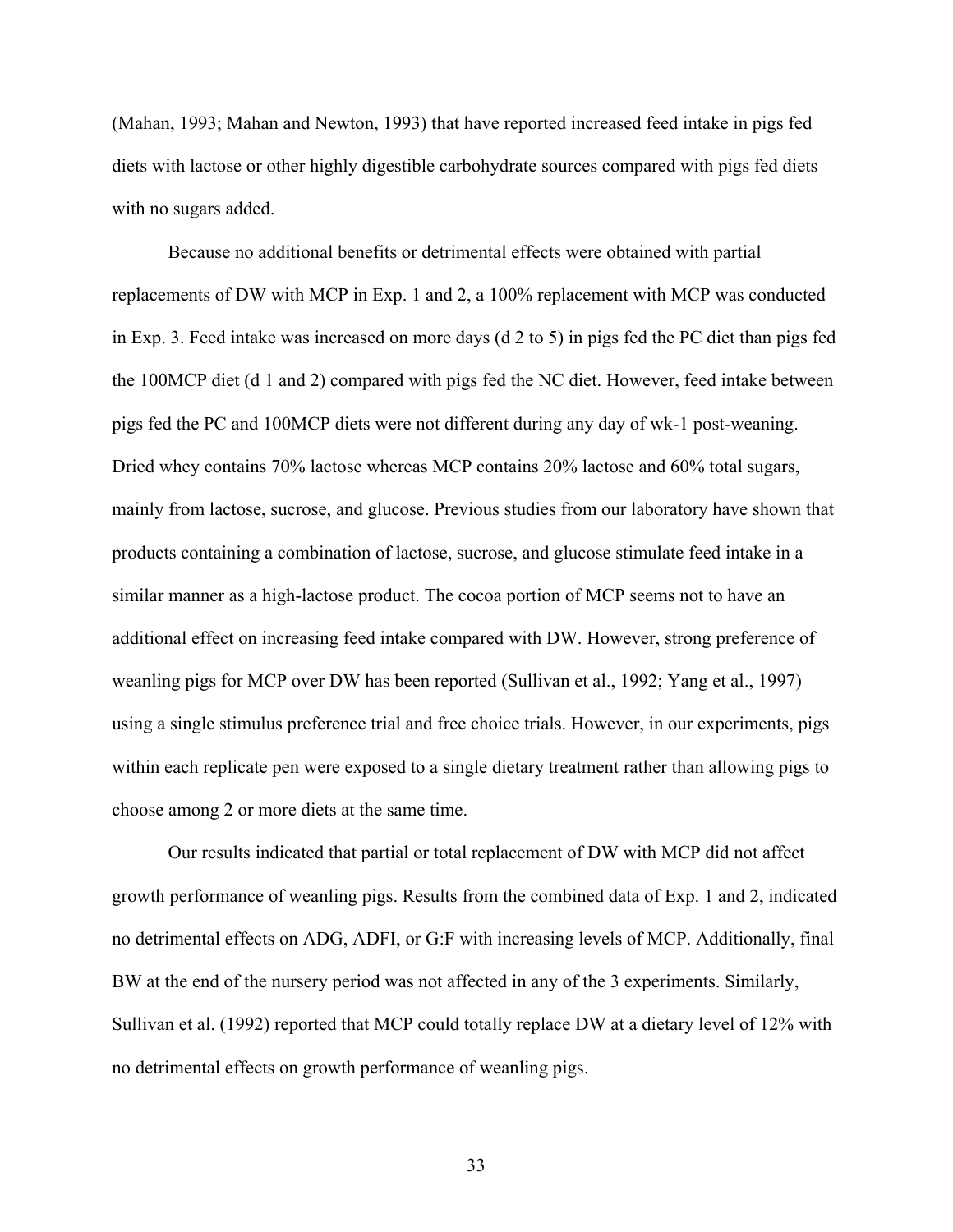(Mahan, 1993; Mahan and Newton, 1993) that have reported increased feed intake in pigs fed diets with lactose or other highly digestible carbohydrate sources compared with pigs fed diets with no sugars added.

Because no additional benefits or detrimental effects were obtained with partial replacements of DW with MCP in Exp. 1 and 2, a 100% replacement with MCP was conducted in Exp. 3. Feed intake was increased on more days (d 2 to 5) in pigs fed the PC diet than pigs fed the 100MCP diet (d 1 and 2) compared with pigs fed the NC diet. However, feed intake between pigs fed the PC and 100MCP diets were not different during any day of wk-1 post-weaning. Dried whey contains 70% lactose whereas MCP contains 20% lactose and 60% total sugars, mainly from lactose, sucrose, and glucose. Previous studies from our laboratory have shown that products containing a combination of lactose, sucrose, and glucose stimulate feed intake in a similar manner as a high-lactose product. The cocoa portion of MCP seems not to have an additional effect on increasing feed intake compared with DW. However, strong preference of weanling pigs for MCP over DW has been reported (Sullivan et al., 1992; Yang et al., 1997) using a single stimulus preference trial and free choice trials. However, in our experiments, pigs within each replicate pen were exposed to a single dietary treatment rather than allowing pigs to choose among 2 or more diets at the same time.

Our results indicated that partial or total replacement of DW with MCP did not affect growth performance of weanling pigs. Results from the combined data of Exp. 1 and 2, indicated no detrimental effects on ADG, ADFI, or G:F with increasing levels of MCP. Additionally, final BW at the end of the nursery period was not affected in any of the 3 experiments. Similarly, Sullivan et al. (1992) reported that MCP could totally replace DW at a dietary level of 12% with no detrimental effects on growth performance of weanling pigs.

33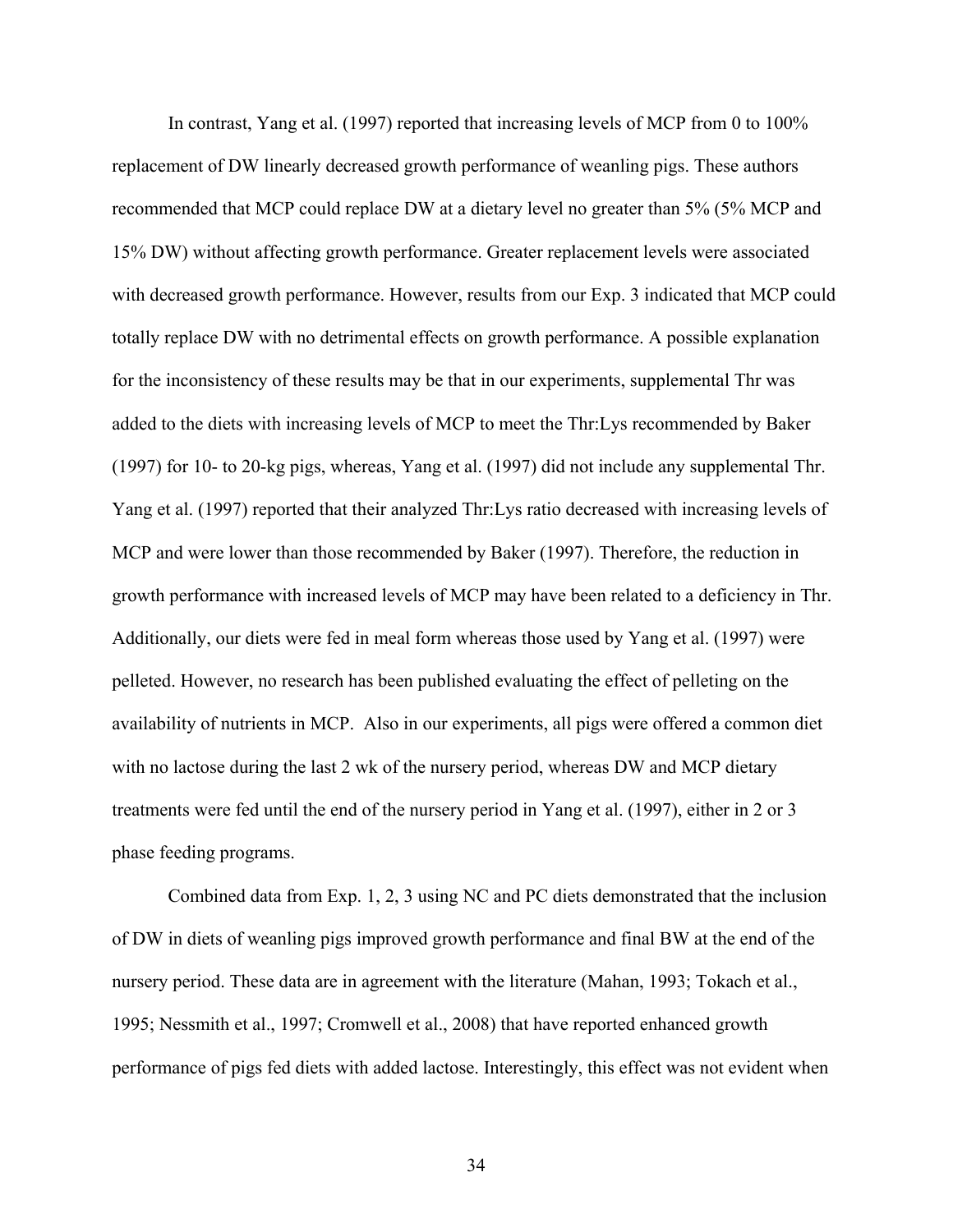In contrast, Yang et al. (1997) reported that increasing levels of MCP from 0 to 100% replacement of DW linearly decreased growth performance of weanling pigs. These authors recommended that MCP could replace DW at a dietary level no greater than 5% (5% MCP and 15% DW) without affecting growth performance. Greater replacement levels were associated with decreased growth performance. However, results from our Exp. 3 indicated that MCP could totally replace DW with no detrimental effects on growth performance. A possible explanation for the inconsistency of these results may be that in our experiments, supplemental Thr was added to the diets with increasing levels of MCP to meet the Thr:Lys recommended by Baker (1997) for 10- to 20-kg pigs, whereas, Yang et al. (1997) did not include any supplemental Thr. Yang et al. (1997) reported that their analyzed Thr:Lys ratio decreased with increasing levels of MCP and were lower than those recommended by Baker (1997). Therefore, the reduction in growth performance with increased levels of MCP may have been related to a deficiency in Thr. Additionally, our diets were fed in meal form whereas those used by Yang et al. (1997) were pelleted. However, no research has been published evaluating the effect of pelleting on the availability of nutrients in MCP. Also in our experiments, all pigs were offered a common diet with no lactose during the last 2 wk of the nursery period, whereas DW and MCP dietary treatments were fed until the end of the nursery period in Yang et al. (1997), either in 2 or 3 phase feeding programs.

Combined data from Exp. 1, 2, 3 using NC and PC diets demonstrated that the inclusion of DW in diets of weanling pigs improved growth performance and final BW at the end of the nursery period. These data are in agreement with the literature (Mahan, 1993; Tokach et al., 1995; Nessmith et al., 1997; Cromwell et al., 2008) that have reported enhanced growth performance of pigs fed diets with added lactose. Interestingly, this effect was not evident when

34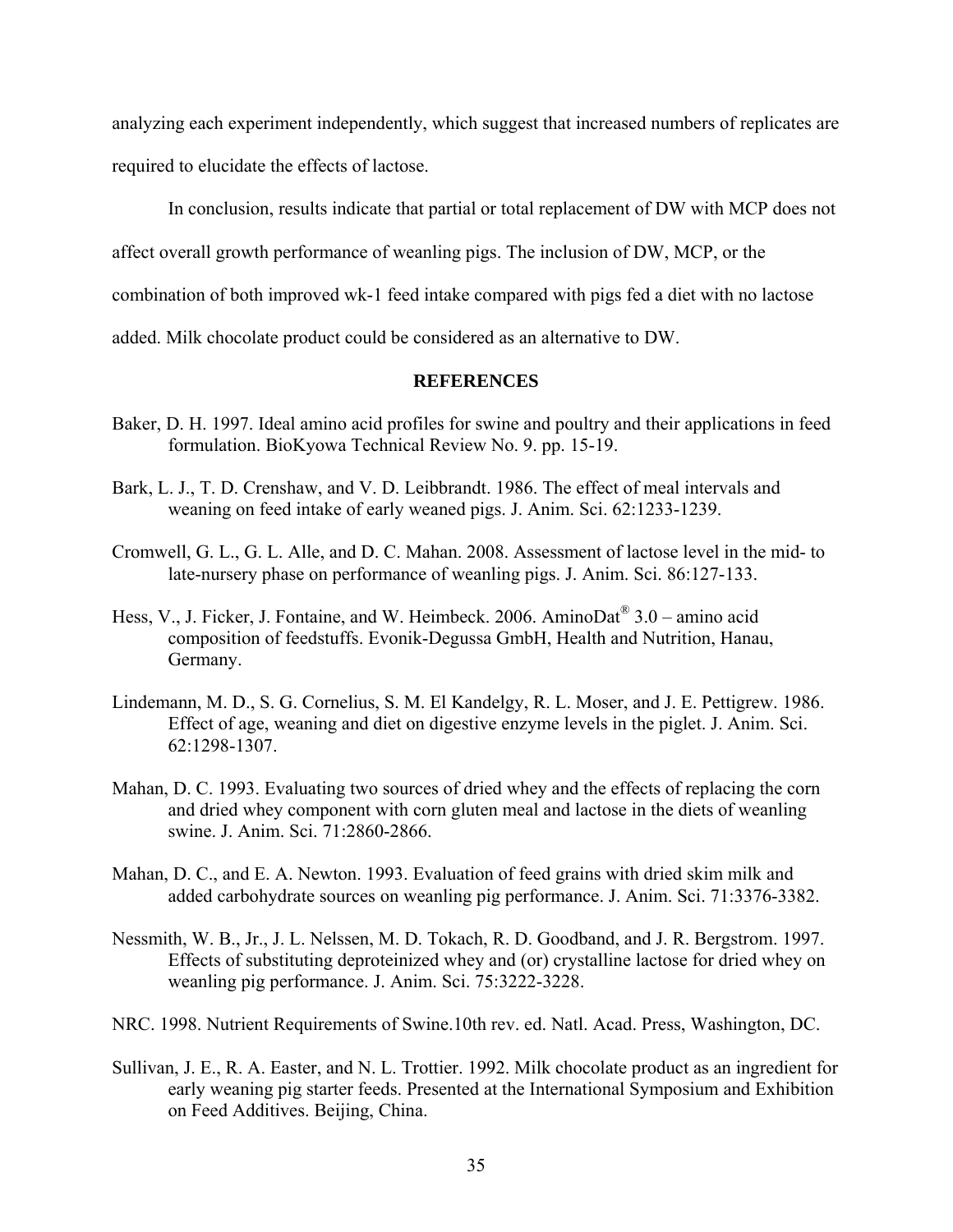analyzing each experiment independently, which suggest that increased numbers of replicates are required to elucidate the effects of lactose.

In conclusion, results indicate that partial or total replacement of DW with MCP does not

affect overall growth performance of weanling pigs. The inclusion of DW, MCP, or the

combination of both improved wk-1 feed intake compared with pigs fed a diet with no lactose

added. Milk chocolate product could be considered as an alternative to DW.

## **REFERENCES**

- Baker, D. H. 1997. Ideal amino acid profiles for swine and poultry and their applications in feed formulation. BioKyowa Technical Review No. 9. pp. 15-19.
- Bark, L. J., T. D. Crenshaw, and V. D. Leibbrandt. 1986. The effect of meal intervals and weaning on feed intake of early weaned pigs. J. Anim. Sci. 62:1233-1239.
- Cromwell, G. L., G. L. Alle, and D. C. Mahan. 2008. Assessment of lactose level in the mid- to late-nursery phase on performance of weanling pigs. J. Anim. Sci. 86:127-133.
- Hess, V., J. Ficker, J. Fontaine, and W. Heimbeck. 2006. AminoDat<sup>®</sup> 3.0 amino acid composition of feedstuffs. Evonik-Degussa GmbH, Health and Nutrition, Hanau, Germany.
- Lindemann, M. D., S. G. Cornelius, S. M. El Kandelgy, R. L. Moser, and J. E. Pettigrew. 1986. Effect of age, weaning and diet on digestive enzyme levels in the piglet. J. Anim. Sci. 62:1298-1307.
- Mahan, D. C. 1993. Evaluating two sources of dried whey and the effects of replacing the corn and dried whey component with corn gluten meal and lactose in the diets of weanling swine. J. Anim. Sci. 71:2860-2866.
- Mahan, D. C., and E. A. Newton. 1993. Evaluation of feed grains with dried skim milk and added carbohydrate sources on weanling pig performance. J. Anim. Sci. 71:3376-3382.
- Nessmith, W. B., Jr., J. L. Nelssen, M. D. Tokach, R. D. Goodband, and J. R. Bergstrom. 1997. Effects of substituting deproteinized whey and (or) crystalline lactose for dried whey on weanling pig performance. J. Anim. Sci. 75:3222-3228.
- NRC. 1998. Nutrient Requirements of Swine.10th rev. ed. Natl. Acad. Press, Washington, DC.
- Sullivan, J. E., R. A. Easter, and N. L. Trottier. 1992. Milk chocolate product as an ingredient for early weaning pig starter feeds. Presented at the International Symposium and Exhibition on Feed Additives. Beijing, China.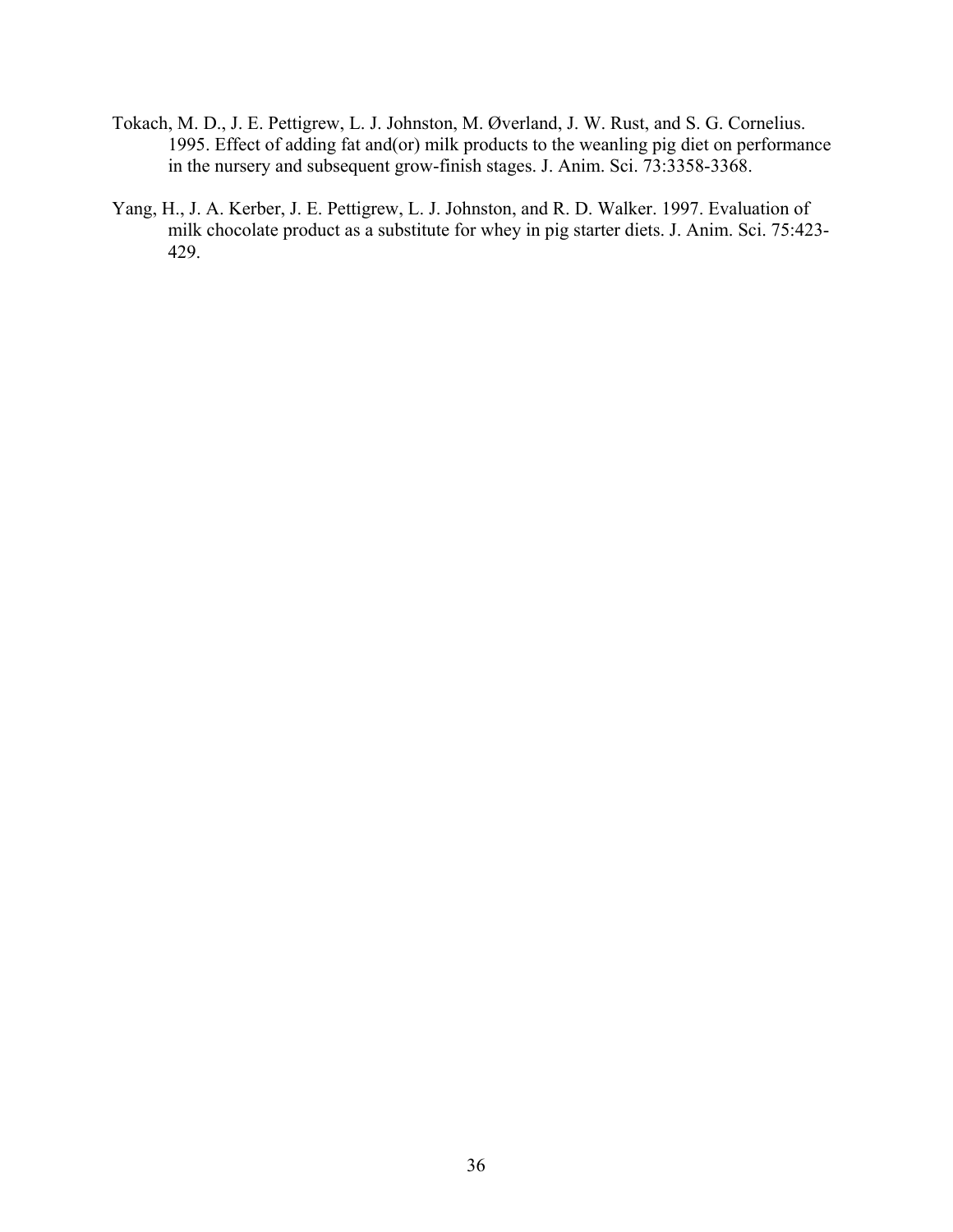- Tokach, M. D., J. E. Pettigrew, L. J. Johnston, M. Øverland, J. W. Rust, and S. G. Cornelius. 1995. Effect of adding fat and(or) milk products to the weanling pig diet on performance in the nursery and subsequent grow-finish stages. J. Anim. Sci. 73:3358-3368.
- Yang, H., J. A. Kerber, J. E. Pettigrew, L. J. Johnston, and R. D. Walker. 1997. Evaluation of milk chocolate product as a substitute for whey in pig starter diets. J. Anim. Sci. 75:423- 429.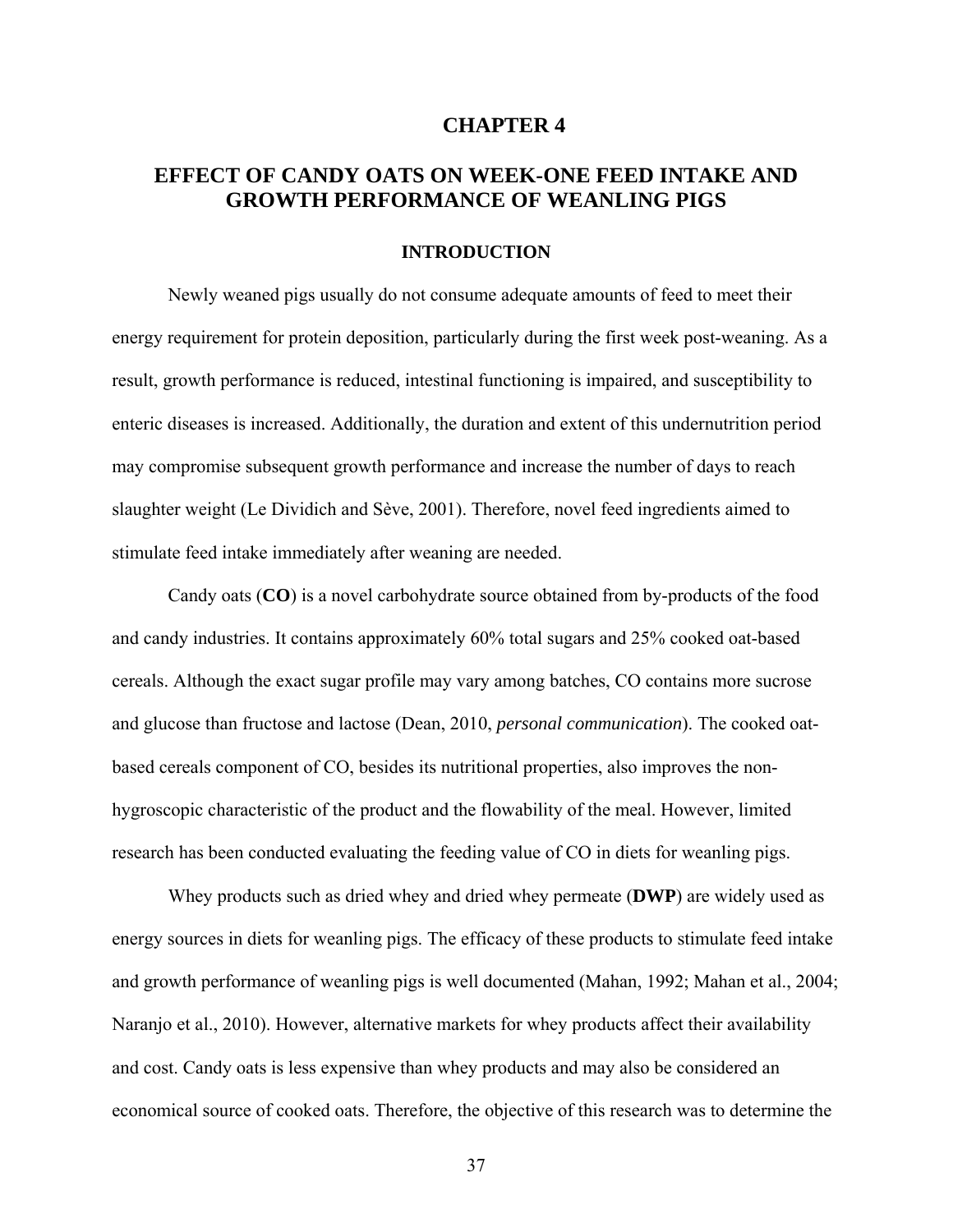# **CHAPTER 4**

# **EFFECT OF CANDY OATS ON WEEK-ONE FEED INTAKE AND GROWTH PERFORMANCE OF WEANLING PIGS**

### **INTRODUCTION**

Newly weaned pigs usually do not consume adequate amounts of feed to meet their energy requirement for protein deposition, particularly during the first week post-weaning. As a result, growth performance is reduced, intestinal functioning is impaired, and susceptibility to enteric diseases is increased. Additionally, the duration and extent of this undernutrition period may compromise subsequent growth performance and increase the number of days to reach slaughter weight (Le Dividich and Sève, 2001). Therefore, novel feed ingredients aimed to stimulate feed intake immediately after weaning are needed.

Candy oats (**CO**) is a novel carbohydrate source obtained from by-products of the food and candy industries. It contains approximately 60% total sugars and 25% cooked oat-based cereals. Although the exact sugar profile may vary among batches, CO contains more sucrose and glucose than fructose and lactose (Dean, 2010, *personal communication*). The cooked oatbased cereals component of CO, besides its nutritional properties, also improves the nonhygroscopic characteristic of the product and the flowability of the meal. However, limited research has been conducted evaluating the feeding value of CO in diets for weanling pigs.

Whey products such as dried whey and dried whey permeate (**DWP**) are widely used as energy sources in diets for weanling pigs. The efficacy of these products to stimulate feed intake and growth performance of weanling pigs is well documented (Mahan, 1992; Mahan et al., 2004; Naranjo et al., 2010). However, alternative markets for whey products affect their availability and cost. Candy oats is less expensive than whey products and may also be considered an economical source of cooked oats. Therefore, the objective of this research was to determine the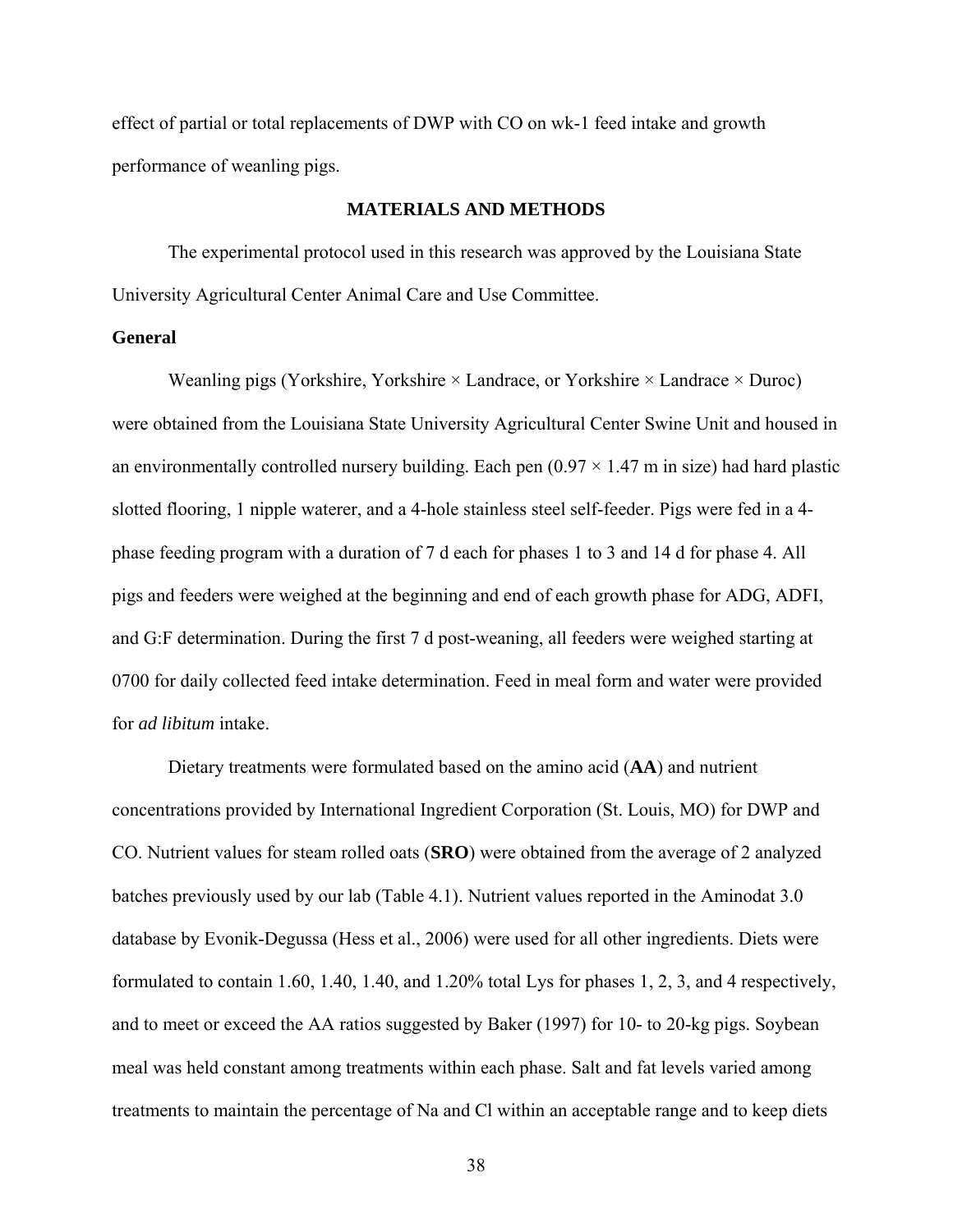effect of partial or total replacements of DWP with CO on wk-1 feed intake and growth performance of weanling pigs.

# **MATERIALS AND METHODS**

The experimental protocol used in this research was approved by the Louisiana State University Agricultural Center Animal Care and Use Committee.

### **General**

Weanling pigs (Yorkshire, Yorkshire  $\times$  Landrace, or Yorkshire  $\times$  Landrace  $\times$  Duroc) were obtained from the Louisiana State University Agricultural Center Swine Unit and housed in an environmentally controlled nursery building. Each pen  $(0.97 \times 1.47 \text{ m})$  in size) had hard plastic slotted flooring, 1 nipple waterer, and a 4-hole stainless steel self-feeder. Pigs were fed in a 4 phase feeding program with a duration of 7 d each for phases 1 to 3 and 14 d for phase 4. All pigs and feeders were weighed at the beginning and end of each growth phase for ADG, ADFI, and G:F determination. During the first 7 d post-weaning, all feeders were weighed starting at 0700 for daily collected feed intake determination. Feed in meal form and water were provided for *ad libitum* intake.

 Dietary treatments were formulated based on the amino acid (**AA**) and nutrient concentrations provided by International Ingredient Corporation (St. Louis, MO) for DWP and CO. Nutrient values for steam rolled oats (**SRO**) were obtained from the average of 2 analyzed batches previously used by our lab (Table 4.1). Nutrient values reported in the Aminodat 3.0 database by Evonik-Degussa (Hess et al., 2006) were used for all other ingredients. Diets were formulated to contain 1.60, 1.40, 1.40, and 1.20% total Lys for phases 1, 2, 3, and 4 respectively, and to meet or exceed the AA ratios suggested by Baker (1997) for 10- to 20-kg pigs. Soybean meal was held constant among treatments within each phase. Salt and fat levels varied among treatments to maintain the percentage of Na and Cl within an acceptable range and to keep diets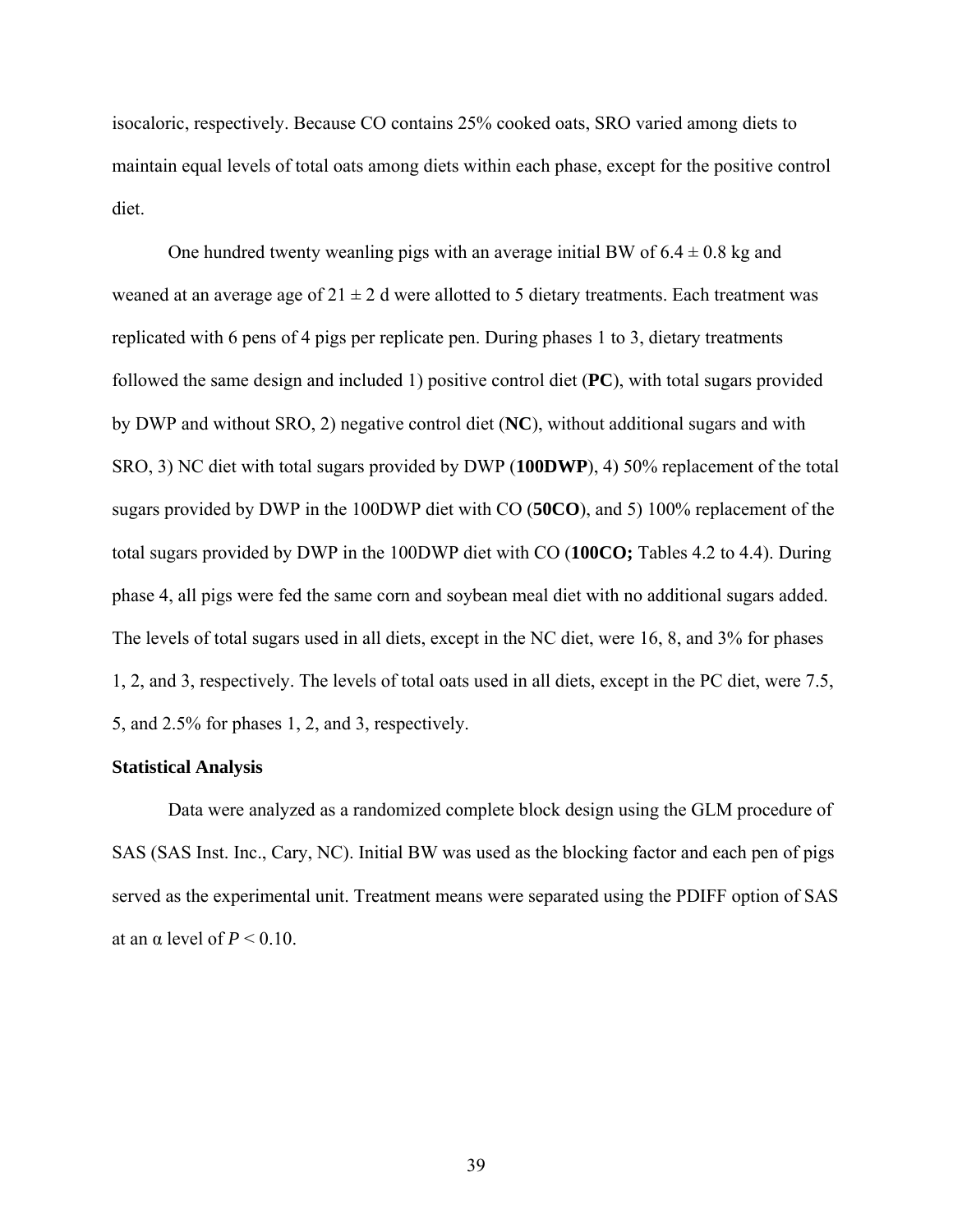isocaloric, respectively. Because CO contains 25% cooked oats, SRO varied among diets to maintain equal levels of total oats among diets within each phase, except for the positive control diet.

One hundred twenty weanling pigs with an average initial BW of  $6.4 \pm 0.8$  kg and weaned at an average age of  $21 \pm 2$  d were allotted to 5 dietary treatments. Each treatment was replicated with 6 pens of 4 pigs per replicate pen. During phases 1 to 3, dietary treatments followed the same design and included 1) positive control diet (**PC**), with total sugars provided by DWP and without SRO, 2) negative control diet (**NC**), without additional sugars and with SRO, 3) NC diet with total sugars provided by DWP (**100DWP**), 4) 50% replacement of the total sugars provided by DWP in the 100DWP diet with CO (**50CO**), and 5) 100% replacement of the total sugars provided by DWP in the 100DWP diet with CO (**100CO;** Tables 4.2 to 4.4). During phase 4, all pigs were fed the same corn and soybean meal diet with no additional sugars added. The levels of total sugars used in all diets, except in the NC diet, were 16, 8, and 3% for phases 1, 2, and 3, respectively. The levels of total oats used in all diets, except in the PC diet, were 7.5, 5, and 2.5% for phases 1, 2, and 3, respectively.

#### **Statistical Analysis**

 Data were analyzed as a randomized complete block design using the GLM procedure of SAS (SAS Inst. Inc., Cary, NC). Initial BW was used as the blocking factor and each pen of pigs served as the experimental unit. Treatment means were separated using the PDIFF option of SAS at an α level of  $P < 0.10$ .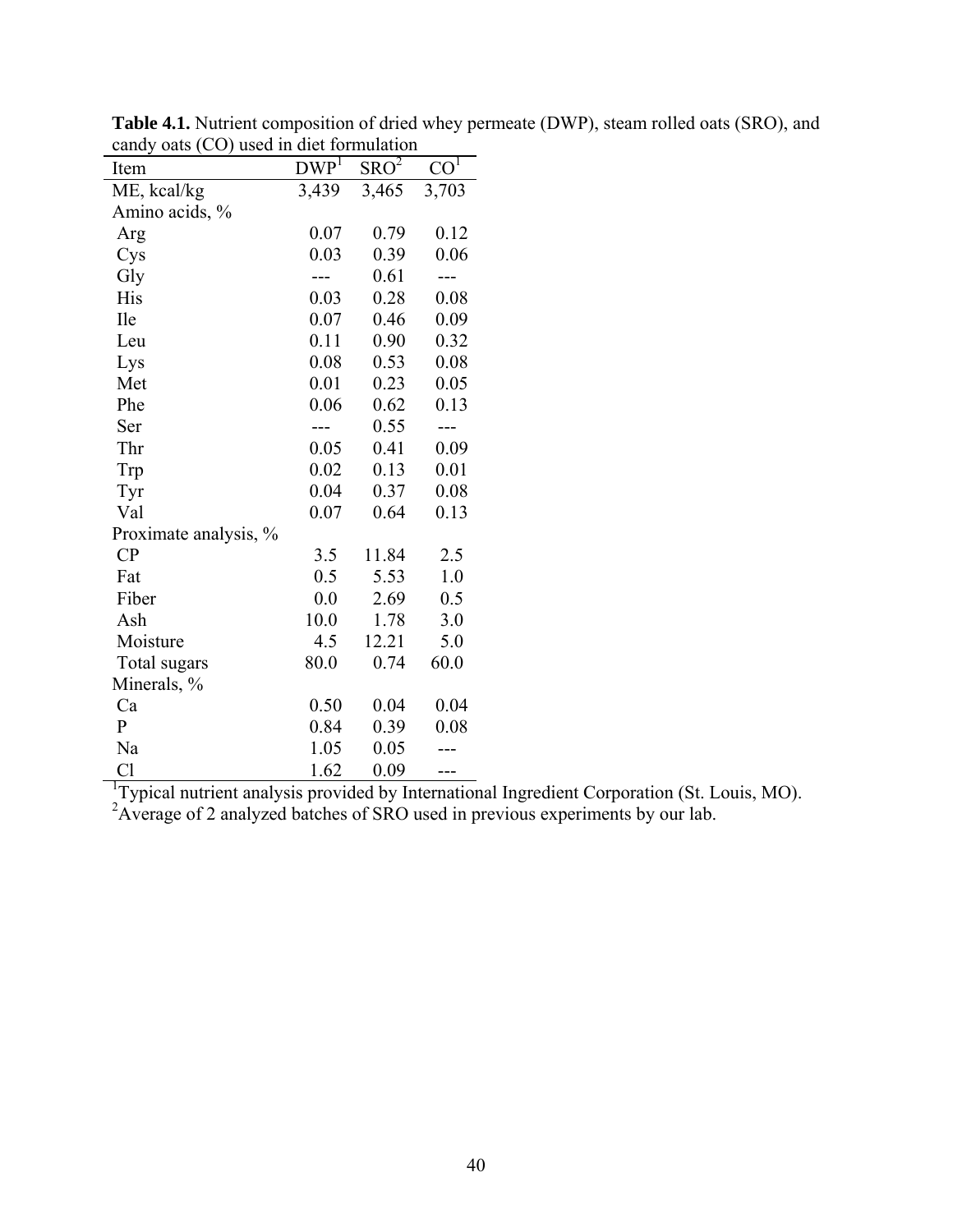| Item                  | $DWP^{\mathsf{T}}$ | SRO <sup>2</sup> | CO <sup>T</sup> |
|-----------------------|--------------------|------------------|-----------------|
| ME, kcal/kg           | 3,439              | 3,465            | 3,703           |
| Amino acids, %        |                    |                  |                 |
| Arg                   | 0.07               | 0.79             | 0.12            |
| Cys                   | 0.03               | 0.39             | 0.06            |
| Gly                   |                    | 0.61             |                 |
| His                   | 0.03               | 0.28             | 0.08            |
| Ile                   | 0.07               | 0.46             | 0.09            |
| Leu                   | 0.11               | 0.90             | 0.32            |
| Lys                   | 0.08               | 0.53             | 0.08            |
| Met                   | 0.01               | 0.23             | 0.05            |
| Phe                   | 0.06               | 0.62             | 0.13            |
| Ser                   |                    | 0.55             |                 |
| Thr                   | 0.05               | 0.41             | 0.09            |
| Trp                   | 0.02               | 0.13             | 0.01            |
| Tyr                   | 0.04               | 0.37             | 0.08            |
| Val                   | 0.07               | 0.64             | 0.13            |
| Proximate analysis, % |                    |                  |                 |
| CP                    | 3.5                | 11.84            | 2.5             |
| Fat                   | 0.5                | 5.53             | 1.0             |
| Fiber                 | 0.0                | 2.69             | 0.5             |
| Ash                   | 10.0               | 1.78             | 3.0             |
| Moisture              | 4.5                | 12.21            | 5.0             |
| Total sugars          | 80.0               | 0.74             | 60.0            |
| Minerals, %           |                    |                  |                 |
| Ca                    | 0.50               | 0.04             | 0.04            |
| $\mathbf{P}$          | 0.84               | 0.39             | 0.08            |
| Na                    | 1.05               | 0.05             |                 |
| Cl                    | 1.62               | 0.09             | ---             |

**Table 4.1.** Nutrient composition of dried whey permeate (DWP), steam rolled oats (SRO), and candy oats (CO) used in diet formulation

Cl 1.62 0.09 ---<br>
<sup>1</sup>Typical nutrient analysis provided by International Ingredient Corporation (St. Louis, MO).<br>
<sup>2</sup>Average of 2 analyzed batches of SRO used in previous experiments by our lab.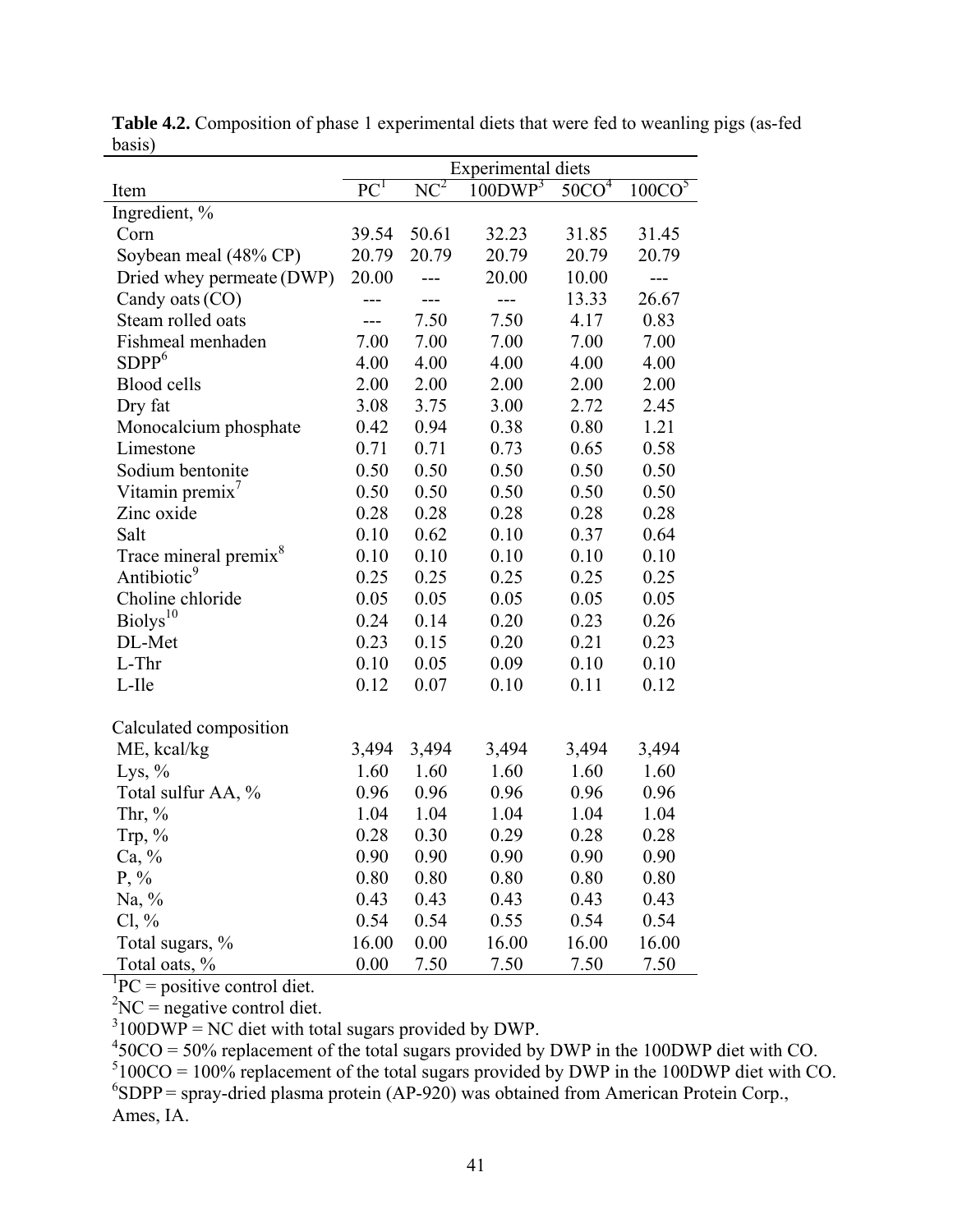|                                   | <b>Experimental diets</b> |        |                     |                 |                    |  |
|-----------------------------------|---------------------------|--------|---------------------|-----------------|--------------------|--|
| Item                              | PC <sup>T</sup>           | $NC^2$ | 100DWP <sup>3</sup> | 50 <sup>1</sup> | 100CO <sup>5</sup> |  |
| Ingredient, %                     |                           |        |                     |                 |                    |  |
| Corn                              | 39.54                     | 50.61  | 32.23               | 31.85           | 31.45              |  |
| Soybean meal (48% CP)             | 20.79                     | 20.79  | 20.79               | 20.79           | 20.79              |  |
| Dried whey permeate (DWP)         | 20.00                     |        | 20.00               | 10.00           | ---                |  |
| Candy oats (CO)                   | $---$                     |        | $---$               | 13.33           | 26.67              |  |
| Steam rolled oats                 | ---                       | 7.50   | 7.50                | 4.17            | 0.83               |  |
| Fishmeal menhaden                 | 7.00                      | 7.00   | 7.00                | 7.00            | 7.00               |  |
| SDPP <sup>6</sup>                 | 4.00                      | 4.00   | 4.00                | 4.00            | 4.00               |  |
| <b>Blood cells</b>                | 2.00                      | 2.00   | 2.00                | 2.00            | 2.00               |  |
| Dry fat                           | 3.08                      | 3.75   | 3.00                | 2.72            | 2.45               |  |
| Monocalcium phosphate             | 0.42                      | 0.94   | 0.38                | 0.80            | 1.21               |  |
| Limestone                         | 0.71                      | 0.71   | 0.73                | 0.65            | 0.58               |  |
| Sodium bentonite                  | 0.50                      | 0.50   | 0.50                | 0.50            | 0.50               |  |
| Vitamin premix'                   | 0.50                      | 0.50   | 0.50                | 0.50            | 0.50               |  |
| Zinc oxide                        | 0.28                      | 0.28   | 0.28                | 0.28            | 0.28               |  |
| Salt                              | 0.10                      | 0.62   | 0.10                | 0.37            | 0.64               |  |
| Trace mineral premix <sup>8</sup> | 0.10                      | 0.10   | 0.10                | 0.10            | 0.10               |  |
| Antibiotic <sup>9</sup>           | 0.25                      | 0.25   | 0.25                | 0.25            | 0.25               |  |
| Choline chloride                  | 0.05                      | 0.05   | 0.05                | 0.05            | 0.05               |  |
| Biolys <sup>10</sup>              | 0.24                      | 0.14   | 0.20                | 0.23            | 0.26               |  |
| DL-Met                            | 0.23                      | 0.15   | 0.20                | 0.21            | 0.23               |  |
| L-Thr                             | 0.10                      | 0.05   | 0.09                | 0.10            | 0.10               |  |
| L-Ile                             | 0.12                      | 0.07   | 0.10                | 0.11            | 0.12               |  |
| Calculated composition            |                           |        |                     |                 |                    |  |
| ME, kcal/kg                       | 3,494                     | 3,494  | 3,494               | 3,494           | 3,494              |  |
| Lys, $\%$                         | 1.60                      | 1.60   | 1.60                | 1.60            | 1.60               |  |
| Total sulfur AA, %                | 0.96                      | 0.96   | 0.96                | 0.96            | 0.96               |  |
| Thr, $%$                          | 1.04                      | 1.04   | 1.04                | 1.04            | 1.04               |  |
| Trp, $%$                          | 0.28                      | 0.30   | 0.29                | 0.28            | 0.28               |  |
| $Ca, \%$                          | 0.90                      | 0.90   | 0.90                | 0.90            | 0.90               |  |
| $P, \%$                           | 0.80                      | 0.80   | 0.80                | 0.80            | 0.80               |  |
| Na, $\%$                          | 0.43                      | 0.43   | 0.43                | 0.43            | 0.43               |  |
| $Cl, \%$                          | 0.54                      | 0.54   | 0.55                | 0.54            | 0.54               |  |
| Total sugars, %                   | 16.00                     | 0.00   | 16.00               | 16.00           | 16.00              |  |
| Total oats, %                     | 0.00                      | 7.50   | 7.50                | 7.50            | 7.50               |  |

**Table 4.2.** Composition of phase 1 experimental diets that were fed to weanling pigs (as-fed basis)

 ${}^{1}PC =$  positive control diet.

 ${}^{2}NC$  = negative control diet.

 $3100DWP = NC$  diet with total sugars provided by DWP.

 $450CO = 50\%$  replacement of the total sugars provided by DWP in the 100DWP diet with CO.  $5100CO = 100\%$  replacement of the total sugars provided by DWP in the 100DWP diet with CO.  ${}^{6}SDPP$  = spray-dried plasma protein (AP-920) was obtained from American Protein Corp., Ames, IA.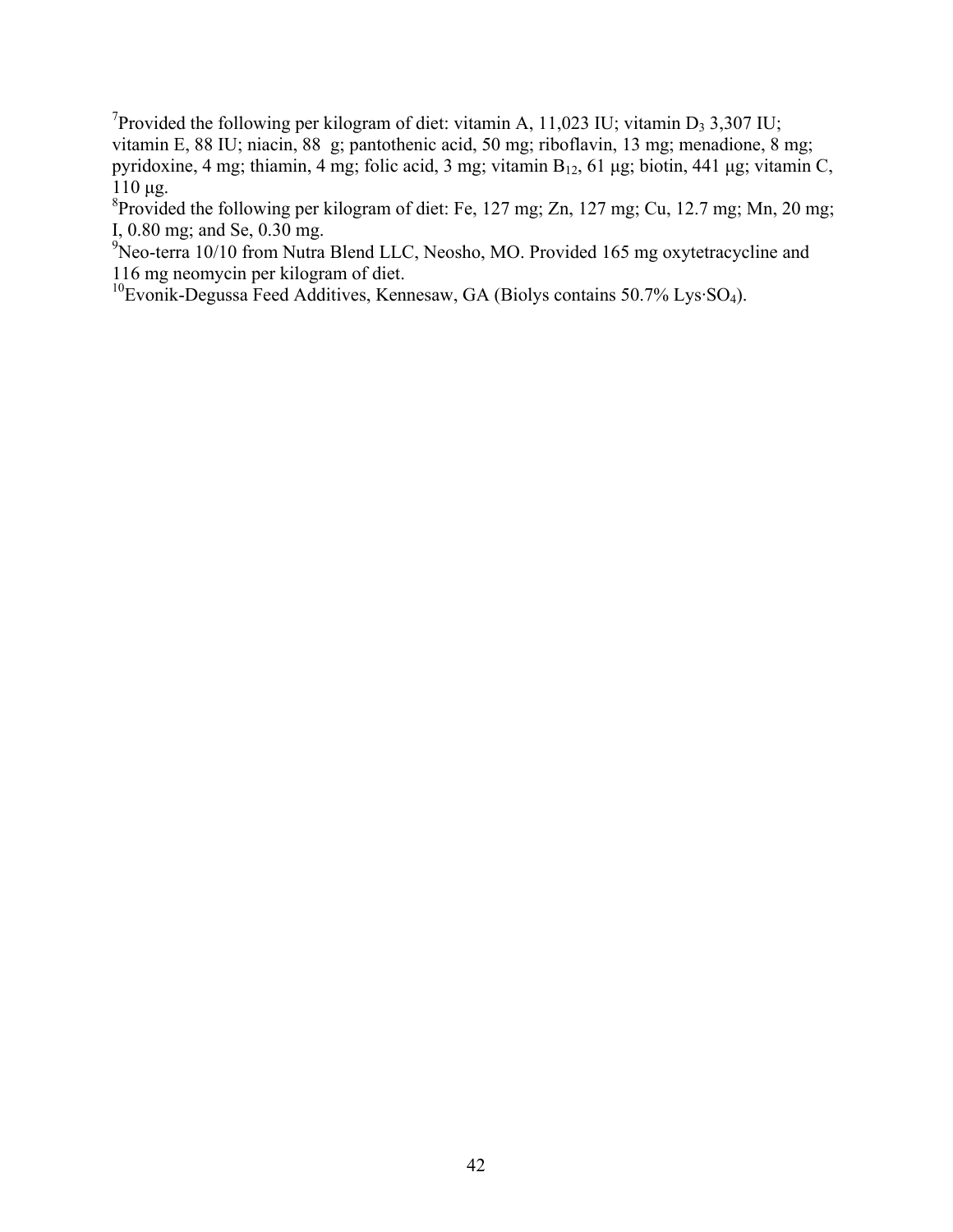<sup>7</sup>Provided the following per kilogram of diet: vitamin A, 11,023 IU; vitamin D<sub>3</sub> 3,307 IU; vitamin E, 88 IU; niacin, 88 g; pantothenic acid, 50 mg; riboflavin, 13 mg; menadione, 8 mg; pyridoxine, 4 mg; thiamin, 4 mg; folic acid, 3 mg; vitamin B12, 61 μg; biotin, 441 μg; vitamin C, 110 μg.

<sup>8</sup> Provided the following per kilogram of diet: Fe, 127 mg; Zn, 127 mg; Cu, 12.7 mg; Mn, 20 mg; I, 0.80 mg; and Se, 0.30 mg.

<sup>9</sup>Neo-terra 10/10 from Nutra Blend LLC, Neosho, MO. Provided 165 mg oxytetracycline and 116 mg neomycin per kilogram of diet.

 $10$ Evonik-Degussa Feed Additives, Kennesaw, GA (Biolys contains 50.7% Lys·SO<sub>4</sub>).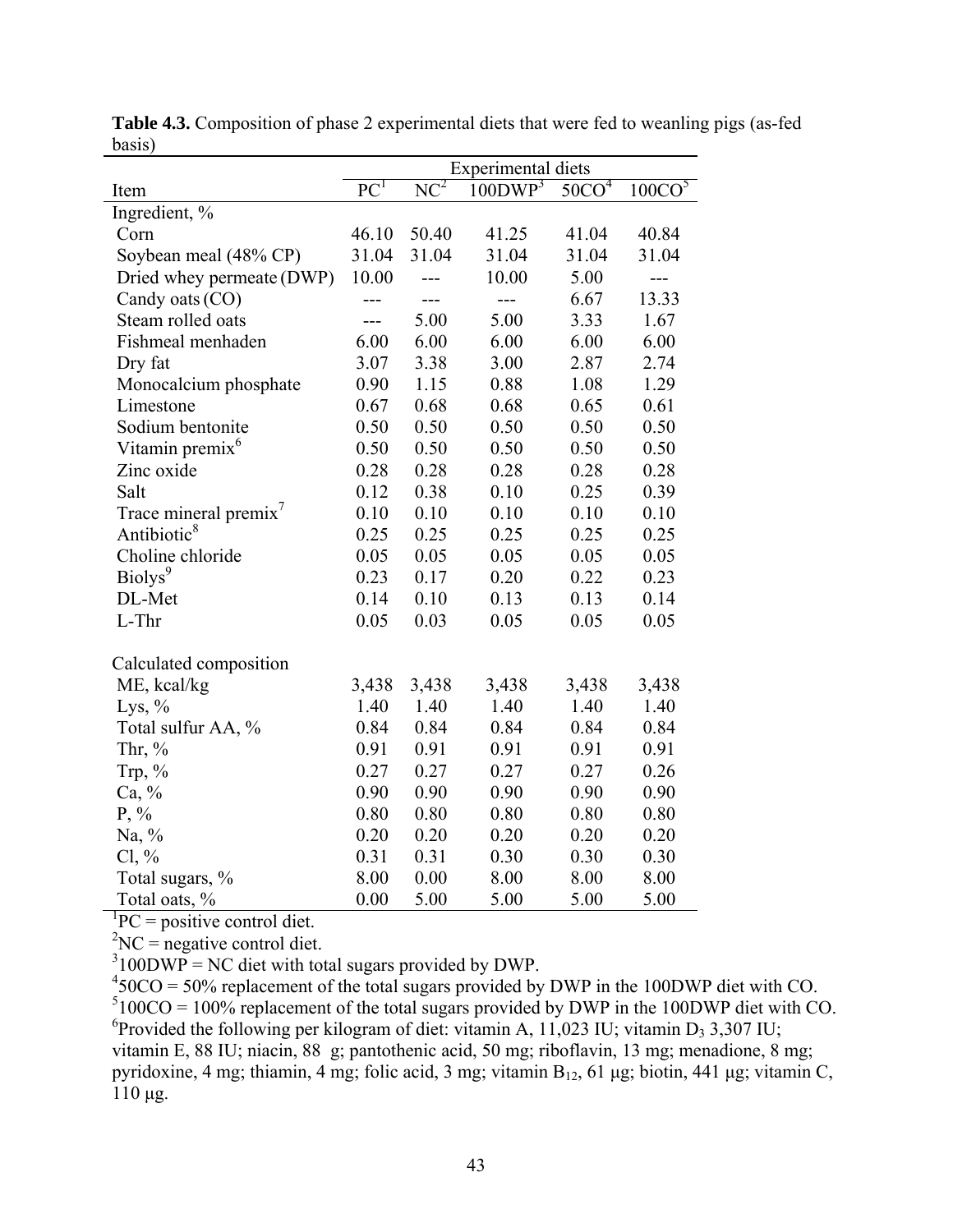|                             | <b>Experimental diets</b> |        |                     |                  |                    |  |
|-----------------------------|---------------------------|--------|---------------------|------------------|--------------------|--|
| Item                        | $\overline{PC}^1$         | $NC^2$ | 100DWP <sup>3</sup> | $50^\frac{1}{4}$ | 100CO <sup>5</sup> |  |
| Ingredient, %               |                           |        |                     |                  |                    |  |
| Corn                        | 46.10                     | 50.40  | 41.25               | 41.04            | 40.84              |  |
| Soybean meal (48% CP)       | 31.04                     | 31.04  | 31.04               | 31.04            | 31.04              |  |
| Dried whey permeate (DWP)   | 10.00                     | ---    | 10.00               | 5.00             | ---                |  |
| Candy oats (CO)             |                           |        | $---$               | 6.67             | 13.33              |  |
| Steam rolled oats           | ---                       | 5.00   | 5.00                | 3.33             | 1.67               |  |
| Fishmeal menhaden           | 6.00                      | 6.00   | 6.00                | 6.00             | 6.00               |  |
| Dry fat                     | 3.07                      | 3.38   | 3.00                | 2.87             | 2.74               |  |
| Monocalcium phosphate       | 0.90                      | 1.15   | 0.88                | 1.08             | 1.29               |  |
| Limestone                   | 0.67                      | 0.68   | 0.68                | 0.65             | 0.61               |  |
| Sodium bentonite            | 0.50                      | 0.50   | 0.50                | 0.50             | 0.50               |  |
| Vitamin premix <sup>6</sup> | 0.50                      | 0.50   | 0.50                | 0.50             | 0.50               |  |
| Zinc oxide                  | 0.28                      | 0.28   | 0.28                | 0.28             | 0.28               |  |
| Salt                        | 0.12                      | 0.38   | 0.10                | 0.25             | 0.39               |  |
| Trace mineral premix'       | 0.10                      | 0.10   | 0.10                | 0.10             | 0.10               |  |
| Antibiotic <sup>8</sup>     | 0.25                      | 0.25   | 0.25                | 0.25             | 0.25               |  |
| Choline chloride            | 0.05                      | 0.05   | 0.05                | 0.05             | 0.05               |  |
| Biolys <sup>9</sup>         | 0.23                      | 0.17   | 0.20                | 0.22             | 0.23               |  |
| DL-Met                      | 0.14                      | 0.10   | 0.13                | 0.13             | 0.14               |  |
| L-Thr                       | 0.05                      | 0.03   | 0.05                | 0.05             | 0.05               |  |
| Calculated composition      |                           |        |                     |                  |                    |  |
| ME, kcal/kg                 | 3,438                     | 3,438  | 3,438               | 3,438            | 3,438              |  |
| Lys, $\%$                   | 1.40                      | 1.40   | 1.40                | 1.40             | 1.40               |  |
| Total sulfur AA, %          | 0.84                      | 0.84   | 0.84                | 0.84             | 0.84               |  |
| Thr, $%$                    | 0.91                      | 0.91   | 0.91                | 0.91             | 0.91               |  |
| Trp, %                      | 0.27                      | 0.27   | 0.27                | 0.27             | 0.26               |  |
| $Ca, \%$                    | 0.90                      | 0.90   | 0.90                | 0.90             | 0.90               |  |
| $P, \%$                     | 0.80                      | 0.80   | 0.80                | 0.80             | 0.80               |  |
| Na, %                       | 0.20                      | 0.20   | 0.20                | 0.20             | 0.20               |  |
| $Cl, \%$                    | 0.31                      | 0.31   | 0.30                | 0.30             | 0.30               |  |
| Total sugars, %             | 8.00                      | 0.00   | 8.00                | 8.00             | 8.00               |  |
| Total oats, %               | 0.00                      | 5.00   | 5.00                | 5.00             | 5.00               |  |

**Table 4.3.** Composition of phase 2 experimental diets that were fed to weanling pigs (as-fed  $_{\frac{basis}{}}$ 

 ${}^{1}PC =$  positive control diet.

 ${}^{2}NC$  = negative control diet.

 $3100DWP = NC$  diet with total sugars provided by DWP.

 $450CO = 50\%$  replacement of the total sugars provided by DWP in the 100DWP diet with CO.  $5100CO = 100\%$  replacement of the total sugars provided by DWP in the 100DWP diet with CO. <sup>6</sup> Provided the following per kilogram of diet: vitamin A, 11,023 IU; vitamin D<sub>3</sub> 3,307 IU; vitamin E, 88 IU; niacin, 88 g; pantothenic acid, 50 mg; riboflavin, 13 mg; menadione, 8 mg; pyridoxine, 4 mg; thiamin, 4 mg; folic acid, 3 mg; vitamin B<sub>12</sub>, 61 μg; biotin, 441 μg; vitamin C, 110 μg.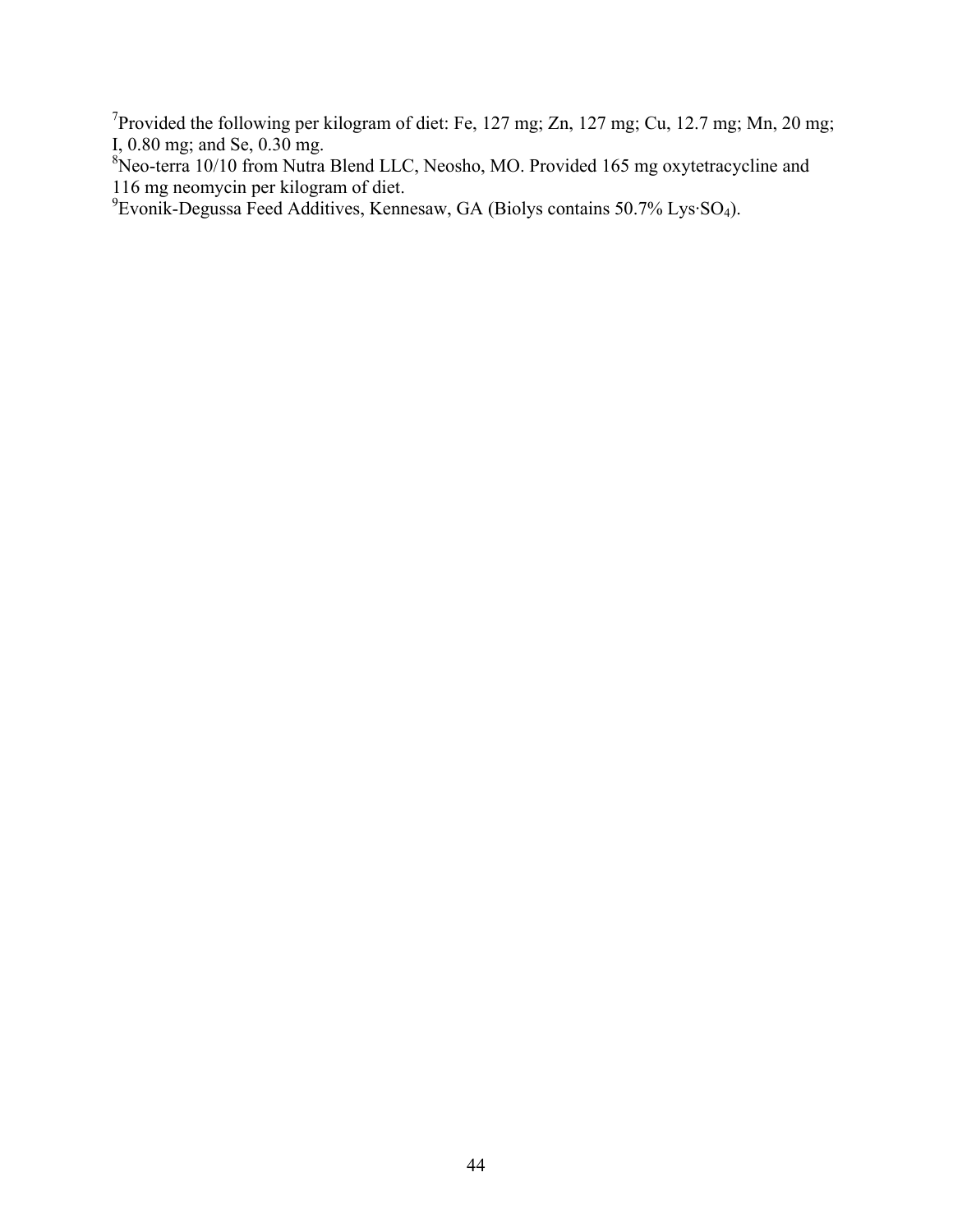<sup>7</sup>Provided the following per kilogram of diet: Fe, 127 mg; Zn, 127 mg; Cu, 12.7 mg; Mn, 20 mg;

I, 0.80 mg; and Se, 0.30 mg.<br><sup>8</sup>Neo-terra 10/10 from Nutra Blend LLC, Neosho, MO. Provided 165 mg oxytetracycline and

116 mg neomycin per kilogram of diet. 9 Evonik-Degussa Feed Additives, Kennesaw, GA (Biolys contains 50.7% Lys·SO4).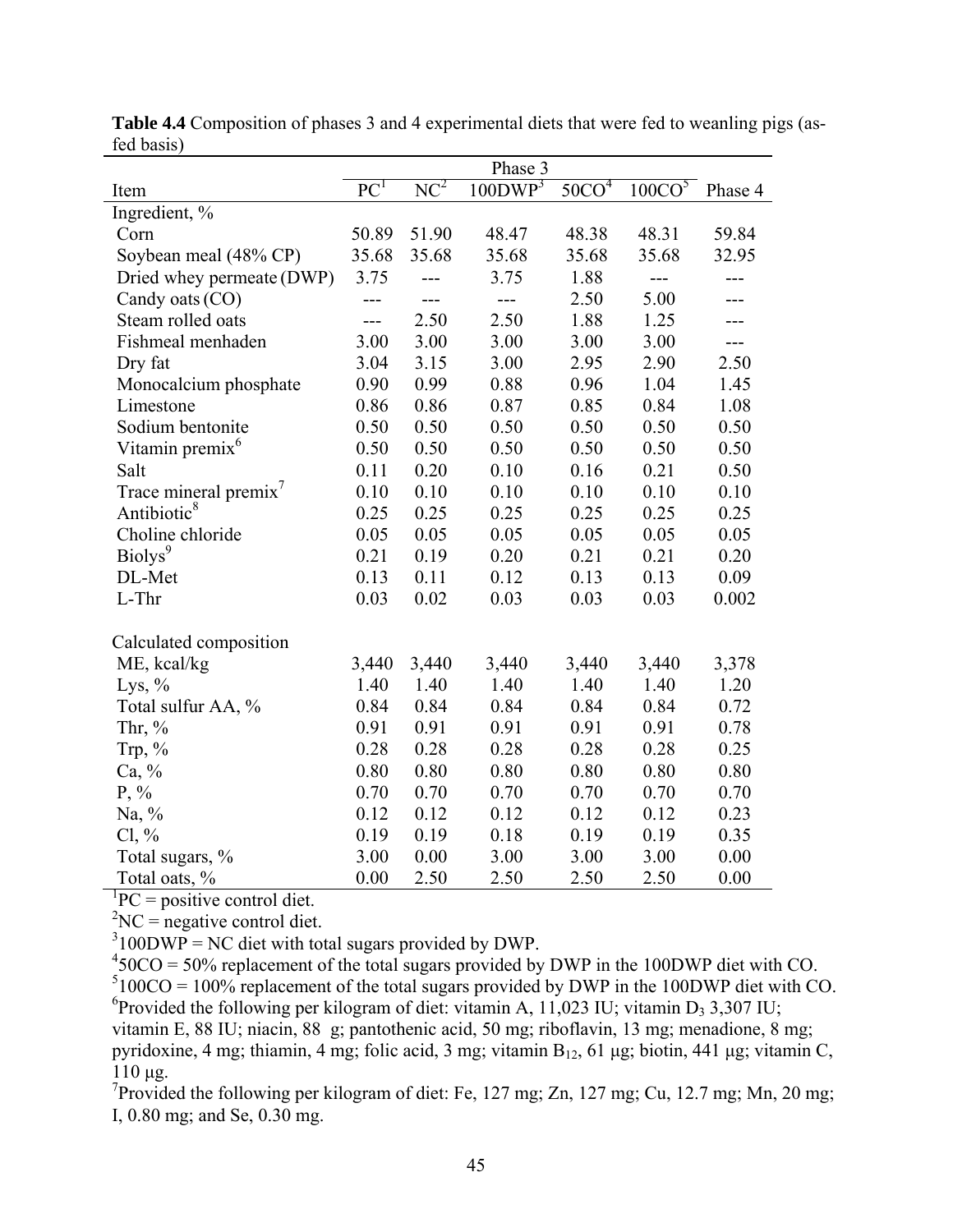|                                   |                 |                   | Phase 3             |                 |                      |         |
|-----------------------------------|-----------------|-------------------|---------------------|-----------------|----------------------|---------|
| Item                              | PC <sup>1</sup> | $\overline{NC^2}$ | 100DWP <sup>3</sup> | 50 <sup>1</sup> | $100C\overline{O}^5$ | Phase 4 |
| Ingredient, %                     |                 |                   |                     |                 |                      |         |
| Corn                              | 50.89           | 51.90             | 48.47               | 48.38           | 48.31                | 59.84   |
| Soybean meal (48% CP)             | 35.68           | 35.68             | 35.68               | 35.68           | 35.68                | 32.95   |
| Dried whey permeate (DWP)         | 3.75            | ---               | 3.75                | 1.88            | ---                  | ---     |
| Candy oats (CO)                   | ---             |                   | $---$               | 2.50            | 5.00                 |         |
| Steam rolled oats                 | $---$           | 2.50              | 2.50                | 1.88            | 1.25                 |         |
| Fishmeal menhaden                 | 3.00            | 3.00              | 3.00                | 3.00            | 3.00                 | ---     |
| Dry fat                           | 3.04            | 3.15              | 3.00                | 2.95            | 2.90                 | 2.50    |
| Monocalcium phosphate             | 0.90            | 0.99              | 0.88                | 0.96            | 1.04                 | 1.45    |
| Limestone                         | 0.86            | 0.86              | 0.87                | 0.85            | 0.84                 | 1.08    |
| Sodium bentonite                  | 0.50            | 0.50              | 0.50                | 0.50            | 0.50                 | 0.50    |
| Vitamin premix <sup>6</sup>       | 0.50            | 0.50              | 0.50                | 0.50            | 0.50                 | 0.50    |
| Salt                              | 0.11            | 0.20              | 0.10                | 0.16            | 0.21                 | 0.50    |
| Trace mineral premix <sup>7</sup> | 0.10            | 0.10              | 0.10                | 0.10            | 0.10                 | 0.10    |
| Antibiotic <sup>8</sup>           | 0.25            | 0.25              | 0.25                | 0.25            | 0.25                 | 0.25    |
| Choline chloride                  | 0.05            | 0.05              | 0.05                | 0.05            | 0.05                 | 0.05    |
| Biolys <sup>9</sup>               | 0.21            | 0.19              | 0.20                | 0.21            | 0.21                 | 0.20    |
| DL-Met                            | 0.13            | 0.11              | 0.12                | 0.13            | 0.13                 | 0.09    |
| L-Thr                             | 0.03            | 0.02              | 0.03                | 0.03            | 0.03                 | 0.002   |
| Calculated composition            |                 |                   |                     |                 |                      |         |
| ME, kcal/kg                       | 3,440           | 3,440             | 3,440               | 3,440           | 3,440                | 3,378   |
| Lys, $%$                          | 1.40            | 1.40              | 1.40                | 1.40            | 1.40                 | 1.20    |
| Total sulfur AA, %                | 0.84            | 0.84              | 0.84                | 0.84            | 0.84                 | 0.72    |
| Thr, $%$                          | 0.91            | 0.91              | 0.91                | 0.91            | 0.91                 | 0.78    |
| Trp, %                            | 0.28            | 0.28              | 0.28                | 0.28            | 0.28                 | 0.25    |
| Ca, %                             | 0.80            | 0.80              | 0.80                | 0.80            | 0.80                 | 0.80    |
| $P, \%$                           | 0.70            | 0.70              | 0.70                | 0.70            | 0.70                 | 0.70    |
| Na, %                             | 0.12            | 0.12              | 0.12                | 0.12            | 0.12                 | 0.23    |
| $Cl, \%$                          | 0.19            | 0.19              | 0.18                | 0.19            | 0.19                 | 0.35    |
| Total sugars, %                   | 3.00            | 0.00              | 3.00                | 3.00            | 3.00                 | 0.00    |
| Total oats, %                     | 0.00            | 2.50              | 2.50                | 2.50            | 2.50                 | 0.00    |

**Table 4.4** Composition of phases 3 and 4 experimental diets that were fed to weanling pigs (asfed basis)

 ${}^{1}PC =$  positive control diet.

 ${}^{2}NC$  = negative control diet.

 $3100DWP = NC$  diet with total sugars provided by DWP.

 $450CO = 50\%$  replacement of the total sugars provided by DWP in the 100DWP diet with CO.  $5100CO = 100\%$  replacement of the total sugars provided by DWP in the 100DWP diet with CO. <sup>6</sup> Provided the following per kilogram of diet: vitamin A, 11,023 IU; vitamin D<sub>3</sub> 3,307 IU; vitamin E, 88 IU; niacin, 88 g; pantothenic acid, 50 mg; riboflavin, 13 mg; menadione, 8 mg; pyridoxine, 4 mg; thiamin, 4 mg; folic acid, 3 mg; vitamin B<sub>12</sub>, 61 μg; biotin, 441 μg; vitamin C, 110 μg.

<sup>7</sup>Provided the following per kilogram of diet: Fe, 127 mg; Zn, 127 mg; Cu, 12.7 mg; Mn, 20 mg; I, 0.80 mg; and Se, 0.30 mg.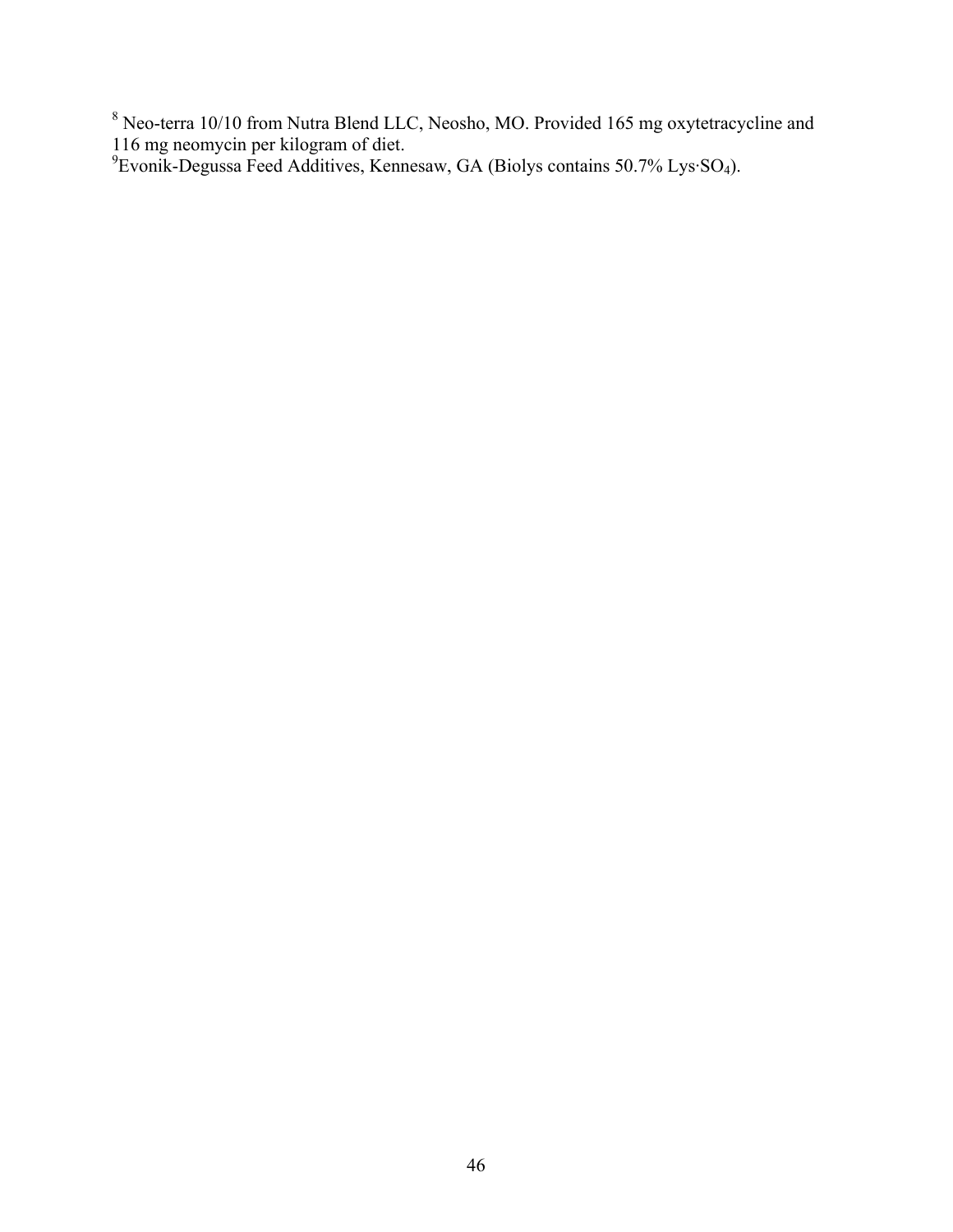<sup>8</sup> Neo-terra 10/10 from Nutra Blend LLC, Neosho, MO. Provided 165 mg oxytetracycline and

116 mg neomycin per kilogram of diet. 9 Evonik-Degussa Feed Additives, Kennesaw, GA (Biolys contains 50.7% Lys·SO4).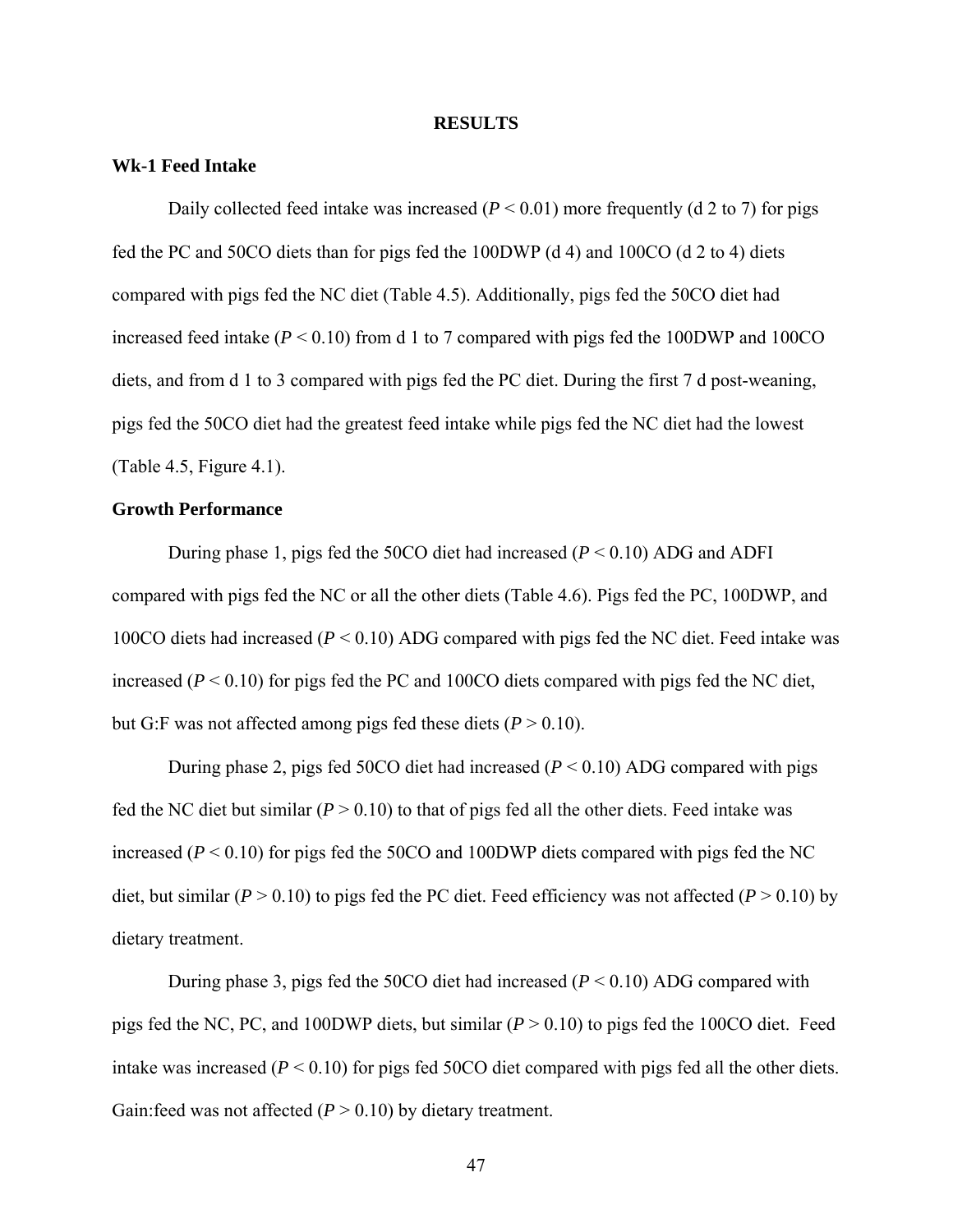#### **RESULTS**

### **Wk-1 Feed Intake**

Daily collected feed intake was increased  $(P < 0.01)$  more frequently (d 2 to 7) for pigs fed the PC and 50CO diets than for pigs fed the 100DWP (d 4) and 100CO (d 2 to 4) diets compared with pigs fed the NC diet (Table 4.5). Additionally, pigs fed the 50CO diet had increased feed intake  $(P < 0.10)$  from d 1 to 7 compared with pigs fed the 100DWP and 100CO diets, and from d 1 to 3 compared with pigs fed the PC diet. During the first 7 d post-weaning, pigs fed the 50CO diet had the greatest feed intake while pigs fed the NC diet had the lowest (Table 4.5, Figure 4.1).

# **Growth Performance**

 During phase 1, pigs fed the 50CO diet had increased (*P* < 0.10) ADG and ADFI compared with pigs fed the NC or all the other diets (Table 4.6). Pigs fed the PC, 100DWP, and 100CO diets had increased (*P* < 0.10) ADG compared with pigs fed the NC diet. Feed intake was increased  $(P < 0.10)$  for pigs fed the PC and 100CO diets compared with pigs fed the NC diet, but G:F was not affected among pigs fed these diets  $(P > 0.10)$ .

During phase 2, pigs fed 50CO diet had increased  $(P < 0.10)$  ADG compared with pigs fed the NC diet but similar  $(P > 0.10)$  to that of pigs fed all the other diets. Feed intake was increased  $(P < 0.10)$  for pigs fed the 50CO and 100DWP diets compared with pigs fed the NC diet, but similar ( $P > 0.10$ ) to pigs fed the PC diet. Feed efficiency was not affected ( $P > 0.10$ ) by dietary treatment.

During phase 3, pigs fed the 50CO diet had increased (*P* < 0.10) ADG compared with pigs fed the NC, PC, and 100DWP diets, but similar (*P* > 0.10) to pigs fed the 100CO diet. Feed intake was increased  $(P < 0.10)$  for pigs fed 50CO diet compared with pigs fed all the other diets. Gain: feed was not affected  $(P > 0.10)$  by dietary treatment.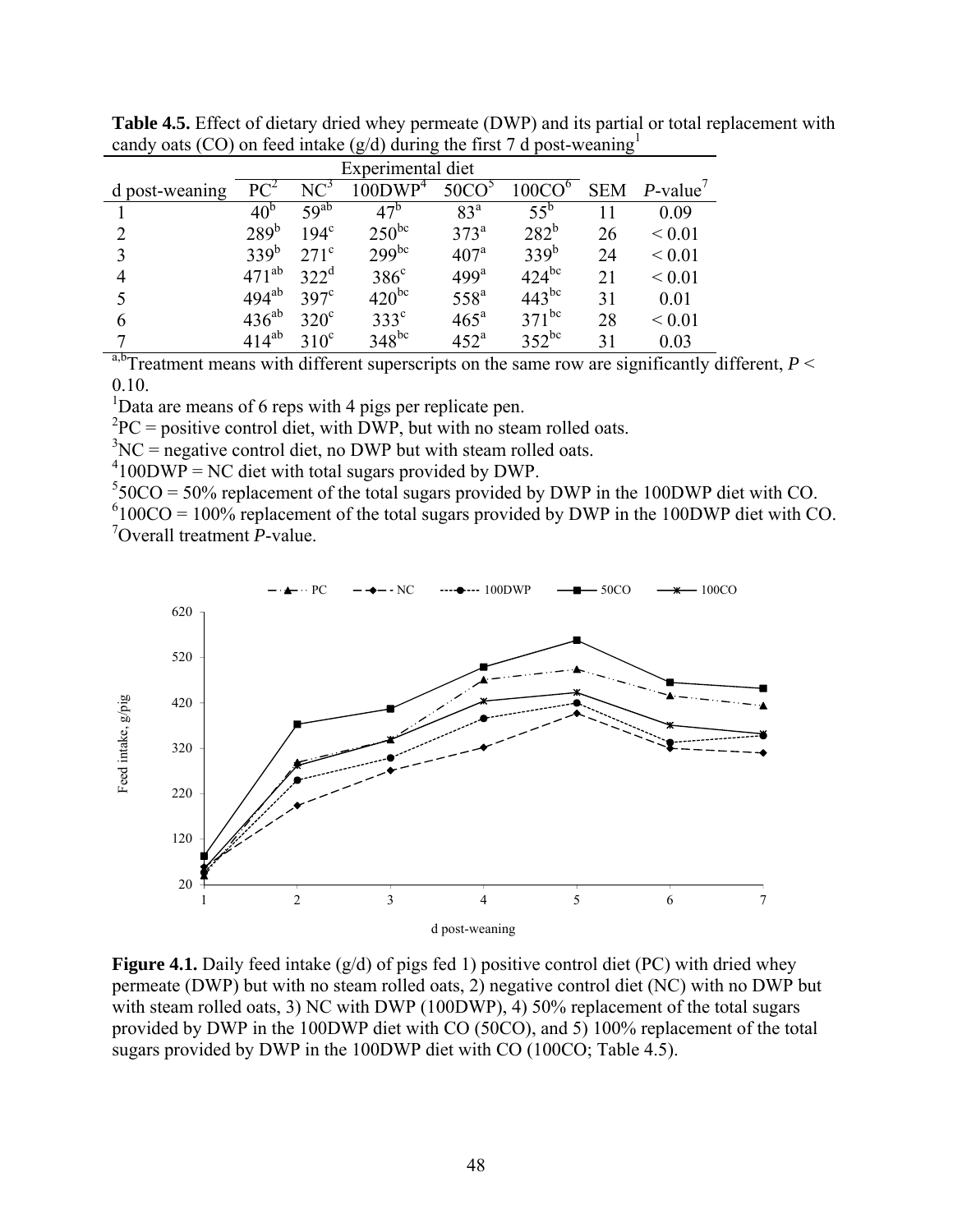|                             | Experimental diet |                  |                     |                   |                    |    |                        |  |  |
|-----------------------------|-------------------|------------------|---------------------|-------------------|--------------------|----|------------------------|--|--|
| d post-weaning              | $PC^2$            | NC <sup>3</sup>  | 100DWP <sup>4</sup> | 50CO <sup>5</sup> | 100CO <sup>6</sup> |    | $SEM$ <i>P</i> -value' |  |  |
|                             | 40 <sup>b</sup>   | 59 <sup>ab</sup> | 47 <sup>b</sup>     | 83 <sup>a</sup>   | $55^{\rm b}$       |    | 0.09                   |  |  |
| $\mathcal{D}_{\mathcal{L}}$ | 289 <sup>b</sup>  | $194^\circ$      | $250^{bc}$          | 373 <sup>a</sup>  | $282^b$            | 26 | ${}< 0.01$             |  |  |
| 3                           | 339 <sup>b</sup>  | $271^{\circ}$    | $299^{bc}$          | 407 <sup>a</sup>  | 339 <sup>b</sup>   | 24 | ${}< 0.01$             |  |  |
|                             | $471^{ab}$        | 322 <sup>d</sup> | $386^\circ$         | 499 <sup>a</sup>  | $424^{bc}$         | 21 | ${}_{0.01}$            |  |  |
|                             | $494^{ab}$        | $397^{\circ}$    | $420^{bc}$          | 558 <sup>a</sup>  | $443^{bc}$         | 31 | 0.01                   |  |  |
|                             | $436^{ab}$        | $320^\circ$      | $333^{\circ}$       | $465^{\circ}$     | $371^{bc}$         | 28 | ${}_{0.01}$            |  |  |
|                             | $414^{ab}$        | $310^{\circ}$    | $348^{bc}$          | 452 <sup>a</sup>  | $352^{bc}$         | 31 | 0.03                   |  |  |

**Table 4.5.** Effect of dietary dried whey permeate (DWP) and its partial or total replacement with candy oats (CO) on feed intake ( $g/d$ ) during the first 7 d post-weaning<sup>1</sup>

<sup>a,b</sup>Treatment means with different superscripts on the same row are significantly different,  $P \leq$ 0.10.

<sup>1</sup>Data are means of 6 reps with 4 pigs per replicate pen.

 ${}^{2}PC$  = positive control diet, with DWP, but with no steam rolled oats.

 $3NC$  = negative control diet, no DWP but with steam rolled oats.

 $^{4}$ 100DWP = NC diet with total sugars provided by DWP.

 $550CO = 50\%$  replacement of the total sugars provided by DWP in the 100DWP diet with CO.

 $6100CO = 100\%$  replacement of the total sugars provided by DWP in the 100DWP diet with CO. 7 Overall treatment *P*-value.



**Figure 4.1.** Daily feed intake (g/d) of pigs fed 1) positive control diet (PC) with dried whey permeate (DWP) but with no steam rolled oats, 2) negative control diet (NC) with no DWP but with steam rolled oats, 3) NC with DWP (100DWP), 4) 50% replacement of the total sugars provided by DWP in the 100DWP diet with CO (50CO), and 5) 100% replacement of the total sugars provided by DWP in the 100DWP diet with CO (100CO; Table 4.5).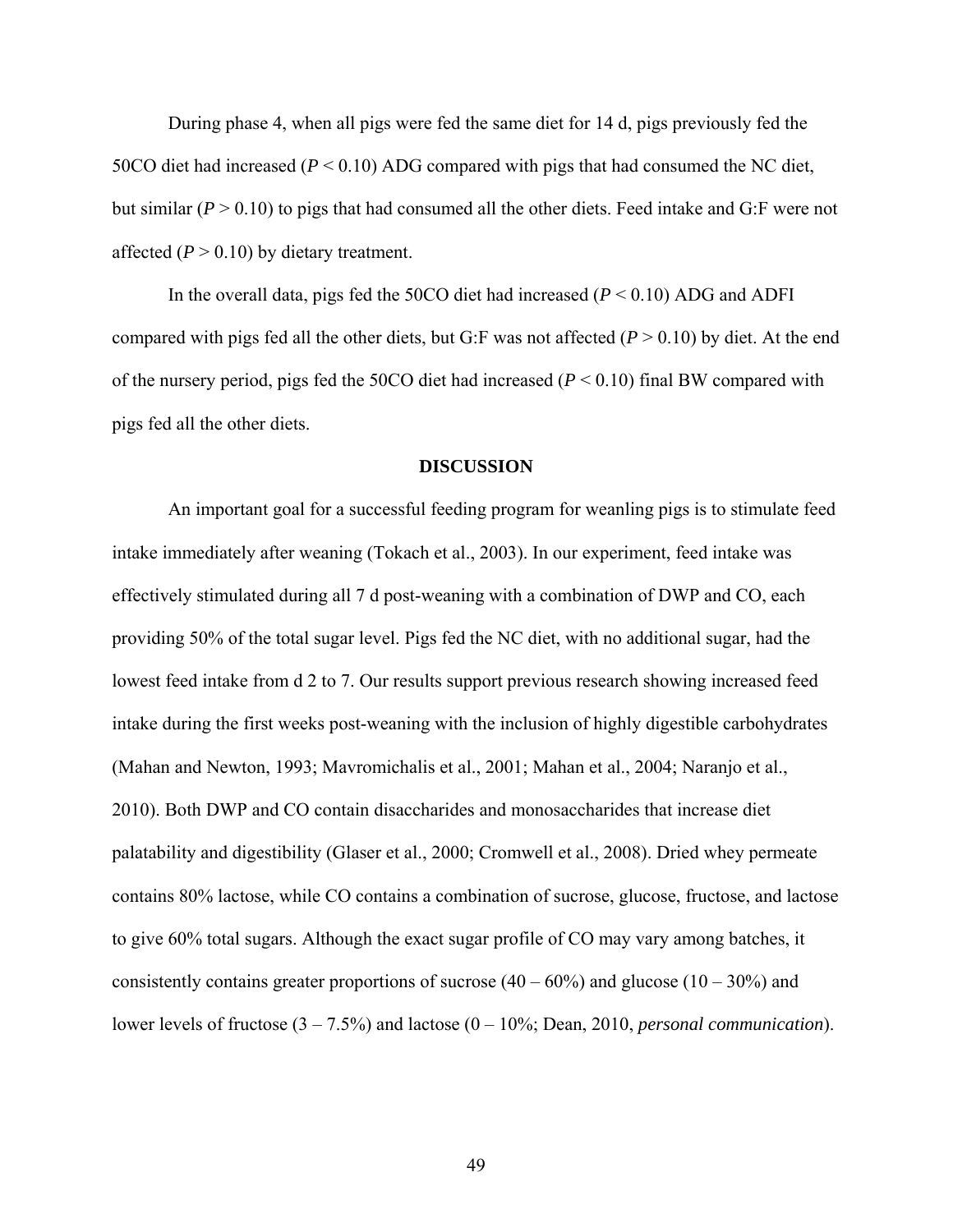During phase 4, when all pigs were fed the same diet for 14 d, pigs previously fed the 50CO diet had increased (*P* < 0.10) ADG compared with pigs that had consumed the NC diet, but similar  $(P > 0.10)$  to pigs that had consumed all the other diets. Feed intake and G:F were not affected  $(P > 0.10)$  by dietary treatment.

In the overall data, pigs fed the 50CO diet had increased  $(P < 0.10)$  ADG and ADFI compared with pigs fed all the other diets, but G:F was not affected  $(P > 0.10)$  by diet. At the end of the nursery period, pigs fed the 50CO diet had increased (*P* < 0.10) final BW compared with pigs fed all the other diets.

#### **DISCUSSION**

An important goal for a successful feeding program for weanling pigs is to stimulate feed intake immediately after weaning (Tokach et al., 2003). In our experiment, feed intake was effectively stimulated during all 7 d post-weaning with a combination of DWP and CO, each providing 50% of the total sugar level. Pigs fed the NC diet, with no additional sugar, had the lowest feed intake from d 2 to 7. Our results support previous research showing increased feed intake during the first weeks post-weaning with the inclusion of highly digestible carbohydrates (Mahan and Newton, 1993; Mavromichalis et al., 2001; Mahan et al., 2004; Naranjo et al., 2010). Both DWP and CO contain disaccharides and monosaccharides that increase diet palatability and digestibility (Glaser et al., 2000; Cromwell et al., 2008). Dried whey permeate contains 80% lactose, while CO contains a combination of sucrose, glucose, fructose, and lactose to give 60% total sugars. Although the exact sugar profile of CO may vary among batches, it consistently contains greater proportions of sucrose  $(40 - 60\%)$  and glucose  $(10 - 30\%)$  and lower levels of fructose (3 – 7.5%) and lactose (0 – 10%; Dean, 2010, *personal communication*).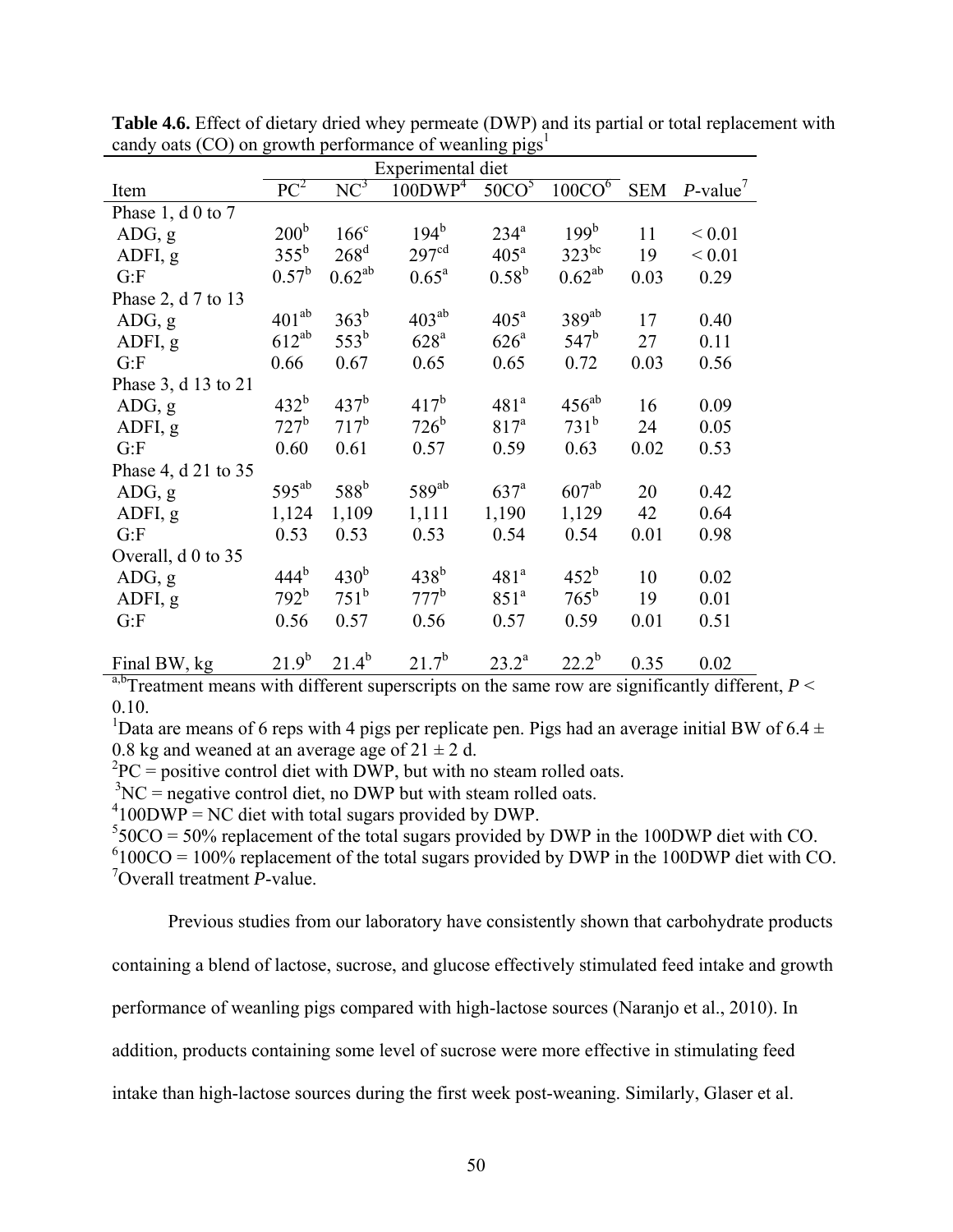|                          | Experimental diet |                  |                     |                   |                    |            |                                           |
|--------------------------|-------------------|------------------|---------------------|-------------------|--------------------|------------|-------------------------------------------|
| Item                     | $PC^2$            | $NC^3$           | 100DWP <sup>4</sup> | 50CO <sup>5</sup> | 100CO <sup>6</sup> | <b>SEM</b> | $P$ -value <sup><math>\prime</math></sup> |
| Phase 1, $d \theta$ to 7 |                   |                  |                     |                   |                    |            |                                           |
| ADG, g                   | 200 <sup>b</sup>  | $166^{\circ}$    | $194^b$             | $234^a$           | 199 <sup>b</sup>   | 11         | ${}_{0.01}$                               |
| ADFI, g                  | $355^{\rm b}$     | $268^d$          | 297 <sup>cd</sup>   | $405^{\text{a}}$  | $323^{bc}$         | 19         | ${}_{0.01}$                               |
| G: F                     | $0.57^{\rm b}$    | $0.62^{ab}$      | $0.65^{\rm a}$      | $0.58^{\rm b}$    | $0.62^{ab}$        | 0.03       | 0.29                                      |
| Phase 2, d 7 to 13       |                   |                  |                     |                   |                    |            |                                           |
| ADG, g                   | $401^{ab}$        | $363^b$          | $403^{ab}$          | 405 <sup>a</sup>  | $389^{ab}$         | 17         | 0.40                                      |
| ADFI, g                  | $612^{ab}$        | $553^{\rm b}$    | $628^{\mathrm{a}}$  | $626^{\circ}$     | $547^b$            | 27         | 0.11                                      |
| G: F                     | 0.66              | 0.67             | 0.65                | 0.65              | 0.72               | 0.03       | 0.56                                      |
| Phase 3, d 13 to 21      |                   |                  |                     |                   |                    |            |                                           |
| ADG, g                   | 432 <sup>b</sup>  | 437 <sup>b</sup> | $417^b$             | 481 <sup>a</sup>  | $456^{ab}$         | 16         | 0.09                                      |
| ADFI, g                  | $727^b$           | $717^b$          | $726^b$             | 817 <sup>a</sup>  | 731 <sup>b</sup>   | 24         | 0.05                                      |
| G: F                     | 0.60              | 0.61             | 0.57                | 0.59              | 0.63               | 0.02       | 0.53                                      |
| Phase 4, d 21 to 35      |                   |                  |                     |                   |                    |            |                                           |
| ADG, g                   | $595^{ab}$        | 588 <sup>b</sup> | $589^{ab}$          | $637^a$           | $607^{ab}$         | 20         | 0.42                                      |
| ADFI, g                  | 1,124             | 1,109            | 1,111               | 1,190             | 1,129              | 42         | 0.64                                      |
| G: F                     | 0.53              | 0.53             | 0.53                | 0.54              | 0.54               | 0.01       | 0.98                                      |
| Overall, d 0 to 35       |                   |                  |                     |                   |                    |            |                                           |
| ADG, g                   | 444 <sup>b</sup>  | $430^b$          | $438^{\rm b}$       | 481 <sup>a</sup>  | $452^b$            | 10         | 0.02                                      |
| ADFI, g                  | $792^b$           | $751^b$          | $777^b$             | 851 <sup>a</sup>  | $765^{\rm b}$      | 19         | 0.01                                      |
| G: F                     | 0.56              | 0.57             | 0.56                | 0.57              | 0.59               | 0.01       | 0.51                                      |
|                          |                   |                  |                     |                   |                    |            |                                           |
| Final BW, kg             | $21.9^{b}$        | $21.4^{b}$       | $21.7^{b}$          | $23.2^{\rm a}$    | $22.2^b$           | 0.35       | 0.02                                      |

**Table 4.6.** Effect of dietary dried whey permeate (DWP) and its partial or total replacement with candy oats (CO) on growth performance of weanling  $pigs<sup>1</sup>$ 

<sup>a,b</sup>Treatment means with different superscripts on the same row are significantly different,  $P \leq$ 0.10.

<sup>1</sup>Data are means of 6 reps with 4 pigs per replicate pen. Pigs had an average initial BW of 6.4  $\pm$ 0.8 kg and weaned at an average age of  $21 \pm 2$  d.

 ${}^{2}PC$  = positive control diet with DWP, but with no steam rolled oats.

 $3NC$  = negative control diet, no DWP but with steam rolled oats.

 $^{4}$ 100DWP = NC diet with total sugars provided by DWP.

 $550CO = 50\%$  replacement of the total sugars provided by DWP in the 100DWP diet with CO.

 $6100CO = 100\%$  replacement of the total sugars provided by DWP in the 100DWP diet with CO. 7 Overall treatment *P*-value.

Previous studies from our laboratory have consistently shown that carbohydrate products

containing a blend of lactose, sucrose, and glucose effectively stimulated feed intake and growth

performance of weanling pigs compared with high-lactose sources (Naranjo et al., 2010). In

addition, products containing some level of sucrose were more effective in stimulating feed

intake than high-lactose sources during the first week post-weaning. Similarly, Glaser et al.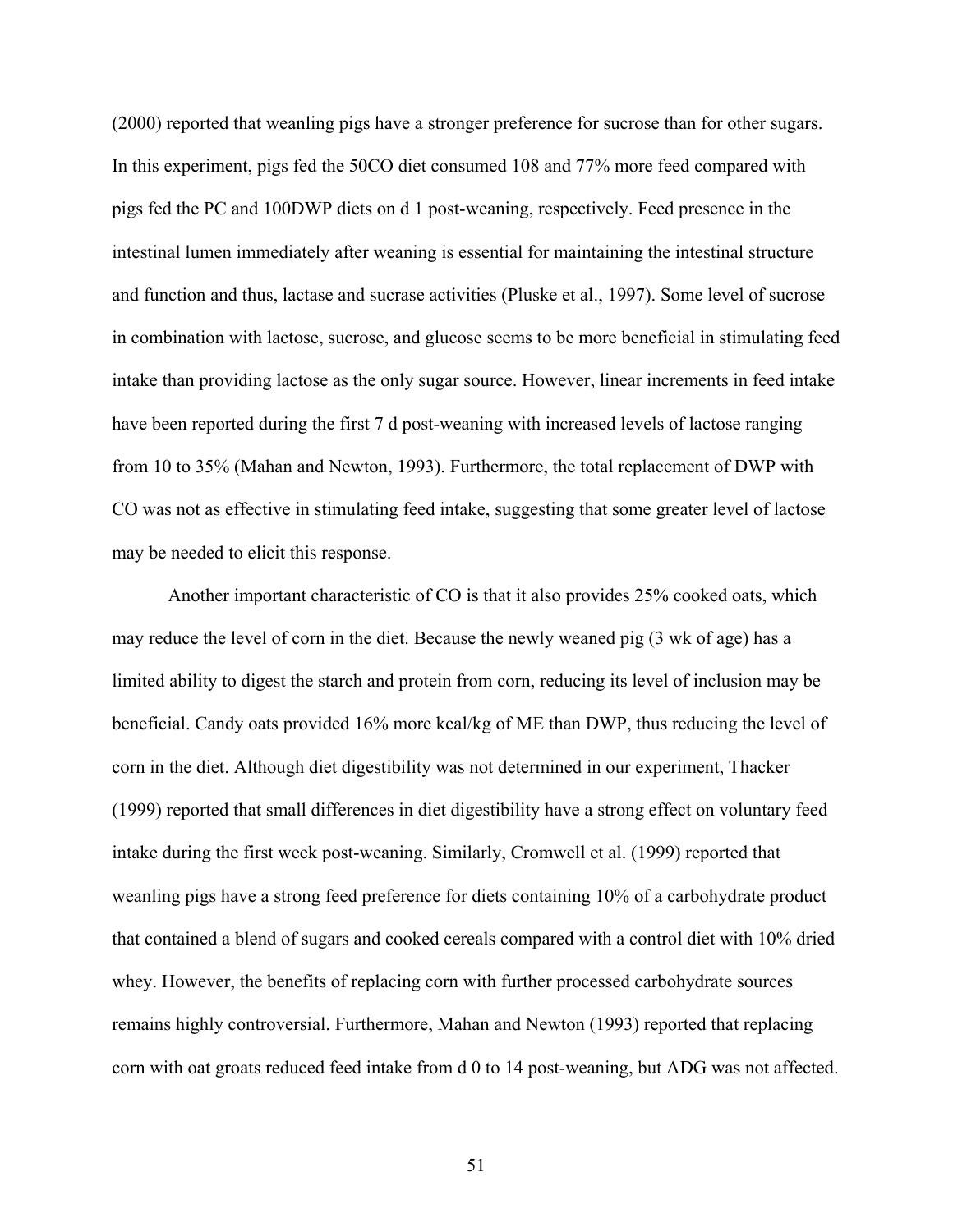(2000) reported that weanling pigs have a stronger preference for sucrose than for other sugars. In this experiment, pigs fed the 50CO diet consumed 108 and 77% more feed compared with pigs fed the PC and 100DWP diets on d 1 post-weaning, respectively. Feed presence in the intestinal lumen immediately after weaning is essential for maintaining the intestinal structure and function and thus, lactase and sucrase activities (Pluske et al., 1997). Some level of sucrose in combination with lactose, sucrose, and glucose seems to be more beneficial in stimulating feed intake than providing lactose as the only sugar source. However, linear increments in feed intake have been reported during the first 7 d post-weaning with increased levels of lactose ranging from 10 to 35% (Mahan and Newton, 1993). Furthermore, the total replacement of DWP with CO was not as effective in stimulating feed intake, suggesting that some greater level of lactose may be needed to elicit this response.

Another important characteristic of CO is that it also provides 25% cooked oats, which may reduce the level of corn in the diet. Because the newly weaned pig (3 wk of age) has a limited ability to digest the starch and protein from corn, reducing its level of inclusion may be beneficial. Candy oats provided 16% more kcal/kg of ME than DWP, thus reducing the level of corn in the diet. Although diet digestibility was not determined in our experiment, Thacker (1999) reported that small differences in diet digestibility have a strong effect on voluntary feed intake during the first week post-weaning. Similarly, Cromwell et al. (1999) reported that weanling pigs have a strong feed preference for diets containing 10% of a carbohydrate product that contained a blend of sugars and cooked cereals compared with a control diet with 10% dried whey. However, the benefits of replacing corn with further processed carbohydrate sources remains highly controversial. Furthermore, Mahan and Newton (1993) reported that replacing corn with oat groats reduced feed intake from d 0 to 14 post-weaning, but ADG was not affected.

51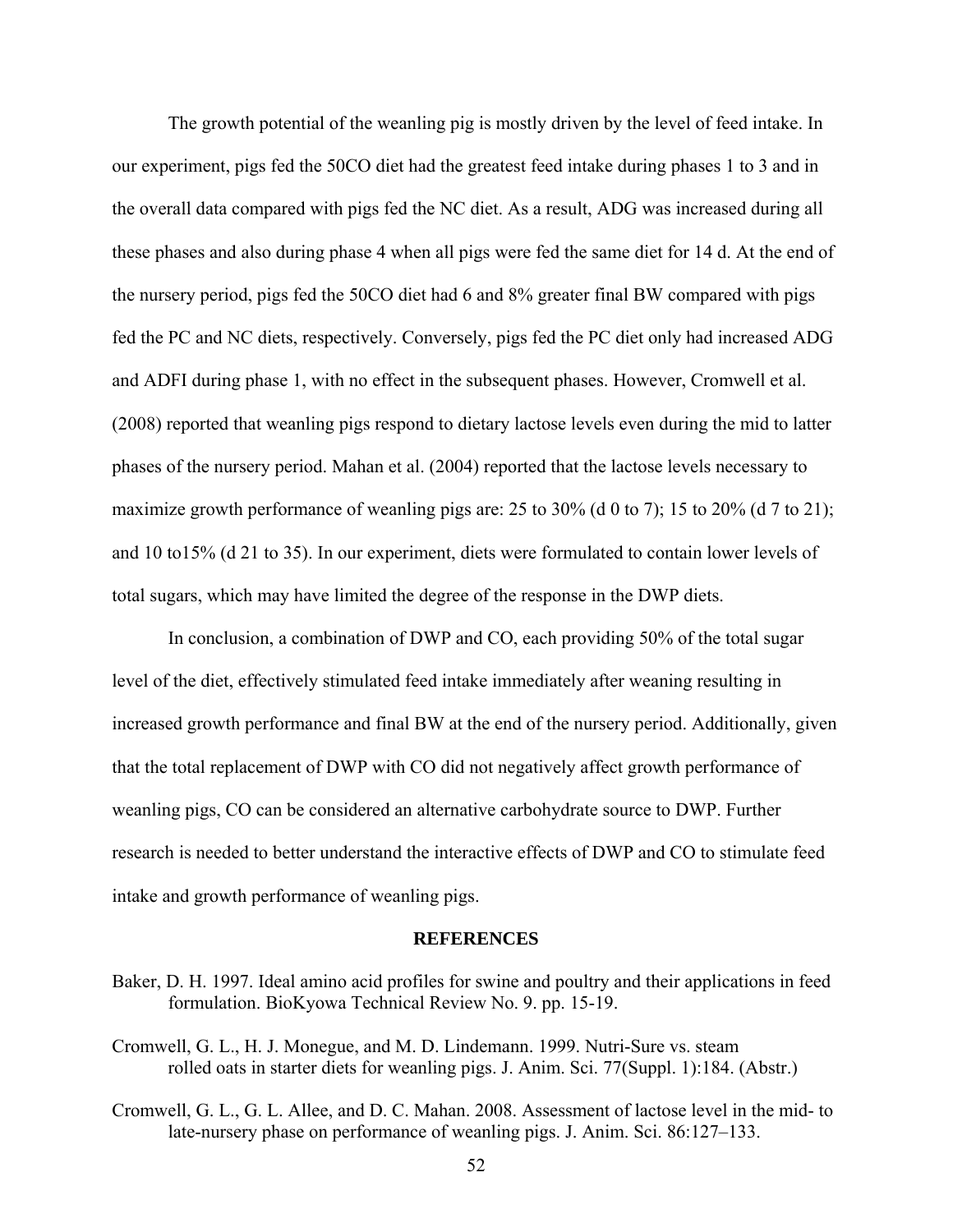The growth potential of the weanling pig is mostly driven by the level of feed intake. In our experiment, pigs fed the 50CO diet had the greatest feed intake during phases 1 to 3 and in the overall data compared with pigs fed the NC diet. As a result, ADG was increased during all these phases and also during phase 4 when all pigs were fed the same diet for 14 d. At the end of the nursery period, pigs fed the 50CO diet had 6 and 8% greater final BW compared with pigs fed the PC and NC diets, respectively. Conversely, pigs fed the PC diet only had increased ADG and ADFI during phase 1, with no effect in the subsequent phases. However, Cromwell et al. (2008) reported that weanling pigs respond to dietary lactose levels even during the mid to latter phases of the nursery period. Mahan et al. (2004) reported that the lactose levels necessary to maximize growth performance of weanling pigs are: 25 to 30% (d 0 to 7); 15 to 20% (d 7 to 21); and 10 to15% (d 21 to 35). In our experiment, diets were formulated to contain lower levels of total sugars, which may have limited the degree of the response in the DWP diets.

In conclusion, a combination of DWP and CO, each providing 50% of the total sugar level of the diet, effectively stimulated feed intake immediately after weaning resulting in increased growth performance and final BW at the end of the nursery period. Additionally, given that the total replacement of DWP with CO did not negatively affect growth performance of weanling pigs, CO can be considered an alternative carbohydrate source to DWP. Further research is needed to better understand the interactive effects of DWP and CO to stimulate feed intake and growth performance of weanling pigs.

#### **REFERENCES**

- Baker, D. H. 1997. Ideal amino acid profiles for swine and poultry and their applications in feed formulation. BioKyowa Technical Review No. 9. pp. 15-19.
- Cromwell, G. L., H. J. Monegue, and M. D. Lindemann. 1999. Nutri-Sure vs. steam rolled oats in starter diets for weanling pigs. J. Anim. Sci. 77(Suppl. 1):184. (Abstr.)
- Cromwell, G. L., G. L. Allee, and D. C. Mahan. 2008. Assessment of lactose level in the mid- to late-nursery phase on performance of weanling pigs. J. Anim. Sci. 86:127–133.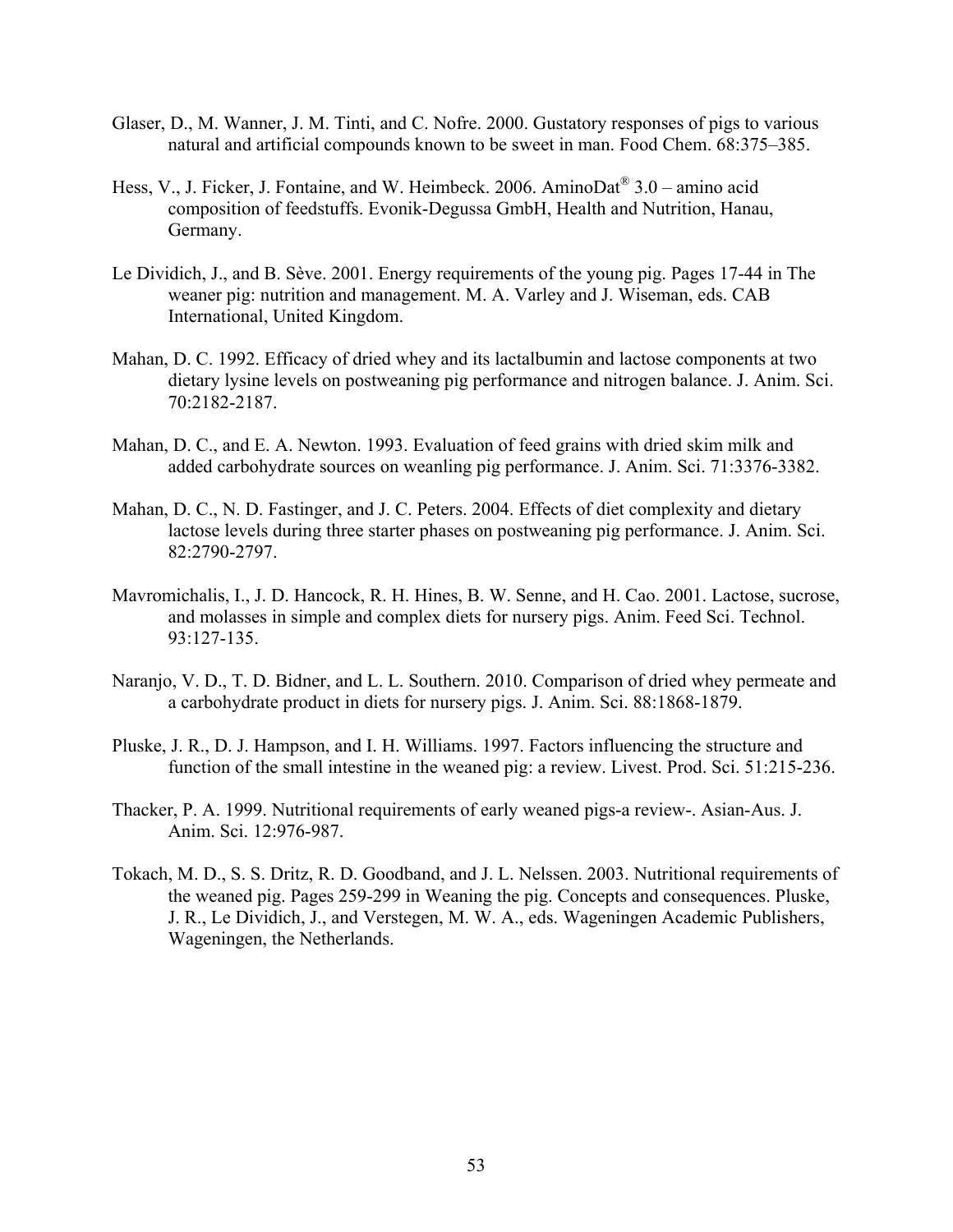- Glaser, D., M. Wanner, J. M. Tinti, and C. Nofre. 2000. Gustatory responses of pigs to various natural and artificial compounds known to be sweet in man. Food Chem. 68:375–385.
- Hess, V., J. Ficker, J. Fontaine, and W. Heimbeck. 2006. AminoDat<sup>®</sup> 3.0 amino acid composition of feedstuffs. Evonik-Degussa GmbH, Health and Nutrition, Hanau, Germany.
- Le Dividich, J., and B. Sève. 2001. Energy requirements of the young pig. Pages 17-44 in The weaner pig: nutrition and management. M. A. Varley and J. Wiseman, eds. CAB International, United Kingdom.
- Mahan, D. C. 1992. Efficacy of dried whey and its lactalbumin and lactose components at two dietary lysine levels on postweaning pig performance and nitrogen balance. J. Anim. Sci. 70:2182-2187.
- Mahan, D. C., and E. A. Newton. 1993. Evaluation of feed grains with dried skim milk and added carbohydrate sources on weanling pig performance. J. Anim. Sci. 71:3376-3382.
- Mahan, D. C., N. D. Fastinger, and J. C. Peters. 2004. Effects of diet complexity and dietary lactose levels during three starter phases on postweaning pig performance. J. Anim. Sci. 82:2790-2797.
- Mavromichalis, I., J. D. Hancock, R. H. Hines, B. W. Senne, and H. Cao. 2001. Lactose, sucrose, and molasses in simple and complex diets for nursery pigs. Anim. Feed Sci. Technol. 93:127-135.
- Naranjo, V. D., T. D. Bidner, and L. L. Southern. 2010. Comparison of dried whey permeate and a carbohydrate product in diets for nursery pigs. J. Anim. Sci. 88:1868-1879.
- Pluske, J. R., D. J. Hampson, and I. H. Williams. 1997. Factors influencing the structure and function of the small intestine in the weaned pig: a review. Livest. Prod. Sci. 51:215-236.
- Thacker, P. A. 1999. Nutritional requirements of early weaned pigs-a review-. Asian-Aus. J. Anim. Sci. 12:976-987.
- Tokach, M. D., S. S. Dritz, R. D. Goodband, and J. L. Nelssen. 2003. Nutritional requirements of the weaned pig. Pages 259-299 in Weaning the pig. Concepts and consequences. Pluske, J. R., Le Dividich, J., and Verstegen, M. W. A., eds. Wageningen Academic Publishers, Wageningen, the Netherlands.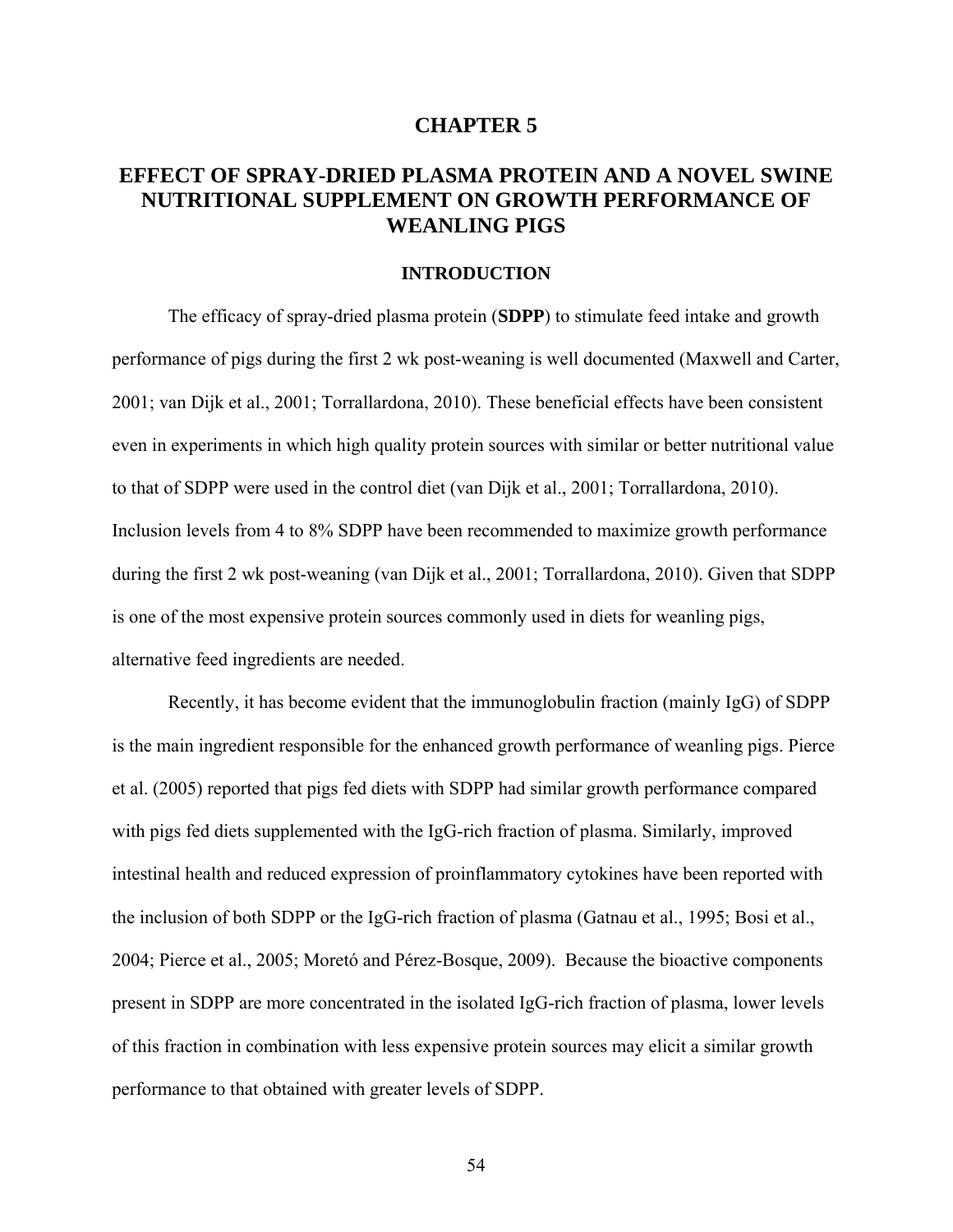# **CHAPTER 5**

# **EFFECT OF SPRAY-DRIED PLASMA PROTEIN AND A NOVEL SWINE NUTRITIONAL SUPPLEMENT ON GROWTH PERFORMANCE OF WEANLING PIGS**

# **INTRODUCTION**

The efficacy of spray-dried plasma protein (**SDPP**) to stimulate feed intake and growth performance of pigs during the first 2 wk post-weaning is well documented (Maxwell and Carter, 2001; van Dijk et al., 2001; Torrallardona, 2010). These beneficial effects have been consistent even in experiments in which high quality protein sources with similar or better nutritional value to that of SDPP were used in the control diet (van Dijk et al., 2001; Torrallardona, 2010). Inclusion levels from 4 to 8% SDPP have been recommended to maximize growth performance during the first 2 wk post-weaning (van Dijk et al., 2001; Torrallardona, 2010). Given that SDPP is one of the most expensive protein sources commonly used in diets for weanling pigs, alternative feed ingredients are needed.

Recently, it has become evident that the immunoglobulin fraction (mainly IgG) of SDPP is the main ingredient responsible for the enhanced growth performance of weanling pigs. Pierce et al. (2005) reported that pigs fed diets with SDPP had similar growth performance compared with pigs fed diets supplemented with the IgG-rich fraction of plasma. Similarly, improved intestinal health and reduced expression of proinflammatory cytokines have been reported with the inclusion of both SDPP or the IgG-rich fraction of plasma (Gatnau et al., 1995; Bosi et al., 2004; Pierce et al., 2005; Moretó and Pérez-Bosque, 2009). Because the bioactive components present in SDPP are more concentrated in the isolated IgG-rich fraction of plasma, lower levels of this fraction in combination with less expensive protein sources may elicit a similar growth performance to that obtained with greater levels of SDPP.

54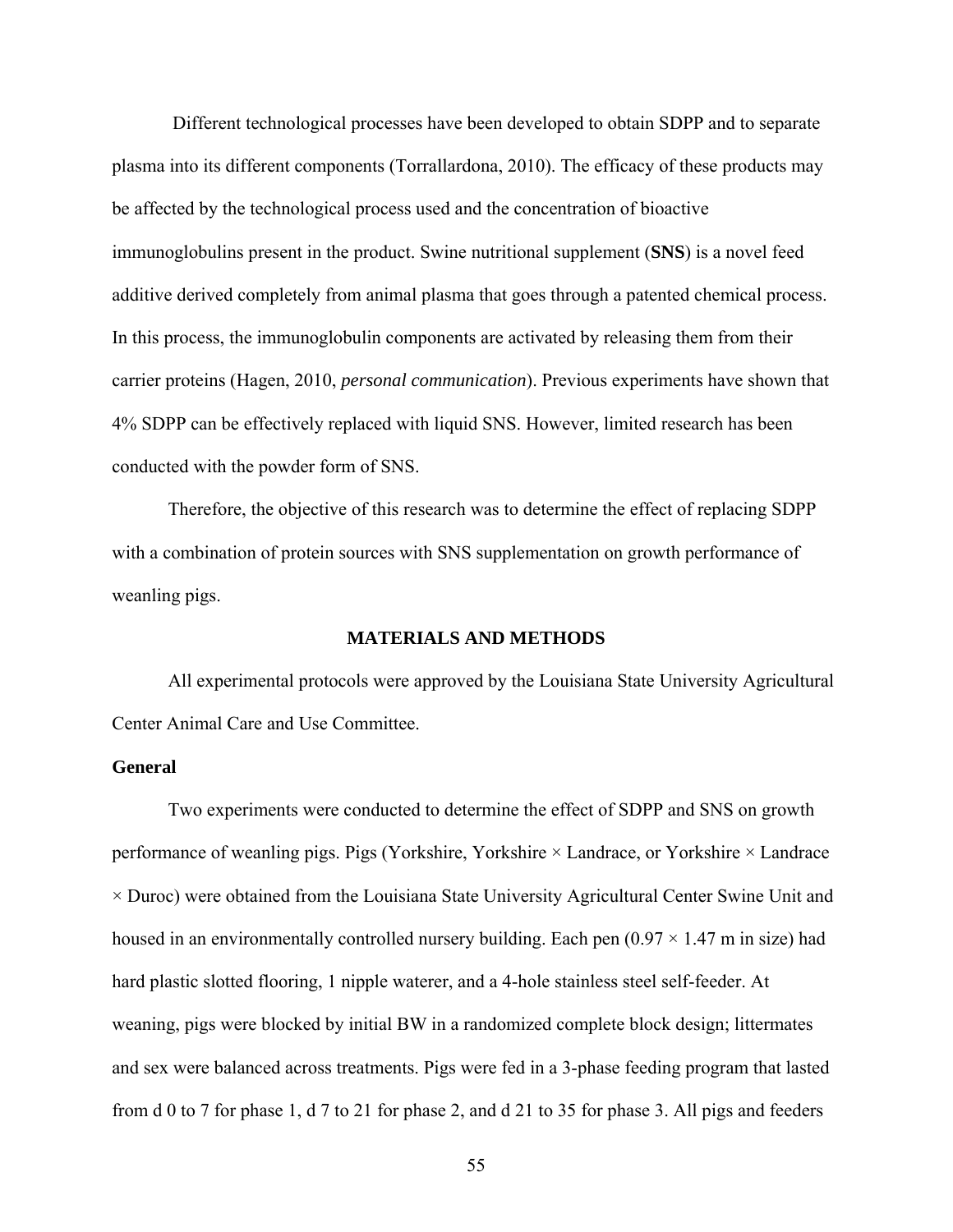Different technological processes have been developed to obtain SDPP and to separate plasma into its different components (Torrallardona, 2010). The efficacy of these products may be affected by the technological process used and the concentration of bioactive immunoglobulins present in the product. Swine nutritional supplement (**SNS**) is a novel feed additive derived completely from animal plasma that goes through a patented chemical process. In this process, the immunoglobulin components are activated by releasing them from their carrier proteins (Hagen, 2010, *personal communication*). Previous experiments have shown that 4% SDPP can be effectively replaced with liquid SNS. However, limited research has been conducted with the powder form of SNS.

Therefore, the objective of this research was to determine the effect of replacing SDPP with a combination of protein sources with SNS supplementation on growth performance of weanling pigs.

#### **MATERIALS AND METHODS**

All experimental protocols were approved by the Louisiana State University Agricultural Center Animal Care and Use Committee.

## **General**

Two experiments were conducted to determine the effect of SDPP and SNS on growth performance of weanling pigs. Pigs (Yorkshire, Yorkshire × Landrace, or Yorkshire × Landrace  $\times$  Duroc) were obtained from the Louisiana State University Agricultural Center Swine Unit and housed in an environmentally controlled nursery building. Each pen  $(0.97 \times 1.47 \text{ m})$  in size) had hard plastic slotted flooring, 1 nipple waterer, and a 4-hole stainless steel self-feeder. At weaning, pigs were blocked by initial BW in a randomized complete block design; littermates and sex were balanced across treatments. Pigs were fed in a 3-phase feeding program that lasted from d 0 to 7 for phase 1, d 7 to 21 for phase 2, and d 21 to 35 for phase 3. All pigs and feeders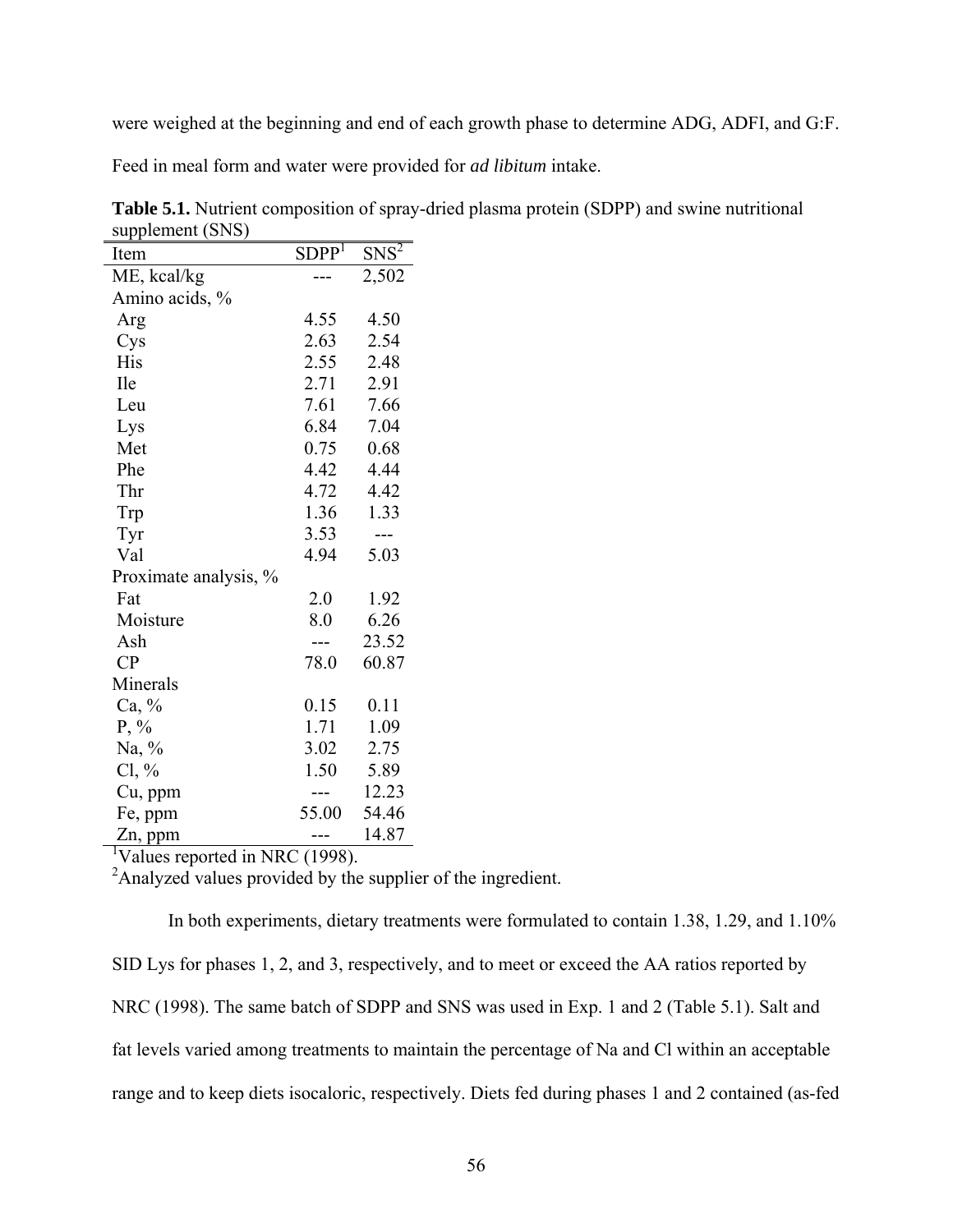were weighed at the beginning and end of each growth phase to determine ADG, ADFI, and G:F.

Feed in meal form and water were provided for *ad libitum* intake.

| Item                  | SDPP <sup>1</sup> | ${\rm SNS}^2$ |
|-----------------------|-------------------|---------------|
| ME, kcal/kg           |                   | 2,502         |
| Amino acids, %        |                   |               |
| Arg                   | 4.55              | 4.50          |
| Cys                   | 2.63              | 2.54          |
| His                   | 2.55              | 2.48          |
| <b>Ile</b>            | 2.71              | 2.91          |
| Leu                   | 7.61              | 7.66          |
| Lys                   | 6.84              | 7.04          |
| Met                   | 0.75              | 0.68          |
| Phe                   | 4.42              | 4.44          |
| Thr                   | 4.72              | 4.42          |
| Trp                   | 1.36              | 1.33          |
| Tyr                   | 3.53              | ---           |
| Val                   | 4.94              | 5.03          |
| Proximate analysis, % |                   |               |
| Fat                   | 2.0               | 1.92          |
| Moisture              | 8.0               | 6.26          |
| Ash                   | ---               | 23.52         |
| CP                    | 78.0              | 60.87         |
| Minerals              |                   |               |
| Ca, %                 | 0.15              | 0.11          |
| $P, \%$               | 1.71              | 1.09          |
| Na, $\%$              | 3.02              | 2.75          |
| $Cl, \%$              | 1.50              | 5.89          |
| Cu, ppm               | ---               | 12.23         |
| Fe, ppm               | 55.00             | 54.46         |
| Zn, ppm               | ---               | 14.87         |

**Table 5.1.** Nutrient composition of spray-dried plasma protein (SDPP) and swine nutritional supplement (SNS)

1 Values reported in NRC (1998).

<sup>2</sup> Analyzed values provided by the supplier of the ingredient.

In both experiments, dietary treatments were formulated to contain 1.38, 1.29, and 1.10% SID Lys for phases 1, 2, and 3, respectively, and to meet or exceed the AA ratios reported by NRC (1998). The same batch of SDPP and SNS was used in Exp. 1 and 2 (Table 5.1). Salt and fat levels varied among treatments to maintain the percentage of Na and Cl within an acceptable range and to keep diets isocaloric, respectively. Diets fed during phases 1 and 2 contained (as-fed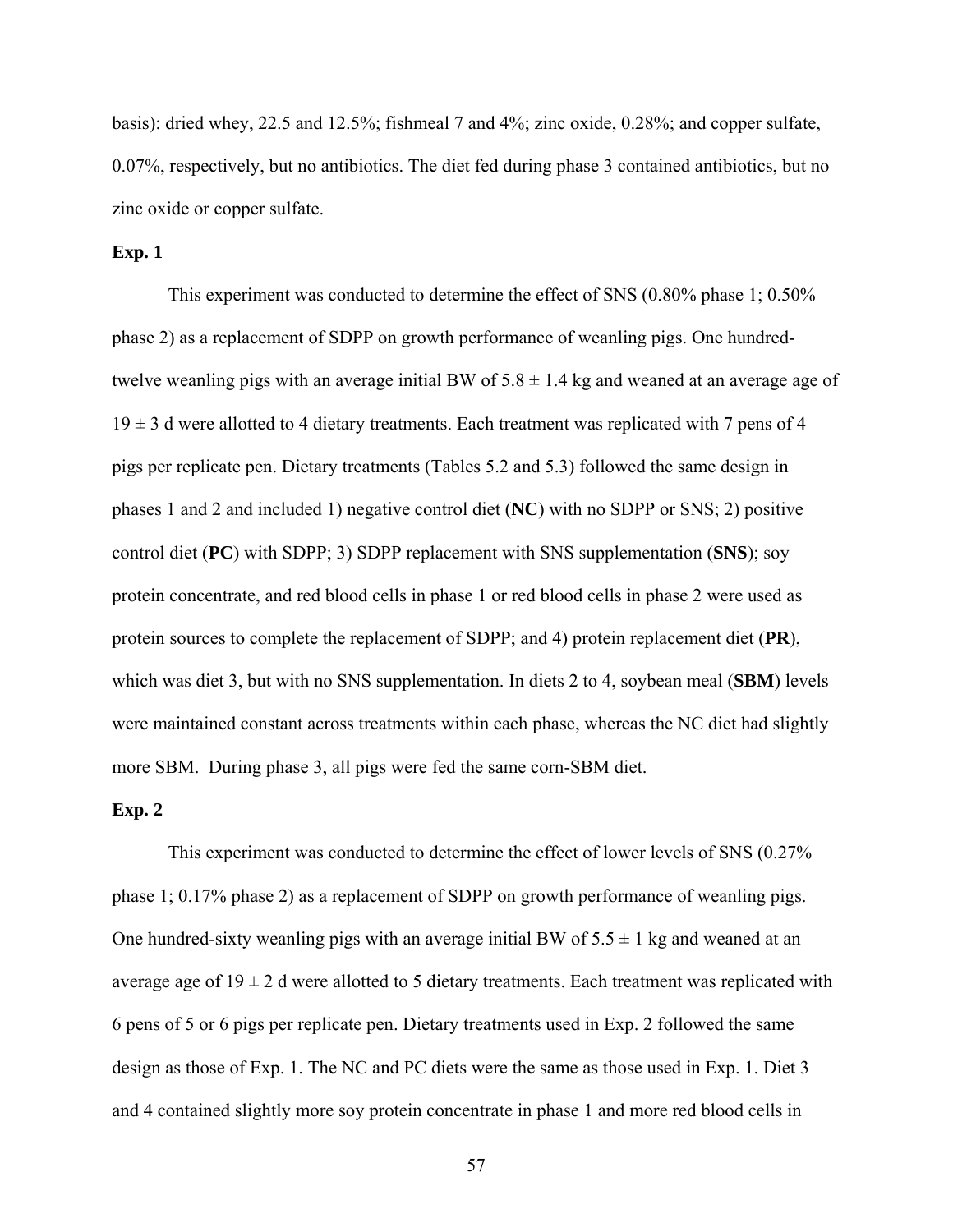basis): dried whey, 22.5 and 12.5%; fishmeal 7 and 4%; zinc oxide, 0.28%; and copper sulfate, 0.07%, respectively, but no antibiotics. The diet fed during phase 3 contained antibiotics, but no zinc oxide or copper sulfate.

## **Exp. 1**

 This experiment was conducted to determine the effect of SNS (0.80% phase 1; 0.50% phase 2) as a replacement of SDPP on growth performance of weanling pigs. One hundredtwelve weanling pigs with an average initial BW of  $5.8 \pm 1.4$  kg and weaned at an average age of  $19 \pm 3$  d were allotted to 4 dietary treatments. Each treatment was replicated with 7 pens of 4 pigs per replicate pen. Dietary treatments (Tables 5.2 and 5.3) followed the same design in phases 1 and 2 and included 1) negative control diet (**NC**) with no SDPP or SNS; 2) positive control diet (**PC**) with SDPP; 3) SDPP replacement with SNS supplementation (**SNS**); soy protein concentrate, and red blood cells in phase 1 or red blood cells in phase 2 were used as protein sources to complete the replacement of SDPP; and 4) protein replacement diet (**PR**), which was diet 3, but with no SNS supplementation. In diets 2 to 4, soybean meal (**SBM**) levels were maintained constant across treatments within each phase, whereas the NC diet had slightly more SBM. During phase 3, all pigs were fed the same corn-SBM diet.

## **Exp. 2**

This experiment was conducted to determine the effect of lower levels of SNS (0.27% phase 1; 0.17% phase 2) as a replacement of SDPP on growth performance of weanling pigs. One hundred-sixty weanling pigs with an average initial BW of  $5.5 \pm 1$  kg and weaned at an average age of  $19 \pm 2$  d were allotted to 5 dietary treatments. Each treatment was replicated with 6 pens of 5 or 6 pigs per replicate pen. Dietary treatments used in Exp. 2 followed the same design as those of Exp. 1. The NC and PC diets were the same as those used in Exp. 1. Diet 3 and 4 contained slightly more soy protein concentrate in phase 1 and more red blood cells in

57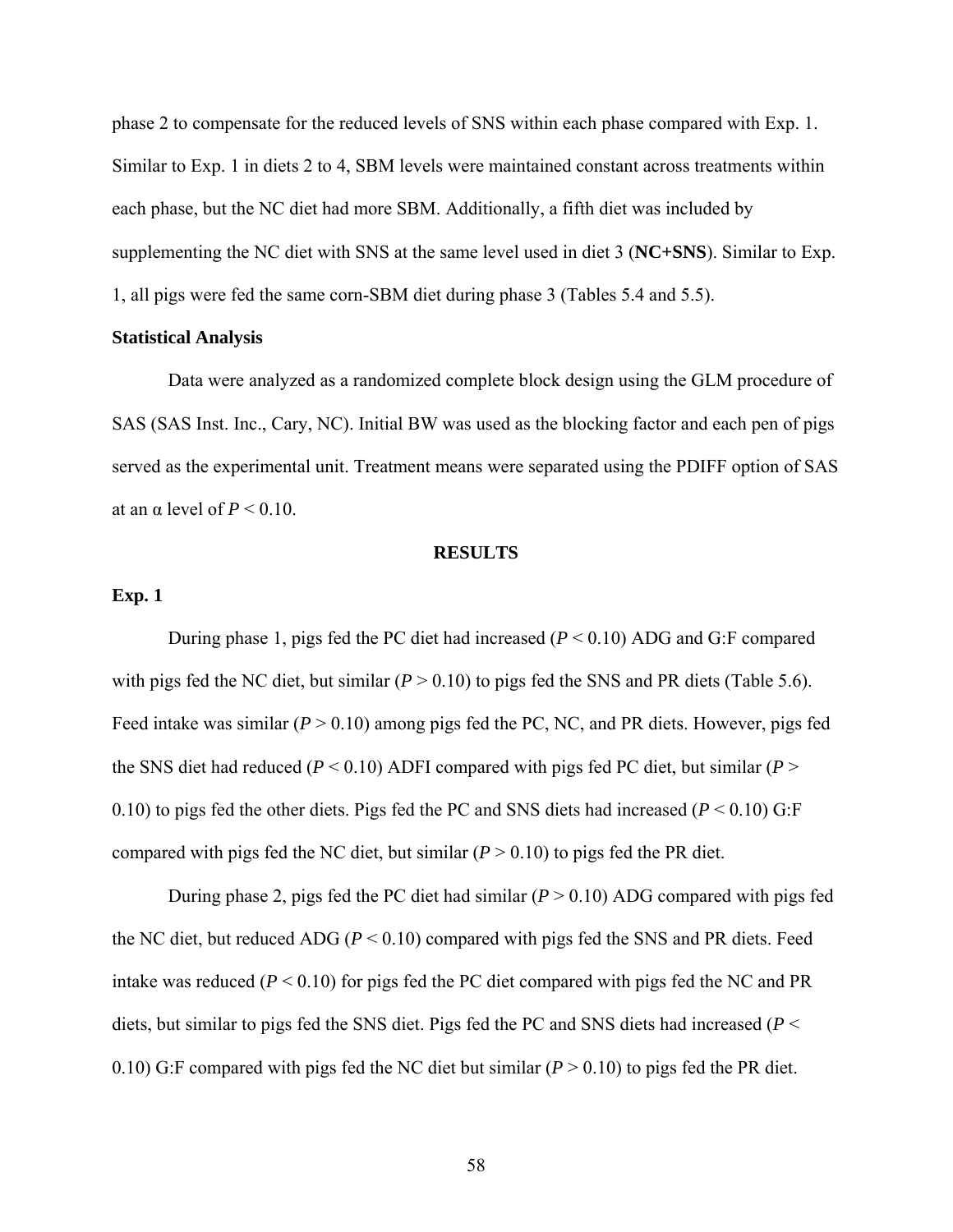phase 2 to compensate for the reduced levels of SNS within each phase compared with Exp. 1. Similar to Exp. 1 in diets 2 to 4, SBM levels were maintained constant across treatments within each phase, but the NC diet had more SBM. Additionally, a fifth diet was included by supplementing the NC diet with SNS at the same level used in diet 3 (**NC+SNS**). Similar to Exp. 1, all pigs were fed the same corn-SBM diet during phase 3 (Tables 5.4 and 5.5).

## **Statistical Analysis**

 Data were analyzed as a randomized complete block design using the GLM procedure of SAS (SAS Inst. Inc., Cary, NC). Initial BW was used as the blocking factor and each pen of pigs served as the experimental unit. Treatment means were separated using the PDIFF option of SAS at an  $\alpha$  level of  $P \le 0.10$ .

#### **RESULTS**

# **Exp. 1**

During phase 1, pigs fed the PC diet had increased (*P* < 0.10) ADG and G:F compared with pigs fed the NC diet, but similar  $(P > 0.10)$  to pigs fed the SNS and PR diets (Table 5.6). Feed intake was similar (*P* > 0.10) among pigs fed the PC, NC, and PR diets. However, pigs fed the SNS diet had reduced ( $P < 0.10$ ) ADFI compared with pigs fed PC diet, but similar ( $P >$ 0.10) to pigs fed the other diets. Pigs fed the PC and SNS diets had increased  $(P < 0.10)$  G:F compared with pigs fed the NC diet, but similar  $(P > 0.10)$  to pigs fed the PR diet.

During phase 2, pigs fed the PC diet had similar  $(P > 0.10)$  ADG compared with pigs fed the NC diet, but reduced ADG ( $P < 0.10$ ) compared with pigs fed the SNS and PR diets. Feed intake was reduced  $(P < 0.10)$  for pigs fed the PC diet compared with pigs fed the NC and PR diets, but similar to pigs fed the SNS diet. Pigs fed the PC and SNS diets had increased (*P* < 0.10) G:F compared with pigs fed the NC diet but similar  $(P > 0.10)$  to pigs fed the PR diet.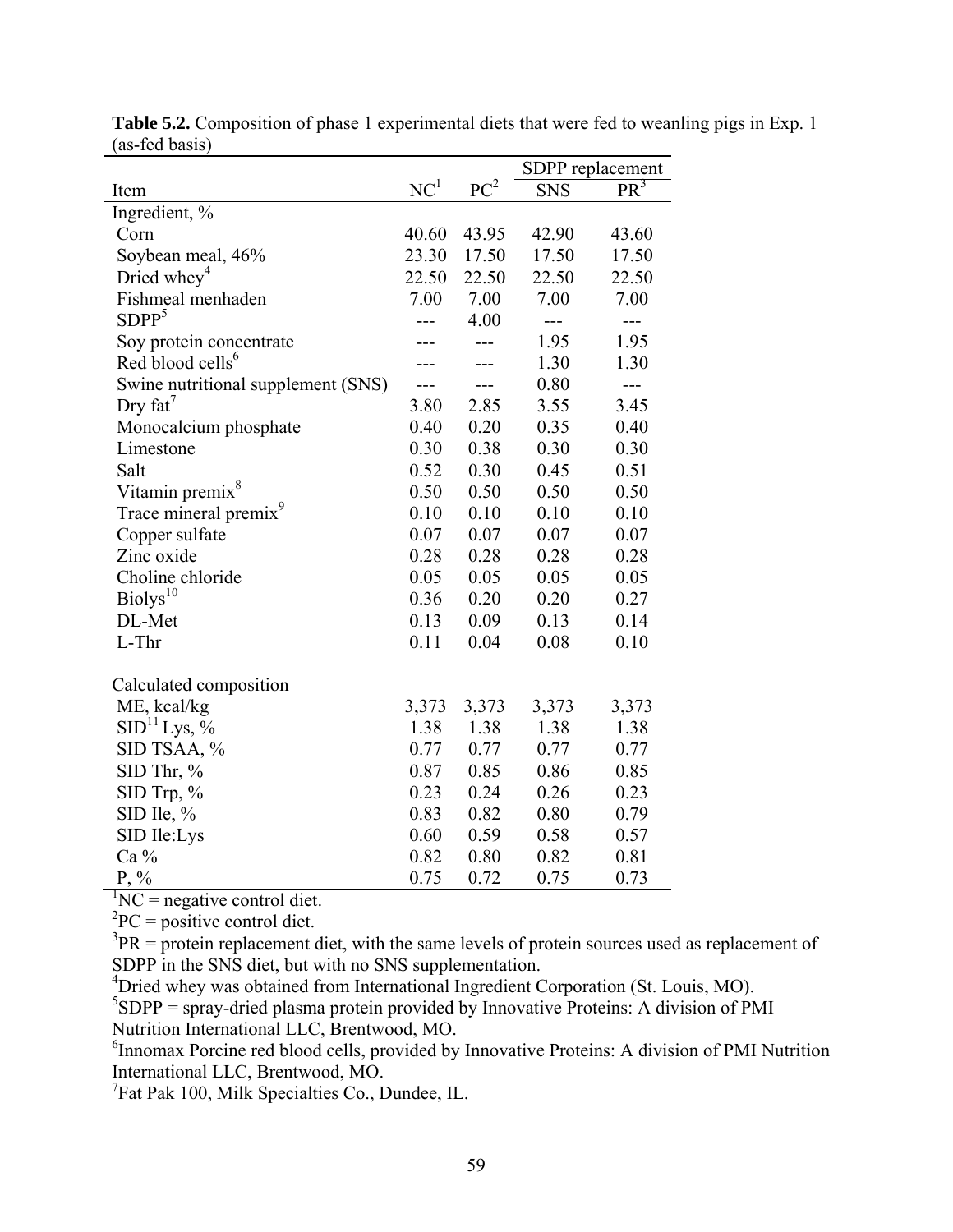|                                    |                 |                 | SDPP replacement |        |
|------------------------------------|-----------------|-----------------|------------------|--------|
| Item                               | NC <sup>1</sup> | PC <sup>2</sup> | <b>SNS</b>       | $PR^3$ |
| Ingredient, %                      |                 |                 |                  |        |
| Corn                               | 40.60           | 43.95           | 42.90            | 43.60  |
| Soybean meal, 46%                  | 23.30           | 17.50           | 17.50            | 17.50  |
| Dried whey <sup>4</sup>            | 22.50           | 22.50           | 22.50            | 22.50  |
| Fishmeal menhaden                  | 7.00            | 7.00            | 7.00             | 7.00   |
| SDPP <sup>5</sup>                  |                 | 4.00            | ---              | ---    |
| Soy protein concentrate            |                 |                 | 1.95             | 1.95   |
| Red blood cells <sup>6</sup>       |                 |                 | 1.30             | 1.30   |
| Swine nutritional supplement (SNS) |                 |                 | 0.80             | $---$  |
| Dry $fat^7$                        | 3.80            | 2.85            | 3.55             | 3.45   |
| Monocalcium phosphate              | 0.40            | 0.20            | 0.35             | 0.40   |
| Limestone                          | 0.30            | 0.38            | 0.30             | 0.30   |
| Salt                               | 0.52            | 0.30            | 0.45             | 0.51   |
| Vitamin premix <sup>8</sup>        | 0.50            | 0.50            | 0.50             | 0.50   |
| Trace mineral premix <sup>9</sup>  | 0.10            | 0.10            | 0.10             | 0.10   |
| Copper sulfate                     | 0.07            | 0.07            | 0.07             | 0.07   |
| Zinc oxide                         | 0.28            | 0.28            | 0.28             | 0.28   |
| Choline chloride                   | 0.05            | 0.05            | 0.05             | 0.05   |
| Biolys <sup>10</sup>               | 0.36            | 0.20            | 0.20             | 0.27   |
| DL-Met                             | 0.13            | 0.09            | 0.13             | 0.14   |
| L-Thr                              | 0.11            | 0.04            | 0.08             | 0.10   |
| Calculated composition             |                 |                 |                  |        |
| ME, kcal/kg                        | 3,373           | 3,373           | 3,373            | 3,373  |
| SID <sup>11</sup> Lys, %           | 1.38            | 1.38            | 1.38             | 1.38   |
| SID TSAA, %                        | 0.77            | 0.77            | 0.77             | 0.77   |
| SID Thr, %                         | 0.87            | 0.85            | 0.86             | 0.85   |
| $SID$ Trp, $%$                     | 0.23            | 0.24            | 0.26             | 0.23   |
| SID Ile, $%$                       | 0.83            | 0.82            | 0.80             | 0.79   |
| SID Ile:Lys                        | 0.60            | 0.59            | 0.58             | 0.57   |
| Ca %                               | 0.82            | 0.80            | 0.82             | 0.81   |
| $P, \%$                            | 0.75            | 0.72            | 0.75             | 0.73   |

**Table 5.2.** Composition of phase 1 experimental diets that were fed to weanling pigs in Exp. 1 (as-fed basis)

 ${}^{1}NC$  = negative control diet.

 ${}^{2}PC =$  positive control diet.

 $3PR =$  protein replacement diet, with the same levels of protein sources used as replacement of SDPP in the SNS diet, but with no SNS supplementation.

4 Dried whey was obtained from International Ingredient Corporation (St. Louis, MO).

 ${}^{5}SDPP$  = spray-dried plasma protein provided by Innovative Proteins: A division of PMI Nutrition International LLC, Brentwood, MO.

<sup>6</sup> Innomax Porcine red blood cells, provided by Innovative Proteins: A division of PMI Nutrition International LLC, Brentwood, MO.

<sup>7</sup>Fat Pak 100, Milk Specialties Co., Dundee, IL.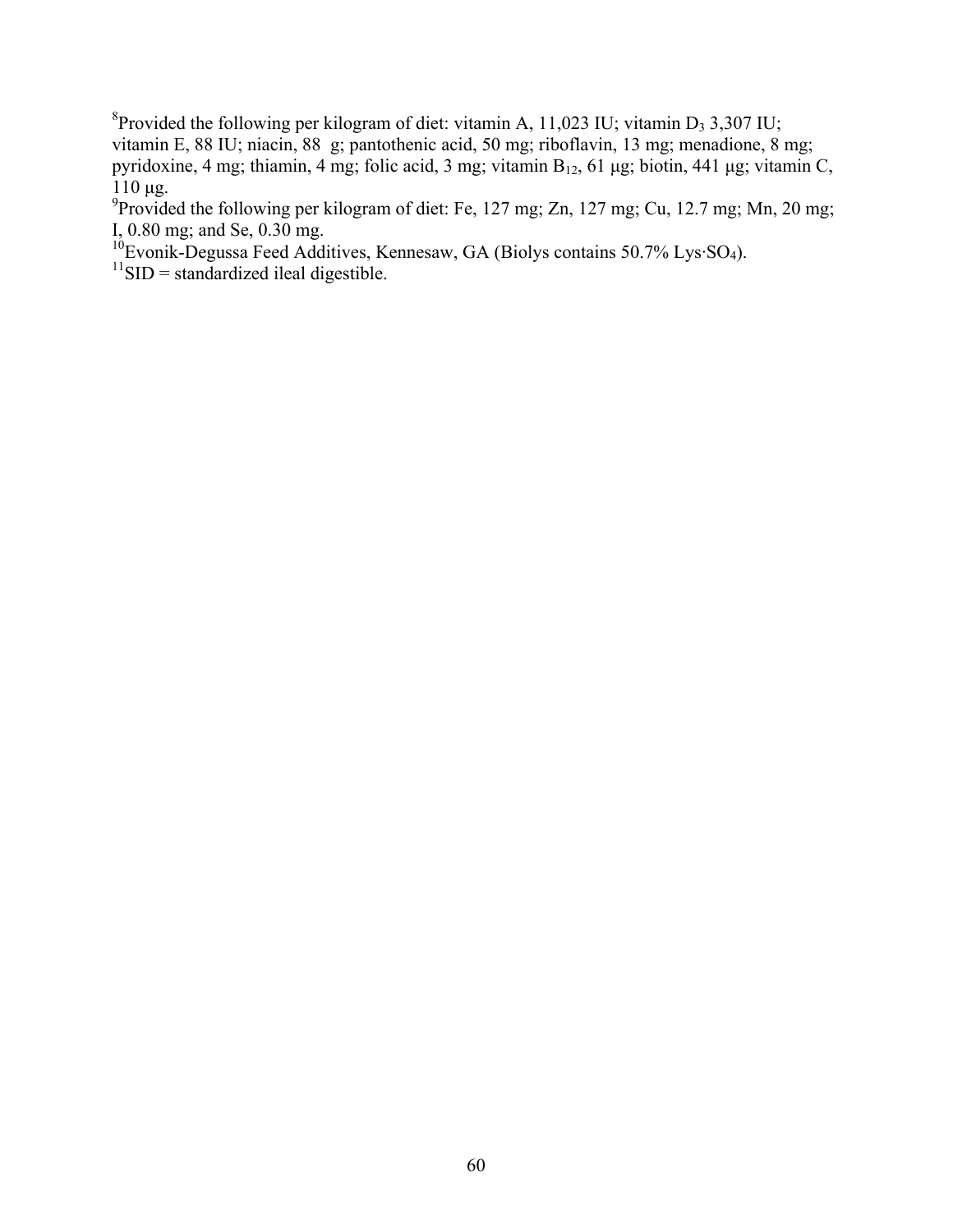<sup>8</sup> Provided the following per kilogram of diet: vitamin A, 11,023 IU; vitamin D<sub>3</sub> 3,307 IU; vitamin E, 88 IU; niacin, 88 g; pantothenic acid, 50 mg; riboflavin, 13 mg; menadione, 8 mg; pyridoxine, 4 mg; thiamin, 4 mg; folic acid, 3 mg; vitamin  $B_{12}$ , 61 μg; biotin, 441 μg; vitamin C, 110 μg.

<sup>9</sup> Provided the following per kilogram of diet: Fe, 127 mg; Zn, 127 mg; Cu, 12.7 mg; Mn, 20 mg; I, 0.80 mg; and Se, 0.30 mg.

 $10^6$ Evonik-Degussa Feed Additives, Kennesaw, GA (Biolys contains 50.7% Lys·SO<sub>4</sub>).

 $11$ SID = standardized ileal digestible.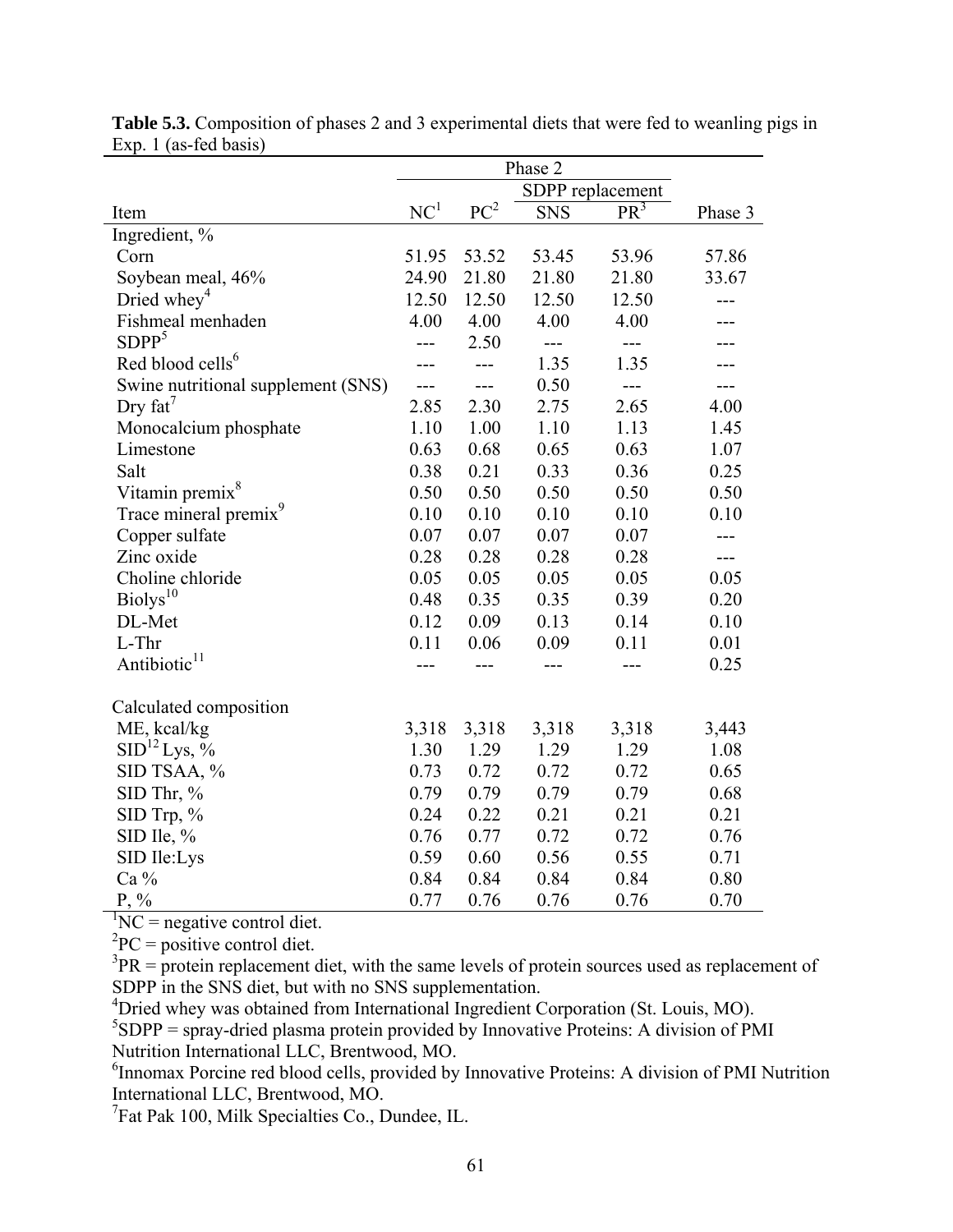|                                    |                 | SDPP replacement |            |        |         |  |  |
|------------------------------------|-----------------|------------------|------------|--------|---------|--|--|
| Item                               | NC <sup>1</sup> | PC <sup>2</sup>  | <b>SNS</b> | $PR^3$ | Phase 3 |  |  |
| Ingredient, %                      |                 |                  |            |        |         |  |  |
| Corn                               | 51.95           | 53.52            | 53.45      | 53.96  | 57.86   |  |  |
| Soybean meal, 46%                  | 24.90           | 21.80            | 21.80      | 21.80  | 33.67   |  |  |
| Dried whey <sup>4</sup>            | 12.50           | 12.50            | 12.50      | 12.50  |         |  |  |
| Fishmeal menhaden                  | 4.00            | 4.00             | 4.00       | 4.00   |         |  |  |
| SDPP <sup>5</sup>                  | ---             | 2.50             |            | $---$  |         |  |  |
| Red blood cells <sup>6</sup>       |                 | ---              | 1.35       | 1.35   |         |  |  |
| Swine nutritional supplement (SNS) | $---$           | ---              | 0.50       | $---$  |         |  |  |
| Dry $fat^7$                        | 2.85            | 2.30             | 2.75       | 2.65   | 4.00    |  |  |
| Monocalcium phosphate              | 1.10            | 1.00             | 1.10       | 1.13   | 1.45    |  |  |
| Limestone                          | 0.63            | 0.68             | 0.65       | 0.63   | 1.07    |  |  |
| Salt                               | 0.38            | 0.21             | 0.33       | 0.36   | 0.25    |  |  |
| Vitamin premix <sup>8</sup>        | 0.50            | 0.50             | 0.50       | 0.50   | 0.50    |  |  |
| Trace mineral premix <sup>9</sup>  | 0.10            | 0.10             | 0.10       | 0.10   | 0.10    |  |  |
| Copper sulfate                     | 0.07            | 0.07             | 0.07       | 0.07   | ---     |  |  |
| Zinc oxide                         | 0.28            | 0.28             | 0.28       | 0.28   | $---$   |  |  |
| Choline chloride                   | 0.05            | 0.05             | 0.05       | 0.05   | 0.05    |  |  |
| Biolys <sup>10</sup>               | 0.48            | 0.35             | 0.35       | 0.39   | 0.20    |  |  |
| DL-Met                             | 0.12            | 0.09             | 0.13       | 0.14   | 0.10    |  |  |
| L-Thr                              | 0.11            | 0.06             | 0.09       | 0.11   | 0.01    |  |  |
| Antibiotic <sup>11</sup>           |                 |                  |            |        | 0.25    |  |  |
| Calculated composition             |                 |                  |            |        |         |  |  |
| ME, kcal/kg                        | 3,318           | 3,318            | 3,318      | 3,318  | 3,443   |  |  |
| SID <sup>12</sup> Lys, %           | 1.30            | 1.29             | 1.29       | 1.29   | 1.08    |  |  |
| SID TSAA, %                        | 0.73            | 0.72             | 0.72       | 0.72   | 0.65    |  |  |
|                                    | 0.79            | 0.79             | 0.79       | 0.79   | 0.68    |  |  |
| SID Thr, %                         | 0.24            | 0.22             | 0.21       | 0.21   | 0.21    |  |  |
| $SID$ Trp, $%$                     |                 |                  |            |        |         |  |  |
| SID Ile, $%$                       | 0.76            | 0.77             | 0.72       | 0.72   | 0.76    |  |  |
| SID Ile:Lys                        | 0.59            | 0.60             | 0.56       | 0.55   | 0.71    |  |  |
| Ca %                               | 0.84            | 0.84             | 0.84       | 0.84   | 0.80    |  |  |
| $P, \%$                            | 0.77            | 0.76             | 0.76       | 0.76   | 0.70    |  |  |

**Table 5.3.** Composition of phases 2 and 3 experimental diets that were fed to weanling pigs in Exp. 1 (as-fed basis)

 ${}^{1}NC$  = negative control diet.

 ${}^{2}PC =$  positive control diet.

 $3PR =$  protein replacement diet, with the same levels of protein sources used as replacement of SDPP in the SNS diet, but with no SNS supplementation.

<sup>4</sup>Dried whey was obtained from International Ingredient Corporation (St. Louis, MO).

 ${}^{5}SDPP$  = spray-dried plasma protein provided by Innovative Proteins: A division of PMI Nutrition International LLC, Brentwood, MO.

<sup>6</sup> Innomax Porcine red blood cells, provided by Innovative Proteins: A division of PMI Nutrition International LLC, Brentwood, MO.

<sup>7</sup>Fat Pak 100, Milk Specialties Co., Dundee, IL.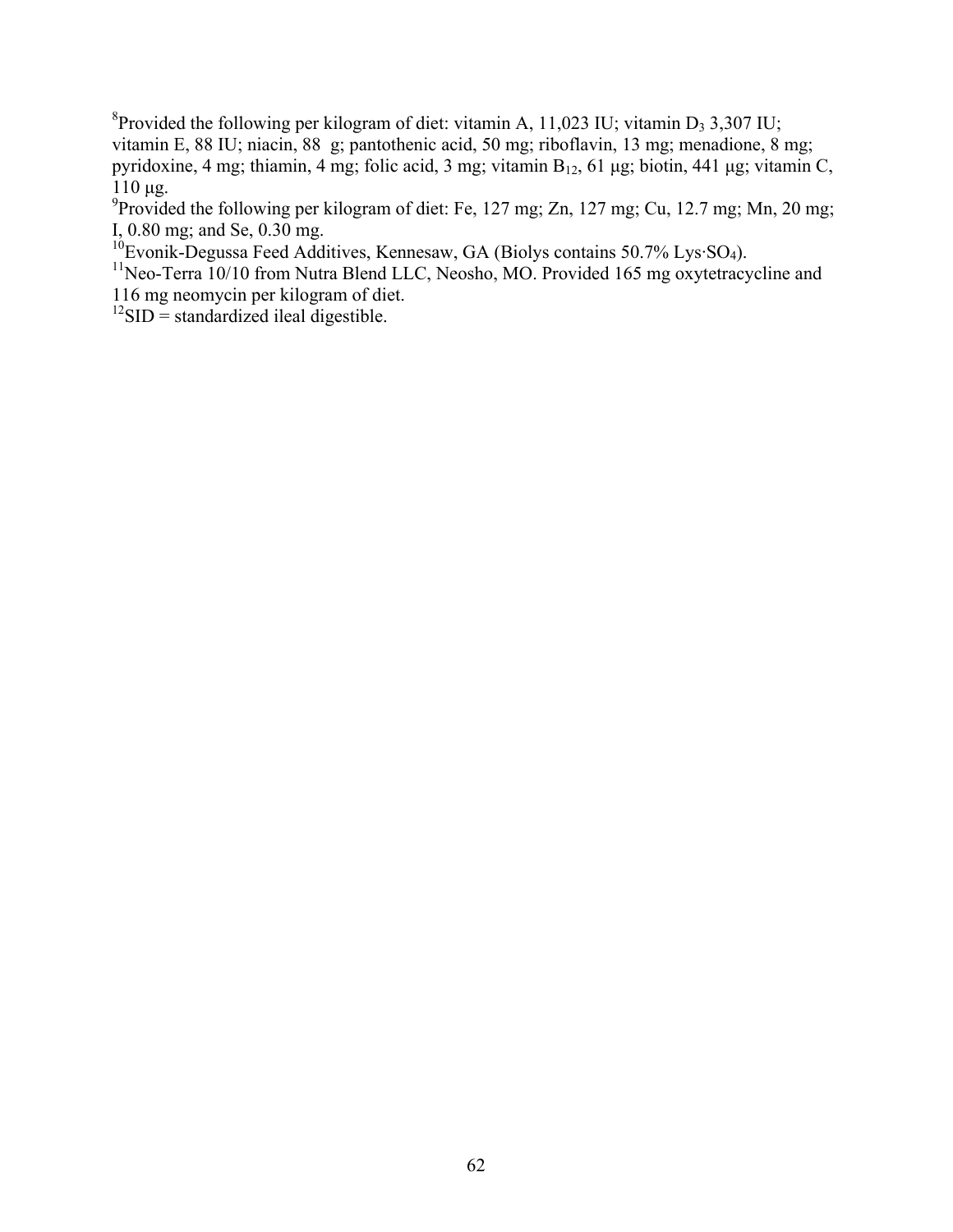<sup>8</sup> Provided the following per kilogram of diet: vitamin A, 11,023 IU; vitamin D<sub>3</sub> 3,307 IU; vitamin E, 88 IU; niacin, 88 g; pantothenic acid, 50 mg; riboflavin, 13 mg; menadione, 8 mg; pyridoxine, 4 mg; thiamin, 4 mg; folic acid, 3 mg; vitamin  $B_{12}$ , 61 μg; biotin, 441 μg; vitamin C, 110 μg.

<sup>9</sup> Provided the following per kilogram of diet: Fe, 127 mg; Zn, 127 mg; Cu, 12.7 mg; Mn, 20 mg; I, 0.80 mg; and Se, 0.30 mg.

 $10$ Evonik-Degussa Feed Additives, Kennesaw, GA (Biolys contains 50.7% Lys·SO<sub>4</sub>).

<sup>11</sup>Neo-Terra 10/10 from Nutra Blend LLC, Neosho, MO. Provided 165 mg oxytetracycline and 116 mg neomycin per kilogram of diet.

 $^{12}$ SID = standardized ileal digestible.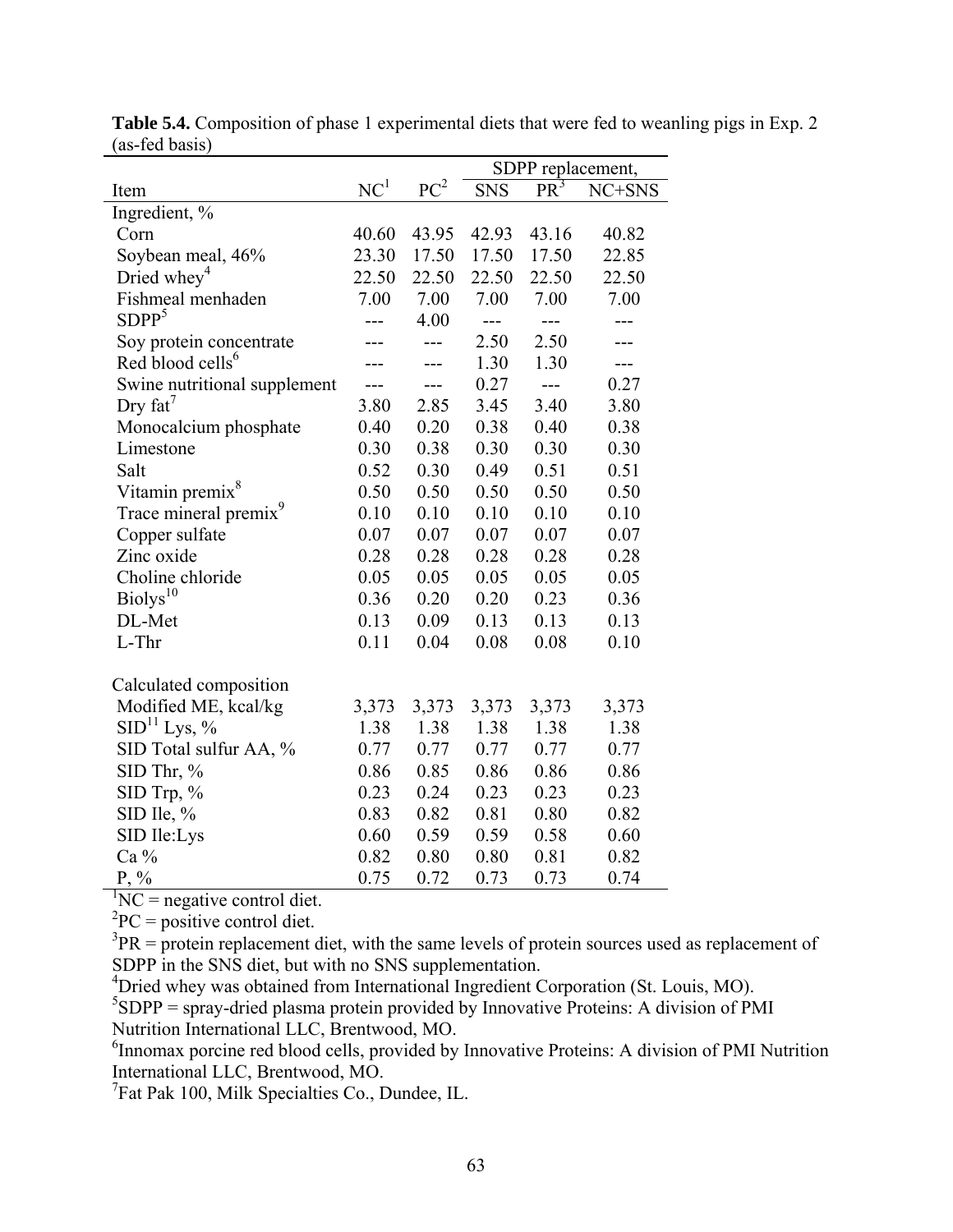|                                   | SDPP replacement, |              |            |                |        |  |  |  |
|-----------------------------------|-------------------|--------------|------------|----------------|--------|--|--|--|
| Item                              | NC <sup>1</sup>   | ${\rm PC}^2$ | <b>SNS</b> | $PR^3$         | NC+SNS |  |  |  |
| Ingredient, %                     |                   |              |            |                |        |  |  |  |
| Corn                              | 40.60             | 43.95        | 42.93      | 43.16          | 40.82  |  |  |  |
| Soybean meal, 46%                 | 23.30             | 17.50        | 17.50      | 17.50          | 22.85  |  |  |  |
| Dried whey <sup>4</sup>           | 22.50             | 22.50        | 22.50      | 22.50          | 22.50  |  |  |  |
| Fishmeal menhaden                 | 7.00              | 7.00         | 7.00       | 7.00           | 7.00   |  |  |  |
| SDPP <sup>5</sup>                 |                   | 4.00         | $---$      | ---            |        |  |  |  |
| Soy protein concentrate           |                   | $---$        | 2.50       | 2.50           |        |  |  |  |
| Red blood cells <sup>6</sup>      |                   | ---          | 1.30       | 1.30           | ---    |  |  |  |
| Swine nutritional supplement      | ---               | ---          | 0.27       | $\overline{a}$ | 0.27   |  |  |  |
| Dry $fat^7$                       | 3.80              | 2.85         | 3.45       | 3.40           | 3.80   |  |  |  |
| Monocalcium phosphate             | 0.40              | 0.20         | 0.38       | 0.40           | 0.38   |  |  |  |
| Limestone                         | 0.30              | 0.38         | 0.30       | 0.30           | 0.30   |  |  |  |
| Salt                              | 0.52              | 0.30         | 0.49       | 0.51           | 0.51   |  |  |  |
| Vitamin premix <sup>8</sup>       | 0.50              | 0.50         | 0.50       | 0.50           | 0.50   |  |  |  |
| Trace mineral premix <sup>9</sup> | 0.10              | 0.10         | 0.10       | 0.10           | 0.10   |  |  |  |
| Copper sulfate                    | 0.07              | 0.07         | 0.07       | 0.07           | 0.07   |  |  |  |
| Zinc oxide                        | 0.28              | 0.28         | 0.28       | 0.28           | 0.28   |  |  |  |
| Choline chloride                  | 0.05              | 0.05         | 0.05       | 0.05           | 0.05   |  |  |  |
| Biolys <sup>10</sup>              | 0.36              | 0.20         | 0.20       | 0.23           | 0.36   |  |  |  |
| DL-Met                            | 0.13              | 0.09         | 0.13       | 0.13           | 0.13   |  |  |  |
| L-Thr                             | 0.11              | 0.04         | 0.08       | 0.08           | 0.10   |  |  |  |
| Calculated composition            |                   |              |            |                |        |  |  |  |
| Modified ME, kcal/kg              | 3,373             | 3,373        | 3,373      | 3,373          | 3,373  |  |  |  |
| SID <sup>11</sup> Lys, %          | 1.38              | 1.38         | 1.38       | 1.38           | 1.38   |  |  |  |
| SID Total sulfur AA, %            | 0.77              | 0.77         | 0.77       | 0.77           | 0.77   |  |  |  |
| $SID$ Thr, %                      | 0.86              | 0.85         | 0.86       | 0.86           | 0.86   |  |  |  |
| $SID$ Trp, $%$                    | 0.23              | 0.24         | 0.23       | 0.23           | 0.23   |  |  |  |
| SID Ile, $%$                      | 0.83              | 0.82         | 0.81       | 0.80           | 0.82   |  |  |  |
| SID Ile:Lys                       | 0.60              | 0.59         | 0.59       | 0.58           | 0.60   |  |  |  |
| Ca %                              | 0.82              | 0.80         | 0.80       | 0.81           | 0.82   |  |  |  |
| $P, \%$                           | 0.75              | 0.72         | 0.73       | 0.73           | 0.74   |  |  |  |

**Table 5.4.** Composition of phase 1 experimental diets that were fed to weanling pigs in Exp. 2 (as-fed basis)

 ${}^{1}NC$  = negative control diet.

 ${}^{2}PC =$  positive control diet.

 $3PR =$  protein replacement diet, with the same levels of protein sources used as replacement of SDPP in the SNS diet, but with no SNS supplementation.

4 Dried whey was obtained from International Ingredient Corporation (St. Louis, MO).

 ${}^{5}SDPP$  = spray-dried plasma protein provided by Innovative Proteins: A division of PMI Nutrition International LLC, Brentwood, MO.

<sup>6</sup> Innomax porcine red blood cells, provided by Innovative Proteins: A division of PMI Nutrition International LLC, Brentwood, MO.

<sup>7</sup>Fat Pak 100, Milk Specialties Co., Dundee, IL.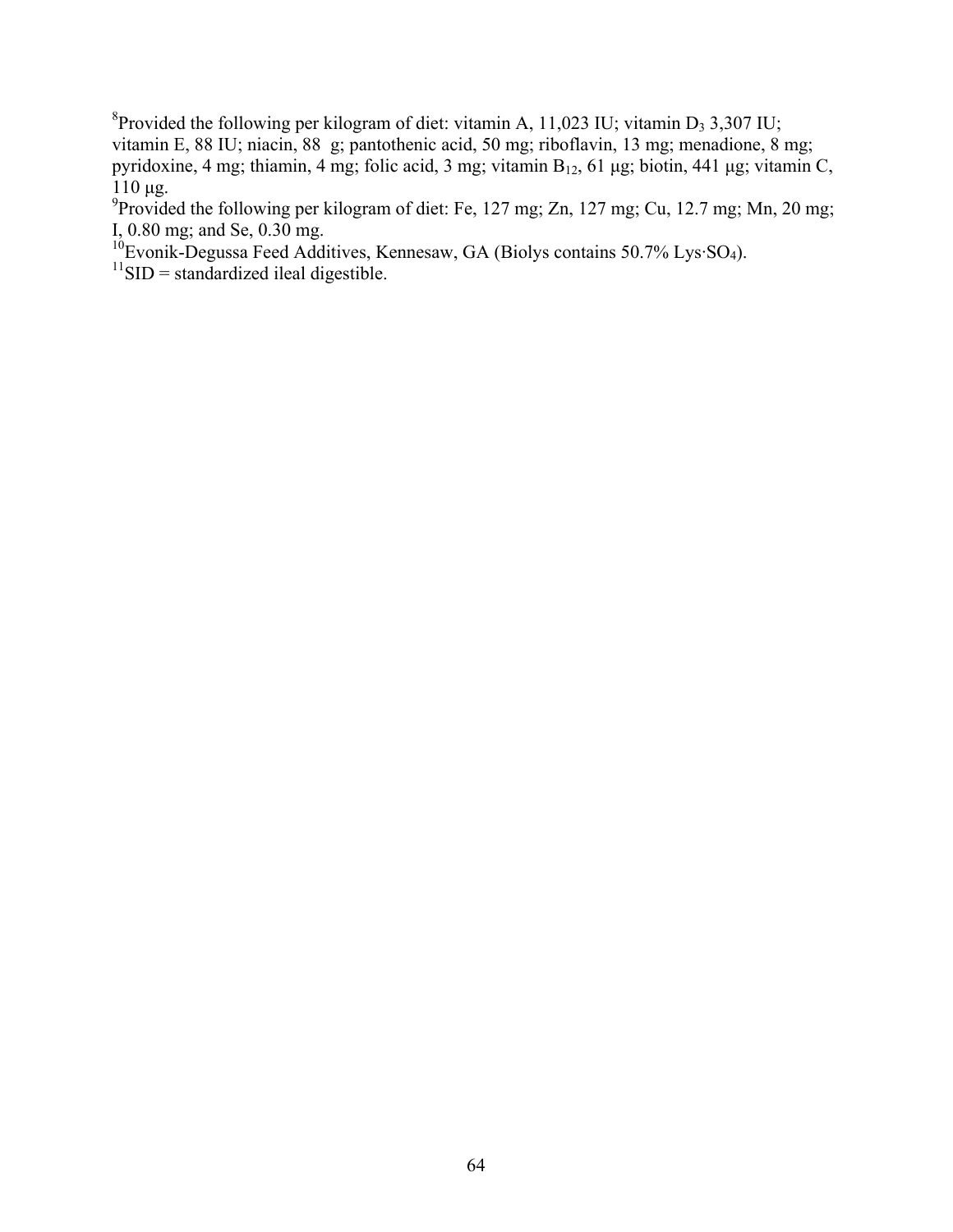<sup>8</sup> Provided the following per kilogram of diet: vitamin A, 11,023 IU; vitamin D<sub>3</sub> 3,307 IU; vitamin E, 88 IU; niacin, 88 g; pantothenic acid, 50 mg; riboflavin, 13 mg; menadione, 8 mg; pyridoxine, 4 mg; thiamin, 4 mg; folic acid, 3 mg; vitamin  $B_{12}$ , 61 μg; biotin, 441 μg; vitamin C, 110 μg.

<sup>9</sup> Provided the following per kilogram of diet: Fe, 127 mg; Zn, 127 mg; Cu, 12.7 mg; Mn, 20 mg; I, 0.80 mg; and Se, 0.30 mg.

 $10^6$ Evonik-Degussa Feed Additives, Kennesaw, GA (Biolys contains 50.7% Lys·SO<sub>4</sub>).

 $11$ SID = standardized ileal digestible.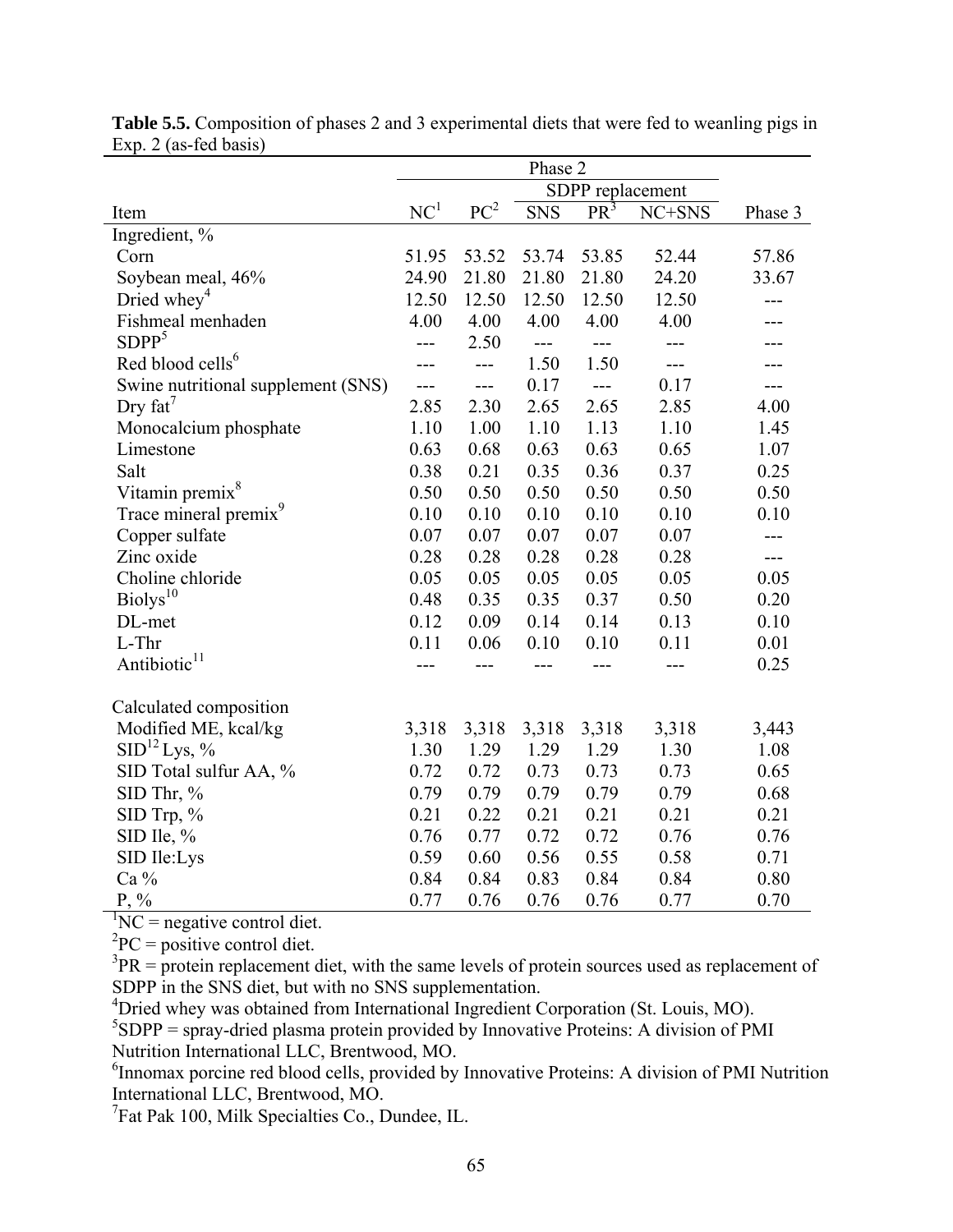|                                    |                 | Phase 2          |            |        |        |         |  |  |
|------------------------------------|-----------------|------------------|------------|--------|--------|---------|--|--|
|                                    |                 | SDPP replacement |            |        |        |         |  |  |
| Item                               | NC <sup>1</sup> | PC <sup>2</sup>  | <b>SNS</b> | $PR^3$ | NC+SNS | Phase 3 |  |  |
| Ingredient, %                      |                 |                  |            |        |        |         |  |  |
| Corn                               | 51.95           | 53.52            | 53.74      | 53.85  | 52.44  | 57.86   |  |  |
| Soybean meal, 46%                  | 24.90           | 21.80            | 21.80      | 21.80  | 24.20  | 33.67   |  |  |
| Dried whey <sup>4</sup>            | 12.50           | 12.50            | 12.50      | 12.50  | 12.50  |         |  |  |
| Fishmeal menhaden                  | 4.00            | 4.00             | 4.00       | 4.00   | 4.00   |         |  |  |
| SDPP <sup>5</sup>                  | ---             | 2.50             | ---        | ---    |        |         |  |  |
| Red blood cells <sup>6</sup>       |                 | $---$            | 1.50       | 1.50   | ---    |         |  |  |
| Swine nutritional supplement (SNS) | ---             | ---              | 0.17       | $---$  | 0.17   | ---     |  |  |
| Dry $fat^7$                        | 2.85            | 2.30             | 2.65       | 2.65   | 2.85   | 4.00    |  |  |
| Monocalcium phosphate              | 1.10            | 1.00             | 1.10       | 1.13   | 1.10   | 1.45    |  |  |
| Limestone                          | 0.63            | 0.68             | 0.63       | 0.63   | 0.65   | 1.07    |  |  |
| Salt                               | 0.38            | 0.21             | 0.35       | 0.36   | 0.37   | 0.25    |  |  |
| Vitamin premix <sup>8</sup>        | 0.50            | 0.50             | 0.50       | 0.50   | 0.50   | 0.50    |  |  |
| Trace mineral premix <sup>9</sup>  | 0.10            | 0.10             | 0.10       | 0.10   | 0.10   | 0.10    |  |  |
| Copper sulfate                     | 0.07            | 0.07             | 0.07       | 0.07   | 0.07   | $---$   |  |  |
| Zinc oxide                         | 0.28            | 0.28             | 0.28       | 0.28   | 0.28   | $---$   |  |  |
| Choline chloride                   | 0.05            | 0.05             | 0.05       | 0.05   | 0.05   | 0.05    |  |  |
| Biolys <sup>10</sup>               | 0.48            | 0.35             | 0.35       | 0.37   | 0.50   | 0.20    |  |  |
| DL-met                             | 0.12            | 0.09             | 0.14       | 0.14   | 0.13   | 0.10    |  |  |
| $L$ -Thr                           | 0.11            | 0.06             | 0.10       | 0.10   | 0.11   | 0.01    |  |  |
| Antibiotic <sup>11</sup>           |                 |                  |            |        |        | 0.25    |  |  |
| Calculated composition             |                 |                  |            |        |        |         |  |  |
| Modified ME, kcal/kg               | 3,318           | 3,318            | 3,318      | 3,318  | 3,318  | 3,443   |  |  |
| SID <sup>12</sup> Lys, %           | 1.30            | 1.29             | 1.29       | 1.29   | 1.30   | 1.08    |  |  |
| SID Total sulfur AA, %             | 0.72            | 0.72             | 0.73       | 0.73   | 0.73   | 0.65    |  |  |
| $SID$ Thr, %                       | 0.79            | 0.79             | 0.79       | 0.79   | 0.79   | 0.68    |  |  |
| SID Trp, %                         | 0.21            | 0.22             | 0.21       | 0.21   | 0.21   | 0.21    |  |  |
| SID Ile, $%$                       | 0.76            | 0.77             | 0.72       | 0.72   | 0.76   | 0.76    |  |  |
| SID Ile:Lys                        | 0.59            | 0.60             | 0.56       | 0.55   | 0.58   | 0.71    |  |  |
| Ca %                               | 0.84            | 0.84             | 0.83       | 0.84   | 0.84   | 0.80    |  |  |
| $P, \%$                            | 0.77            | 0.76             | 0.76       | 0.76   | 0.77   | 0.70    |  |  |

**Table 5.5.** Composition of phases 2 and 3 experimental diets that were fed to weanling pigs in Exp. 2 (as-fed basis)

 ${}^{1}NC$  = negative control diet.

 ${}^{2}PC =$  positive control diet.

 $3PR =$  protein replacement diet, with the same levels of protein sources used as replacement of SDPP in the SNS diet, but with no SNS supplementation.

<sup>4</sup>Dried whey was obtained from International Ingredient Corporation (St. Louis, MO).

 ${}^{5}SDPP$  = spray-dried plasma protein provided by Innovative Proteins: A division of PMI Nutrition International LLC, Brentwood, MO.

<sup>6</sup> Innomax porcine red blood cells, provided by Innovative Proteins: A division of PMI Nutrition International LLC, Brentwood, MO.

<sup>7</sup>Fat Pak 100, Milk Specialties Co., Dundee, IL.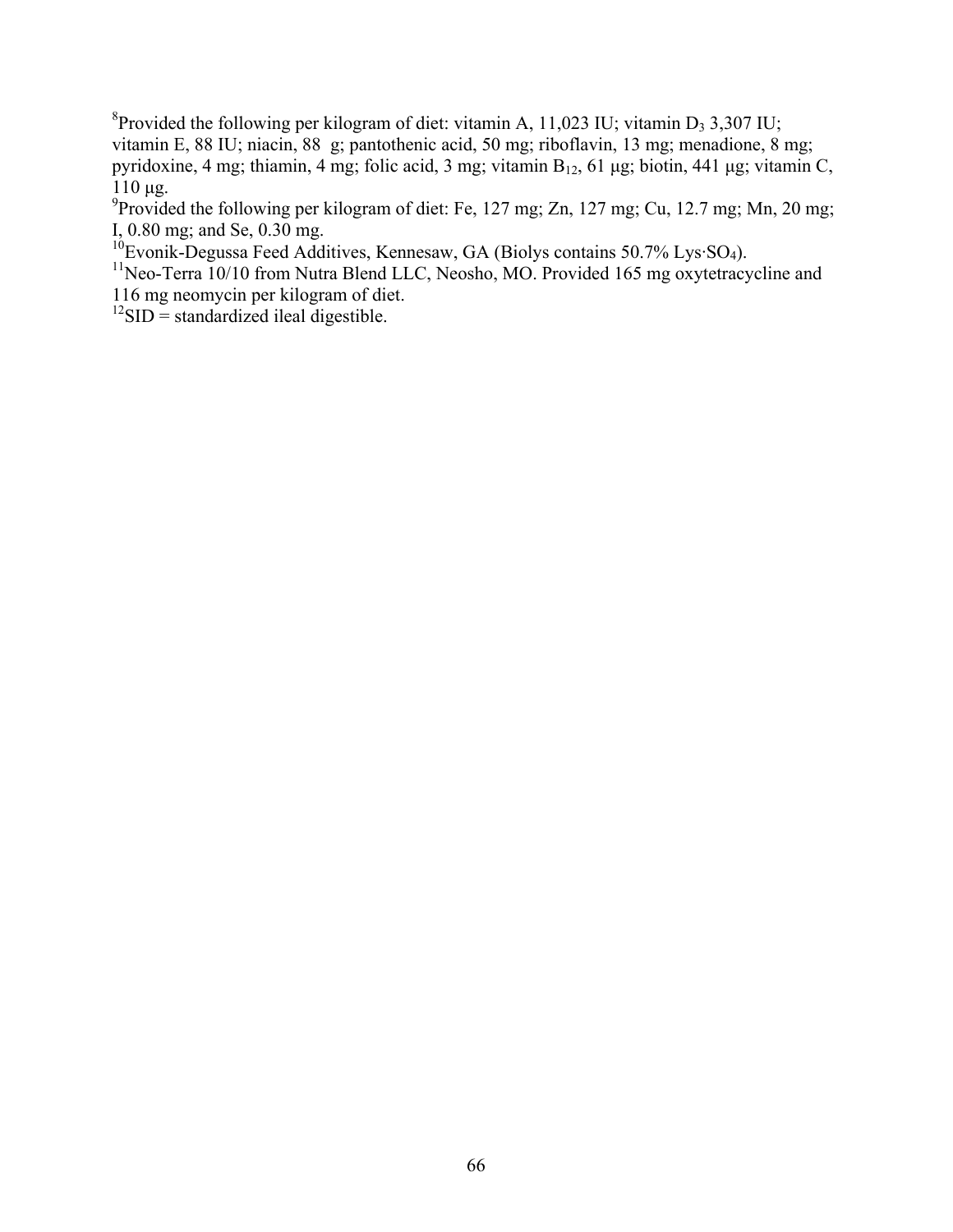<sup>8</sup> Provided the following per kilogram of diet: vitamin A, 11,023 IU; vitamin D<sub>3</sub> 3,307 IU; vitamin E, 88 IU; niacin, 88 g; pantothenic acid, 50 mg; riboflavin, 13 mg; menadione, 8 mg; pyridoxine, 4 mg; thiamin, 4 mg; folic acid, 3 mg; vitamin  $B_{12}$ , 61 μg; biotin, 441 μg; vitamin C, 110 μg.

<sup>9</sup> Provided the following per kilogram of diet: Fe, 127 mg; Zn, 127 mg; Cu, 12.7 mg; Mn, 20 mg; I, 0.80 mg; and Se, 0.30 mg.

 $10$ Evonik-Degussa Feed Additives, Kennesaw, GA (Biolys contains 50.7% Lys·SO<sub>4</sub>).

<sup>11</sup>Neo-Terra 10/10 from Nutra Blend LLC, Neosho, MO. Provided 165 mg oxytetracycline and 116 mg neomycin per kilogram of diet.

 $12$ SID = standardized ileal digestible.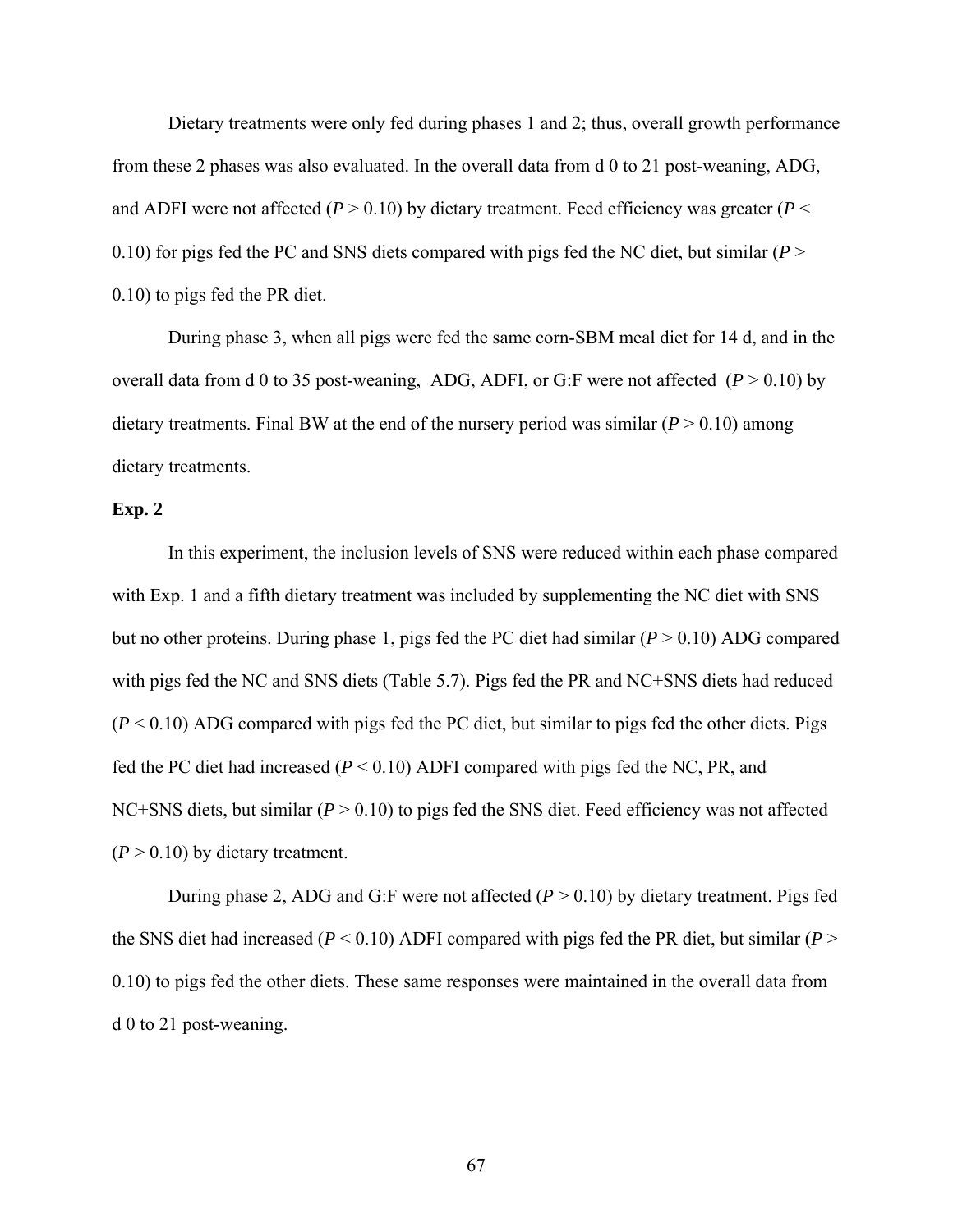Dietary treatments were only fed during phases 1 and 2; thus, overall growth performance from these 2 phases was also evaluated. In the overall data from d 0 to 21 post-weaning, ADG, and ADFI were not affected  $(P > 0.10)$  by dietary treatment. Feed efficiency was greater  $(P <$ 0.10) for pigs fed the PC and SNS diets compared with pigs fed the NC diet, but similar (*P* > 0.10) to pigs fed the PR diet.

During phase 3, when all pigs were fed the same corn-SBM meal diet for 14 d, and in the overall data from d 0 to 35 post-weaning, ADG, ADFI, or G:F were not affected  $(P > 0.10)$  by dietary treatments. Final BW at the end of the nursery period was similar  $(P > 0.10)$  among dietary treatments.

#### **Exp. 2**

 In this experiment, the inclusion levels of SNS were reduced within each phase compared with Exp. 1 and a fifth dietary treatment was included by supplementing the NC diet with SNS but no other proteins. During phase 1, pigs fed the PC diet had similar  $(P > 0.10)$  ADG compared with pigs fed the NC and SNS diets (Table 5.7). Pigs fed the PR and NC+SNS diets had reduced  $(P < 0.10)$  ADG compared with pigs fed the PC diet, but similar to pigs fed the other diets. Pigs fed the PC diet had increased  $(P < 0.10)$  ADFI compared with pigs fed the NC, PR, and NC+SNS diets, but similar (*P* > 0.10) to pigs fed the SNS diet. Feed efficiency was not affected  $(P > 0.10)$  by dietary treatment.

During phase 2, ADG and G:F were not affected (*P* > 0.10) by dietary treatment. Pigs fed the SNS diet had increased ( $P < 0.10$ ) ADFI compared with pigs fed the PR diet, but similar ( $P >$ 0.10) to pigs fed the other diets. These same responses were maintained in the overall data from d 0 to 21 post-weaning.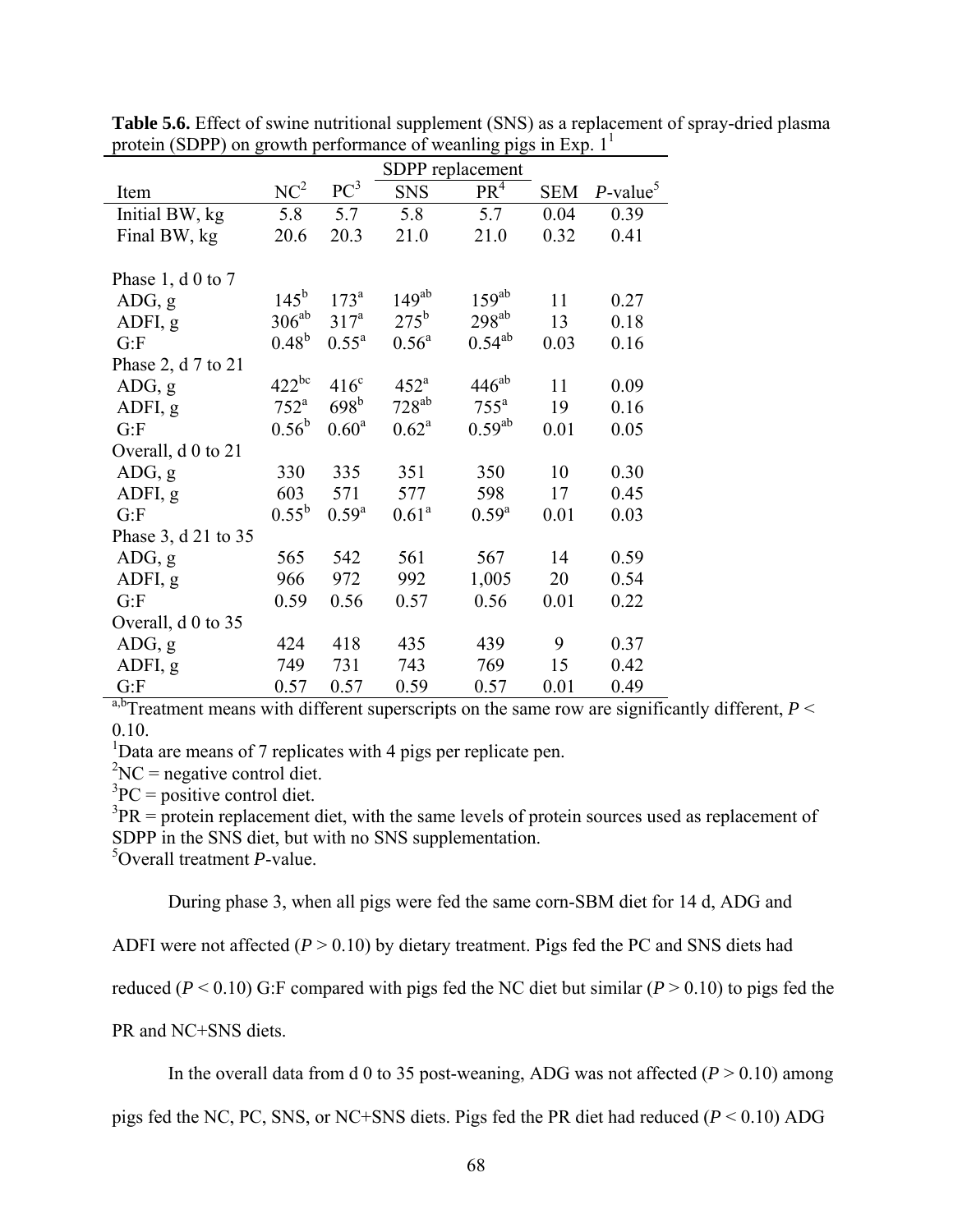|                          |                    |                   | SDPP replacement   |                    |            |                         |  |
|--------------------------|--------------------|-------------------|--------------------|--------------------|------------|-------------------------|--|
| Item                     | NC <sup>2</sup>    | $PC^3$            | <b>SNS</b>         | PR <sup>4</sup>    | <b>SEM</b> | $P$ -value <sup>5</sup> |  |
| Initial BW, kg           | 5.8                | 5.7               | 5.8                | 5.7                | 0.04       | 0.39                    |  |
| Final BW, kg             | 20.6               | 20.3              | 21.0               | 21.0               | 0.32       | 0.41                    |  |
|                          |                    |                   |                    |                    |            |                         |  |
| Phase 1, $d \theta$ to 7 |                    |                   |                    |                    |            |                         |  |
| ADG, g                   | $145^{\rm b}$      | 173 <sup>a</sup>  | $149^{ab}$         | $159^{ab}$         | 11         | 0.27                    |  |
| ADFI, g                  | $306^{ab}$         | 317 <sup>a</sup>  | $275^{\rm b}$      | $298^{ab}$         | 13         | 0.18                    |  |
| G: F                     | $0.48^{b}$         | $0.55^{\text{a}}$ | $0.56^{\text{a}}$  | $0.54^{ab}$        | 0.03       | 0.16                    |  |
| Phase 2, d 7 to 21       |                    |                   |                    |                    |            |                         |  |
| ADG, g                   | $422^{bc}$         | $416^{\circ}$     | $452^{\mathrm{a}}$ | $446^{ab}$         | 11         | 0.09                    |  |
| ADFI, g                  | $752^{\mathrm{a}}$ | 698 <sup>b</sup>  | $728^{ab}$         | $755^{\mathrm{a}}$ | 19         | 0.16                    |  |
| G: F                     | $0.56^{\rm b}$     | $0.60^{\rm a}$    | $0.62^{\rm a}$     | $0.59^{ab}$        | 0.01       | 0.05                    |  |
| Overall, d 0 to 21       |                    |                   |                    |                    |            |                         |  |
| ADG, g                   | 330                | 335               | 351                | 350                | 10         | 0.30                    |  |
| ADFI, g                  | 603                | 571               | 577                | 598                | 17         | 0.45                    |  |
| G: F                     | $0.55^{\rm b}$     | $0.59^{a}$        | $0.61^{\rm a}$     | $0.59^{a}$         | 0.01       | 0.03                    |  |
| Phase 3, d 21 to 35      |                    |                   |                    |                    |            |                         |  |
| ADG, g                   | 565                | 542               | 561                | 567                | 14         | 0.59                    |  |
| ADFI, g                  | 966                | 972               | 992                | 1,005              | 20         | 0.54                    |  |
| G: F                     | 0.59               | 0.56              | 0.57               | 0.56               | 0.01       | 0.22                    |  |
| Overall, d 0 to 35       |                    |                   |                    |                    |            |                         |  |
| ADG, g                   | 424                | 418               | 435                | 439                | 9          | 0.37                    |  |
| ADFI, g                  | 749                | 731               | 743                | 769                | 15         | 0.42                    |  |
| G: F                     | 0.57               | 0.57              | 0.59               | 0.57               | 0.01       | 0.49                    |  |

**Table 5.6.** Effect of swine nutritional supplement (SNS) as a replacement of spray-dried plasma protein (SDPP) on growth performance of weanling pigs in Exp.  $1<sup>1</sup>$ 

<sup>a,b</sup>Treatment means with different superscripts on the same row are significantly different,  $P \leq$ 0.10.

<sup>1</sup>Data are means of 7 replicates with 4 pigs per replicate pen.

 ${}^{2}NC$  = negative control diet.

 ${}^{3}PC =$  positive control diet.

 $3PR =$  protein replacement diet, with the same levels of protein sources used as replacement of SDPP in the SNS diet, but with no SNS supplementation.

5 Overall treatment *P*-value.

During phase 3, when all pigs were fed the same corn-SBM diet for 14 d, ADG and

ADFI were not affected  $(P > 0.10)$  by dietary treatment. Pigs fed the PC and SNS diets had

reduced ( $P < 0.10$ ) G:F compared with pigs fed the NC diet but similar ( $P > 0.10$ ) to pigs fed the

PR and NC+SNS diets.

In the overall data from d 0 to 35 post-weaning, ADG was not affected  $(P > 0.10)$  among

pigs fed the NC, PC, SNS, or NC+SNS diets. Pigs fed the PR diet had reduced (*P* < 0.10) ADG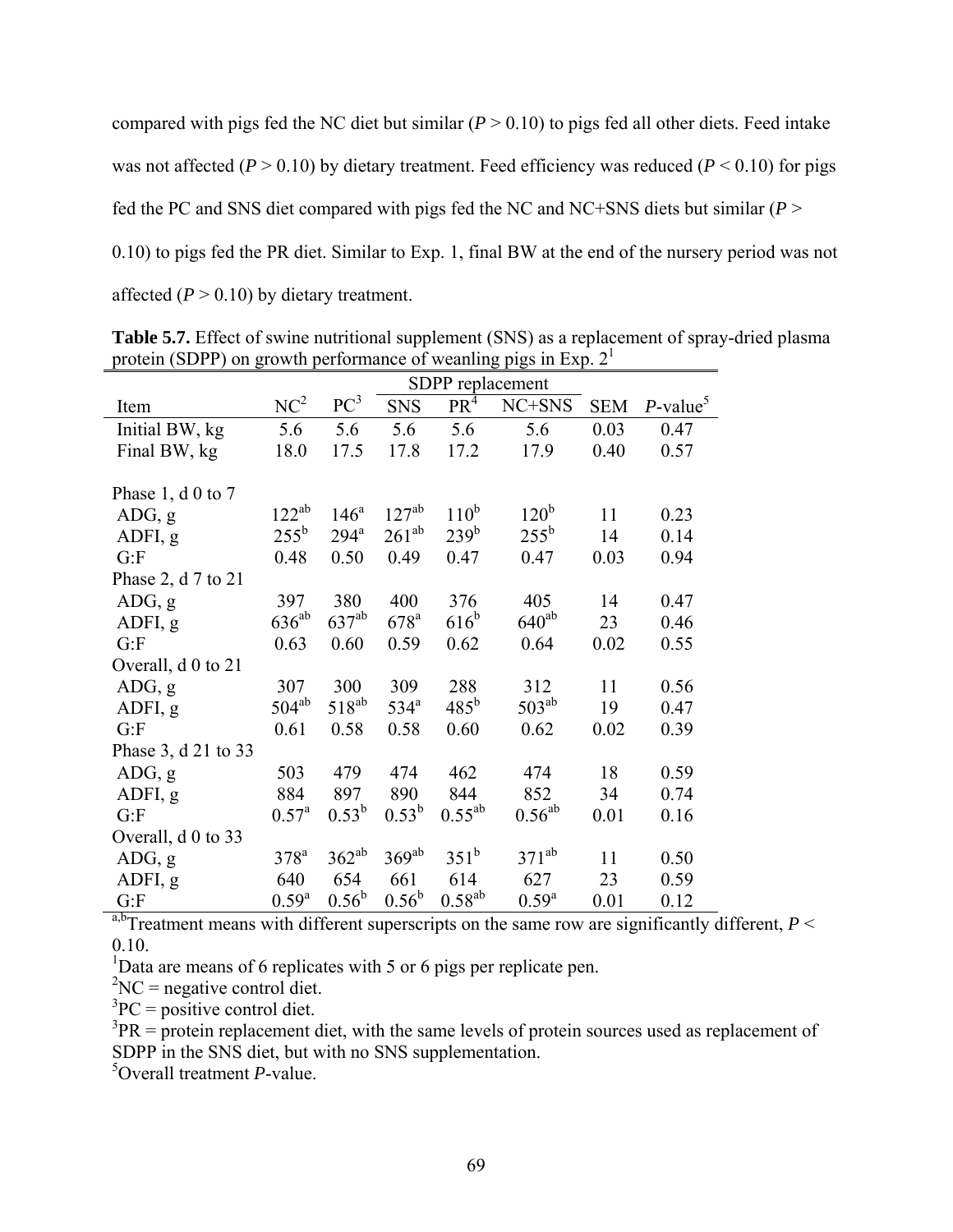compared with pigs fed the NC diet but similar  $(P > 0.10)$  to pigs fed all other diets. Feed intake was not affected ( $P > 0.10$ ) by dietary treatment. Feed efficiency was reduced ( $P < 0.10$ ) for pigs fed the PC and SNS diet compared with pigs fed the NC and NC+SNS diets but similar (*P* > 0.10) to pigs fed the PR diet. Similar to Exp. 1, final BW at the end of the nursery period was not affected  $(P > 0.10)$  by dietary treatment.

|                          | SDPP replacement |                  |                    |                  |                  |            |                         |  |
|--------------------------|------------------|------------------|--------------------|------------------|------------------|------------|-------------------------|--|
| Item                     | NC <sup>2</sup>  | $PC^3$           | <b>SNS</b>         | PR <sup>4</sup>  | NC+SNS           | <b>SEM</b> | $P$ -value <sup>5</sup> |  |
| Initial BW, kg           | 5.6              | 5.6              | 5.6                | 5.6              | 5.6              | 0.03       | 0.47                    |  |
| Final BW, kg             | 18.0             | 17.5             | 17.8               | 17.2             | 17.9             | 0.40       | 0.57                    |  |
|                          |                  |                  |                    |                  |                  |            |                         |  |
| Phase 1, $d \theta$ to 7 |                  |                  |                    |                  |                  |            |                         |  |
| ADG, g                   | $122^{ab}$       | 146 <sup>a</sup> | $127^{ab}$         | $110^b$          | 120 <sup>b</sup> | 11         | 0.23                    |  |
| ADFI, g                  | $255^{\rm b}$    | $294^a$          | $261^{ab}$         | 239 <sup>b</sup> | $255^{\rm b}$    | 14         | 0.14                    |  |
| G: F                     | 0.48             | 0.50             | 0.49               | 0.47             | 0.47             | 0.03       | 0.94                    |  |
| Phase 2, d 7 to 21       |                  |                  |                    |                  |                  |            |                         |  |
| ADG, g                   | 397              | 380              | 400                | 376              | 405              | 14         | 0.47                    |  |
| ADFI, g                  | $636^{ab}$       | $637^{ab}$       | $678^{\mathrm{a}}$ | $616^b$          | $640^{ab}$       | 23         | 0.46                    |  |
| G: F                     | 0.63             | 0.60             | 0.59               | 0.62             | 0.64             | 0.02       | 0.55                    |  |
| Overall, d 0 to 21       |                  |                  |                    |                  |                  |            |                         |  |
| ADG, g                   | 307              | 300              | 309                | 288              | 312              | 11         | 0.56                    |  |
| ADFI, g                  | $504^{ab}$       | $518^{ab}$       | $534^{\circ}$      | $485^{\rm b}$    | $503^{ab}$       | 19         | 0.47                    |  |
| G: F                     | 0.61             | 0.58             | 0.58               | 0.60             | 0.62             | 0.02       | 0.39                    |  |
| Phase 3, d 21 to 33      |                  |                  |                    |                  |                  |            |                         |  |
| ADG, g                   | 503              | 479              | 474                | 462              | 474              | 18         | 0.59                    |  |
| ADFI, g                  | 884              | 897              | 890                | 844              | 852              | 34         | 0.74                    |  |
| G: F                     | $0.57^{\rm a}$   | $0.53^b$         | $0.53^b$           | $0.55^{ab}$      | $0.56^{ab}$      | 0.01       | 0.16                    |  |
| Overall, d 0 to 33       |                  |                  |                    |                  |                  |            |                         |  |
| ADG, g                   | $378^a$          | $362^{ab}$       | $369^{ab}$         | $351^b$          | $371^{ab}$       | 11         | 0.50                    |  |
| ADFI, g                  | 640              | 654              | 661                | 614              | 627              | 23         | 0.59                    |  |
| G: F                     | $0.59^{a}$       | $0.56^{\rm b}$   | $0.56^{\rm b}$     | $0.58^{ab}$      | $0.59^{a}$       | 0.01       | 0.12                    |  |

**Table 5.7.** Effect of swine nutritional supplement (SNS) as a replacement of spray-dried plasma protein (SDPP) on growth performance of weanling pigs in Exp.  $2<sup>1</sup>$ 

 $\frac{a_0}{b_0}$ Treatment means with different superscripts on the same row are significantly different, *P* < 0.10.

<sup>1</sup>Data are means of 6 replicates with 5 or 6 pigs per replicate pen.

 ${}^{2}NC$  = negative control diet.

 ${}^{3}PC =$  positive control diet.

 $3PR =$  protein replacement diet, with the same levels of protein sources used as replacement of SDPP in the SNS diet, but with no SNS supplementation.

5 Overall treatment *P*-value.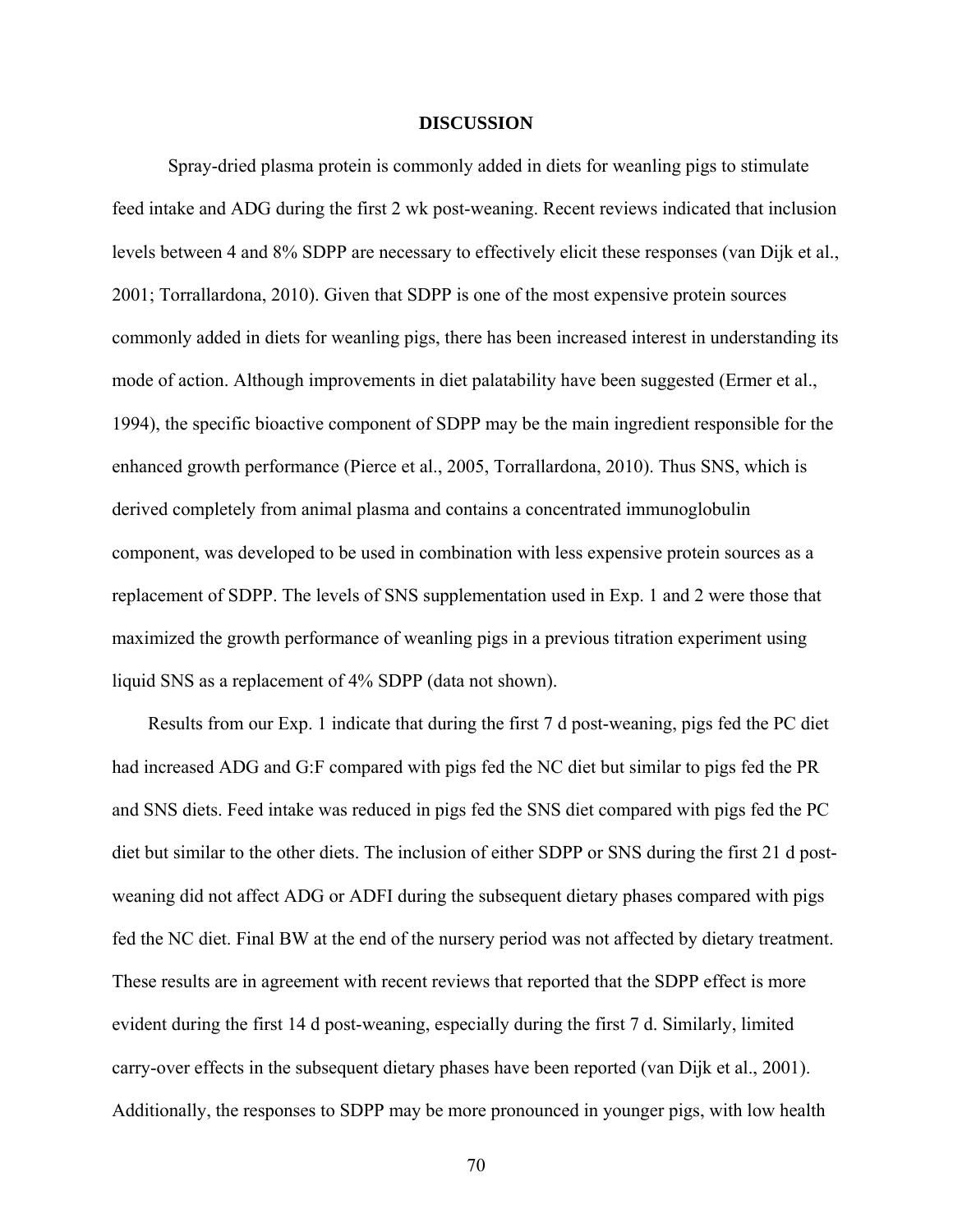#### **DISCUSSION**

Spray-dried plasma protein is commonly added in diets for weanling pigs to stimulate feed intake and ADG during the first 2 wk post-weaning. Recent reviews indicated that inclusion levels between 4 and 8% SDPP are necessary to effectively elicit these responses (van Dijk et al., 2001; Torrallardona, 2010). Given that SDPP is one of the most expensive protein sources commonly added in diets for weanling pigs, there has been increased interest in understanding its mode of action. Although improvements in diet palatability have been suggested (Ermer et al., 1994), the specific bioactive component of SDPP may be the main ingredient responsible for the enhanced growth performance (Pierce et al., 2005, Torrallardona, 2010). Thus SNS, which is derived completely from animal plasma and contains a concentrated immunoglobulin component, was developed to be used in combination with less expensive protein sources as a replacement of SDPP. The levels of SNS supplementation used in Exp. 1 and 2 were those that maximized the growth performance of weanling pigs in a previous titration experiment using liquid SNS as a replacement of 4% SDPP (data not shown).

Results from our Exp. 1 indicate that during the first 7 d post-weaning, pigs fed the PC diet had increased ADG and G:F compared with pigs fed the NC diet but similar to pigs fed the PR and SNS diets. Feed intake was reduced in pigs fed the SNS diet compared with pigs fed the PC diet but similar to the other diets. The inclusion of either SDPP or SNS during the first 21 d postweaning did not affect ADG or ADFI during the subsequent dietary phases compared with pigs fed the NC diet. Final BW at the end of the nursery period was not affected by dietary treatment. These results are in agreement with recent reviews that reported that the SDPP effect is more evident during the first 14 d post-weaning, especially during the first 7 d. Similarly, limited carry-over effects in the subsequent dietary phases have been reported (van Dijk et al., 2001). Additionally, the responses to SDPP may be more pronounced in younger pigs, with low health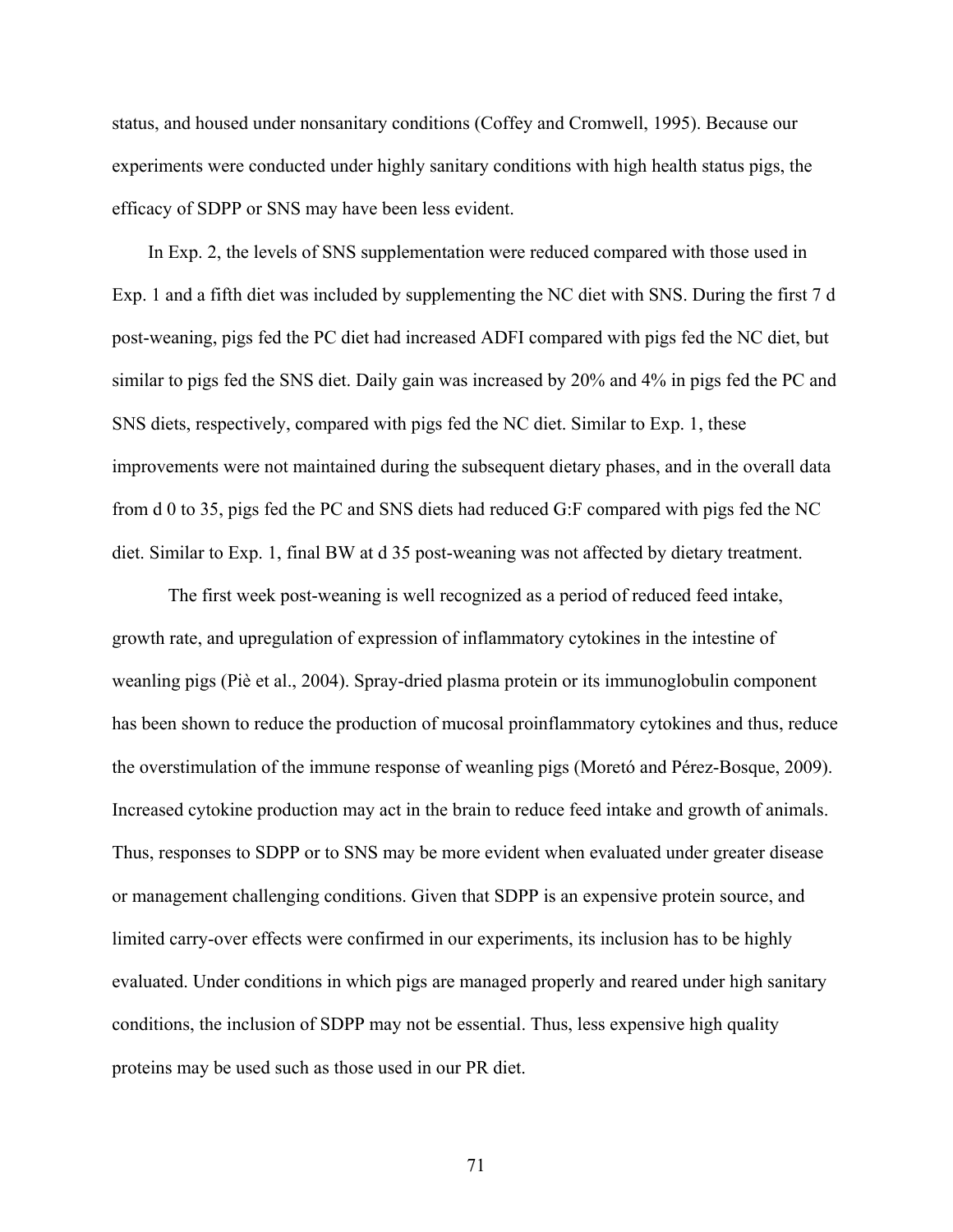status, and housed under nonsanitary conditions (Coffey and Cromwell, 1995). Because our experiments were conducted under highly sanitary conditions with high health status pigs, the efficacy of SDPP or SNS may have been less evident.

In Exp. 2, the levels of SNS supplementation were reduced compared with those used in Exp. 1 and a fifth diet was included by supplementing the NC diet with SNS. During the first 7 d post-weaning, pigs fed the PC diet had increased ADFI compared with pigs fed the NC diet, but similar to pigs fed the SNS diet. Daily gain was increased by 20% and 4% in pigs fed the PC and SNS diets, respectively, compared with pigs fed the NC diet. Similar to Exp. 1, these improvements were not maintained during the subsequent dietary phases, and in the overall data from d 0 to 35, pigs fed the PC and SNS diets had reduced G:F compared with pigs fed the NC diet. Similar to Exp. 1, final BW at d 35 post-weaning was not affected by dietary treatment.

The first week post-weaning is well recognized as a period of reduced feed intake, growth rate, and upregulation of expression of inflammatory cytokines in the intestine of weanling pigs (Piè et al., 2004). Spray-dried plasma protein or its immunoglobulin component has been shown to reduce the production of mucosal proinflammatory cytokines and thus, reduce the overstimulation of the immune response of weanling pigs (Moretó and Pérez-Bosque, 2009). Increased cytokine production may act in the brain to reduce feed intake and growth of animals. Thus, responses to SDPP or to SNS may be more evident when evaluated under greater disease or management challenging conditions. Given that SDPP is an expensive protein source, and limited carry-over effects were confirmed in our experiments, its inclusion has to be highly evaluated. Under conditions in which pigs are managed properly and reared under high sanitary conditions, the inclusion of SDPP may not be essential. Thus, less expensive high quality proteins may be used such as those used in our PR diet.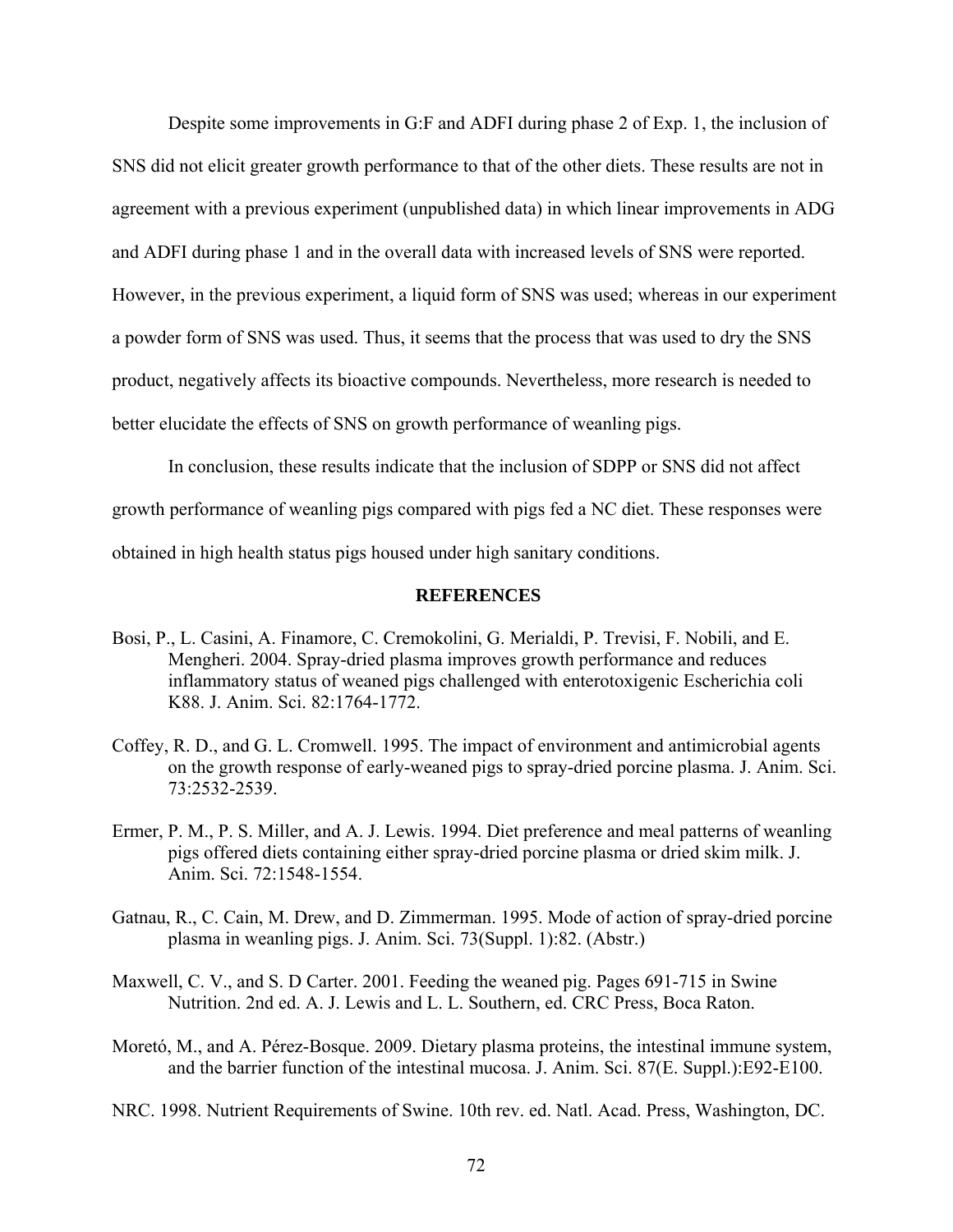Despite some improvements in G:F and ADFI during phase 2 of Exp. 1, the inclusion of SNS did not elicit greater growth performance to that of the other diets. These results are not in agreement with a previous experiment (unpublished data) in which linear improvements in ADG and ADFI during phase 1 and in the overall data with increased levels of SNS were reported. However, in the previous experiment, a liquid form of SNS was used; whereas in our experiment a powder form of SNS was used. Thus, it seems that the process that was used to dry the SNS product, negatively affects its bioactive compounds. Nevertheless, more research is needed to better elucidate the effects of SNS on growth performance of weanling pigs.

In conclusion, these results indicate that the inclusion of SDPP or SNS did not affect growth performance of weanling pigs compared with pigs fed a NC diet. These responses were obtained in high health status pigs housed under high sanitary conditions.

#### **REFERENCES**

- Bosi, P., L. Casini, A. Finamore, C. Cremokolini, G. Merialdi, P. Trevisi, F. Nobili, and E. Mengheri. 2004. Spray-dried plasma improves growth performance and reduces inflammatory status of weaned pigs challenged with enterotoxigenic Escherichia coli K88. J. Anim. Sci. 82:1764-1772.
- Coffey, R. D., and G. L. Cromwell. 1995. The impact of environment and antimicrobial agents on the growth response of early-weaned pigs to spray-dried porcine plasma. J. Anim. Sci. 73:2532-2539.
- Ermer, P. M., P. S. Miller, and A. J. Lewis. 1994. Diet preference and meal patterns of weanling pigs offered diets containing either spray-dried porcine plasma or dried skim milk. J. Anim. Sci. 72:1548-1554.
- Gatnau, R., C. Cain, M. Drew, and D. Zimmerman. 1995. Mode of action of spray-dried porcine plasma in weanling pigs. J. Anim. Sci. 73(Suppl. 1):82. (Abstr.)
- Maxwell, C. V., and S. D Carter. 2001. Feeding the weaned pig. Pages 691-715 in Swine Nutrition. 2nd ed. A. J. Lewis and L. L. Southern, ed. CRC Press, Boca Raton.
- Moretó, M., and A. Pérez-Bosque. 2009. Dietary plasma proteins, the intestinal immune system, and the barrier function of the intestinal mucosa. J. Anim. Sci. 87(E. Suppl.):E92-E100.

NRC. 1998. Nutrient Requirements of Swine. 10th rev. ed. Natl. Acad. Press, Washington, DC.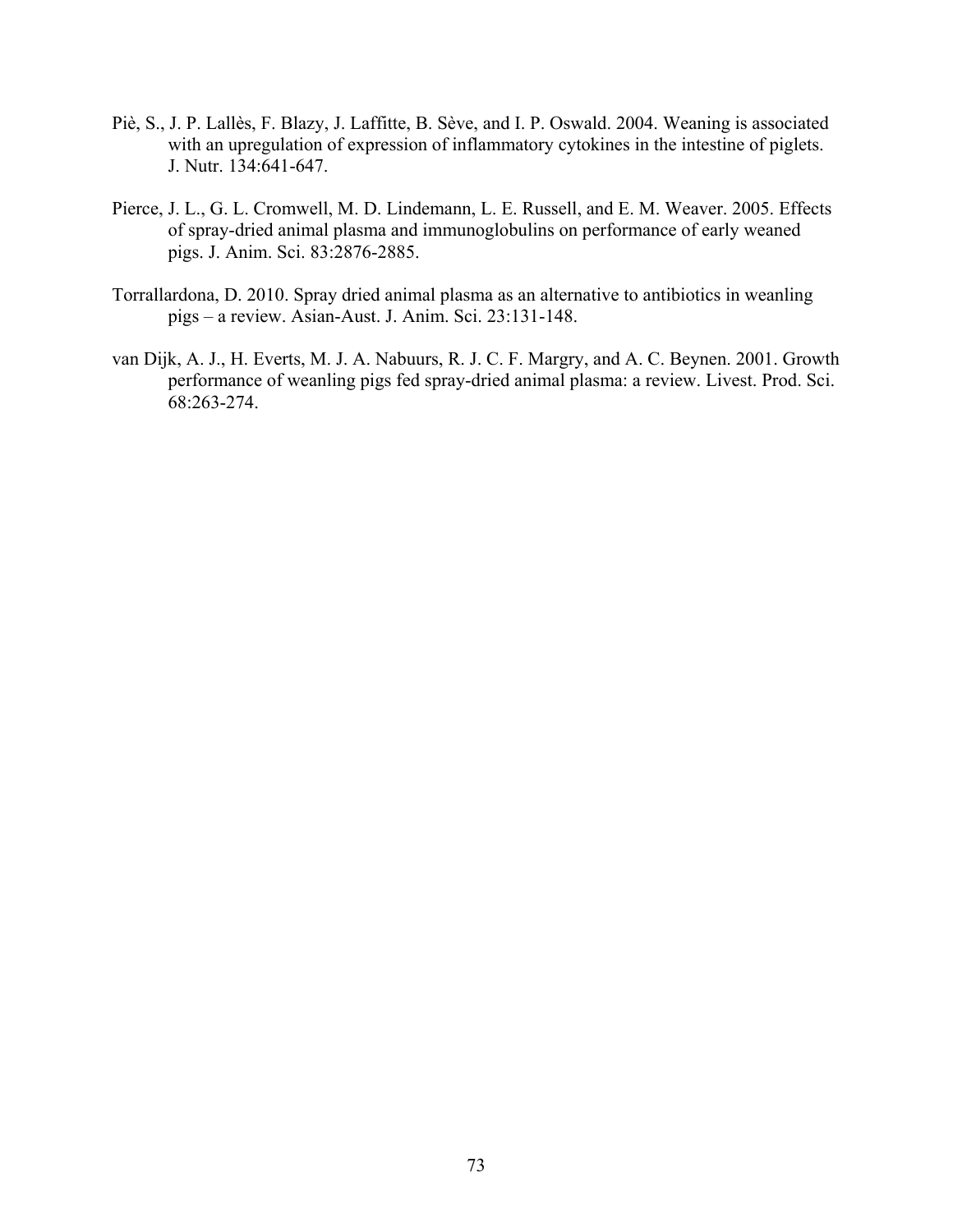- Piè, S., J. P. Lallès, F. Blazy, J. Laffitte, B. Sève, and I. P. Oswald. 2004. Weaning is associated with an upregulation of expression of inflammatory cytokines in the intestine of piglets. J. Nutr. 134:641-647.
- Pierce, J. L., G. L. Cromwell, M. D. Lindemann, L. E. Russell, and E. M. Weaver. 2005. Effects of spray-dried animal plasma and immunoglobulins on performance of early weaned pigs. J. Anim. Sci. 83:2876-2885.
- Torrallardona, D. 2010. Spray dried animal plasma as an alternative to antibiotics in weanling pigs – a review. Asian-Aust. J. Anim. Sci. 23:131-148.
- van Dijk, A. J., H. Everts, M. J. A. Nabuurs, R. J. C. F. Margry, and A. C. Beynen. 2001. Growth performance of weanling pigs fed spray-dried animal plasma: a review. Livest. Prod. Sci. 68:263-274.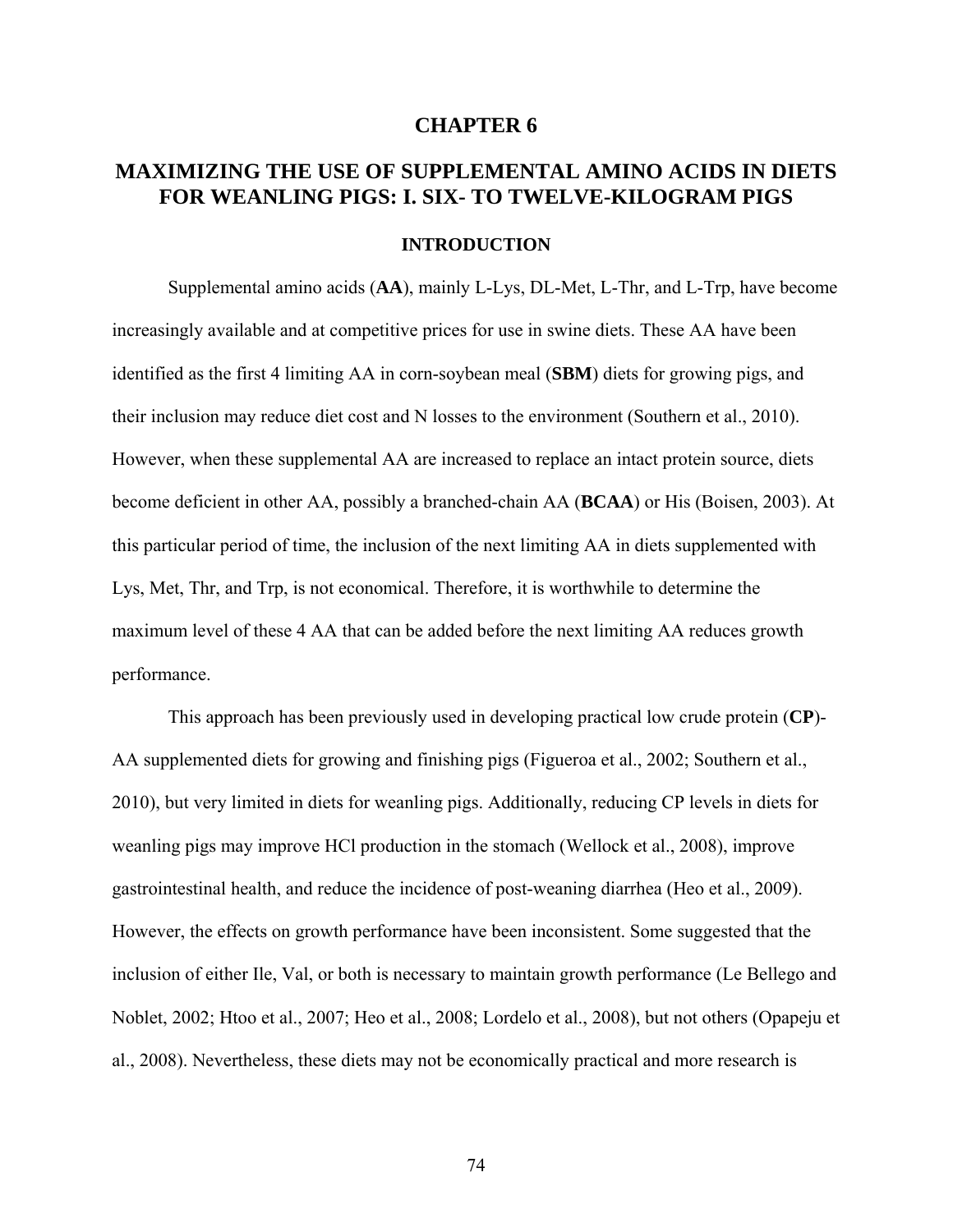#### **CHAPTER 6**

# **MAXIMIZING THE USE OF SUPPLEMENTAL AMINO ACIDS IN DIETS FOR WEANLING PIGS: I. SIX- TO TWELVE-KILOGRAM PIGS**

#### **INTRODUCTION**

Supplemental amino acids (**AA**), mainly L-Lys, DL-Met, L-Thr, and L-Trp, have become increasingly available and at competitive prices for use in swine diets. These AA have been identified as the first 4 limiting AA in corn-soybean meal (**SBM**) diets for growing pigs, and their inclusion may reduce diet cost and N losses to the environment (Southern et al., 2010). However, when these supplemental AA are increased to replace an intact protein source, diets become deficient in other AA, possibly a branched-chain AA (**BCAA**) or His (Boisen, 2003). At this particular period of time, the inclusion of the next limiting AA in diets supplemented with Lys, Met, Thr, and Trp, is not economical. Therefore, it is worthwhile to determine the maximum level of these 4 AA that can be added before the next limiting AA reduces growth performance.

This approach has been previously used in developing practical low crude protein (**CP**)- AA supplemented diets for growing and finishing pigs (Figueroa et al., 2002; Southern et al., 2010), but very limited in diets for weanling pigs. Additionally, reducing CP levels in diets for weanling pigs may improve HCl production in the stomach (Wellock et al., 2008), improve gastrointestinal health, and reduce the incidence of post-weaning diarrhea (Heo et al., 2009). However, the effects on growth performance have been inconsistent. Some suggested that the inclusion of either Ile, Val, or both is necessary to maintain growth performance (Le Bellego and Noblet, 2002; Htoo et al., 2007; Heo et al., 2008; Lordelo et al., 2008), but not others (Opapeju et al., 2008). Nevertheless, these diets may not be economically practical and more research is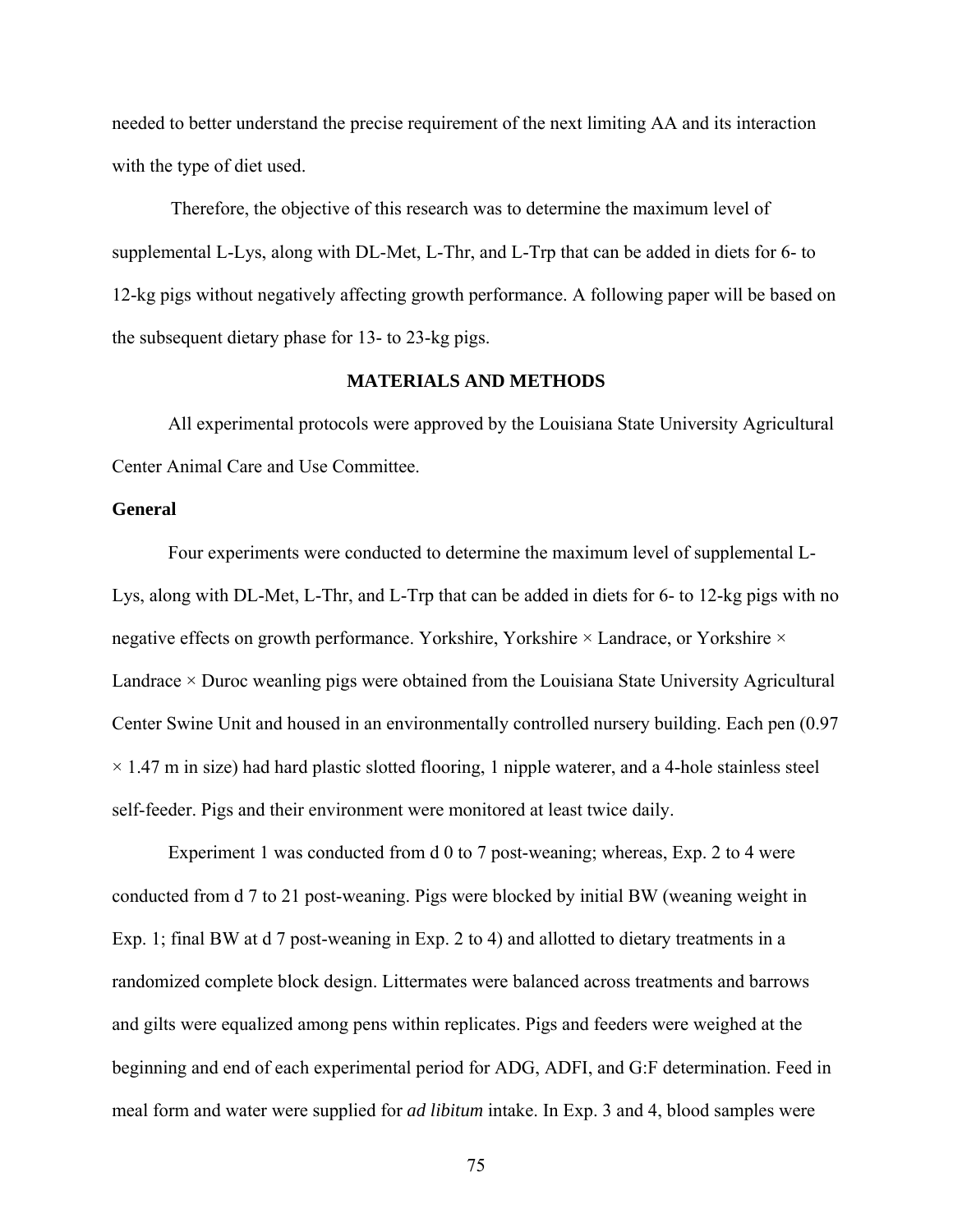needed to better understand the precise requirement of the next limiting AA and its interaction with the type of diet used.

 Therefore, the objective of this research was to determine the maximum level of supplemental L-Lys, along with DL-Met, L-Thr, and L-Trp that can be added in diets for 6- to 12-kg pigs without negatively affecting growth performance. A following paper will be based on the subsequent dietary phase for 13- to 23-kg pigs.

# **MATERIALS AND METHODS**

All experimental protocols were approved by the Louisiana State University Agricultural Center Animal Care and Use Committee.

#### **General**

Four experiments were conducted to determine the maximum level of supplemental L-Lys, along with DL-Met, L-Thr, and L-Trp that can be added in diets for 6- to 12-kg pigs with no negative effects on growth performance. Yorkshire, Yorkshire  $\times$  Landrace, or Yorkshire  $\times$ Landrace  $\times$  Duroc weanling pigs were obtained from the Louisiana State University Agricultural Center Swine Unit and housed in an environmentally controlled nursery building. Each pen (0.97  $\times$  1.47 m in size) had hard plastic slotted flooring, 1 nipple waterer, and a 4-hole stainless steel self-feeder. Pigs and their environment were monitored at least twice daily.

Experiment 1 was conducted from d 0 to 7 post-weaning; whereas, Exp. 2 to 4 were conducted from d 7 to 21 post-weaning. Pigs were blocked by initial BW (weaning weight in Exp. 1; final BW at d 7 post-weaning in Exp. 2 to 4) and allotted to dietary treatments in a randomized complete block design. Littermates were balanced across treatments and barrows and gilts were equalized among pens within replicates. Pigs and feeders were weighed at the beginning and end of each experimental period for ADG, ADFI, and G:F determination. Feed in meal form and water were supplied for *ad libitum* intake. In Exp. 3 and 4, blood samples were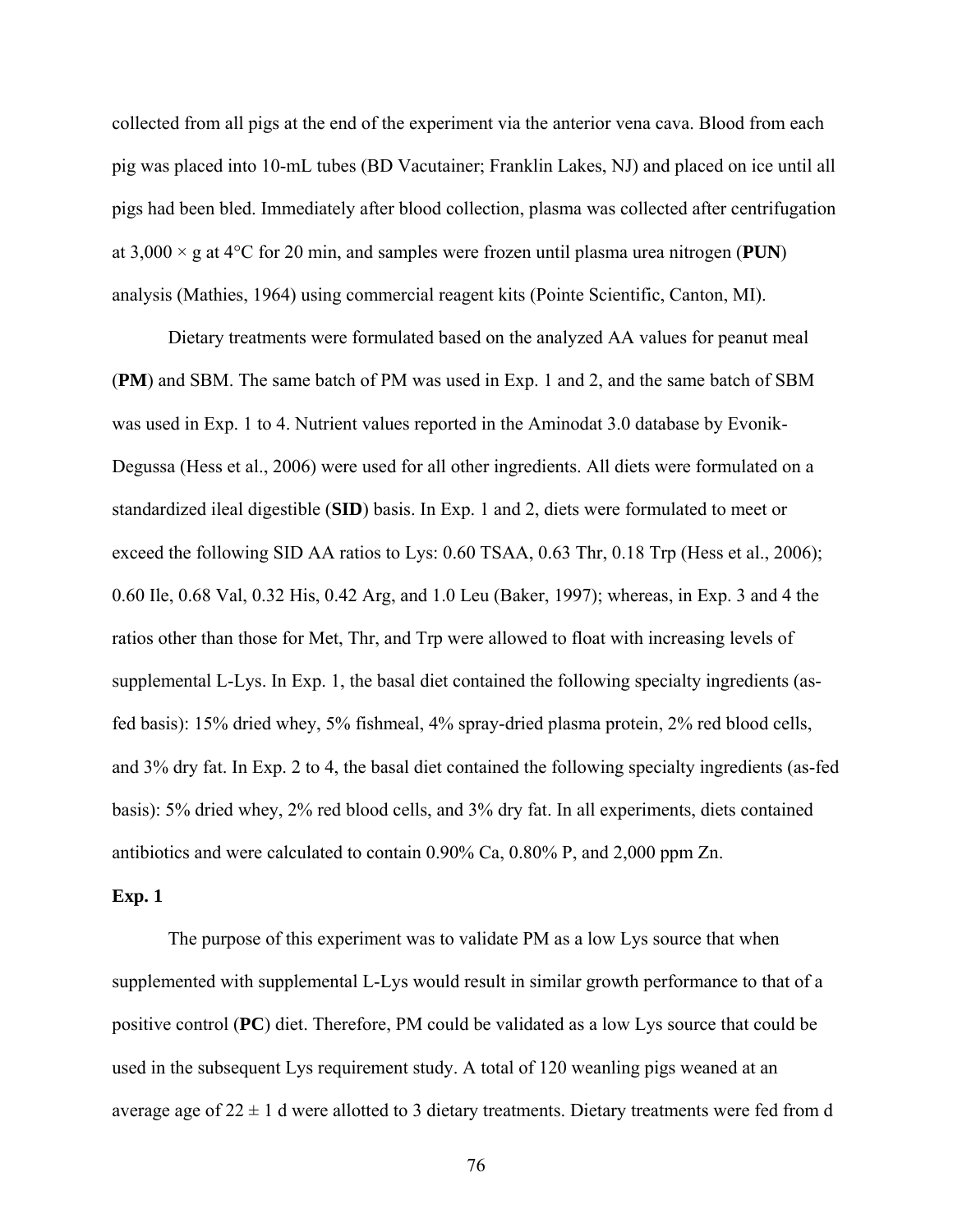collected from all pigs at the end of the experiment via the anterior vena cava. Blood from each pig was placed into 10-mL tubes (BD Vacutainer; Franklin Lakes, NJ) and placed on ice until all pigs had been bled. Immediately after blood collection, plasma was collected after centrifugation at  $3,000 \times g$  at  $4^{\circ}$ C for 20 min, and samples were frozen until plasma urea nitrogen (**PUN**) analysis (Mathies, 1964) using commercial reagent kits (Pointe Scientific, Canton, MI).

Dietary treatments were formulated based on the analyzed AA values for peanut meal (**PM**) and SBM. The same batch of PM was used in Exp. 1 and 2, and the same batch of SBM was used in Exp. 1 to 4. Nutrient values reported in the Aminodat 3.0 database by Evonik-Degussa (Hess et al., 2006) were used for all other ingredients. All diets were formulated on a standardized ileal digestible (**SID**) basis. In Exp. 1 and 2, diets were formulated to meet or exceed the following SID AA ratios to Lys: 0.60 TSAA, 0.63 Thr, 0.18 Trp (Hess et al., 2006); 0.60 Ile, 0.68 Val, 0.32 His, 0.42 Arg, and 1.0 Leu (Baker, 1997); whereas, in Exp. 3 and 4 the ratios other than those for Met, Thr, and Trp were allowed to float with increasing levels of supplemental L-Lys. In Exp. 1, the basal diet contained the following specialty ingredients (asfed basis): 15% dried whey, 5% fishmeal, 4% spray-dried plasma protein, 2% red blood cells, and 3% dry fat. In Exp. 2 to 4, the basal diet contained the following specialty ingredients (as-fed basis): 5% dried whey, 2% red blood cells, and 3% dry fat. In all experiments, diets contained antibiotics and were calculated to contain 0.90% Ca, 0.80% P, and 2,000 ppm Zn.

#### **Exp. 1**

The purpose of this experiment was to validate PM as a low Lys source that when supplemented with supplemental L-Lys would result in similar growth performance to that of a positive control (**PC**) diet. Therefore, PM could be validated as a low Lys source that could be used in the subsequent Lys requirement study. A total of 120 weanling pigs weaned at an average age of  $22 \pm 1$  d were allotted to 3 dietary treatments. Dietary treatments were fed from d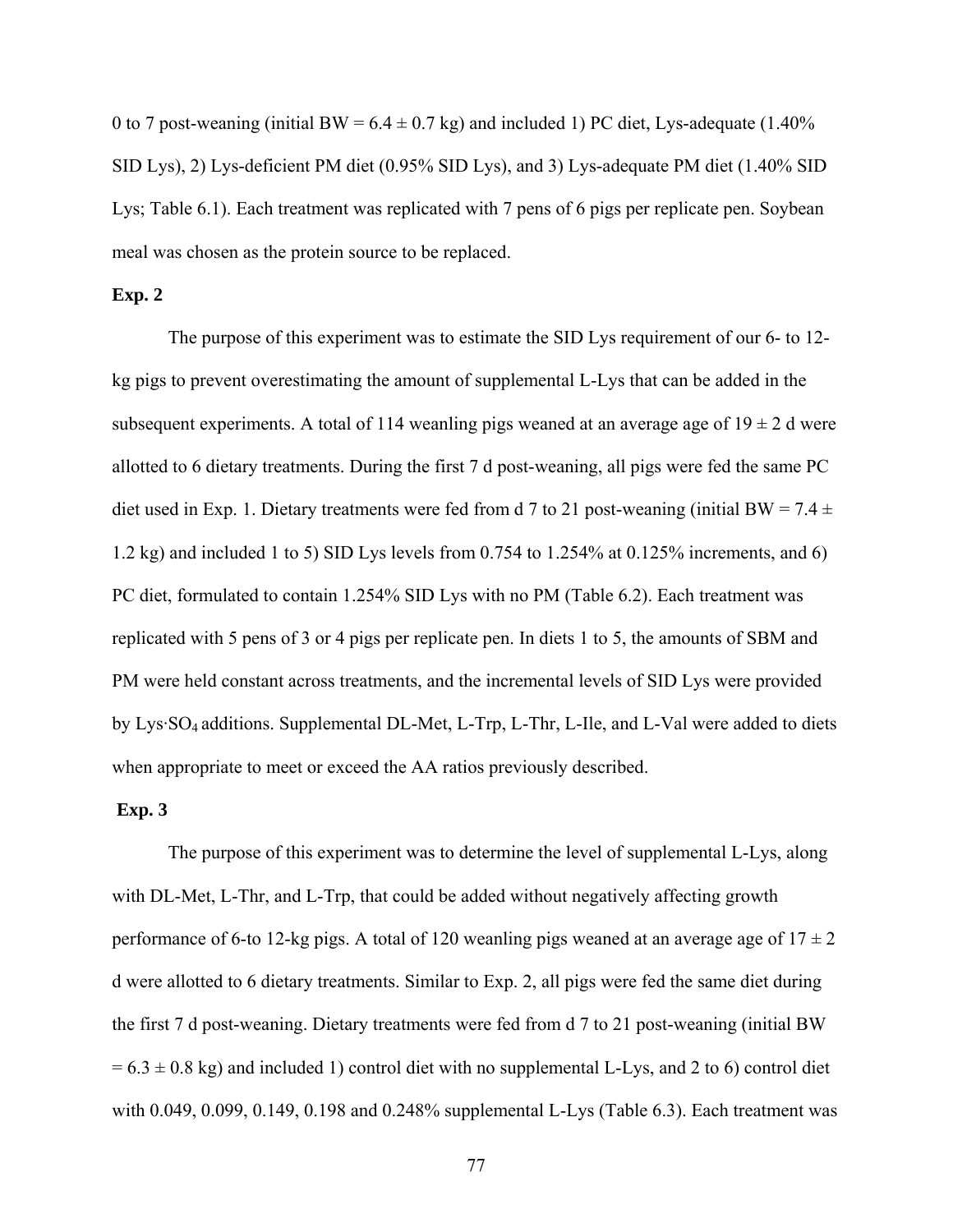0 to 7 post-weaning (initial BW =  $6.4 \pm 0.7$  kg) and included 1) PC diet, Lys-adequate (1.40%) SID Lys), 2) Lys-deficient PM diet (0.95% SID Lys), and 3) Lys-adequate PM diet (1.40% SID Lys; Table 6.1). Each treatment was replicated with 7 pens of 6 pigs per replicate pen. Soybean meal was chosen as the protein source to be replaced.

## **Exp. 2**

 The purpose of this experiment was to estimate the SID Lys requirement of our 6- to 12 kg pigs to prevent overestimating the amount of supplemental L-Lys that can be added in the subsequent experiments. A total of 114 weanling pigs weaned at an average age of  $19 \pm 2$  d were allotted to 6 dietary treatments. During the first 7 d post-weaning, all pigs were fed the same PC diet used in Exp. 1. Dietary treatments were fed from d 7 to 21 post-weaning (initial BW =  $7.4 \pm$ 1.2 kg) and included 1 to 5) SID Lys levels from 0.754 to 1.254% at 0.125% increments, and 6) PC diet, formulated to contain 1.254% SID Lys with no PM (Table 6.2). Each treatment was replicated with 5 pens of 3 or 4 pigs per replicate pen. In diets 1 to 5, the amounts of SBM and PM were held constant across treatments, and the incremental levels of SID Lys were provided by Lys·SO4 additions. Supplemental DL-Met, L-Trp, L-Thr, L-Ile, and L-Val were added to diets when appropriate to meet or exceed the AA ratios previously described.

#### **Exp. 3**

 The purpose of this experiment was to determine the level of supplemental L-Lys, along with DL-Met, L-Thr, and L-Trp, that could be added without negatively affecting growth performance of 6-to 12-kg pigs. A total of 120 weanling pigs weaned at an average age of  $17 \pm 2$ d were allotted to 6 dietary treatments. Similar to Exp. 2, all pigs were fed the same diet during the first 7 d post-weaning. Dietary treatments were fed from d 7 to 21 post-weaning (initial BW  $= 6.3 \pm 0.8$  kg) and included 1) control diet with no supplemental L-Lys, and 2 to 6) control diet with 0.049, 0.099, 0.149, 0.198 and 0.248% supplemental L-Lys (Table 6.3). Each treatment was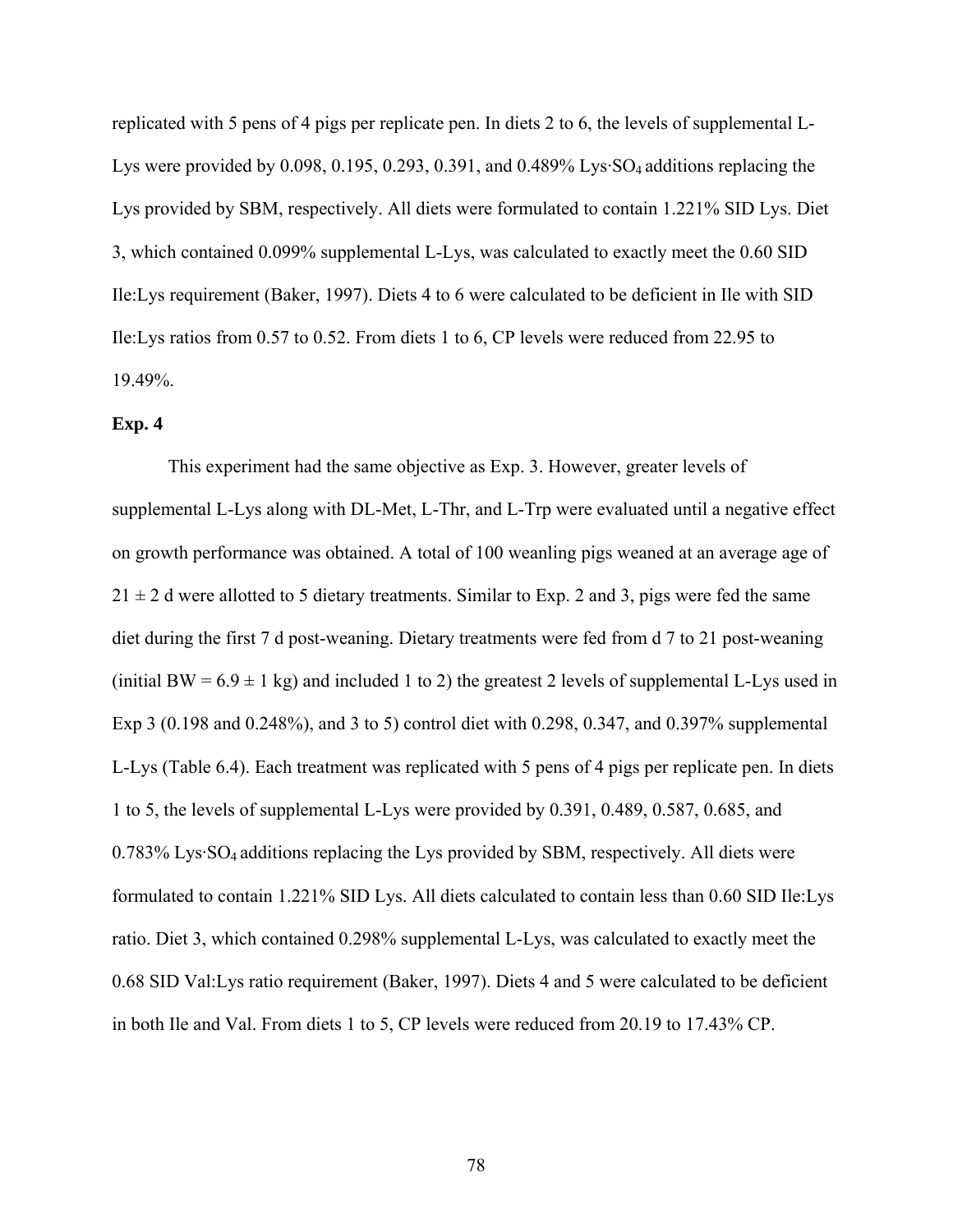replicated with 5 pens of 4 pigs per replicate pen. In diets 2 to 6, the levels of supplemental L-Lys were provided by 0.098, 0.195, 0.293, 0.391, and 0.489% Lys $SO_4$  additions replacing the Lys provided by SBM, respectively. All diets were formulated to contain 1.221% SID Lys. Diet 3, which contained 0.099% supplemental L-Lys, was calculated to exactly meet the 0.60 SID Ile:Lys requirement (Baker, 1997). Diets 4 to 6 were calculated to be deficient in Ile with SID Ile:Lys ratios from 0.57 to 0.52. From diets 1 to 6, CP levels were reduced from 22.95 to 19.49%.

#### **Exp. 4**

 This experiment had the same objective as Exp. 3. However, greater levels of supplemental L-Lys along with DL-Met, L-Thr, and L-Trp were evaluated until a negative effect on growth performance was obtained. A total of 100 weanling pigs weaned at an average age of  $21 \pm 2$  d were allotted to 5 dietary treatments. Similar to Exp. 2 and 3, pigs were fed the same diet during the first 7 d post-weaning. Dietary treatments were fed from d 7 to 21 post-weaning (initial BW =  $6.9 \pm 1$  kg) and included 1 to 2) the greatest 2 levels of supplemental L-Lys used in Exp 3 (0.198 and 0.248%), and 3 to 5) control diet with 0.298, 0.347, and 0.397% supplemental L-Lys (Table 6.4). Each treatment was replicated with 5 pens of 4 pigs per replicate pen. In diets 1 to 5, the levels of supplemental L-Lys were provided by 0.391, 0.489, 0.587, 0.685, and 0.783% Lys·SO4 additions replacing the Lys provided by SBM, respectively. All diets were formulated to contain 1.221% SID Lys. All diets calculated to contain less than 0.60 SID Ile:Lys ratio. Diet 3, which contained 0.298% supplemental L-Lys, was calculated to exactly meet the 0.68 SID Val:Lys ratio requirement (Baker, 1997). Diets 4 and 5 were calculated to be deficient in both Ile and Val. From diets 1 to 5, CP levels were reduced from 20.19 to 17.43% CP.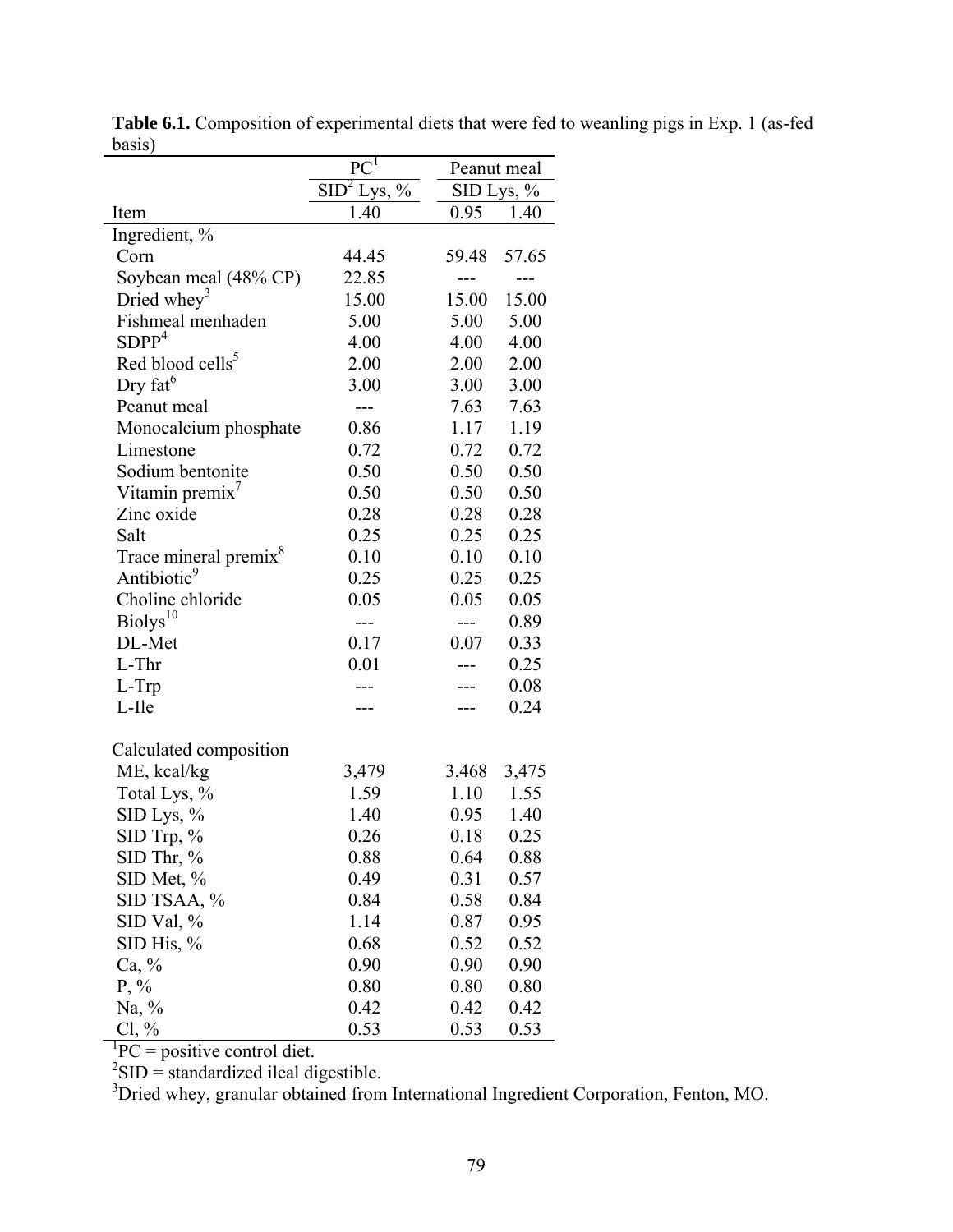|                                   | $PC^{I}$                      | Peanut meal |            |
|-----------------------------------|-------------------------------|-------------|------------|
|                                   | SID <sup>2</sup><br>Lys, $\%$ |             | SID Lys, % |
| Item                              | 1.40                          | 0.95        | 1.40       |
| Ingredient, %                     |                               |             |            |
| Corn                              | 44.45                         | 59.48       | 57.65      |
| Soybean meal (48% CP)             | 22.85                         | $---$       | ---        |
| Dried whey <sup>3</sup>           | 15.00                         | 15.00       | 15.00      |
| Fishmeal menhaden                 | 5.00                          | 5.00        | 5.00       |
| SDPP <sup>4</sup>                 | 4.00                          | 4.00        | 4.00       |
| Red blood cells <sup>5</sup>      | 2.00                          | 2.00        | 2.00       |
| Dry fat $6$                       | 3.00                          | 3.00        | 3.00       |
| Peanut meal                       | $---$                         | 7.63        | 7.63       |
| Monocalcium phosphate             | 0.86                          | 1.17        | 1.19       |
| Limestone                         | 0.72                          | 0.72        | 0.72       |
| Sodium bentonite                  | 0.50                          | 0.50        | 0.50       |
| Vitamin premix <sup>'</sup>       | 0.50                          | 0.50        | 0.50       |
| Zinc oxide                        | 0.28                          | 0.28        | 0.28       |
| Salt                              | 0.25                          | 0.25        | 0.25       |
| Trace mineral premix <sup>8</sup> | 0.10                          | 0.10        | 0.10       |
| Antibiotic <sup>9</sup>           | 0.25                          | 0.25        | 0.25       |
| Choline chloride                  | 0.05                          | 0.05        | 0.05       |
| Biolys <sup>10</sup>              |                               |             | 0.89       |
| DL-Met                            | 0.17                          | 0.07        | 0.33       |
| L-Thr                             | 0.01                          |             | 0.25       |
| L-Trp                             | ---                           |             | 0.08       |
| L-Ile                             |                               |             | 0.24       |
| Calculated composition            |                               |             |            |
| ME, kcal/kg                       | 3,479                         | 3,468       | 3,475      |
| Total Lys, %                      | 1.59                          | 1.10        | 1.55       |
| SID Lys, %                        | 1.40                          | 0.95        | 1.40       |
| SID Trp, %                        | 0.26                          | 0.18        | 0.25       |
| SID Thr, %                        | 0.88                          | 0.64        | 0.88       |
| SID Met, %                        | 0.49                          | 0.31        | 0.57       |
| SID TSAA, %                       | 0.84                          | 0.58        | 0.84       |
| SID Val, $\%$                     | 1.14                          | 0.87        | 0.95       |
| SID His, %                        | 0.68                          | 0.52        | 0.52       |
| Ca, %                             | 0.90                          | 0.90        | 0.90       |
| $P, \%$                           | 0.80                          | 0.80        | 0.80       |
| Na, $\%$                          | 0.42                          | 0.42        | 0.42       |
| $Cl, \%$                          | 0.53                          | 0.53        | 0.53       |

**Table 6.1.** Composition of experimental diets that were fed to weanling pigs in Exp. 1 (as-fed  $\frac{\text{basic}}{\text{basis}}$ 

Cl, % 0.53 0.53 0.53<br>
PC = positive control diet.<br>
<sup>2</sup>SID = standardized ileal digestible.<br>
<sup>3</sup>Dried whey, granular obtained from International Ingredient Corporation, Fenton, MO.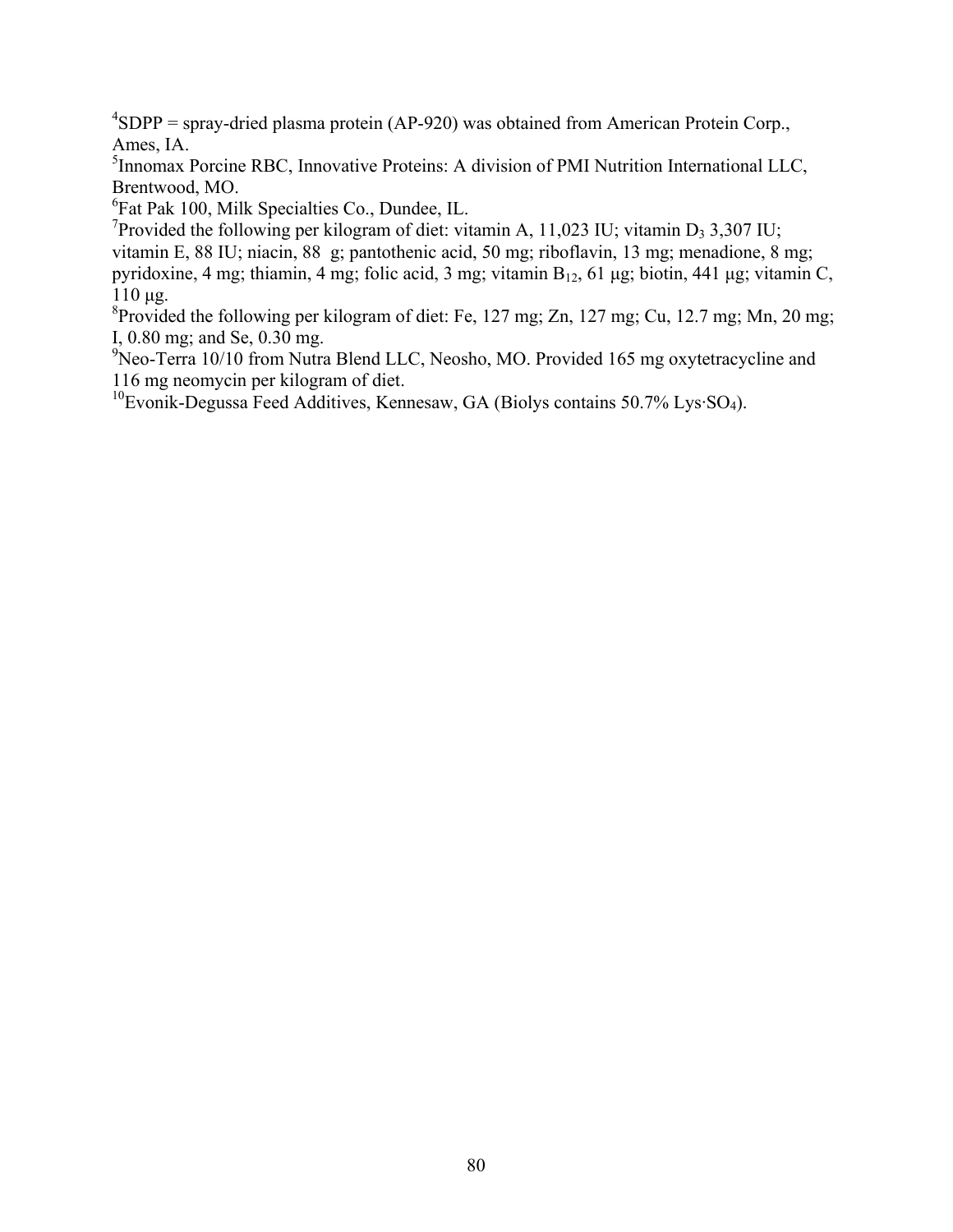${}^{4}SDPP$  = spray-dried plasma protein (AP-920) was obtained from American Protein Corp., Ames, IA.

<sup>5</sup> Innomax Porcine RBC, Innovative Proteins: A division of PMI Nutrition International LLC, Brentwood, MO.

6 Fat Pak 100, Milk Specialties Co., Dundee, IL.

<sup>7</sup>Provided the following per kilogram of diet: vitamin A, 11,023 IU; vitamin D<sub>3</sub> 3,307 IU; vitamin E, 88 IU; niacin, 88 g; pantothenic acid, 50 mg; riboflavin, 13 mg; menadione, 8 mg; pyridoxine, 4 mg; thiamin, 4 mg; folic acid, 3 mg; vitamin  $B_{12}$ , 61 μg; biotin, 441 μg; vitamin C, 110 μg.

<sup>8</sup> Provided the following per kilogram of diet: Fe, 127 mg; Zn, 127 mg; Cu, 12.7 mg; Mn, 20 mg; I, 0.80 mg; and Se, 0.30 mg.

<sup>9</sup>Neo-Terra 10/10 from Nutra Blend LLC, Neosho, MO. Provided 165 mg oxytetracycline and 116 mg neomycin per kilogram of diet.

<sup>10</sup>Evonik-Degussa Feed Additives, Kennesaw, GA (Biolys contains 50.7% Lys·SO<sub>4</sub>).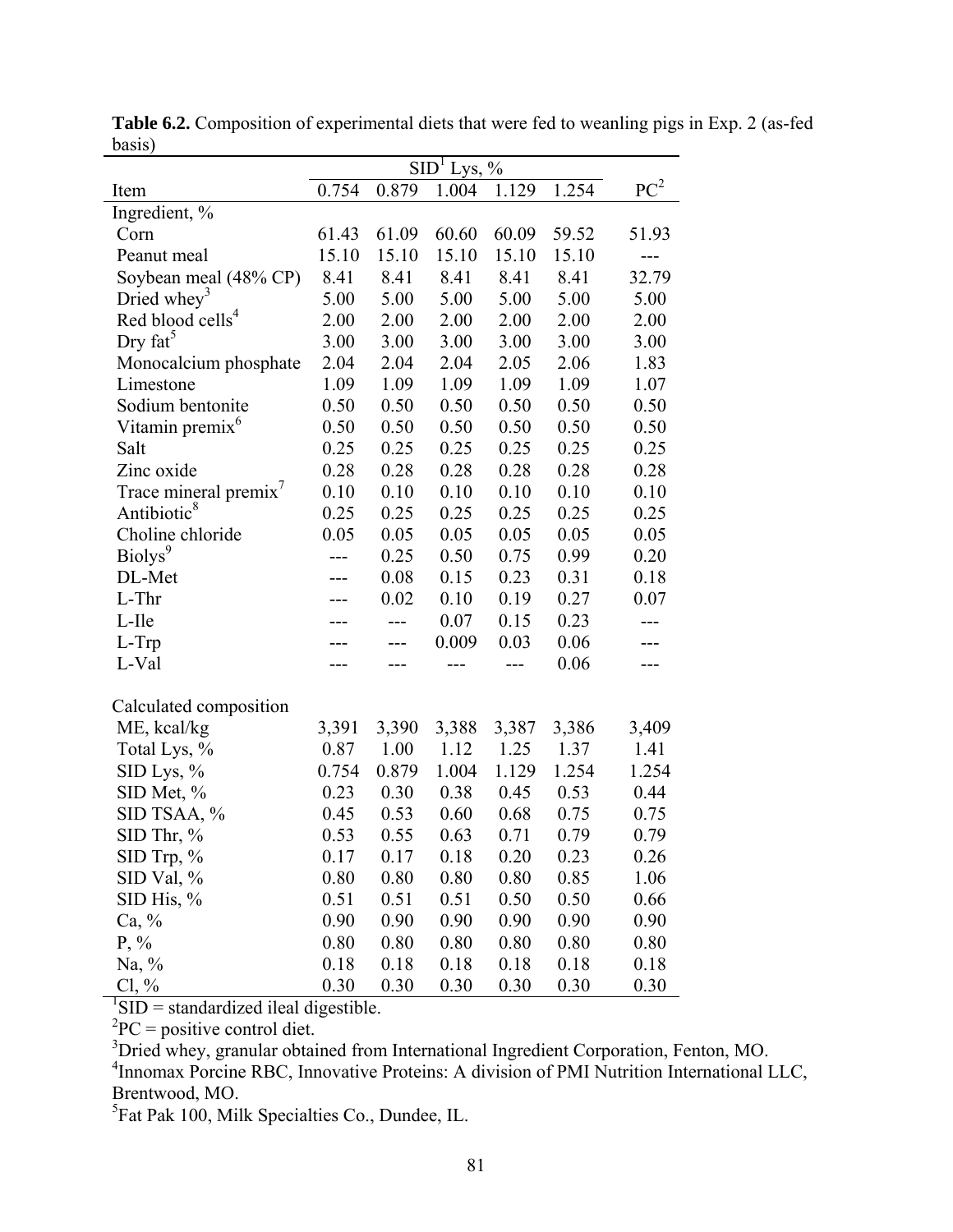|                                                         | SID <sup>1</sup><br>Lys, $%$ |       |       |       |       |                 |  |
|---------------------------------------------------------|------------------------------|-------|-------|-------|-------|-----------------|--|
| Item                                                    | 0.754                        | 0.879 | 1.004 | 1.129 | 1.254 | PC <sup>2</sup> |  |
| Ingredient, %                                           |                              |       |       |       |       |                 |  |
| Corn                                                    | 61.43                        | 61.09 | 60.60 | 60.09 | 59.52 | 51.93           |  |
| Peanut meal                                             | 15.10                        | 15.10 | 15.10 | 15.10 | 15.10 |                 |  |
| Soybean meal (48% CP)                                   | 8.41                         | 8.41  | 8.41  | 8.41  | 8.41  | 32.79           |  |
| Dried whey <sup>3</sup>                                 | 5.00                         | 5.00  | 5.00  | 5.00  | 5.00  | 5.00            |  |
| Red blood cells <sup>4</sup>                            | 2.00                         | 2.00  | 2.00  | 2.00  | 2.00  | 2.00            |  |
| Dry $fat^5$                                             | 3.00                         | 3.00  | 3.00  | 3.00  | 3.00  | 3.00            |  |
| Monocalcium phosphate                                   | 2.04                         | 2.04  | 2.04  | 2.05  | 2.06  | 1.83            |  |
| Limestone                                               | 1.09                         | 1.09  | 1.09  | 1.09  | 1.09  | 1.07            |  |
| Sodium bentonite                                        | 0.50                         | 0.50  | 0.50  | 0.50  | 0.50  | 0.50            |  |
| Vitamin premix <sup>6</sup>                             | 0.50                         | 0.50  | 0.50  | 0.50  | 0.50  | 0.50            |  |
| Salt                                                    | 0.25                         | 0.25  | 0.25  | 0.25  | 0.25  | 0.25            |  |
| Zinc oxide                                              | 0.28                         | 0.28  | 0.28  | 0.28  | 0.28  | 0.28            |  |
| Trace mineral premix <sup>7</sup>                       | 0.10                         | 0.10  | 0.10  | 0.10  | 0.10  | 0.10            |  |
| Antibiotic <sup>8</sup>                                 | 0.25                         | 0.25  | 0.25  | 0.25  | 0.25  | 0.25            |  |
| Choline chloride                                        | 0.05                         | 0.05  | 0.05  | 0.05  | 0.05  | 0.05            |  |
| Biolys <sup>9</sup>                                     |                              | 0.25  | 0.50  | 0.75  | 0.99  | 0.20            |  |
| DL-Met                                                  |                              | 0.08  | 0.15  | 0.23  | 0.31  | 0.18            |  |
| L-Thr                                                   |                              | 0.02  | 0.10  | 0.19  | 0.27  | 0.07            |  |
| L-Ile                                                   |                              |       | 0.07  | 0.15  | 0.23  |                 |  |
| L-Trp                                                   |                              |       | 0.009 | 0.03  | 0.06  |                 |  |
| L-Val                                                   |                              |       | ---   | ---   | 0.06  |                 |  |
| Calculated composition                                  |                              |       |       |       |       |                 |  |
| ME, kcal/kg                                             | 3,391                        | 3,390 | 3,388 | 3,387 | 3,386 | 3,409           |  |
| Total Lys, %                                            | 0.87                         | 1.00  | 1.12  | 1.25  | 1.37  | 1.41            |  |
| SID Lys, %                                              | 0.754                        | 0.879 | 1.004 | 1.129 | 1.254 | 1.254           |  |
| SID Met, %                                              | 0.23                         | 0.30  | 0.38  | 0.45  | 0.53  | 0.44            |  |
| SID TSAA, %                                             | 0.45                         | 0.53  | 0.60  | 0.68  | 0.75  | 0.75            |  |
| $SID$ Thr, %                                            | 0.53                         | 0.55  | 0.63  | 0.71  | 0.79  | 0.79            |  |
| $\rm SID$ Trp, %                                        | 0.17                         | 0.17  | 0.18  | 0.20  | 0.23  | 0.26            |  |
| SID Val, %                                              | 0.80                         | 0.80  | 0.80  | 0.80  | 0.85  | 1.06            |  |
| SID His, $%$                                            | 0.51                         | 0.51  | 0.51  | 0.50  | 0.50  | 0.66            |  |
| $Ca, \%$                                                | 0.90                         | 0.90  | 0.90  | 0.90  | 0.90  | 0.90            |  |
| $P, \%$                                                 | 0.80                         | 0.80  | 0.80  | 0.80  | 0.80  | 0.80            |  |
| Na, $\%$                                                | 0.18                         | 0.18  | 0.18  | 0.18  | 0.18  | 0.18            |  |
| $Cl, \%$                                                | 0.30                         | 0.30  | 0.30  | 0.30  | 0.30  | 0.30            |  |
| $\sqrt[1]{\text{SID}}$ = standardized ileal digestible. |                              |       |       |       |       |                 |  |
| ${}^{2}PC$ = positive control diet.                     |                              |       |       |       |       |                 |  |

**Table 6.2.** Composition of experimental diets that were fed to weanling pigs in Exp. 2 (as-fed basis)

<sup>3</sup> Dried whey, granular obtained from International Ingredient Corporation, Fenton, MO.<br><sup>4</sup> Innomax Porcine RBC, Innovative Proteins: A division of PMI Nutrition International LLC,

Brentwood, MO.<br><sup>5</sup>Fat Pak 100, Milk Specialties Co., Dundee, IL.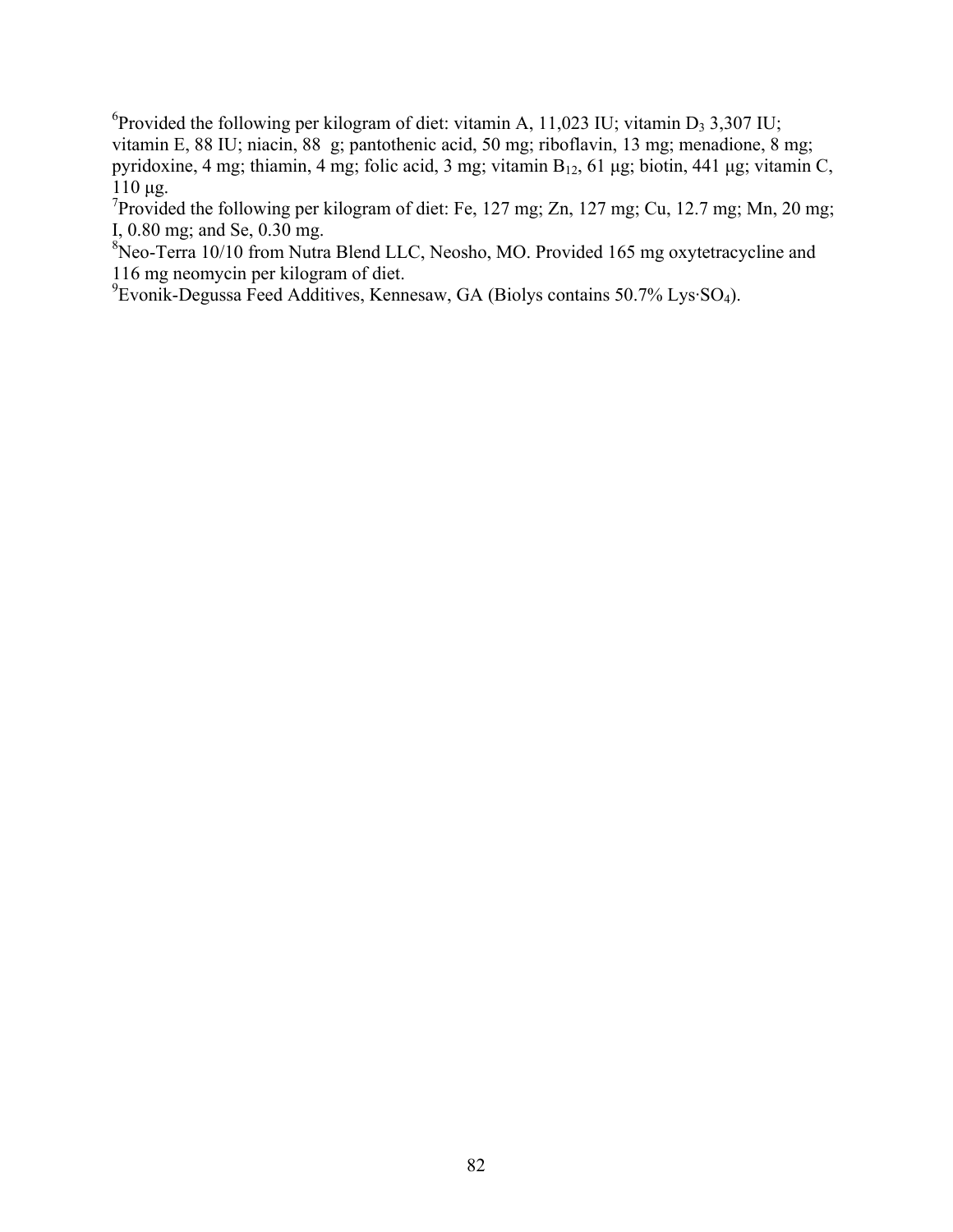<sup>6</sup> Provided the following per kilogram of diet: vitamin A, 11,023 IU; vitamin D<sub>3</sub> 3,307 IU; vitamin E, 88 IU; niacin, 88 g; pantothenic acid, 50 mg; riboflavin, 13 mg; menadione, 8 mg; pyridoxine, 4 mg; thiamin, 4 mg; folic acid, 3 mg; vitamin  $B_{12}$ , 61 μg; biotin, 441 μg; vitamin C, 110 μg.

<sup>7</sup>Provided the following per kilogram of diet: Fe, 127 mg; Zn, 127 mg; Cu, 12.7 mg; Mn, 20 mg; I, 0.80 mg; and Se, 0.30 mg.

<sup>8</sup>Neo-Terra 10/10 from Nutra Blend LLC, Neosho, MO. Provided 165 mg oxytetracycline and 116 mg neomycin per kilogram of diet.

9 Evonik-Degussa Feed Additives, Kennesaw, GA (Biolys contains 50.7% Lys·SO4).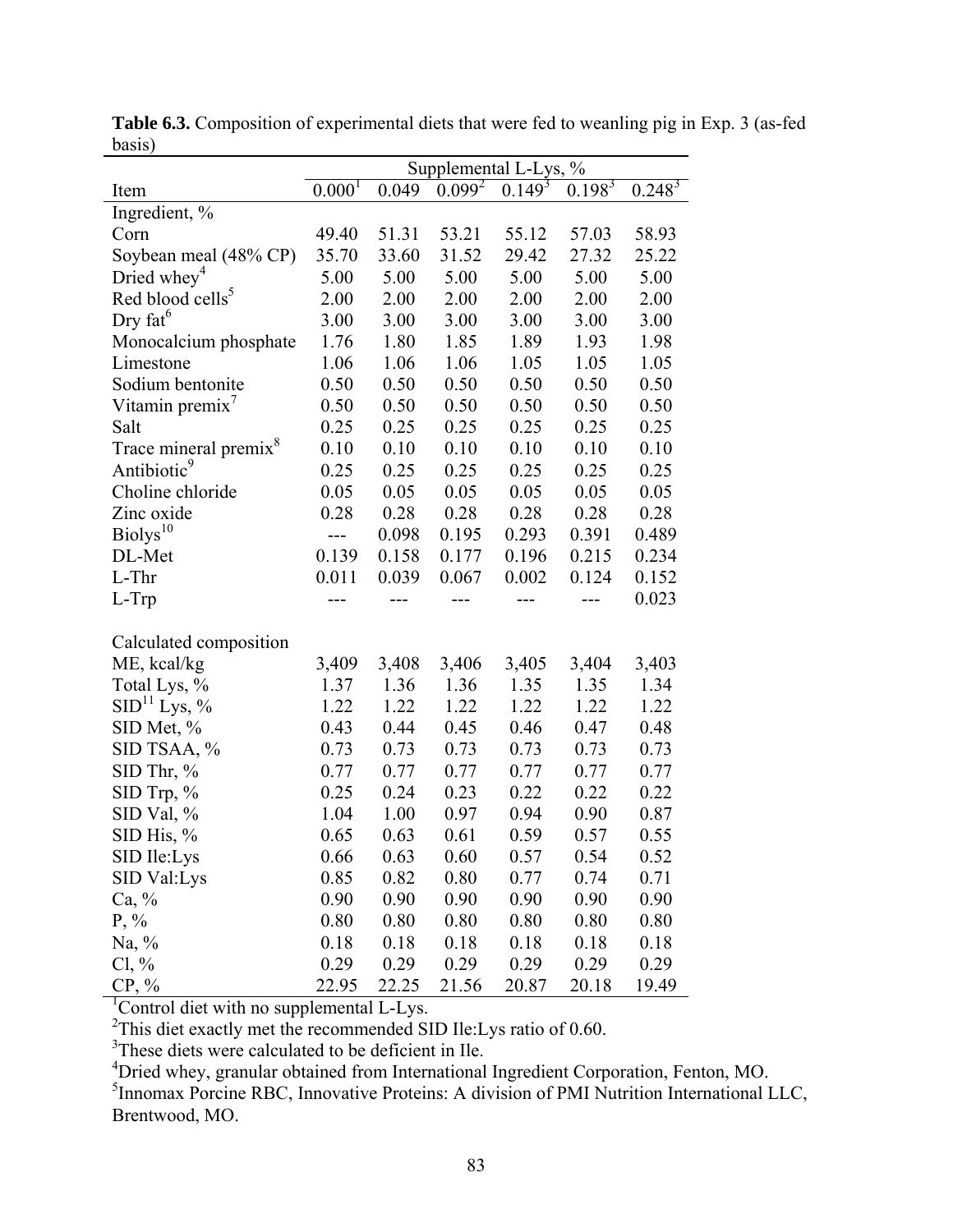|                                   | Supplemental L-Lys, % |              |              |              |              |              |  |
|-----------------------------------|-----------------------|--------------|--------------|--------------|--------------|--------------|--|
| Item                              | $0.000^{T}$           | 0.049        | $0.099^{2}$  | $0.149^{3}$  | $0.198^{3}$  | $0.248^{3}$  |  |
| Ingredient, %                     |                       |              |              |              |              |              |  |
| Corn                              | 49.40                 | 51.31        | 53.21        | 55.12        | 57.03        | 58.93        |  |
| Soybean meal (48% CP)             | 35.70                 | 33.60        | 31.52        | 29.42        | 27.32        | 25.22        |  |
| Dried whey <sup>4</sup>           | 5.00                  | 5.00         | 5.00         | 5.00         | 5.00         | 5.00         |  |
| Red blood cells <sup>5</sup>      | 2.00                  | 2.00         | 2.00         | 2.00         | 2.00         | 2.00         |  |
| Dry fat <sup>6</sup>              | 3.00                  | 3.00         | 3.00         | 3.00         | 3.00         | 3.00         |  |
| Monocalcium phosphate             | 1.76                  | 1.80         | 1.85         | 1.89         | 1.93         | 1.98         |  |
| Limestone                         | 1.06                  | 1.06         | 1.06         | 1.05         | 1.05         | 1.05         |  |
| Sodium bentonite                  | 0.50                  | 0.50         | 0.50         | 0.50         | 0.50         | 0.50         |  |
| Vitamin premix'                   | 0.50                  | 0.50         | 0.50         | 0.50         | 0.50         | 0.50         |  |
| Salt                              | 0.25                  | 0.25         | 0.25         | 0.25         | 0.25         | 0.25         |  |
| Trace mineral premix <sup>8</sup> | 0.10                  | 0.10         | 0.10         | 0.10         | 0.10         | 0.10         |  |
| Antibiotic <sup>9</sup>           | 0.25                  | 0.25         | 0.25         | 0.25         | 0.25         | 0.25         |  |
| Choline chloride                  | 0.05                  | 0.05         | 0.05         | 0.05         | 0.05         | 0.05         |  |
| Zinc oxide                        | 0.28                  | 0.28         | 0.28         | 0.28         | 0.28         | 0.28         |  |
| Biolys <sup>10</sup>              | ---                   | 0.098        | 0.195        | 0.293        | 0.391        | 0.489        |  |
| DL-Met                            | 0.139                 | 0.158        | 0.177        | 0.196        | 0.215        | 0.234        |  |
| L-Thr                             | 0.011                 | 0.039        | 0.067        | 0.002        | 0.124        | 0.152        |  |
| $L-Trp$                           |                       | ---          |              |              | $---$        | 0.023        |  |
|                                   |                       |              |              |              |              |              |  |
| Calculated composition            |                       |              |              |              |              |              |  |
| ME, kcal/kg                       | 3,409                 | 3,408        | 3,406        | 3,405        | 3,404        | 3,403        |  |
| Total Lys, %                      | 1.37                  | 1.36         | 1.36         | 1.35         | 1.35         | 1.34         |  |
| SID <sup>11</sup> Lys, %          | 1.22                  | 1.22         | 1.22         | 1.22         | 1.22         | 1.22         |  |
| SID Met, %                        | 0.43                  | 0.44         | 0.45         | 0.46         | 0.47         | 0.48         |  |
| SID TSAA, %                       | 0.73                  | 0.73         | 0.73         | 0.73         | 0.73         | 0.73         |  |
| SID Thr, %                        | 0.77                  | 0.77         | 0.77         | 0.77         | 0.77         | 0.77         |  |
| $SID$ Trp, $%$                    | 0.25                  | 0.24         | 0.23         | 0.22         | 0.22         | 0.22         |  |
| SID Val, %                        | 1.04<br>0.65          | 1.00         | 0.97<br>0.61 | 0.94         | 0.90<br>0.57 | 0.87<br>0.55 |  |
| SID His, %                        |                       | 0.63<br>0.63 | 0.60         | 0.59<br>0.57 | 0.54         | 0.52         |  |
| SID Ile:Lys                       | 0.66                  |              |              |              |              |              |  |
| SID Val:Lys                       | 0.85                  | 0.82         | 0.80         | 0.77         | 0.74         | 0.71         |  |
| $Ca, \%$                          | 0.90                  | 0.90         | 0.90         | 0.90         | 0.90         | 0.90         |  |
| $P, \%$                           | 0.80                  | 0.80         | 0.80         | 0.80         | 0.80         | 0.80         |  |
| Na, $\%$                          | 0.18                  | 0.18         | 0.18         | 0.18         | 0.18         | 0.18         |  |
| $Cl, \%$                          | 0.29                  | 0.29         | 0.29         | 0.29         | 0.29         | 0.29         |  |
| $CP, \%$                          | 22.95                 | 22.25        | 21.56        | 20.87        | 20.18        | 19.49        |  |

**Table 6.3.** Composition of experimental diets that were fed to weanling pig in Exp. 3 (as-fed basis)

CP, % 22.95 22.25 21.56 20.87 20.18 19.49<br>
<sup>1</sup>Control diet with no supplemental L-Lys.<br>
<sup>2</sup>This diet exactly met the recommended SID Ile:Lys ratio of 0.60.<br>
<sup>3</sup>These diets were calculated to be deficient in Ile.

<sup>4</sup>Dried whey, granular obtained from International Ingredient Corporation, Fenton, MO.

<sup>5</sup> Innomax Porcine RBC, Innovative Proteins: A division of PMI Nutrition International LLC, Brentwood, MO.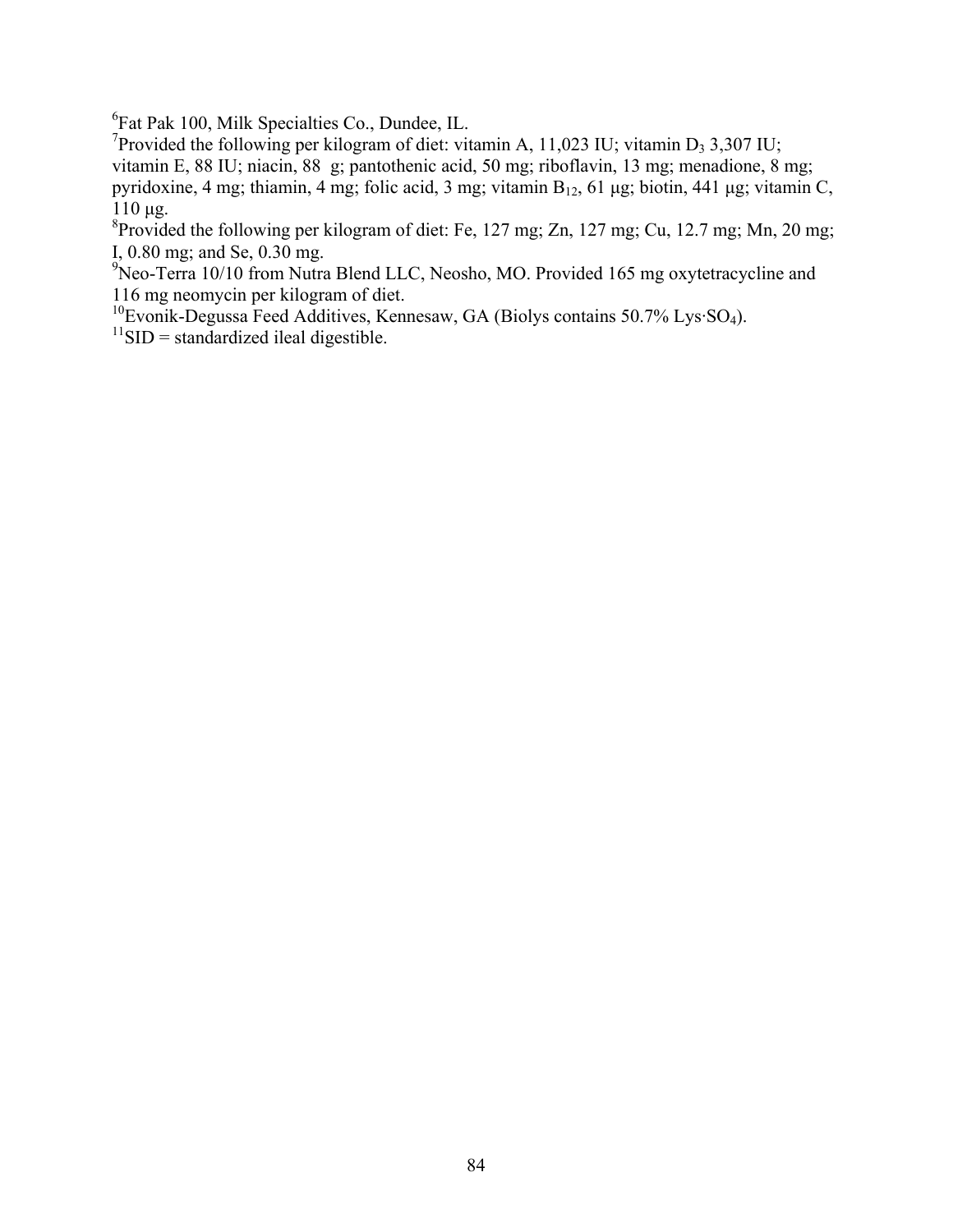6 Fat Pak 100, Milk Specialties Co., Dundee, IL.

<sup>7</sup>Provided the following per kilogram of diet: vitamin A, 11,023 IU; vitamin D<sub>3</sub> 3,307 IU; vitamin E, 88 IU; niacin, 88 g; pantothenic acid, 50 mg; riboflavin, 13 mg; menadione, 8 mg; pyridoxine, 4 mg; thiamin, 4 mg; folic acid, 3 mg; vitamin  $B_{12}$ , 61 μg; biotin, 441 μg; vitamin C, 110 μg.

<sup>8</sup> Provided the following per kilogram of diet: Fe, 127 mg; Zn, 127 mg; Cu, 12.7 mg; Mn, 20 mg; I, 0.80 mg; and Se, 0.30 mg.

<sup>9</sup>Neo-Terra 10/10 from Nutra Blend LLC, Neosho, MO. Provided 165 mg oxytetracycline and 116 mg neomycin per kilogram of diet.

 $10<sub>B</sub>$  Evonik-Degussa Feed Additives, Kennesaw, GA (Biolys contains 50.7% Lys·SO<sub>4</sub>).

 $11$ SID = standardized ileal digestible.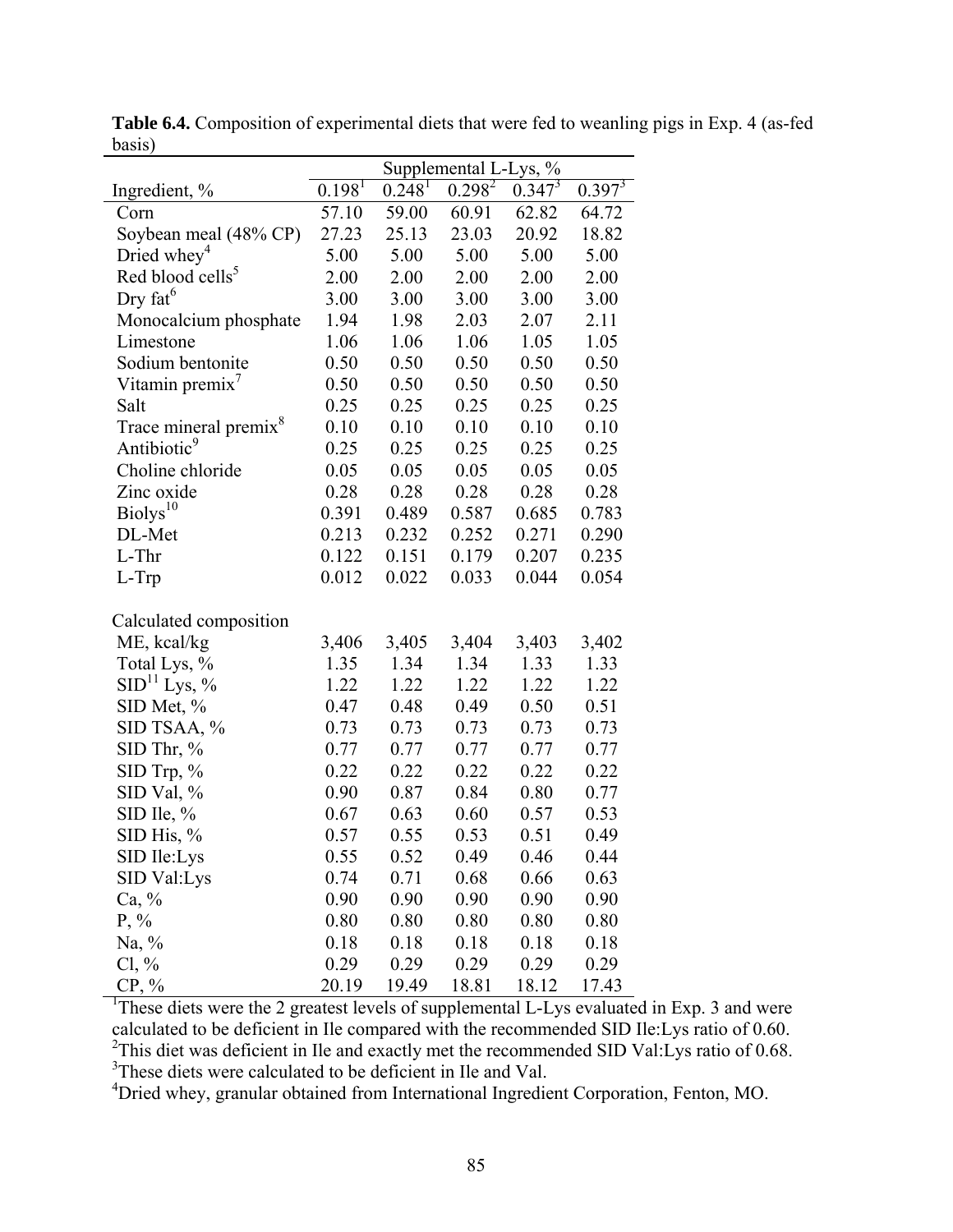|                                   | Supplemental L-Lys, % |                      |           |             |             |  |  |  |
|-----------------------------------|-----------------------|----------------------|-----------|-------------|-------------|--|--|--|
| Ingredient, %                     | $0.198$ <sup>T</sup>  | $0.248$ <sup>T</sup> | $0.298^2$ | $0.347^{3}$ | $0.397^{3}$ |  |  |  |
| Corn                              | 57.10                 | 59.00                | 60.91     | 62.82       | 64.72       |  |  |  |
| Soybean meal (48% CP)             | 27.23                 | 25.13                | 23.03     | 20.92       | 18.82       |  |  |  |
| Dried whey <sup>4</sup>           | 5.00                  | 5.00                 | 5.00      | 5.00        | 5.00        |  |  |  |
| Red blood cells <sup>5</sup>      | 2.00                  | 2.00                 | 2.00      | 2.00        | 2.00        |  |  |  |
| Dry $fat^6$                       | 3.00                  | 3.00                 | 3.00      | 3.00        | 3.00        |  |  |  |
| Monocalcium phosphate             | 1.94                  | 1.98                 | 2.03      | 2.07        | 2.11        |  |  |  |
| Limestone                         | 1.06                  | 1.06                 | 1.06      | 1.05        | 1.05        |  |  |  |
| Sodium bentonite                  | 0.50                  | 0.50                 | 0.50      | 0.50        | 0.50        |  |  |  |
| Vitamin premix <sup>'</sup>       | 0.50                  | 0.50                 | 0.50      | 0.50        | 0.50        |  |  |  |
| Salt                              | 0.25                  | 0.25                 | 0.25      | 0.25        | 0.25        |  |  |  |
| Trace mineral premix <sup>8</sup> | 0.10                  | 0.10                 | 0.10      | 0.10        | 0.10        |  |  |  |
| Antibiotic <sup>9</sup>           | 0.25                  | 0.25                 | 0.25      | 0.25        | 0.25        |  |  |  |
| Choline chloride                  | 0.05                  | 0.05                 | 0.05      | 0.05        | 0.05        |  |  |  |
| Zinc oxide                        | 0.28                  | 0.28                 | 0.28      | 0.28        | 0.28        |  |  |  |
| Biolys <sup>10</sup>              | 0.391                 | 0.489                | 0.587     | 0.685       | 0.783       |  |  |  |
| DL-Met                            | 0.213                 | 0.232                | 0.252     | 0.271       | 0.290       |  |  |  |
| L-Thr                             | 0.122                 | 0.151                | 0.179     | 0.207       | 0.235       |  |  |  |
| L-Trp                             | 0.012                 | 0.022                | 0.033     | 0.044       | 0.054       |  |  |  |
| Calculated composition            |                       |                      |           |             |             |  |  |  |
| ME, kcal/kg                       | 3,406                 | 3,405                | 3,404     | 3,403       | 3,402       |  |  |  |
| Total Lys, %                      | 1.35                  | 1.34                 | 1.34      | 1.33        | 1.33        |  |  |  |
| SID <sup>11</sup> Lys, %          | 1.22                  | 1.22                 | 1.22      | 1.22        | 1.22        |  |  |  |
| SID Met, %                        | 0.47                  | 0.48                 | 0.49      | 0.50        | 0.51        |  |  |  |
| SID TSAA, %                       | 0.73                  | 0.73                 | 0.73      | 0.73        | 0.73        |  |  |  |
| SID Thr, $%$                      | 0.77                  | 0.77                 | 0.77      | 0.77        | 0.77        |  |  |  |
| SID Trp, %                        | 0.22                  | 0.22                 | 0.22      | 0.22        | 0.22        |  |  |  |
| SID Val, %                        | 0.90                  | 0.87                 | 0.84      | 0.80        | 0.77        |  |  |  |
| SID Ile, $%$                      | 0.67                  | 0.63                 | 0.60      | 0.57        | 0.53        |  |  |  |
| SID His, $%$                      | 0.57                  | 0.55                 | 0.53      | 0.51        | 0.49        |  |  |  |
| SID Ile:Lys                       | 0.55                  | 0.52                 | 0.49      | 0.46        | 0.44        |  |  |  |
| SID Val:Lys                       | 0.74                  | 0.71                 | 0.68      | 0.66        | 0.63        |  |  |  |
| $Ca, \%$                          | 0.90                  | 0.90                 | 0.90      | 0.90        | 0.90        |  |  |  |
| $P, \%$                           | 0.80                  | 0.80                 | 0.80      | 0.80        | 0.80        |  |  |  |
| Na, $\%$                          | 0.18                  | 0.18                 | 0.18      | 0.18        | 0.18        |  |  |  |
| $Cl, \%$                          | 0.29                  | 0.29                 | 0.29      | 0.29        | 0.29        |  |  |  |
| $CP, \%$                          | 20.19                 | 19.49                | 18.81     | 18.12       | 17.43       |  |  |  |

**Table 6.4.** Composition of experimental diets that were fed to weanling pigs in Exp. 4 (as-fed basis)

 CP, % 20.19 19.49 18.81 18.12 17.43 1 These diets were the 2 greatest levels of supplemental L-Lys evaluated in Exp. 3 and were calculated to be deficient in Ile compared with the recommended SID Ile:Lys ratio of 0.60.<br><sup>2</sup>This diet was deficient in Ile and exactly met the recommended SID Val:Lys ratio of 0.68.<br><sup>3</sup>These diets were calculated to be

<sup>4</sup>Dried whey, granular obtained from International Ingredient Corporation, Fenton, MO.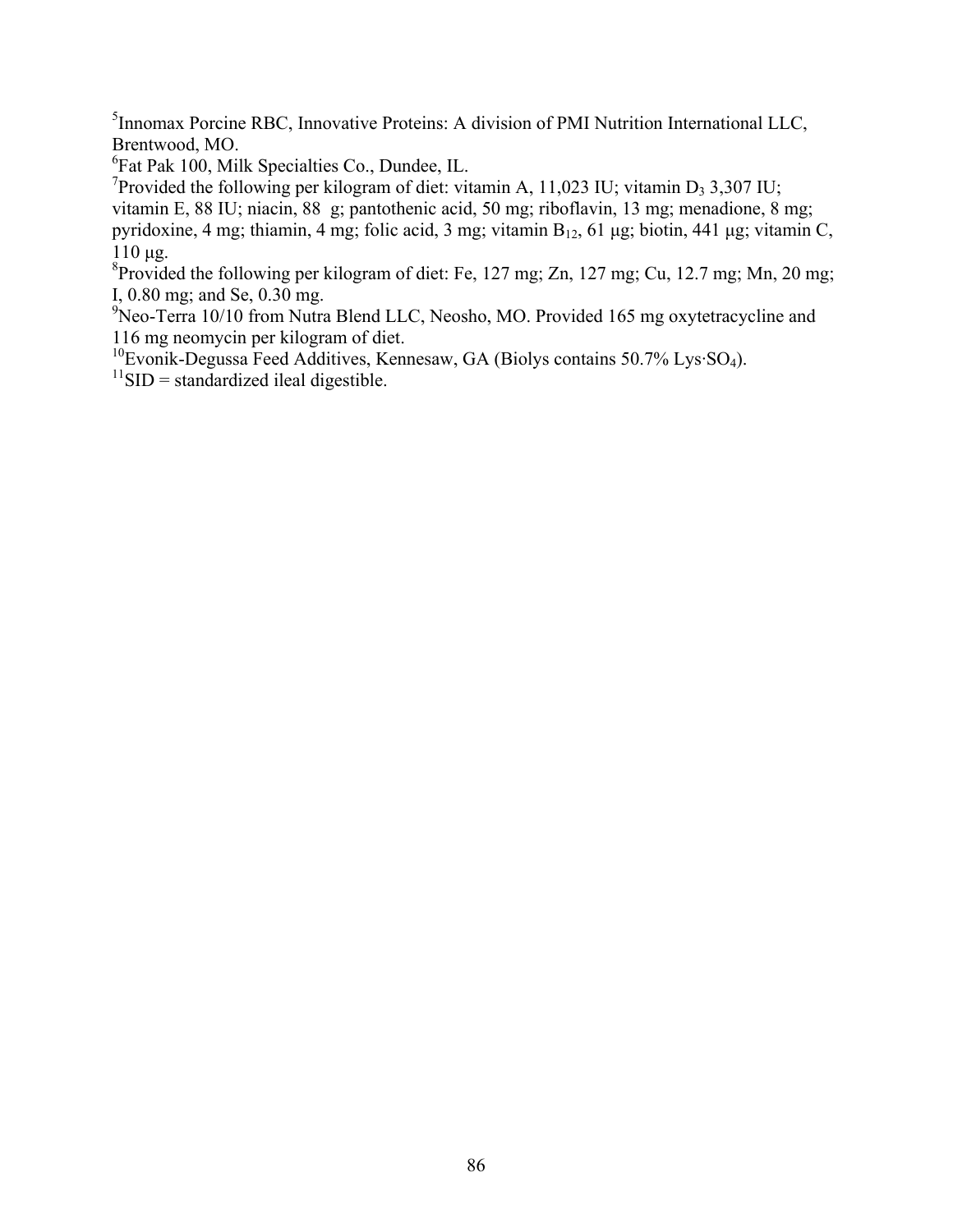<sup>5</sup> Innomax Porcine RBC, Innovative Proteins: A division of PMI Nutrition International LLC, Brentwood, MO.

6 Fat Pak 100, Milk Specialties Co., Dundee, IL.

<sup>7</sup>Provided the following per kilogram of diet: vitamin A, 11,023 IU; vitamin D<sub>3</sub> 3,307 IU; vitamin E, 88 IU; niacin, 88 g; pantothenic acid, 50 mg; riboflavin, 13 mg; menadione, 8 mg; pyridoxine, 4 mg; thiamin, 4 mg; folic acid, 3 mg; vitamin  $B_{12}$ , 61 μg; biotin, 441 μg; vitamin C, 110 μg.

<sup>8</sup> Provided the following per kilogram of diet: Fe, 127 mg; Zn, 127 mg; Cu, 12.7 mg; Mn, 20 mg; I, 0.80 mg; and Se, 0.30 mg.

<sup>9</sup>Neo-Terra 10/10 from Nutra Blend LLC, Neosho, MO. Provided 165 mg oxytetracycline and 116 mg neomycin per kilogram of diet.

<sup>10</sup>Evonik-Degussa Feed Additives, Kennesaw, GA (Biolys contains 50.7% Lys·SO<sub>4</sub>).

 $11$ SID = standardized ileal digestible.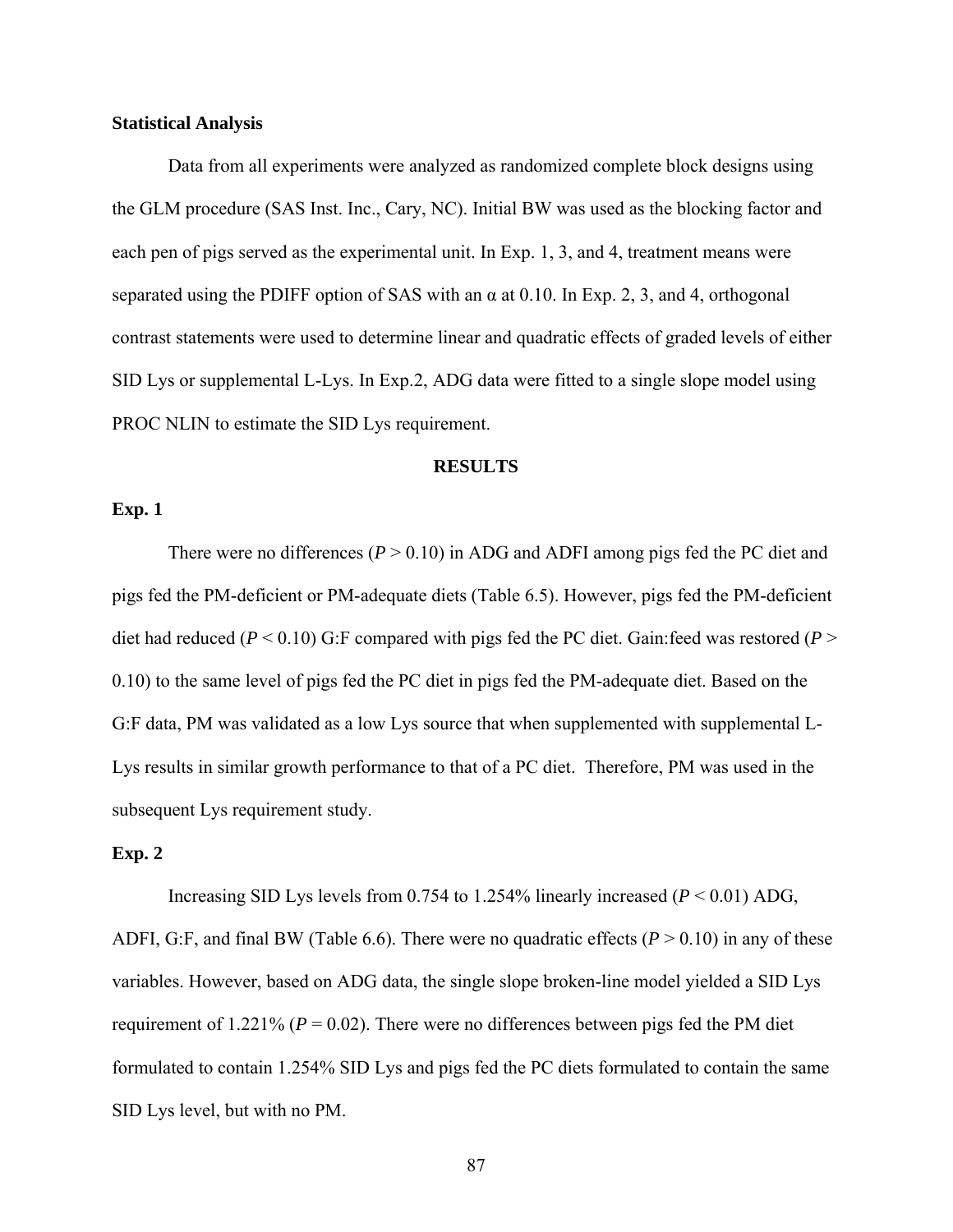#### **Statistical Analysis**

 Data from all experiments were analyzed as randomized complete block designs using the GLM procedure (SAS Inst. Inc., Cary, NC). Initial BW was used as the blocking factor and each pen of pigs served as the experimental unit. In Exp. 1, 3, and 4, treatment means were separated using the PDIFF option of SAS with an  $\alpha$  at 0.10. In Exp. 2, 3, and 4, orthogonal contrast statements were used to determine linear and quadratic effects of graded levels of either SID Lys or supplemental L-Lys. In Exp.2, ADG data were fitted to a single slope model using PROC NLIN to estimate the SID Lys requirement.

#### **RESULTS**

# **Exp. 1**

There were no differences (*P* > 0.10) in ADG and ADFI among pigs fed the PC diet and pigs fed the PM-deficient or PM-adequate diets (Table 6.5). However, pigs fed the PM-deficient diet had reduced ( $P < 0.10$ ) G:F compared with pigs fed the PC diet. Gain: feed was restored ( $P >$ 0.10) to the same level of pigs fed the PC diet in pigs fed the PM-adequate diet. Based on the G:F data, PM was validated as a low Lys source that when supplemented with supplemental L-Lys results in similar growth performance to that of a PC diet. Therefore, PM was used in the subsequent Lys requirement study.

#### **Exp. 2**

 Increasing SID Lys levels from 0.754 to 1.254% linearly increased (*P* < 0.01) ADG, ADFI, G:F, and final BW (Table 6.6). There were no quadratic effects  $(P > 0.10)$  in any of these variables. However, based on ADG data, the single slope broken-line model yielded a SID Lys requirement of 1.221% ( $P = 0.02$ ). There were no differences between pigs fed the PM diet formulated to contain 1.254% SID Lys and pigs fed the PC diets formulated to contain the same SID Lys level, but with no PM.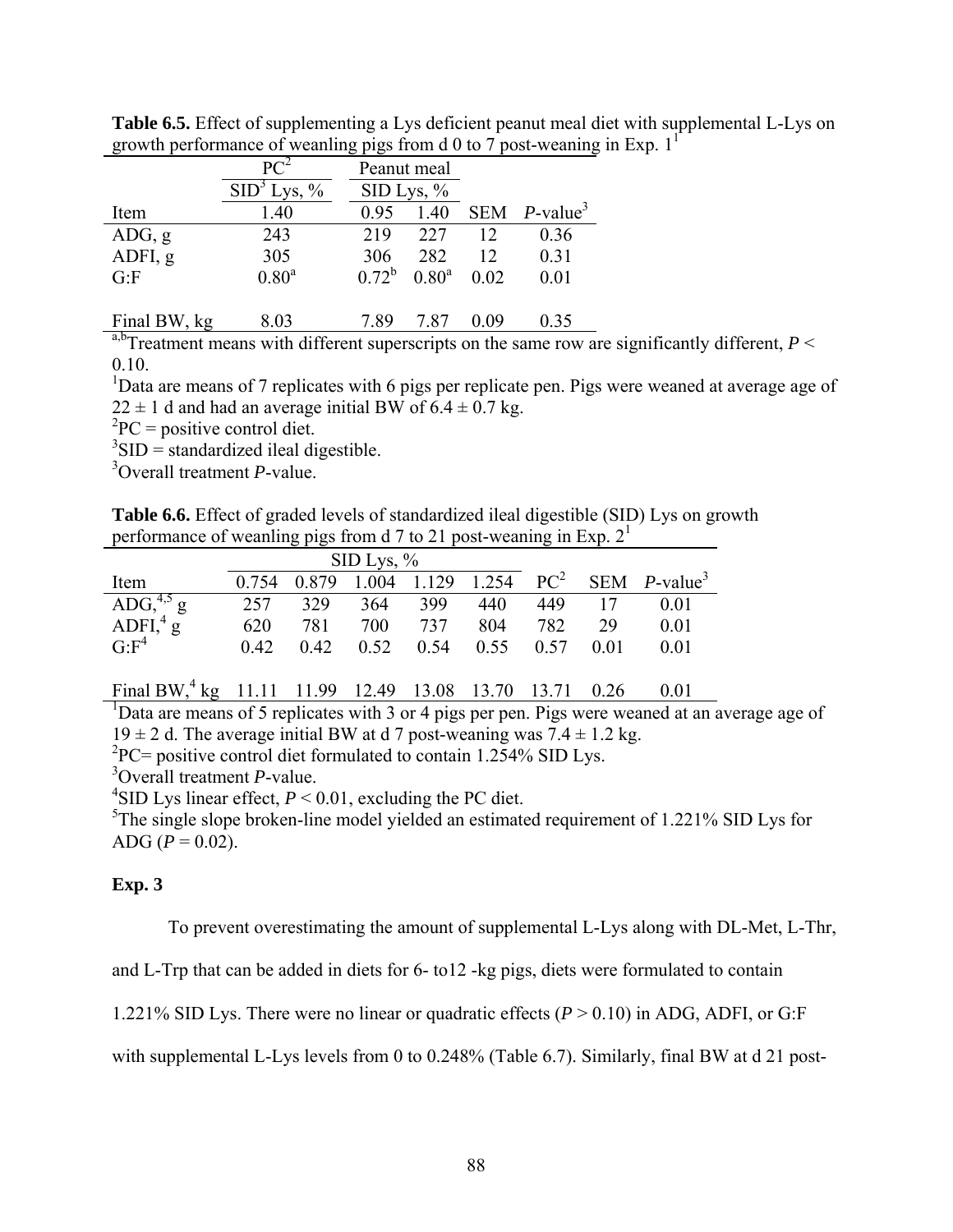|              | $PC^2$                  | Peanut meal |               |      |                             |
|--------------|-------------------------|-------------|---------------|------|-----------------------------|
|              | SID <sup>3</sup> Lys, % |             | $SID Lys, \%$ |      |                             |
| Item         | 1.40                    | 0.95        | 1.40          |      | SEM $P$ -value <sup>3</sup> |
| ADG, g       | 243                     | 219         | 227           | 12   | 0.36                        |
| ADFI, g      | 305                     | 306         | 282           | 12   | 0.31                        |
| G: F         | 0.80 <sup>a</sup>       | $0.72^b$    | $0.80^a$      | 0.02 | 0.01                        |
|              |                         |             |               |      |                             |
| Final BW, kg | 8.03                    | 7.89        | 7.87          | 0.09 | 0.35                        |

**Table 6.5.** Effect of supplementing a Lys deficient peanut meal diet with supplemental L-Lys on growth performance of weanling pigs from d 0 to 7 post-weaning in Exp.  $1<sup>1</sup>$ 

<sup>a,b</sup>Treatment means with different superscripts on the same row are significantly different,  $P \leq$ 0.10.

<sup>1</sup>Data are means of 7 replicates with 6 pigs per replicate pen. Pigs were weaned at average age of  $22 \pm 1$  d and had an average initial BW of  $6.4 \pm 0.7$  kg.

 ${}^{2}PC =$  positive control diet.

 $3$ SID = standardized ileal digestible.

3 Overall treatment *P*-value.

**Table 6.6.** Effect of graded levels of standardized ileal digestible (SID) Lys on growth performance of weanling pigs from d 7 to 21 post-weaning in Exp.  $2<sup>1</sup>$ 

|                                                       |       |       | $\rm SID\;Lys, \%$ |      |      |      |      |                                               |
|-------------------------------------------------------|-------|-------|--------------------|------|------|------|------|-----------------------------------------------|
| Item                                                  | 0.754 | 0.879 | 1.004 1.129        |      |      |      |      | 1.254 $PC^2$ SEM <i>P</i> -value <sup>3</sup> |
| ADG, $^{4,5}$ g<br>ADFI, $^{4}$ g<br>G:F <sup>4</sup> | 257   | 329   | 364                | 399  | 440  | 449  |      | 0 01                                          |
|                                                       | 620   | 781   | 700                | 737  | 804  | 782  | 29   | 0 01                                          |
|                                                       | 0.42  | 0.42  | 0.52               | 0.54 | 0.55 | 0.57 | 0.01 | 0 01                                          |

Final BW,<sup>4</sup> kg 11.11 11.99 12.49 13.08 13.70 13.71 0.26 0.01

<sup>1</sup>Data are means of 5 replicates with 3 or 4 pigs per pen. Pigs were weaned at an average age of  $19 \pm 2$  d. The average initial BW at d 7 post-weaning was  $7.4 \pm 1.2$  kg.

 ${}^{2}PC =$  positive control diet formulated to contain 1.254% SID Lys.

3 Overall treatment *P*-value.

<sup>4</sup>SID Lys linear effect,  $P < 0.01$ , excluding the PC diet.

<sup>5</sup>The single slope broken-line model yielded an estimated requirement of 1.221% SID Lys for ADG  $(P = 0.02)$ .

# **Exp. 3**

To prevent overestimating the amount of supplemental L-Lys along with DL-Met, L-Thr,

and L-Trp that can be added in diets for 6- to12 -kg pigs, diets were formulated to contain

1.221% SID Lys. There were no linear or quadratic effects (*P* > 0.10) in ADG, ADFI, or G:F

with supplemental L-Lys levels from 0 to 0.248% (Table 6.7). Similarly, final BW at d 21 post-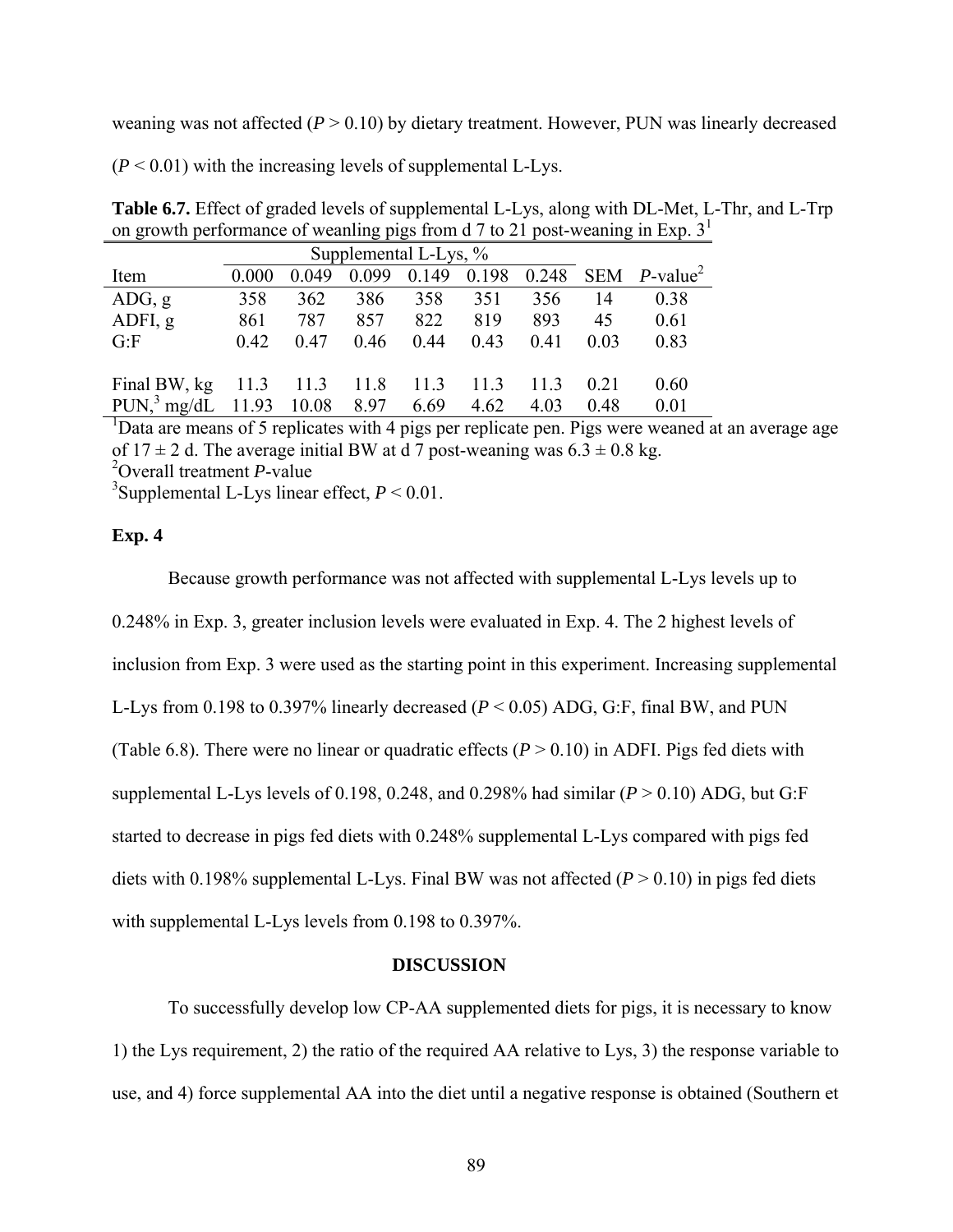weaning was not affected  $(P > 0.10)$  by dietary treatment. However, PUN was linearly decreased

 $(P < 0.01)$  with the increasing levels of supplemental L-Lys.

| <b>Table 6.7.</b> Effect of graded levels of supplemental L-Lys, along with DL-Met, L-Thr, and L-Trp |  |
|------------------------------------------------------------------------------------------------------|--|
| on growth performance of weaning pigs from d 7 to 21 post-weaning in Exp. $31$                       |  |

|                                               |       | Supplemental L-Lys, % |       |       |       |      |      |                                          |
|-----------------------------------------------|-------|-----------------------|-------|-------|-------|------|------|------------------------------------------|
| Item                                          | 0.000 | 0.049                 | 0.099 | 0.149 | 0.198 |      |      | $0.248$ SEM <i>P</i> -value <sup>2</sup> |
| ADG, g                                        | 358   | 362                   | 386   | 358   | 351   | 356  | 14   | 0.38                                     |
| ADFI, g                                       | 861   | 787                   | 857   | 822   | 819   | 893  | 45   | 0.61                                     |
| G.F                                           | 0.42  | 0.47                  | 0.46  | 0.44  | 0.43  | 0.41 | 0.03 | 0.83                                     |
|                                               |       |                       |       |       |       |      |      |                                          |
| Final BW, $kg$ 11.3 11.3 11.8                 |       |                       |       | 11.3  | 11.3  | 11.3 | 021  | 0.60                                     |
| PUN, <sup>3</sup> mg/dL 11.93 10.08 8.97 6.69 |       |                       |       |       | 4.62  | 4.03 | 0.48 | 0.01                                     |

<sup>1</sup>Data are means of 5 replicates with 4 pigs per replicate pen. Pigs were weaned at an average age of  $17 \pm 2$  d. The average initial BW at d 7 post-weaning was  $6.3 \pm 0.8$  kg. 2 Overall treatment *P*-value

<sup>3</sup>Supplemental L-Lys linear effect,  $P < 0.01$ .

# **Exp. 4**

Because growth performance was not affected with supplemental L-Lys levels up to 0.248% in Exp. 3, greater inclusion levels were evaluated in Exp. 4. The 2 highest levels of inclusion from Exp. 3 were used as the starting point in this experiment. Increasing supplemental L-Lys from 0.198 to 0.397% linearly decreased (*P* < 0.05) ADG, G:F, final BW, and PUN (Table 6.8). There were no linear or quadratic effects  $(P > 0.10)$  in ADFI. Pigs fed diets with supplemental L-Lys levels of 0.198, 0.248, and 0.298% had similar  $(P > 0.10)$  ADG, but G:F started to decrease in pigs fed diets with 0.248% supplemental L-Lys compared with pigs fed diets with 0.198% supplemental L-Lys. Final BW was not affected (*P* > 0.10) in pigs fed diets with supplemental L-Lys levels from 0.198 to 0.397%.

#### **DISCUSSION**

 To successfully develop low CP-AA supplemented diets for pigs, it is necessary to know 1) the Lys requirement, 2) the ratio of the required AA relative to Lys, 3) the response variable to use, and 4) force supplemental AA into the diet until a negative response is obtained (Southern et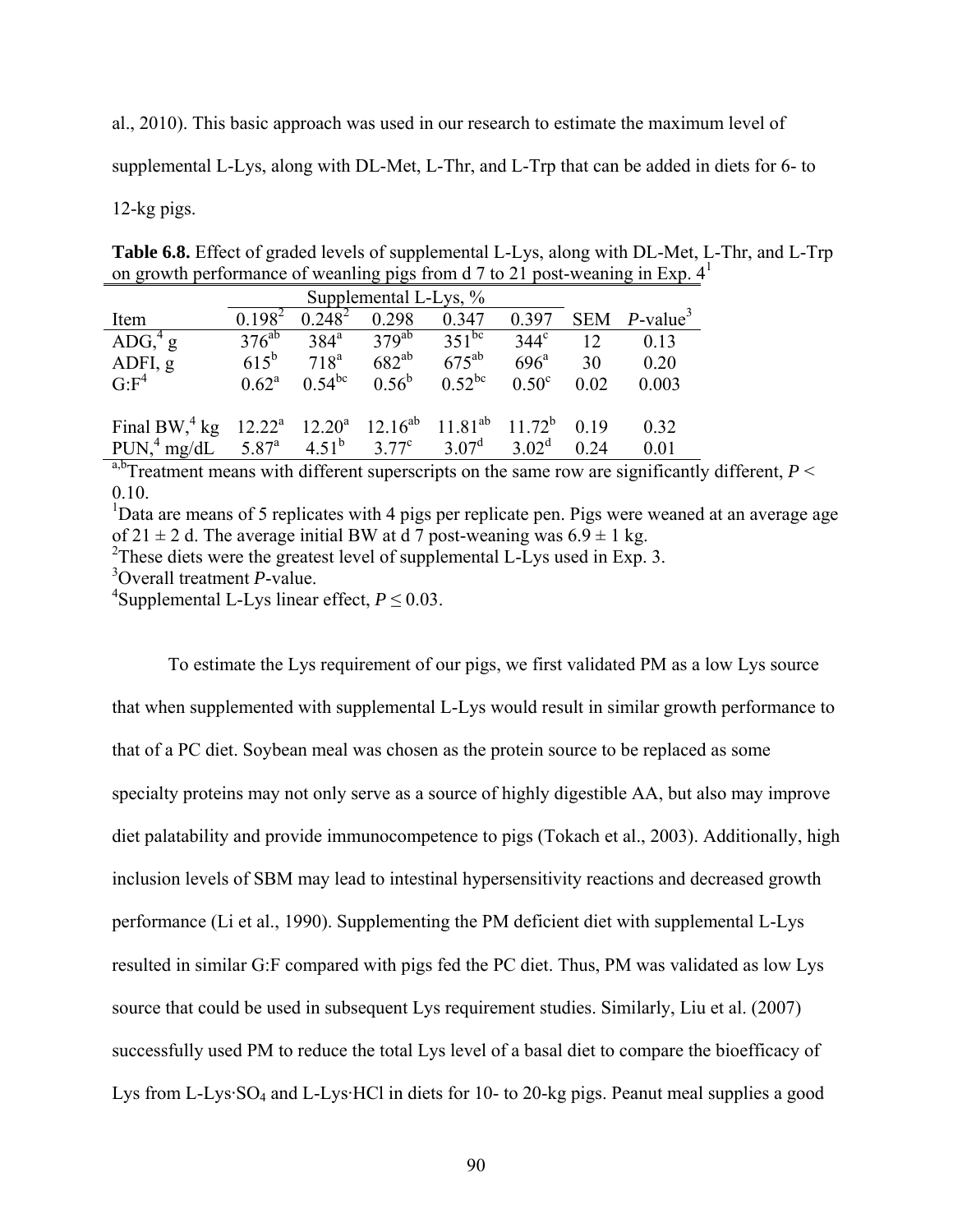al., 2010). This basic approach was used in our research to estimate the maximum level of

supplemental L-Lys, along with DL-Met, L-Thr, and L-Trp that can be added in diets for 6- to

# 12-kg pigs.

**Table 6.8.** Effect of graded levels of supplemental L-Lys, along with DL-Met, L-Thr, and L-Trp on growth performance of weanling pigs from d 7 to 21 post-weaning in Exp.  $4^1$ 

| Supplemental L-Lys, %                                                                             |                |                  |                |             |                |      |                             |  |  |  |
|---------------------------------------------------------------------------------------------------|----------------|------------------|----------------|-------------|----------------|------|-----------------------------|--|--|--|
| Item                                                                                              | $0.198^2$      | $0.248^2$        | 0.298          | 0.347       | 0.397          |      | SEM $P$ -value <sup>3</sup> |  |  |  |
| ADG, $4\,\mathrm{g}$                                                                              | $376^{ab}$     | $384^{\circ}$    | $379^{ab}$     | $351^{bc}$  | $344^\circ$    | 12   | 0.13                        |  |  |  |
| ADFI, g                                                                                           | $615^{b}$      | 718 <sup>a</sup> | $682^{ab}$     | $675^{ab}$  | $696^{\circ}$  | 30   | 0.20                        |  |  |  |
| G: F <sup>4</sup>                                                                                 | $0.62^{\rm a}$ | $0.54^{bc}$      | $0.56^{\rm b}$ | $0.52^{bc}$ | $0.50^{\circ}$ | 0.02 | 0.003                       |  |  |  |
|                                                                                                   |                |                  |                |             |                |      |                             |  |  |  |
| Final BW, $^{4}$ kg 12.22 <sup>a</sup> 12.20 <sup>a</sup> 12.16 <sup>ab</sup> 11.81 <sup>ab</sup> |                |                  |                |             | $11.72^b$      | 0.19 | 0.32                        |  |  |  |
| PUN, <sup>4</sup> mg/dL $5.87^a$ $4.51^b$ $3.77^c$ $3.07^d$ $3.02^d$                              |                |                  |                |             |                | 0.24 | 0.01                        |  |  |  |

<sup>a,b</sup>Treatment means with different superscripts on the same row are significantly different,  $P \leq$ 0.10.

<sup>1</sup>Data are means of 5 replicates with 4 pigs per replicate pen. Pigs were weaned at an average age of 21  $\pm$  2 d. The average initial BW at d 7 post-weaning was 6.9  $\pm$  1 kg.

 $2$ These diets were the greatest level of supplemental L-Lys used in Exp. 3.

3 Overall treatment *P*-value.

<sup>4</sup>Supplemental L-Lys linear effect,  $P \le 0.03$ .

To estimate the Lys requirement of our pigs, we first validated PM as a low Lys source that when supplemented with supplemental L-Lys would result in similar growth performance to that of a PC diet. Soybean meal was chosen as the protein source to be replaced as some specialty proteins may not only serve as a source of highly digestible AA, but also may improve diet palatability and provide immunocompetence to pigs (Tokach et al., 2003). Additionally, high inclusion levels of SBM may lead to intestinal hypersensitivity reactions and decreased growth performance (Li et al., 1990). Supplementing the PM deficient diet with supplemental L-Lys resulted in similar G:F compared with pigs fed the PC diet. Thus, PM was validated as low Lys source that could be used in subsequent Lys requirement studies. Similarly, Liu et al. (2007) successfully used PM to reduce the total Lys level of a basal diet to compare the bioefficacy of Lys from L-Lys·SO<sub>4</sub> and L-Lys·HCl in diets for 10- to 20-kg pigs. Peanut meal supplies a good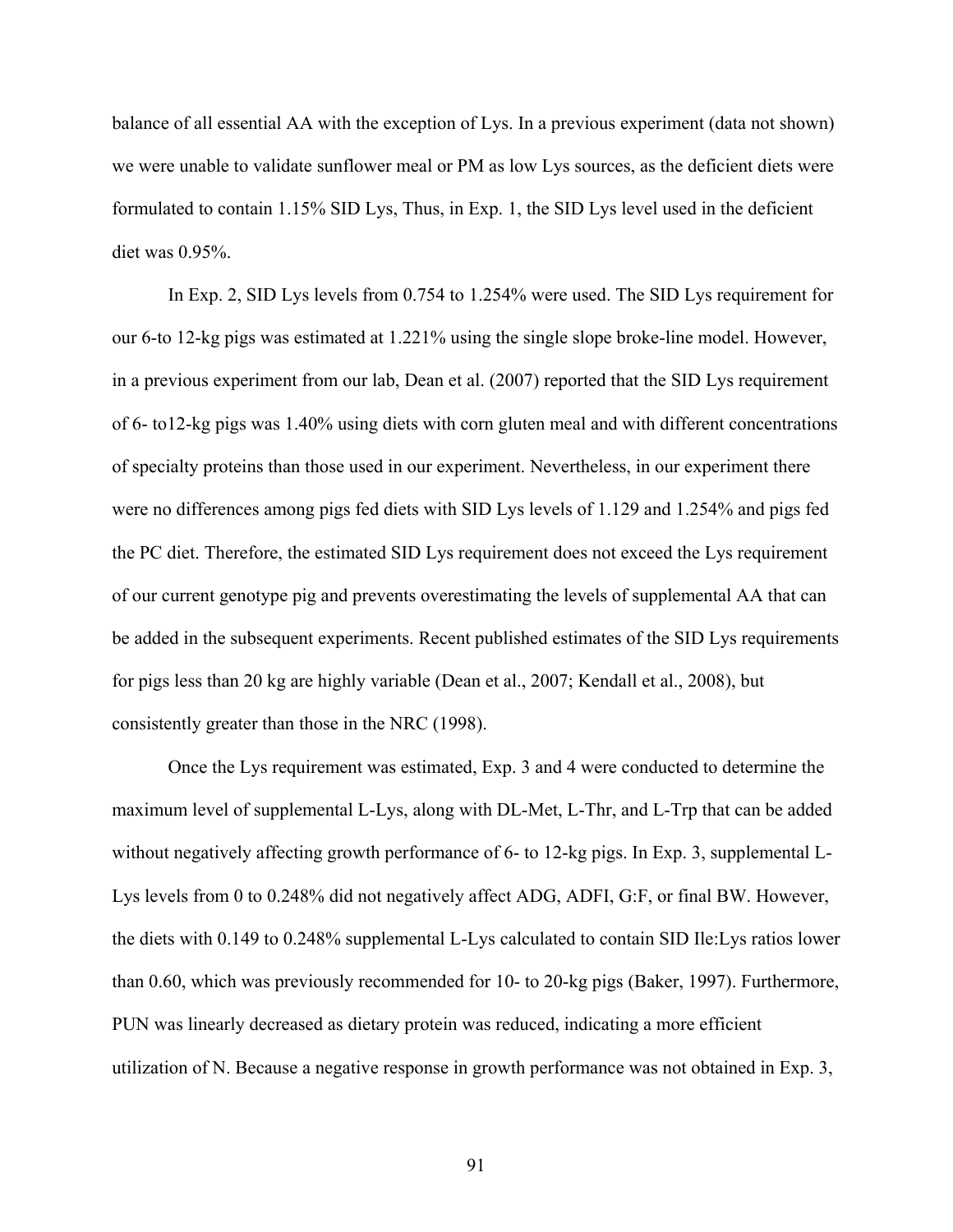balance of all essential AA with the exception of Lys. In a previous experiment (data not shown) we were unable to validate sunflower meal or PM as low Lys sources, as the deficient diets were formulated to contain 1.15% SID Lys, Thus, in Exp. 1, the SID Lys level used in the deficient diet was 0.95%.

In Exp. 2, SID Lys levels from 0.754 to 1.254% were used. The SID Lys requirement for our 6-to 12-kg pigs was estimated at 1.221% using the single slope broke-line model. However, in a previous experiment from our lab, Dean et al. (2007) reported that the SID Lys requirement of 6- to12-kg pigs was 1.40% using diets with corn gluten meal and with different concentrations of specialty proteins than those used in our experiment. Nevertheless, in our experiment there were no differences among pigs fed diets with SID Lys levels of 1.129 and 1.254% and pigs fed the PC diet. Therefore, the estimated SID Lys requirement does not exceed the Lys requirement of our current genotype pig and prevents overestimating the levels of supplemental AA that can be added in the subsequent experiments. Recent published estimates of the SID Lys requirements for pigs less than 20 kg are highly variable (Dean et al., 2007; Kendall et al., 2008), but consistently greater than those in the NRC (1998).

Once the Lys requirement was estimated, Exp. 3 and 4 were conducted to determine the maximum level of supplemental L-Lys, along with DL-Met, L-Thr, and L-Trp that can be added without negatively affecting growth performance of 6- to 12-kg pigs. In Exp. 3, supplemental L-Lys levels from 0 to 0.248% did not negatively affect ADG, ADFI, G:F, or final BW. However, the diets with 0.149 to 0.248% supplemental L-Lys calculated to contain SID Ile:Lys ratios lower than 0.60, which was previously recommended for 10- to 20-kg pigs (Baker, 1997). Furthermore, PUN was linearly decreased as dietary protein was reduced, indicating a more efficient utilization of N. Because a negative response in growth performance was not obtained in Exp. 3,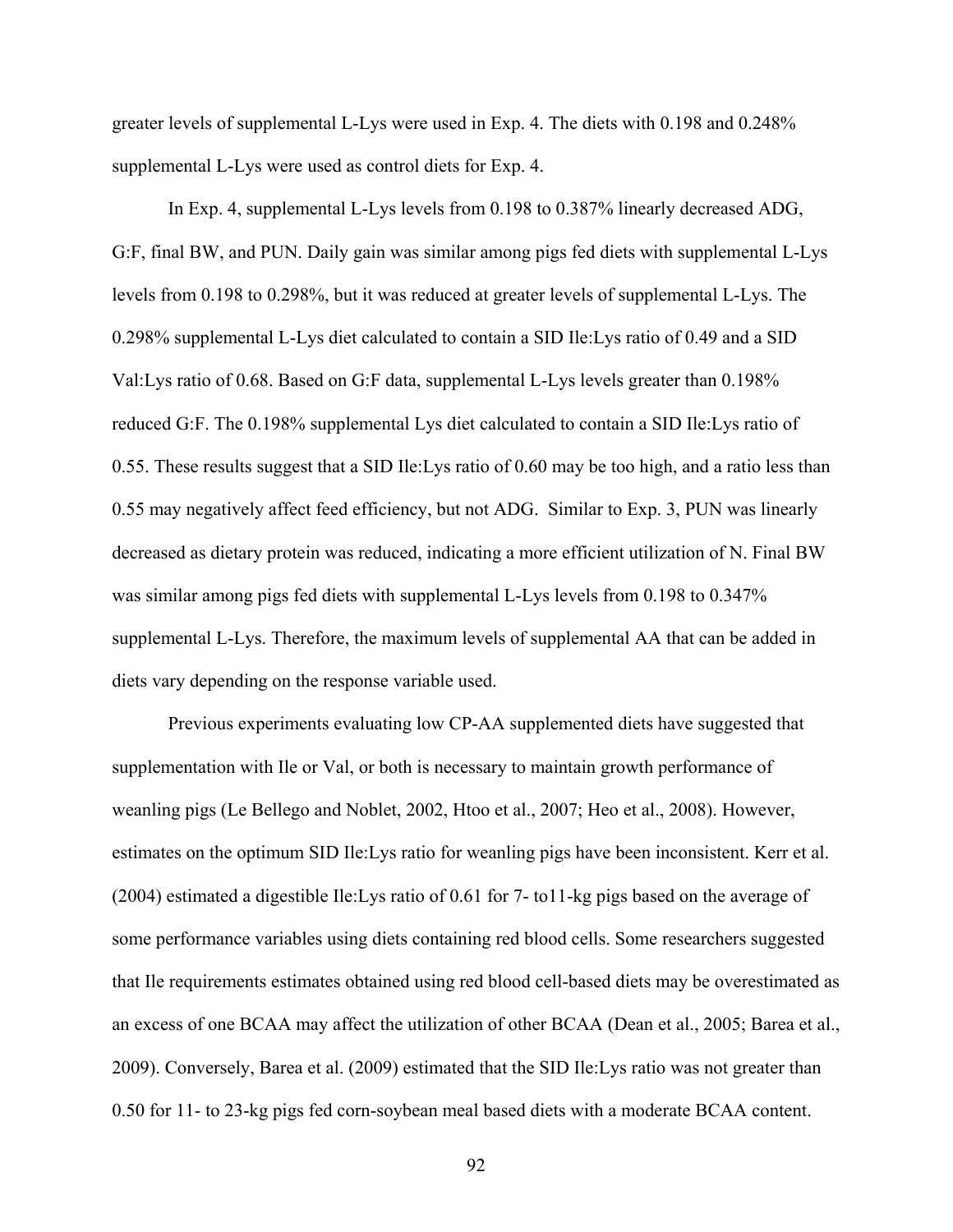greater levels of supplemental L-Lys were used in Exp. 4. The diets with 0.198 and 0.248% supplemental L-Lys were used as control diets for Exp. 4.

In Exp. 4, supplemental L-Lys levels from 0.198 to 0.387% linearly decreased ADG, G:F, final BW, and PUN. Daily gain was similar among pigs fed diets with supplemental L-Lys levels from 0.198 to 0.298%, but it was reduced at greater levels of supplemental L-Lys. The 0.298% supplemental L-Lys diet calculated to contain a SID Ile:Lys ratio of 0.49 and a SID Val:Lys ratio of 0.68. Based on G:F data, supplemental L-Lys levels greater than 0.198% reduced G:F. The 0.198% supplemental Lys diet calculated to contain a SID Ile:Lys ratio of 0.55. These results suggest that a SID Ile:Lys ratio of 0.60 may be too high, and a ratio less than 0.55 may negatively affect feed efficiency, but not ADG. Similar to Exp. 3, PUN was linearly decreased as dietary protein was reduced, indicating a more efficient utilization of N. Final BW was similar among pigs fed diets with supplemental L-Lys levels from 0.198 to 0.347% supplemental L-Lys. Therefore, the maximum levels of supplemental AA that can be added in diets vary depending on the response variable used.

 Previous experiments evaluating low CP-AA supplemented diets have suggested that supplementation with Ile or Val, or both is necessary to maintain growth performance of weanling pigs (Le Bellego and Noblet, 2002, Htoo et al., 2007; Heo et al., 2008). However, estimates on the optimum SID Ile:Lys ratio for weanling pigs have been inconsistent. Kerr et al. (2004) estimated a digestible Ile:Lys ratio of 0.61 for 7- to11-kg pigs based on the average of some performance variables using diets containing red blood cells. Some researchers suggested that Ile requirements estimates obtained using red blood cell-based diets may be overestimated as an excess of one BCAA may affect the utilization of other BCAA (Dean et al., 2005; Barea et al., 2009). Conversely, Barea et al. (2009) estimated that the SID Ile:Lys ratio was not greater than 0.50 for 11- to 23-kg pigs fed corn-soybean meal based diets with a moderate BCAA content.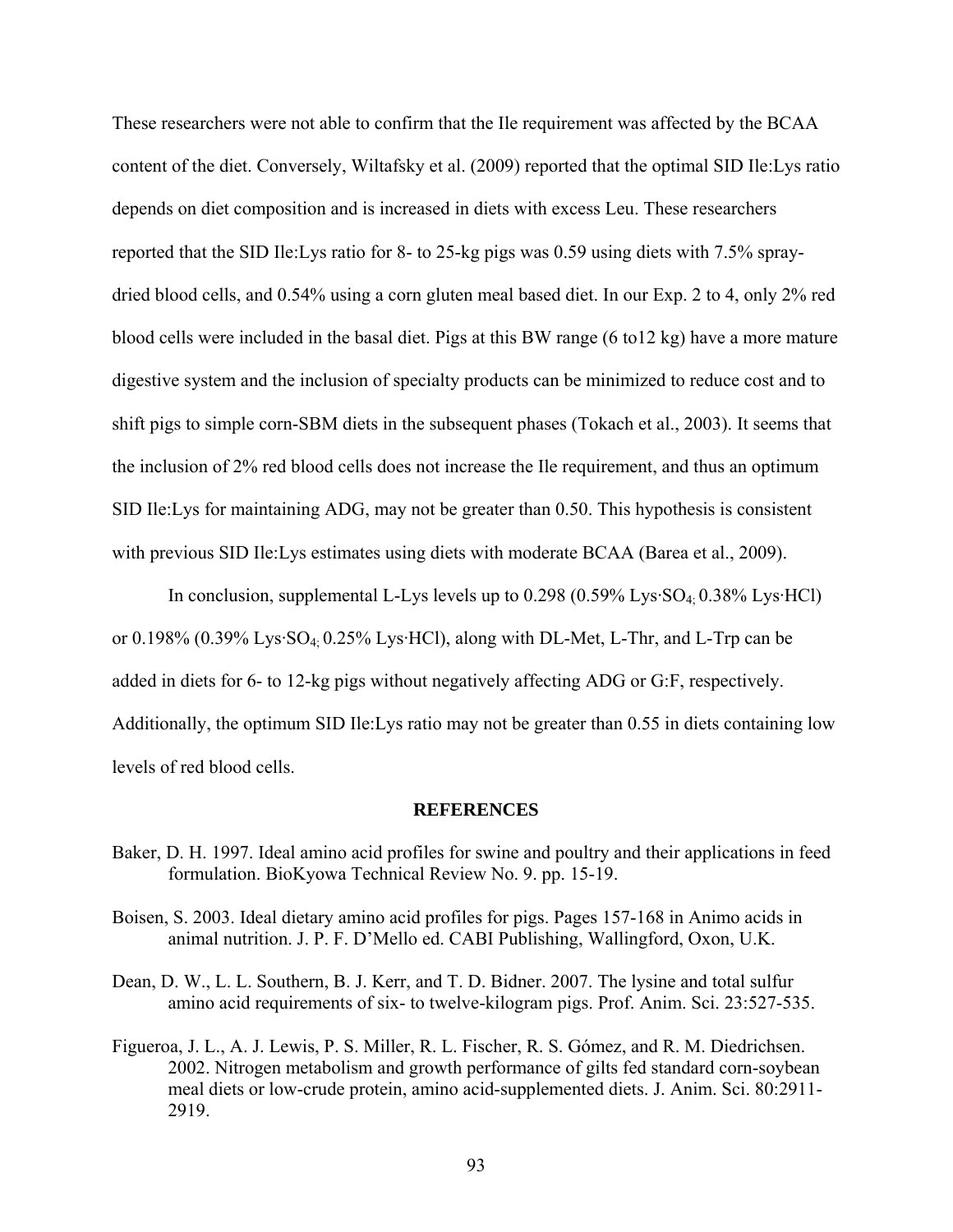These researchers were not able to confirm that the Ile requirement was affected by the BCAA content of the diet. Conversely, Wiltafsky et al. (2009) reported that the optimal SID Ile:Lys ratio depends on diet composition and is increased in diets with excess Leu. These researchers reported that the SID Ile:Lys ratio for 8- to 25-kg pigs was 0.59 using diets with 7.5% spraydried blood cells, and 0.54% using a corn gluten meal based diet. In our Exp. 2 to 4, only 2% red blood cells were included in the basal diet. Pigs at this BW range (6 to12 kg) have a more mature digestive system and the inclusion of specialty products can be minimized to reduce cost and to shift pigs to simple corn-SBM diets in the subsequent phases (Tokach et al., 2003). It seems that the inclusion of 2% red blood cells does not increase the Ile requirement, and thus an optimum SID Ile:Lys for maintaining ADG, may not be greater than 0.50. This hypothesis is consistent with previous SID Ile: Lys estimates using diets with moderate BCAA (Barea et al., 2009).

In conclusion, supplemental L-Lys levels up to  $0.298 (0.59\% \text{ Lys-SO}_4 \cdot 0.38\% \text{ Lys-HCl})$ or 0.198% (0.39% Lys·SO4; 0.25% Lys·HCl), along with DL-Met, L-Thr, and L-Trp can be added in diets for 6- to 12-kg pigs without negatively affecting ADG or G:F, respectively. Additionally, the optimum SID Ile:Lys ratio may not be greater than 0.55 in diets containing low levels of red blood cells.

#### **REFERENCES**

- Baker, D. H. 1997. Ideal amino acid profiles for swine and poultry and their applications in feed formulation. BioKyowa Technical Review No. 9. pp. 15-19.
- Boisen, S. 2003. Ideal dietary amino acid profiles for pigs. Pages 157-168 in Animo acids in animal nutrition. J. P. F. D'Mello ed. CABI Publishing, Wallingford, Oxon, U.K.
- Dean, D. W., L. L. Southern, B. J. Kerr, and T. D. Bidner. 2007. The lysine and total sulfur amino acid requirements of six- to twelve-kilogram pigs. Prof. Anim. Sci. 23:527-535.
- Figueroa, J. L., A. J. Lewis, P. S. Miller, R. L. Fischer, R. S. Gómez, and R. M. Diedrichsen. 2002. Nitrogen metabolism and growth performance of gilts fed standard corn-soybean meal diets or low-crude protein, amino acid-supplemented diets. J. Anim. Sci. 80:2911- 2919.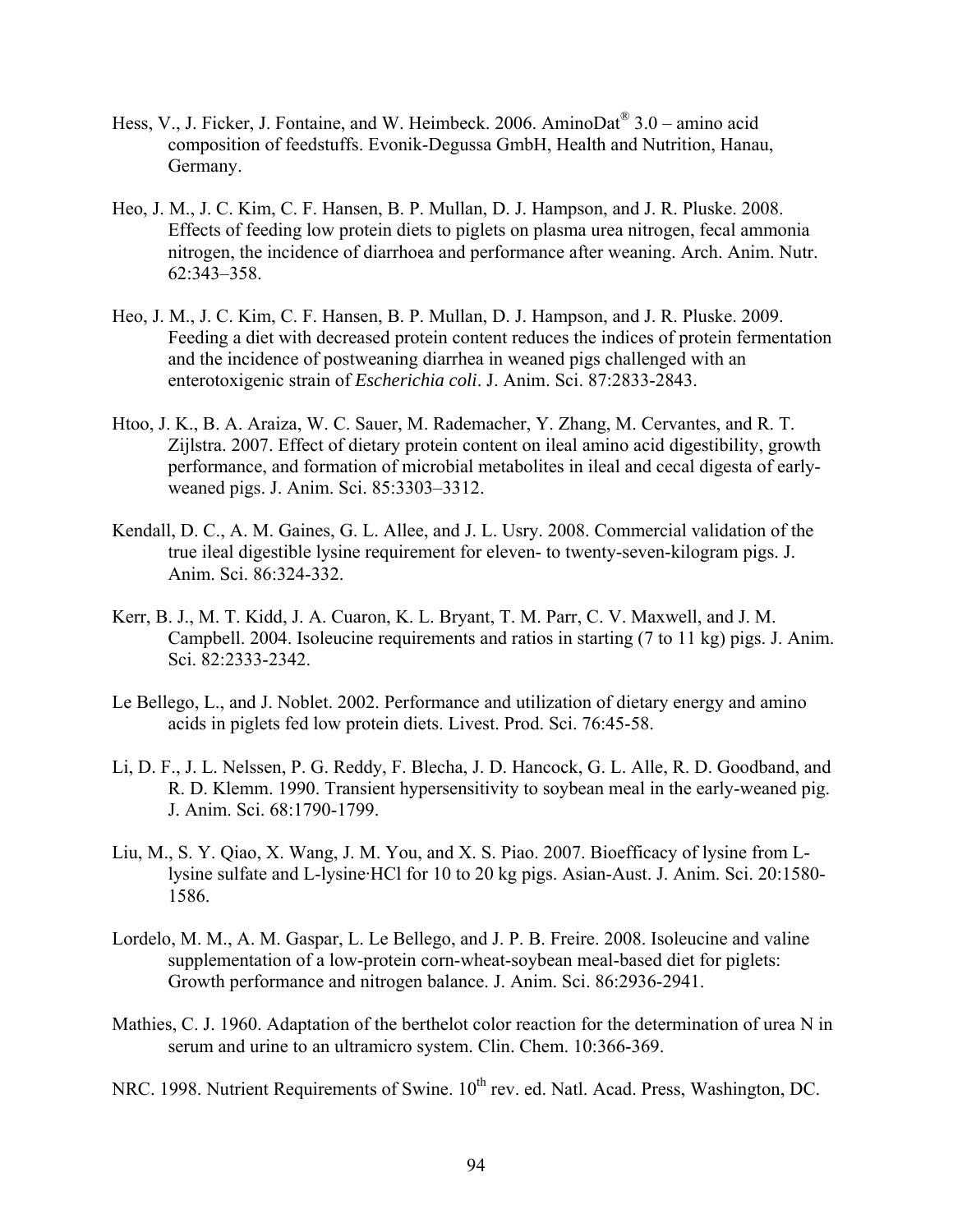- Hess, V., J. Ficker, J. Fontaine, and W. Heimbeck. 2006. AminoDat<sup>®</sup> 3.0 amino acid composition of feedstuffs. Evonik-Degussa GmbH, Health and Nutrition, Hanau, Germany.
- Heo, J. M., J. C. Kim, C. F. Hansen, B. P. Mullan, D. J. Hampson, and J. R. Pluske. 2008. Effects of feeding low protein diets to piglets on plasma urea nitrogen, fecal ammonia nitrogen, the incidence of diarrhoea and performance after weaning. Arch. Anim. Nutr. 62:343–358.
- Heo, J. M., J. C. Kim, C. F. Hansen, B. P. Mullan, D. J. Hampson, and J. R. Pluske. 2009. Feeding a diet with decreased protein content reduces the indices of protein fermentation and the incidence of postweaning diarrhea in weaned pigs challenged with an enterotoxigenic strain of *Escherichia coli*. J. Anim. Sci. 87:2833-2843.
- Htoo, J. K., B. A. Araiza, W. C. Sauer, M. Rademacher, Y. Zhang, M. Cervantes, and R. T. Zijlstra. 2007. Effect of dietary protein content on ileal amino acid digestibility, growth performance, and formation of microbial metabolites in ileal and cecal digesta of earlyweaned pigs. J. Anim. Sci. 85:3303–3312.
- Kendall, D. C., A. M. Gaines, G. L. Allee, and J. L. Usry. 2008. Commercial validation of the true ileal digestible lysine requirement for eleven- to twenty-seven-kilogram pigs. J. Anim. Sci. 86:324-332.
- Kerr, B. J., M. T. Kidd, J. A. Cuaron, K. L. Bryant, T. M. Parr, C. V. Maxwell, and J. M. Campbell. 2004. Isoleucine requirements and ratios in starting (7 to 11 kg) pigs. J. Anim. Sci. 82:2333-2342.
- Le Bellego, L., and J. Noblet. 2002. Performance and utilization of dietary energy and amino acids in piglets fed low protein diets. Livest. Prod. Sci. 76:45-58.
- Li, D. F., J. L. Nelssen, P. G. Reddy, F. Blecha, J. D. Hancock, G. L. Alle, R. D. Goodband, and R. D. Klemm. 1990. Transient hypersensitivity to soybean meal in the early-weaned pig. J. Anim. Sci. 68:1790-1799.
- Liu, M., S. Y. Qiao, X. Wang, J. M. You, and X. S. Piao. 2007. Bioefficacy of lysine from Llysine sulfate and L-lysine·HCl for 10 to 20 kg pigs. Asian-Aust. J. Anim. Sci. 20:1580- 1586.
- Lordelo, M. M., A. M. Gaspar, L. Le Bellego, and J. P. B. Freire. 2008. Isoleucine and valine supplementation of a low-protein corn-wheat-soybean meal-based diet for piglets: Growth performance and nitrogen balance. J. Anim. Sci. 86:2936-2941.
- Mathies, C. J. 1960. Adaptation of the berthelot color reaction for the determination of urea N in serum and urine to an ultramicro system. Clin. Chem. 10:366-369.
- NRC. 1998. Nutrient Requirements of Swine. 10<sup>th</sup> rev. ed. Natl. Acad. Press, Washington, DC.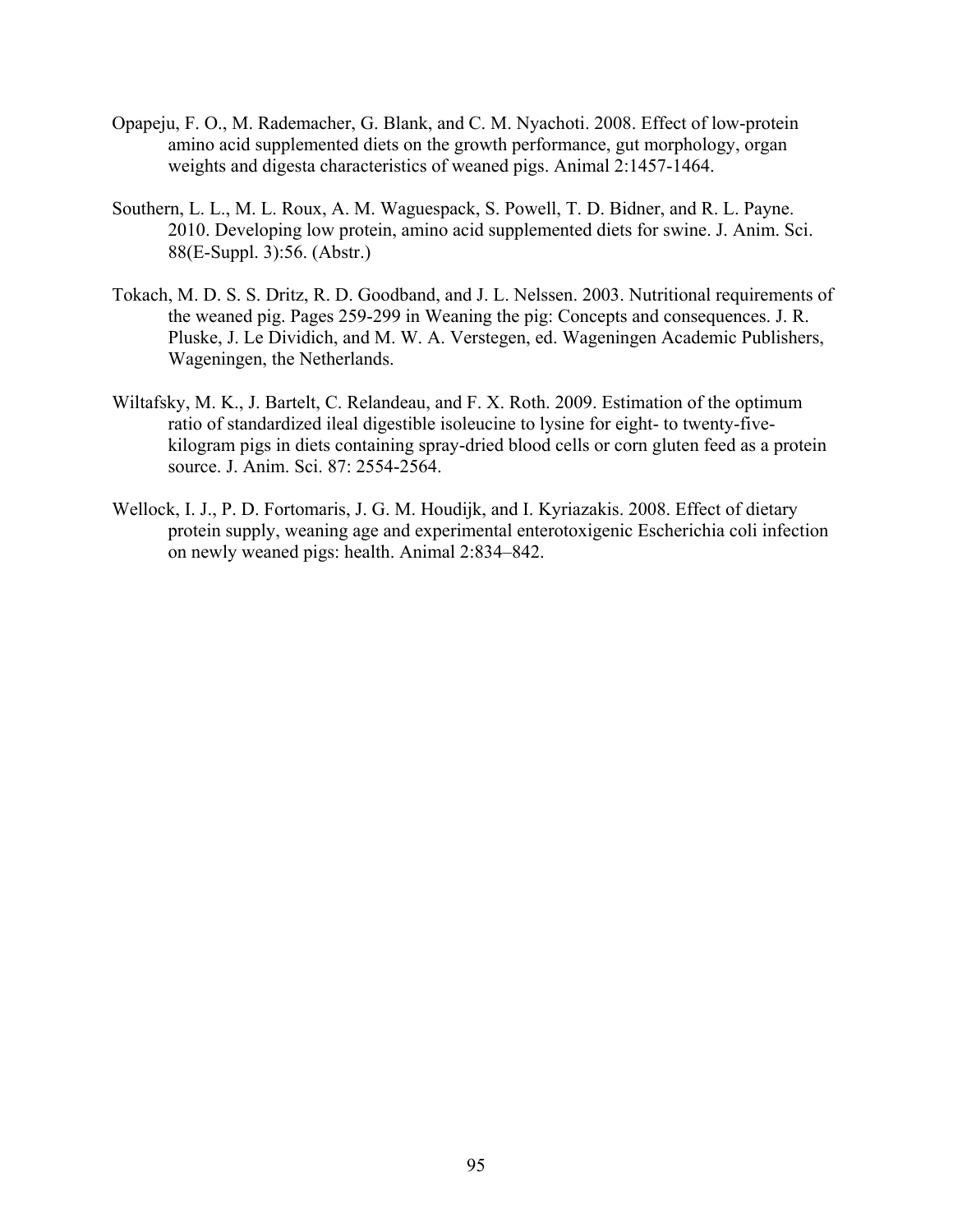- Opapeju, F. O., M. Rademacher, G. Blank, and C. M. Nyachoti. 2008. Effect of low-protein amino acid supplemented diets on the growth performance, gut morphology, organ weights and digesta characteristics of weaned pigs. Animal 2:1457-1464.
- Southern, L. L., M. L. Roux, A. M. Waguespack, S. Powell, T. D. Bidner, and R. L. Payne. 2010. Developing low protein, amino acid supplemented diets for swine. J. Anim. Sci. 88(E-Suppl. 3):56. (Abstr.)
- Tokach, M. D. S. S. Dritz, R. D. Goodband, and J. L. Nelssen. 2003. Nutritional requirements of the weaned pig. Pages 259-299 in Weaning the pig: Concepts and consequences. J. R. Pluske, J. Le Dividich, and M. W. A. Verstegen, ed. Wageningen Academic Publishers, Wageningen, the Netherlands.
- Wiltafsky, M. K., J. Bartelt, C. Relandeau, and F. X. Roth. 2009. Estimation of the optimum ratio of standardized ileal digestible isoleucine to lysine for eight- to twenty-fivekilogram pigs in diets containing spray-dried blood cells or corn gluten feed as a protein source. J. Anim. Sci. 87: 2554-2564.
- Wellock, I. J., P. D. Fortomaris, J. G. M. Houdijk, and I. Kyriazakis. 2008. Effect of dietary protein supply, weaning age and experimental enterotoxigenic Escherichia coli infection on newly weaned pigs: health. Animal 2:834–842.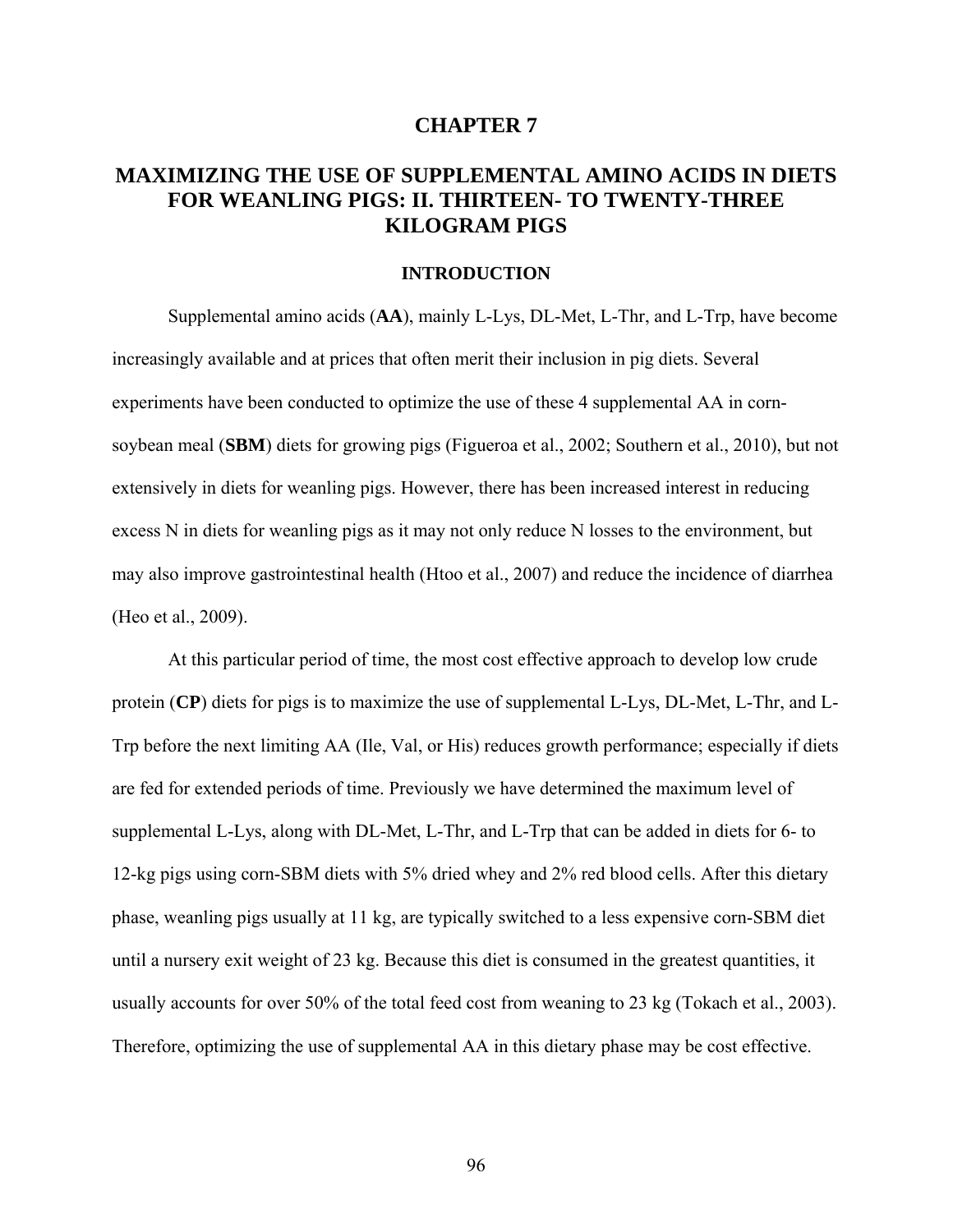### **CHAPTER 7**

# **MAXIMIZING THE USE OF SUPPLEMENTAL AMINO ACIDS IN DIETS FOR WEANLING PIGS: II. THIRTEEN- TO TWENTY-THREE KILOGRAM PIGS**

# **INTRODUCTION**

Supplemental amino acids (**AA**), mainly L-Lys, DL-Met, L-Thr, and L-Trp, have become increasingly available and at prices that often merit their inclusion in pig diets. Several experiments have been conducted to optimize the use of these 4 supplemental AA in cornsoybean meal (**SBM**) diets for growing pigs (Figueroa et al., 2002; Southern et al., 2010), but not extensively in diets for weanling pigs. However, there has been increased interest in reducing excess N in diets for weanling pigs as it may not only reduce N losses to the environment, but may also improve gastrointestinal health (Htoo et al., 2007) and reduce the incidence of diarrhea (Heo et al., 2009).

At this particular period of time, the most cost effective approach to develop low crude protein (**CP**) diets for pigs is to maximize the use of supplemental L-Lys, DL-Met, L-Thr, and L-Trp before the next limiting AA (Ile, Val, or His) reduces growth performance; especially if diets are fed for extended periods of time. Previously we have determined the maximum level of supplemental L-Lys, along with DL-Met, L-Thr, and L-Trp that can be added in diets for 6- to 12-kg pigs using corn-SBM diets with 5% dried whey and 2% red blood cells. After this dietary phase, weanling pigs usually at 11 kg, are typically switched to a less expensive corn-SBM diet until a nursery exit weight of 23 kg. Because this diet is consumed in the greatest quantities, it usually accounts for over 50% of the total feed cost from weaning to 23 kg (Tokach et al., 2003). Therefore, optimizing the use of supplemental AA in this dietary phase may be cost effective.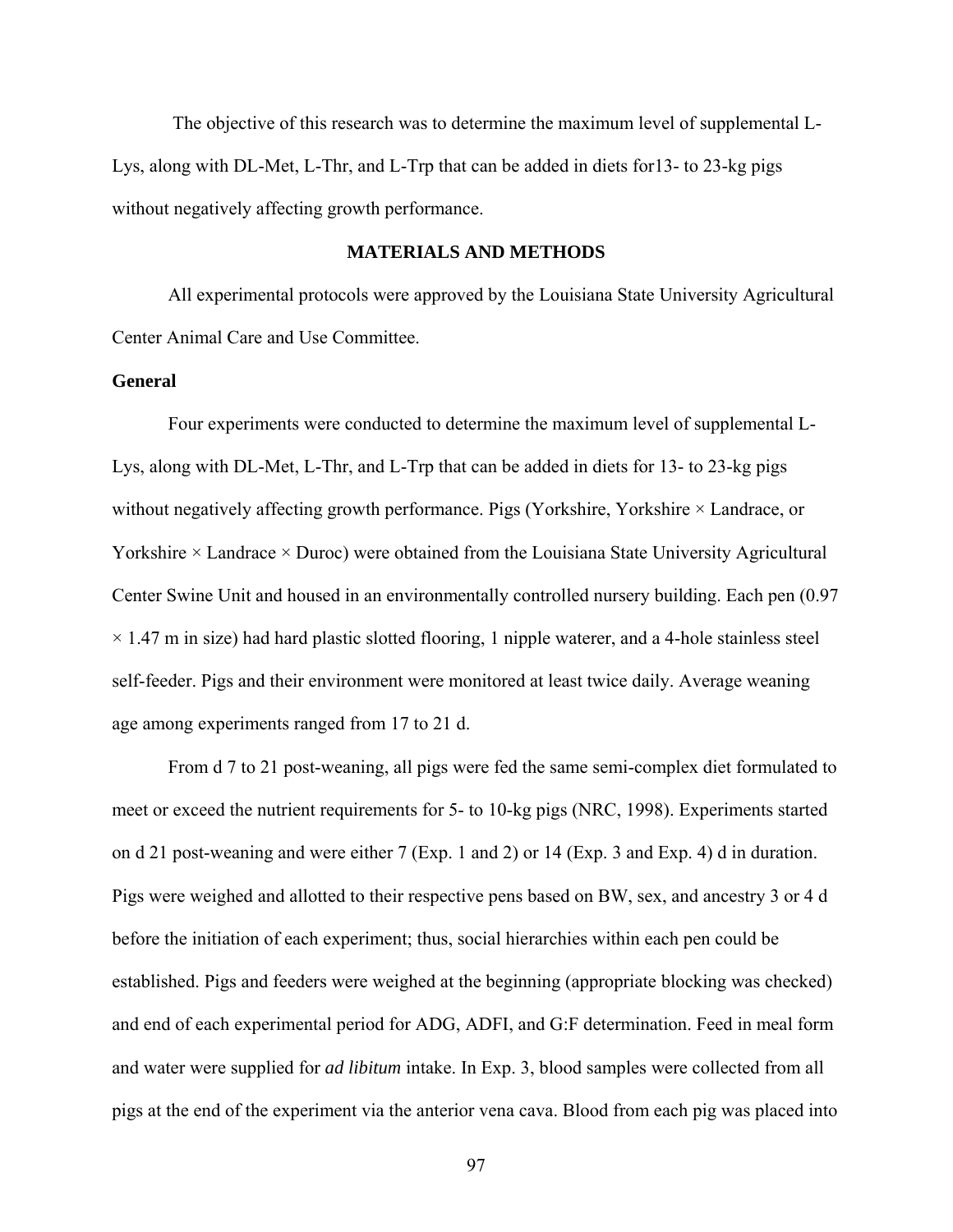The objective of this research was to determine the maximum level of supplemental L-Lys, along with DL-Met, L-Thr, and L-Trp that can be added in diets for13- to 23-kg pigs without negatively affecting growth performance.

## **MATERIALS AND METHODS**

All experimental protocols were approved by the Louisiana State University Agricultural Center Animal Care and Use Committee.

## **General**

Four experiments were conducted to determine the maximum level of supplemental L-Lys, along with DL-Met, L-Thr, and L-Trp that can be added in diets for 13- to 23-kg pigs without negatively affecting growth performance. Pigs (Yorkshire, Yorkshire  $\times$  Landrace, or Yorkshire  $\times$  Landrace  $\times$  Duroc) were obtained from the Louisiana State University Agricultural Center Swine Unit and housed in an environmentally controlled nursery building. Each pen (0.97  $\times$  1.47 m in size) had hard plastic slotted flooring, 1 nipple waterer, and a 4-hole stainless steel self-feeder. Pigs and their environment were monitored at least twice daily. Average weaning age among experiments ranged from 17 to 21 d.

From d 7 to 21 post-weaning, all pigs were fed the same semi-complex diet formulated to meet or exceed the nutrient requirements for 5- to 10-kg pigs (NRC, 1998). Experiments started on d 21 post-weaning and were either 7 (Exp. 1 and 2) or 14 (Exp. 3 and Exp. 4) d in duration. Pigs were weighed and allotted to their respective pens based on BW, sex, and ancestry 3 or 4 d before the initiation of each experiment; thus, social hierarchies within each pen could be established. Pigs and feeders were weighed at the beginning (appropriate blocking was checked) and end of each experimental period for ADG, ADFI, and G:F determination. Feed in meal form and water were supplied for *ad libitum* intake. In Exp. 3, blood samples were collected from all pigs at the end of the experiment via the anterior vena cava. Blood from each pig was placed into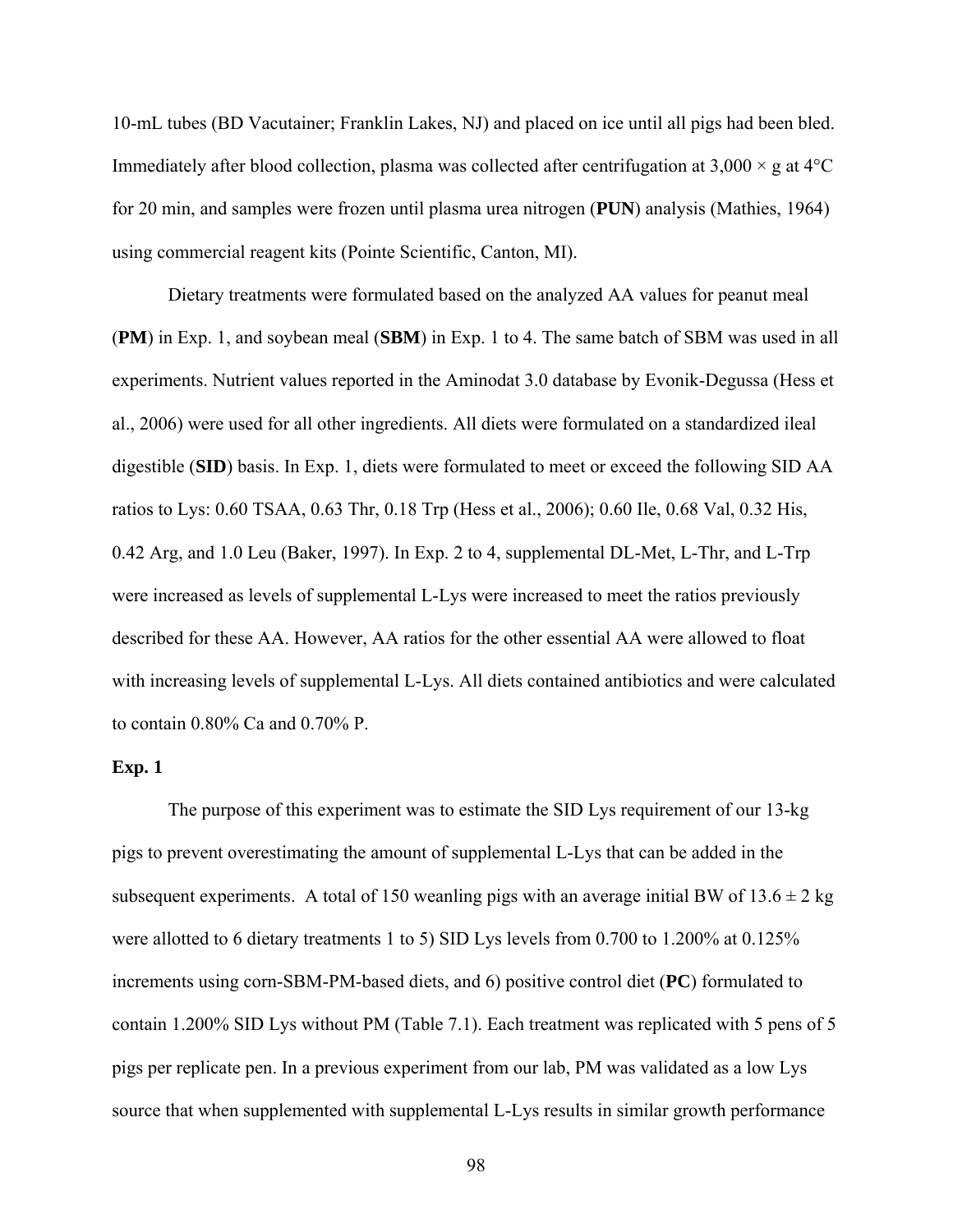10-mL tubes (BD Vacutainer; Franklin Lakes, NJ) and placed on ice until all pigs had been bled. Immediately after blood collection, plasma was collected after centrifugation at  $3,000 \times g$  at  $4^{\circ}$ C for 20 min, and samples were frozen until plasma urea nitrogen (**PUN**) analysis (Mathies, 1964) using commercial reagent kits (Pointe Scientific, Canton, MI).

Dietary treatments were formulated based on the analyzed AA values for peanut meal (**PM**) in Exp. 1, and soybean meal (**SBM**) in Exp. 1 to 4. The same batch of SBM was used in all experiments. Nutrient values reported in the Aminodat 3.0 database by Evonik-Degussa (Hess et al., 2006) were used for all other ingredients. All diets were formulated on a standardized ileal digestible (**SID**) basis. In Exp. 1, diets were formulated to meet or exceed the following SID AA ratios to Lys: 0.60 TSAA, 0.63 Thr, 0.18 Trp (Hess et al., 2006); 0.60 Ile, 0.68 Val, 0.32 His, 0.42 Arg, and 1.0 Leu (Baker, 1997). In Exp. 2 to 4, supplemental DL-Met, L-Thr, and L-Trp were increased as levels of supplemental L-Lys were increased to meet the ratios previously described for these AA. However, AA ratios for the other essential AA were allowed to float with increasing levels of supplemental L-Lys. All diets contained antibiotics and were calculated to contain 0.80% Ca and 0.70% P.

#### **Exp. 1**

The purpose of this experiment was to estimate the SID Lys requirement of our 13-kg pigs to prevent overestimating the amount of supplemental L-Lys that can be added in the subsequent experiments. A total of 150 weanling pigs with an average initial BW of  $13.6 \pm 2$  kg were allotted to 6 dietary treatments 1 to 5) SID Lys levels from 0.700 to 1.200% at 0.125% increments using corn-SBM-PM-based diets, and 6) positive control diet (**PC**) formulated to contain 1.200% SID Lys without PM (Table 7.1). Each treatment was replicated with 5 pens of 5 pigs per replicate pen. In a previous experiment from our lab, PM was validated as a low Lys source that when supplemented with supplemental L-Lys results in similar growth performance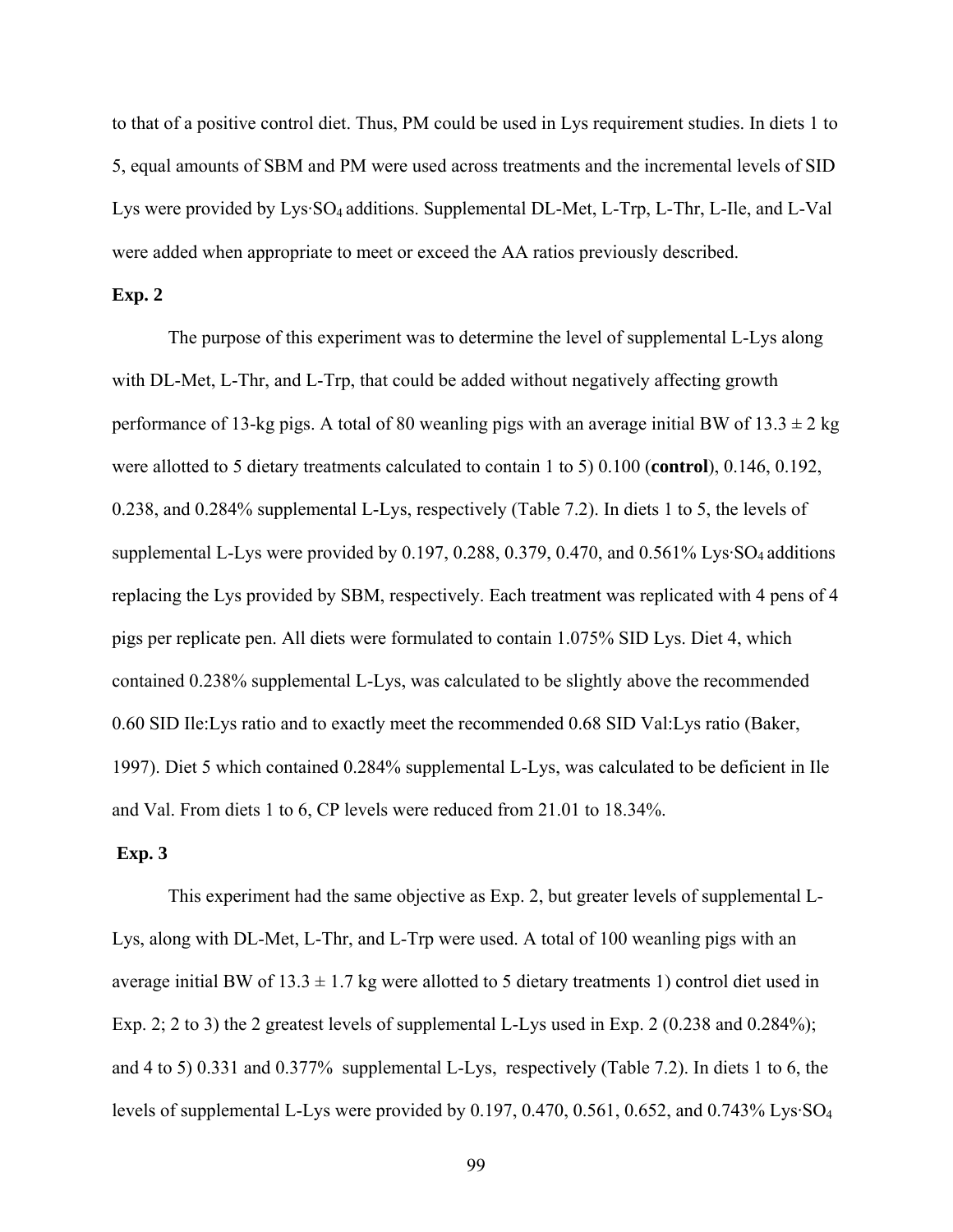to that of a positive control diet. Thus, PM could be used in Lys requirement studies. In diets 1 to 5, equal amounts of SBM and PM were used across treatments and the incremental levels of SID Lys were provided by Lys·SO<sub>4</sub> additions. Supplemental DL-Met, L-Trp, L-Thr, L-Ile, and L-Val were added when appropriate to meet or exceed the AA ratios previously described.

## **Exp. 2**

 The purpose of this experiment was to determine the level of supplemental L-Lys along with DL-Met, L-Thr, and L-Trp, that could be added without negatively affecting growth performance of 13-kg pigs. A total of 80 weanling pigs with an average initial BW of  $13.3 \pm 2$  kg were allotted to 5 dietary treatments calculated to contain 1 to 5) 0.100 (**control**), 0.146, 0.192, 0.238, and 0.284% supplemental L-Lys, respectively (Table 7.2). In diets 1 to 5, the levels of supplemental L-Lys were provided by 0.197, 0.288, 0.379, 0.470, and 0.561% Lys·SO<sub>4</sub> additions replacing the Lys provided by SBM, respectively. Each treatment was replicated with 4 pens of 4 pigs per replicate pen. All diets were formulated to contain 1.075% SID Lys. Diet 4, which contained 0.238% supplemental L-Lys, was calculated to be slightly above the recommended 0.60 SID Ile:Lys ratio and to exactly meet the recommended 0.68 SID Val:Lys ratio (Baker, 1997). Diet 5 which contained 0.284% supplemental L-Lys, was calculated to be deficient in Ile and Val. From diets 1 to 6, CP levels were reduced from 21.01 to 18.34%.

#### **Exp. 3**

 This experiment had the same objective as Exp. 2, but greater levels of supplemental L-Lys, along with DL-Met, L-Thr, and L-Trp were used. A total of 100 weanling pigs with an average initial BW of  $13.3 \pm 1.7$  kg were allotted to 5 dietary treatments 1) control diet used in Exp. 2; 2 to 3) the 2 greatest levels of supplemental L-Lys used in Exp. 2 (0.238 and 0.284%); and 4 to 5) 0.331 and 0.377% supplemental L-Lys, respectively (Table 7.2). In diets 1 to 6, the levels of supplemental L-Lys were provided by 0.197, 0.470, 0.561, 0.652, and 0.743% Lys·SO4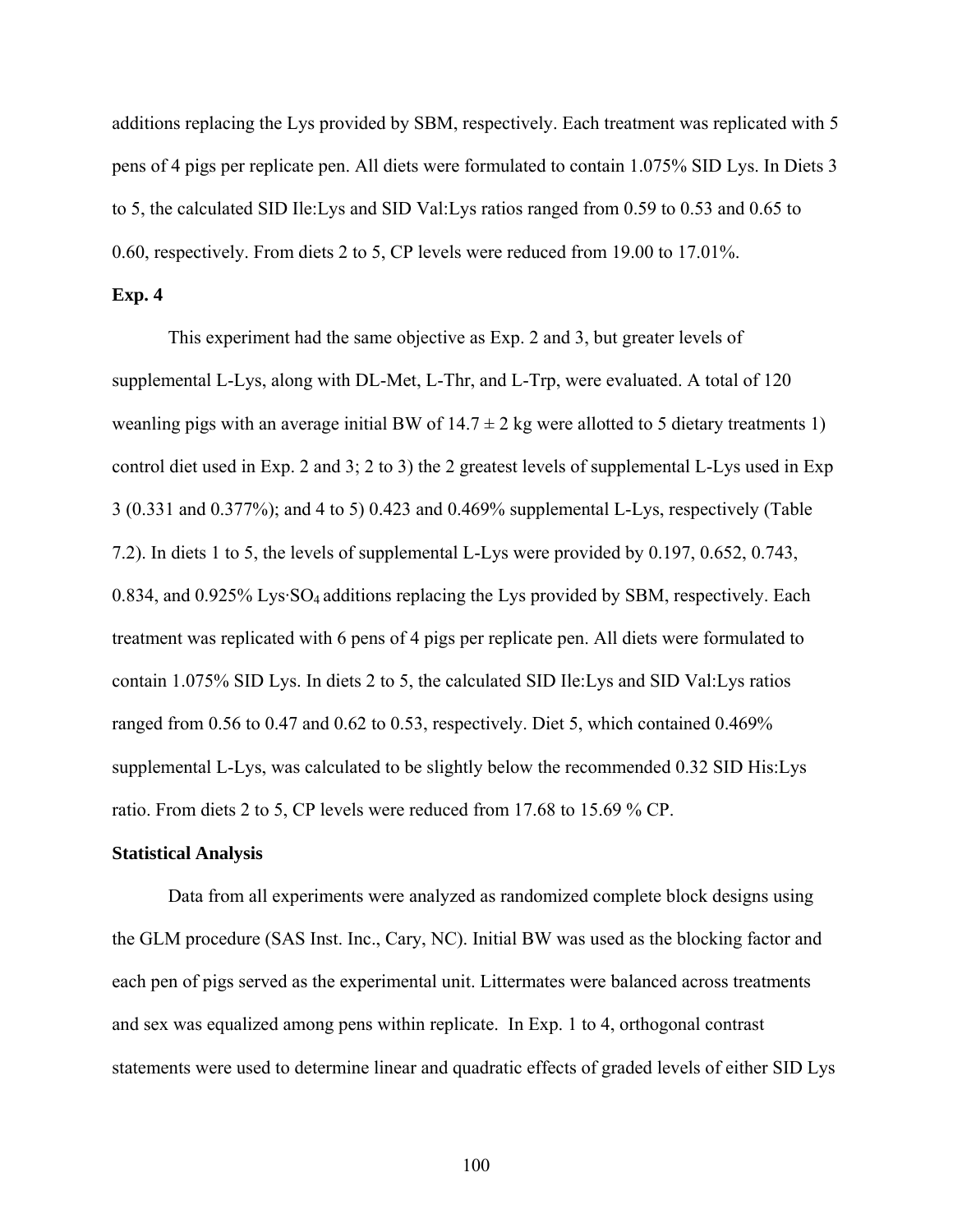additions replacing the Lys provided by SBM, respectively. Each treatment was replicated with 5 pens of 4 pigs per replicate pen. All diets were formulated to contain 1.075% SID Lys. In Diets 3 to 5, the calculated SID Ile:Lys and SID Val:Lys ratios ranged from 0.59 to 0.53 and 0.65 to 0.60, respectively. From diets 2 to 5, CP levels were reduced from 19.00 to 17.01%.

## **Exp. 4**

 This experiment had the same objective as Exp. 2 and 3, but greater levels of supplemental L-Lys, along with DL-Met, L-Thr, and L-Trp, were evaluated. A total of 120 weanling pigs with an average initial BW of  $14.7 \pm 2$  kg were allotted to 5 dietary treatments 1) control diet used in Exp. 2 and 3; 2 to 3) the 2 greatest levels of supplemental L-Lys used in Exp 3 (0.331 and 0.377%); and 4 to 5) 0.423 and 0.469% supplemental L-Lys, respectively (Table 7.2). In diets 1 to 5, the levels of supplemental L-Lys were provided by 0.197, 0.652, 0.743, 0.834, and 0.925% Lys·SO4 additions replacing the Lys provided by SBM, respectively. Each treatment was replicated with 6 pens of 4 pigs per replicate pen. All diets were formulated to contain 1.075% SID Lys. In diets 2 to 5, the calculated SID Ile:Lys and SID Val:Lys ratios ranged from 0.56 to 0.47 and 0.62 to 0.53, respectively. Diet 5, which contained 0.469% supplemental L-Lys, was calculated to be slightly below the recommended 0.32 SID His:Lys ratio. From diets 2 to 5, CP levels were reduced from 17.68 to 15.69 % CP.

#### **Statistical Analysis**

 Data from all experiments were analyzed as randomized complete block designs using the GLM procedure (SAS Inst. Inc., Cary, NC). Initial BW was used as the blocking factor and each pen of pigs served as the experimental unit. Littermates were balanced across treatments and sex was equalized among pens within replicate. In Exp. 1 to 4, orthogonal contrast statements were used to determine linear and quadratic effects of graded levels of either SID Lys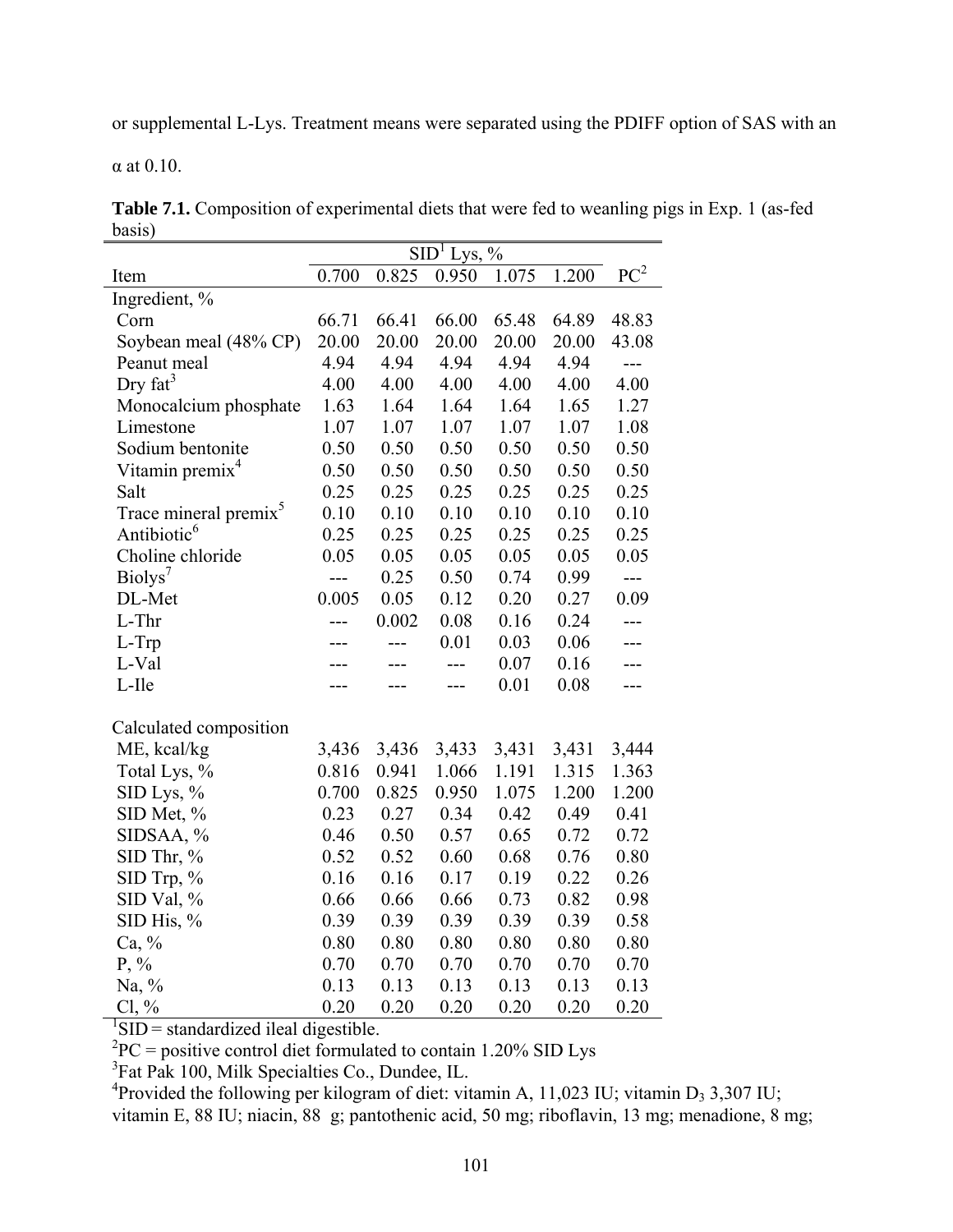or supplemental L-Lys. Treatment means were separated using the PDIFF option of SAS with an

α at 0.10.

**Table 7.1.** Composition of experimental diets that were fed to weanling pigs in Exp. 1 (as-fed basis)

|                                                                        | $\overline{\text{SID}^1}$ Lys, % |       |       |       |       |                 |  |  |  |
|------------------------------------------------------------------------|----------------------------------|-------|-------|-------|-------|-----------------|--|--|--|
| Item                                                                   | 0.700                            | 0.825 | 0.950 | 1.075 | 1.200 | PC <sup>2</sup> |  |  |  |
| Ingredient, %                                                          |                                  |       |       |       |       |                 |  |  |  |
| Corn                                                                   | 66.71                            | 66.41 | 66.00 | 65.48 | 64.89 | 48.83           |  |  |  |
| Soybean meal (48% CP)                                                  | 20.00                            | 20.00 | 20.00 | 20.00 | 20.00 | 43.08           |  |  |  |
| Peanut meal                                                            | 4.94                             | 4.94  | 4.94  | 4.94  | 4.94  | $---$           |  |  |  |
| Dry $fat^3$                                                            | 4.00                             | 4.00  | 4.00  | 4.00  | 4.00  | 4.00            |  |  |  |
| Monocalcium phosphate                                                  | 1.63                             | 1.64  | 1.64  | 1.64  | 1.65  | 1.27            |  |  |  |
| Limestone                                                              | 1.07                             | 1.07  | 1.07  | 1.07  | 1.07  | 1.08            |  |  |  |
| Sodium bentonite                                                       | 0.50                             | 0.50  | 0.50  | 0.50  | 0.50  | 0.50            |  |  |  |
| Vitamin premix <sup>4</sup>                                            | 0.50                             | 0.50  | 0.50  | 0.50  | 0.50  | 0.50            |  |  |  |
| Salt                                                                   | 0.25                             | 0.25  | 0.25  | 0.25  | 0.25  | 0.25            |  |  |  |
| Trace mineral premix <sup>5</sup>                                      | 0.10                             | 0.10  | 0.10  | 0.10  | 0.10  | 0.10            |  |  |  |
| Antibiotic <sup>6</sup>                                                | 0.25                             | 0.25  | 0.25  | 0.25  | 0.25  | 0.25            |  |  |  |
| Choline chloride                                                       | 0.05                             | 0.05  | 0.05  | 0.05  | 0.05  | 0.05            |  |  |  |
| Biolys <sup>7</sup>                                                    | ---                              | 0.25  | 0.50  | 0.74  | 0.99  | ---             |  |  |  |
| DL-Met                                                                 | 0.005                            | 0.05  | 0.12  | 0.20  | 0.27  | 0.09            |  |  |  |
| L-Thr                                                                  |                                  | 0.002 | 0.08  | 0.16  | 0.24  |                 |  |  |  |
| L-Trp                                                                  |                                  |       | 0.01  | 0.03  | 0.06  |                 |  |  |  |
| L-Val                                                                  |                                  |       | ---   | 0.07  | 0.16  | ---             |  |  |  |
| L-Ile                                                                  |                                  |       | ---   | 0.01  | 0.08  |                 |  |  |  |
| Calculated composition                                                 |                                  |       |       |       |       |                 |  |  |  |
| ME, kcal/kg                                                            | 3,436                            | 3,436 | 3,433 | 3,431 | 3,431 | 3,444           |  |  |  |
| Total Lys, %                                                           | 0.816                            | 0.941 | 1.066 | 1.191 | 1.315 | 1.363           |  |  |  |
| SID Lys, %                                                             | 0.700                            | 0.825 | 0.950 | 1.075 | 1.200 | 1.200           |  |  |  |
| SID Met, %                                                             | 0.23                             | 0.27  | 0.34  | 0.42  | 0.49  | 0.41            |  |  |  |
| SIDSAA, %                                                              | 0.46                             | 0.50  | 0.57  | 0.65  | 0.72  | 0.72            |  |  |  |
| $SID$ Thr, $%$                                                         | 0.52                             | 0.52  | 0.60  | 0.68  | 0.76  | 0.80            |  |  |  |
| SID Trp, %                                                             | 0.16                             | 0.16  | 0.17  | 0.19  | 0.22  | 0.26            |  |  |  |
| SID Val, %                                                             | 0.66                             | 0.66  | 0.66  | 0.73  | 0.82  | 0.98            |  |  |  |
| SID His, $%$                                                           | 0.39                             | 0.39  | 0.39  | 0.39  | 0.39  | 0.58            |  |  |  |
| Ca, %                                                                  | 0.80                             | 0.80  | 0.80  | 0.80  | 0.80  | 0.80            |  |  |  |
| $P, \%$                                                                | 0.70                             | 0.70  | 0.70  | 0.70  | 0.70  | 0.70            |  |  |  |
| Na, $\%$                                                               | 0.13                             | 0.13  | 0.13  | 0.13  | 0.13  | 0.13            |  |  |  |
| $Cl, \%$                                                               | 0.20                             | 0.20  | 0.20  | 0.20  | 0.20  | 0.20            |  |  |  |
| ${}^{1}$ SID = standardized ileal digestible.                          |                                  |       |       |       |       |                 |  |  |  |
| ${}^{2}PC$ = positive control diet formulated to contain 1.20% SID Lys |                                  |       |       |       |       |                 |  |  |  |
| <sup>3</sup> Fat Pak 100, Milk Specialties Co., Dundee, IL.            |                                  |       |       |       |       |                 |  |  |  |

<sup>4</sup> Provided the following per kilogram of diet: vitamin A, 11,023 IU; vitamin D<sub>3</sub> 3,307 IU; vitamin E, 88 IU; niacin, 88 g; pantothenic acid, 50 mg; riboflavin, 13 mg; menadione, 8 mg;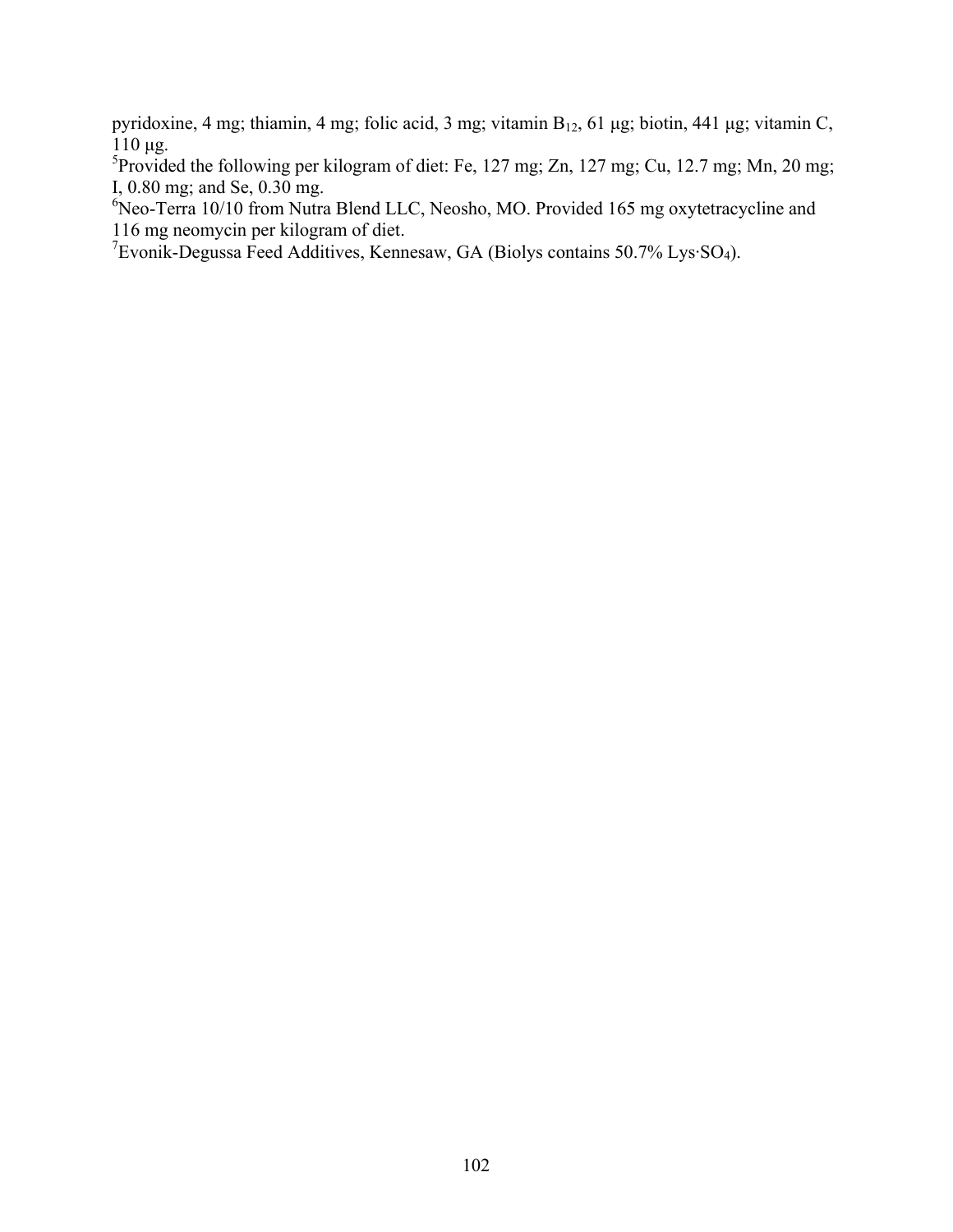pyridoxine, 4 mg; thiamin, 4 mg; folic acid, 3 mg; vitamin B<sub>12</sub>, 61 μg; biotin, 441 μg; vitamin C,  $110$  μg.

<sup>5</sup>Provided the following per kilogram of diet: Fe, 127 mg; Zn, 127 mg; Cu, 12.7 mg; Mn, 20 mg; I, 0.80 mg; and Se, 0.30 mg.

<sup>6</sup>Neo-Terra 10/10 from Nutra Blend LLC, Neosho, MO. Provided 165 mg oxytetracycline and 116 mg neomycin per kilogram of diet.

<sup>7</sup> Evonik-Degussa Feed Additives, Kennesaw, GA (Biolys contains 50.7% Lys·SO<sub>4</sub>).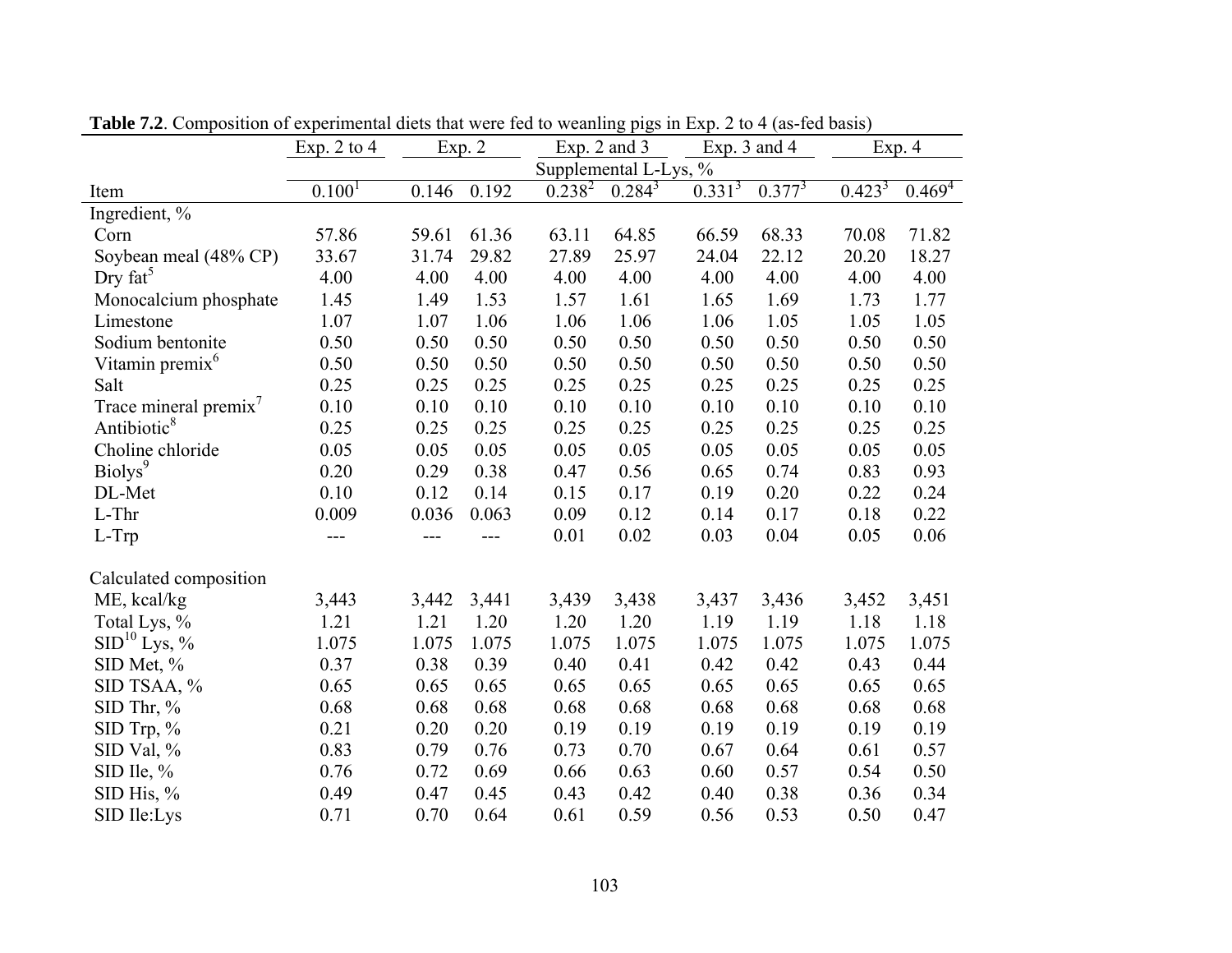|                                   | Exp. 2 to $4$      |       | Exp. 2 |             | Exp. $2$ and $3$      |             | Exp. 3 and 4 |             | Exp. 4      |
|-----------------------------------|--------------------|-------|--------|-------------|-----------------------|-------------|--------------|-------------|-------------|
|                                   |                    |       |        |             | Supplemental L-Lys, % |             |              |             |             |
| Item                              | 0.100 <sup>1</sup> | 0.146 | 0.192  | $0.238^{2}$ | $0.284^{3}$           | $0.331^{3}$ | $0.377^{3}$  | $0.423^{3}$ | $0.469^{4}$ |
| Ingredient, %                     |                    |       |        |             |                       |             |              |             |             |
| Corn                              | 57.86              | 59.61 | 61.36  | 63.11       | 64.85                 | 66.59       | 68.33        | 70.08       | 71.82       |
| Soybean meal (48% CP)             | 33.67              | 31.74 | 29.82  | 27.89       | 25.97                 | 24.04       | 22.12        | 20.20       | 18.27       |
| Dry $fat^5$                       | 4.00               | 4.00  | 4.00   | 4.00        | 4.00                  | 4.00        | 4.00         | 4.00        | 4.00        |
| Monocalcium phosphate             | 1.45               | 1.49  | 1.53   | 1.57        | 1.61                  | 1.65        | 1.69         | 1.73        | 1.77        |
| Limestone                         | 1.07               | 1.07  | 1.06   | 1.06        | 1.06                  | 1.06        | 1.05         | 1.05        | 1.05        |
| Sodium bentonite                  | 0.50               | 0.50  | 0.50   | 0.50        | 0.50                  | 0.50        | 0.50         | 0.50        | 0.50        |
| Vitamin premix <sup>6</sup>       | 0.50               | 0.50  | 0.50   | 0.50        | 0.50                  | 0.50        | 0.50         | 0.50        | 0.50        |
| Salt                              | 0.25               | 0.25  | 0.25   | 0.25        | 0.25                  | 0.25        | 0.25         | 0.25        | 0.25        |
| Trace mineral premix <sup>7</sup> | 0.10               | 0.10  | 0.10   | 0.10        | 0.10                  | 0.10        | 0.10         | 0.10        | 0.10        |
| Antibiotic <sup>8</sup>           | 0.25               | 0.25  | 0.25   | 0.25        | 0.25                  | 0.25        | 0.25         | 0.25        | 0.25        |
| Choline chloride                  | 0.05               | 0.05  | 0.05   | 0.05        | 0.05                  | 0.05        | 0.05         | 0.05        | 0.05        |
| Biolys <sup>9</sup>               | 0.20               | 0.29  | 0.38   | 0.47        | 0.56                  | 0.65        | 0.74         | 0.83        | 0.93        |
| DL-Met                            | 0.10               | 0.12  | 0.14   | 0.15        | 0.17                  | 0.19        | 0.20         | 0.22        | 0.24        |
| L-Thr                             | 0.009              | 0.036 | 0.063  | 0.09        | 0.12                  | 0.14        | 0.17         | 0.18        | 0.22        |
| $L-Trp$                           | $---$              | ---   | ---    | 0.01        | 0.02                  | 0.03        | 0.04         | 0.05        | 0.06        |
| Calculated composition            |                    |       |        |             |                       |             |              |             |             |
| ME, kcal/kg                       | 3,443              | 3,442 | 3,441  | 3,439       | 3,438                 | 3,437       | 3,436        | 3,452       | 3,451       |
| Total Lys, %                      | 1.21               | 1.21  | 1.20   | 1.20        | 1.20                  | 1.19        | 1.19         | 1.18        | 1.18        |
| SID <sup>10</sup> Lys, %          | 1.075              | 1.075 | 1.075  | 1.075       | 1.075                 | 1.075       | 1.075        | 1.075       | 1.075       |
| SID Met, %                        | 0.37               | 0.38  | 0.39   | 0.40        | 0.41                  | 0.42        | 0.42         | 0.43        | 0.44        |
| SID TSAA, %                       | 0.65               | 0.65  | 0.65   | 0.65        | 0.65                  | 0.65        | 0.65         | 0.65        | 0.65        |
| SID Thr, %                        | 0.68               | 0.68  | 0.68   | 0.68        | 0.68                  | 0.68        | 0.68         | 0.68        | 0.68        |
| SID Trp, $\%$                     | 0.21               | 0.20  | 0.20   | 0.19        | 0.19                  | 0.19        | 0.19         | 0.19        | 0.19        |
| SID Val, %                        | 0.83               | 0.79  | 0.76   | 0.73        | 0.70                  | 0.67        | 0.64         | 0.61        | 0.57        |
| SID Ile, %                        | 0.76               | 0.72  | 0.69   | 0.66        | 0.63                  | 0.60        | 0.57         | 0.54        | 0.50        |
| SID His, %                        | 0.49               | 0.47  | 0.45   | 0.43        | 0.42                  | 0.40        | 0.38         | 0.36        | 0.34        |
| SID Ile:Lys                       | 0.71               | 0.70  | 0.64   | 0.61        | 0.59                  | 0.56        | 0.53         | 0.50        | 0.47        |

**Table 7.2**. Composition of experimental diets that were fed to weanling pigs in Exp. 2 to 4 (as-fed basis)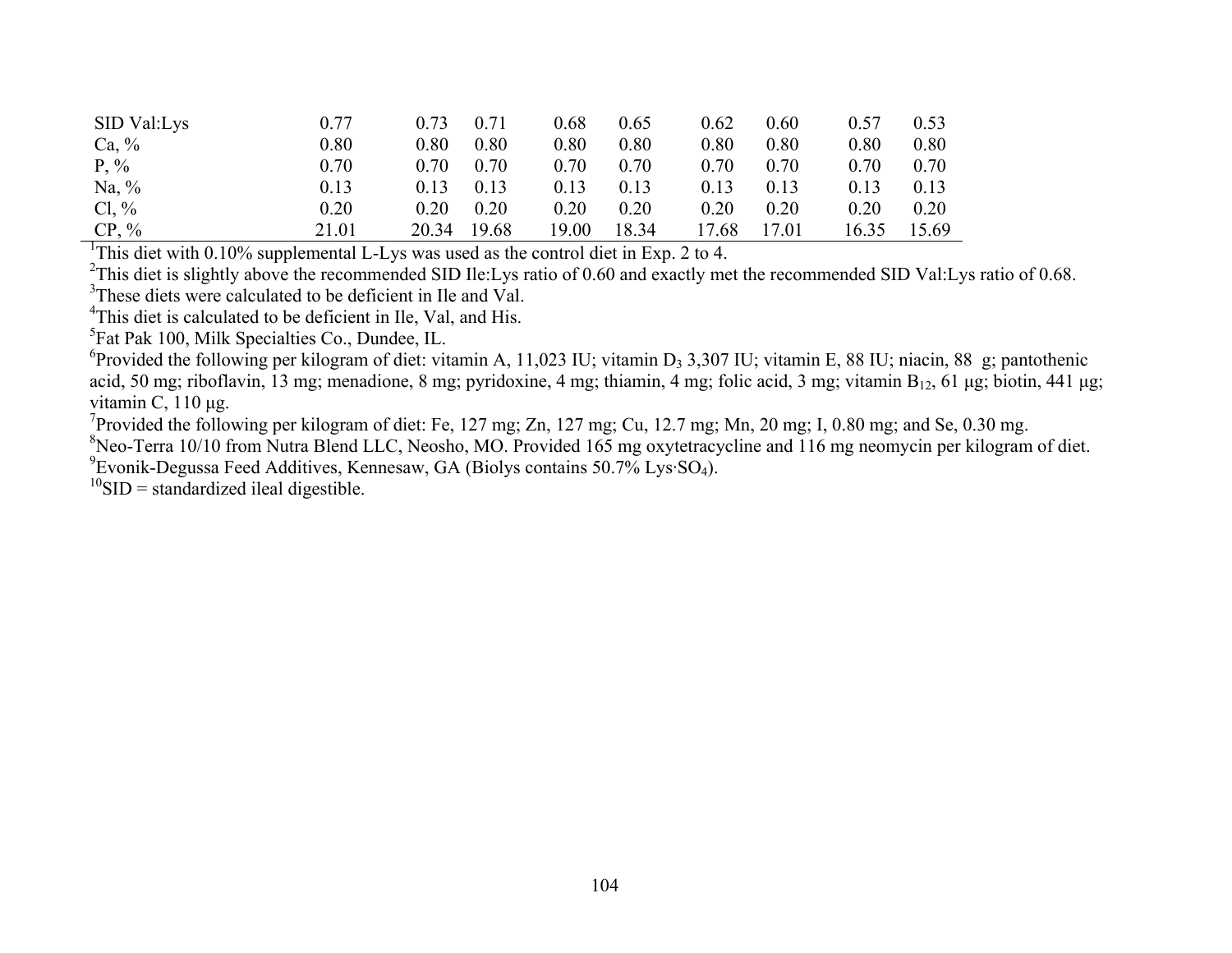| SID Val:Lys | 0.77  | 0.73  | 0.71  | 0.68  | 0.65  | 0.62  | 0.60  | 0.57 | 0.53  |
|-------------|-------|-------|-------|-------|-------|-------|-------|------|-------|
| Ca, $\%$    | 0.80  | 0.80  | 0.80  | 0.80  | 0.80  | 0.80  | 0.80  | 0.80 | 0.80  |
| $P, \%$     | 0.70  | 0.70  | 0.70  | 0.70  | 0.70  | 0.70  | 0.70  | 0.70 | 0.70  |
| Na, $\%$    | 0.13  | 0.13  | 0.13  | 0.13  | 0.13  | 0.13  | 0.13  | 0.13 | 0.13  |
| $Cl, \%$    | 0.20  | 0.20  | 0.20  | 0.20  | 0.20  | 0.20  | 0.20  | 0.20 | 0.20  |
| $CP, \%$    | 21.01 | 20.34 | 19.68 | 19.00 | 18.34 | 17.68 | .7.01 | 6.35 | 15.69 |

<sup>1</sup>This diet with 0.10% supplemental L-Lys was used as the control diet in Exp. 2 to 4.

<sup>2</sup>This diet is slightly above the recommended SID Ile:Lys ratio of 0.60 and exactly met the recommended SID Val:Lys ratio of 0.68.

<sup>3</sup>These diets were calculated to be deficient in Ile and Val.

<sup>4</sup>This diet is calculated to be deficient in Ile, Val, and His.

5Fat Pak 100, Milk Specialties Co., Dundee, IL.

<sup>6</sup>Provided the following per kilogram of diet: vitamin A, 11,023 IU; vitamin D<sub>3</sub> 3,307 IU; vitamin E, 88 IU; niacin, 88 g; pantothenic acid, 50 mg; riboflavin, 13 mg; menadione, 8 mg; pyridoxine, 4 mg; thiamin, 4 mg; folic acid, 3 mg; vitamin  $B_{12}$ , 61 µg; biotin, 441 µg; vitamin C, 110 μg.

<sup>7</sup>Provided the following per kilogram of diet: Fe, 127 mg; Zn, 127 mg; Cu, 12.7 mg; Mn, 20 mg; I, 0.80 mg; and Se, 0.30 mg.

 $8$ Neo-Terra 10/10 from Nutra Blend LLC, Neosho, MO. Provided 165 mg oxytetracycline and 116 mg neomycin per kilogram of diet.

 $^{9}$ Evonik-Degussa Feed Additives, Kennesaw, GA (Biolys contains 50.7% Lys·SO<sub>4</sub>).

 $^{10}$ SID = standardized ileal digestible.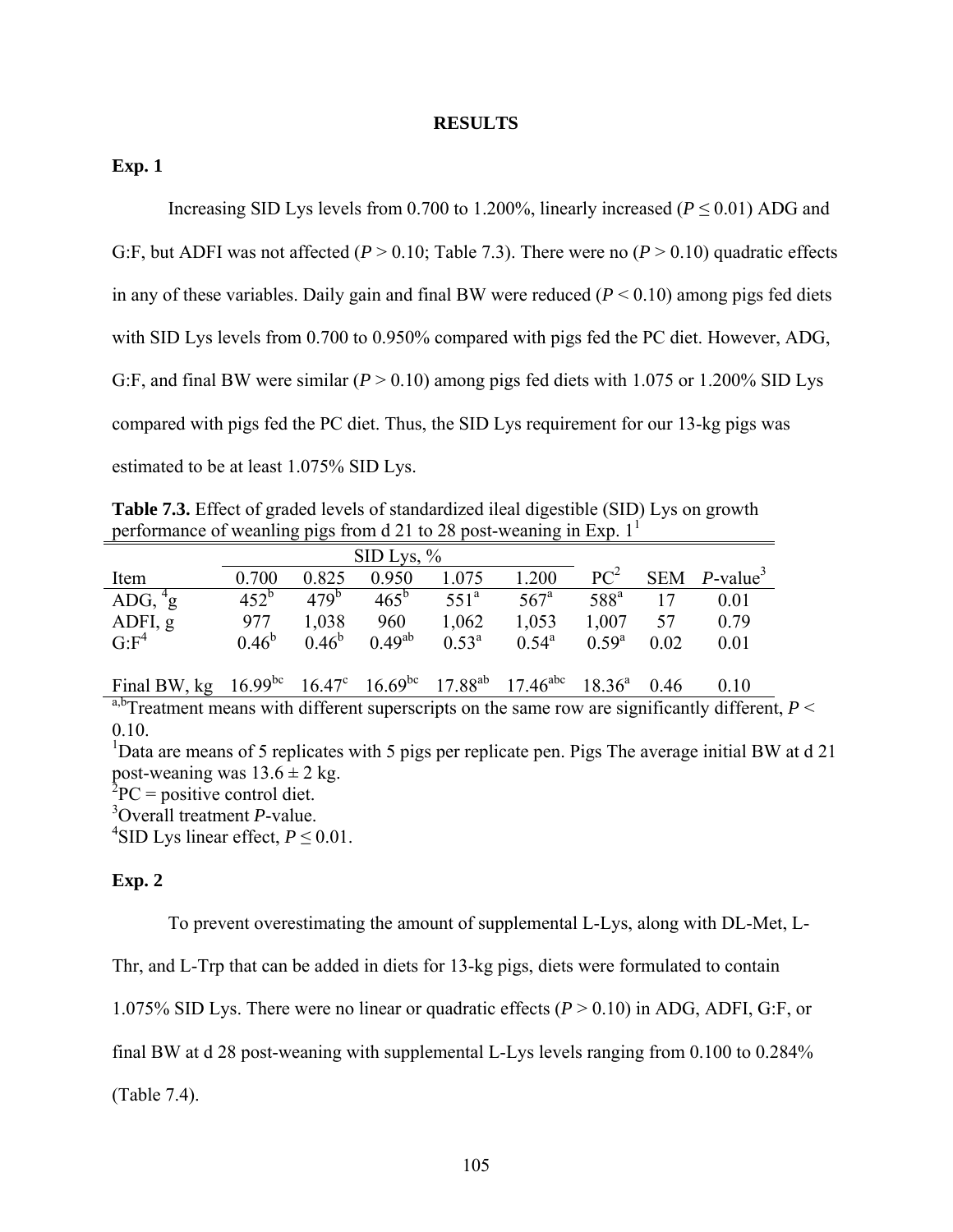#### **RESULTS**

## **Exp. 1**

Increasing SID Lys levels from 0.700 to 1.200%, linearly increased (*P* ≤ 0.01) ADG and

G:F, but ADFI was not affected  $(P > 0.10$ ; Table 7.3). There were no  $(P > 0.10)$  quadratic effects in any of these variables. Daily gain and final BW were reduced  $(P < 0.10)$  among pigs fed diets with SID Lys levels from 0.700 to 0.950% compared with pigs fed the PC diet. However, ADG, G:F, and final BW were similar ( $P > 0.10$ ) among pigs fed diets with 1.075 or 1.200% SID Lys compared with pigs fed the PC diet. Thus, the SID Lys requirement for our 13-kg pigs was estimated to be at least 1.075% SID Lys.

**Table 7.3.** Effect of graded levels of standardized ileal digestible (SID) Lys on growth performance of weanling pigs from d 21 to 28 post-weaning in Exp.  $1<sup>1</sup>$ 

|                                                                                       |          | $\rm SID\;Lys, \%$ |               |                  |                  |                 |      |                             |
|---------------------------------------------------------------------------------------|----------|--------------------|---------------|------------------|------------------|-----------------|------|-----------------------------|
| Item                                                                                  | 0.700    | 0.825              | 0.950         | 1.075            | 1.200            | PC <sup>2</sup> |      | SEM $P$ -value <sup>3</sup> |
| ADG, $\rm{^{4}g}$                                                                     | $452^b$  | 479 <sup>b</sup>   | $465^{\rm b}$ | 551 <sup>a</sup> | 567 <sup>a</sup> | $588^{\rm a}$   |      | 0.01                        |
| ADFI, g                                                                               | 977      | 1,038              | 960           | 1,062            | 1,053            | 1,007           | 57   | 0.79                        |
| G: F <sup>4</sup>                                                                     | $0.46^b$ | $0.46^b$           | $0.49^{ab}$   | $0.53^{\rm a}$   | $0.54^{\rm a}$   | $0.59^{\rm a}$  | 0.02 | 0.01                        |
| Final BW, kg $16.99^{bc}$ $16.47^c$ $16.69^{bc}$ $17.88^{ab}$ $17.46^{abc}$ $18.36^a$ |          |                    |               |                  |                  |                 | 0.46 | 0.10                        |

<sup>a,b</sup>Treatment means with different superscripts on the same row are significantly different,  $P \leq$ 0.10.

<sup>1</sup>Data are means of 5 replicates with 5 pigs per replicate pen. Pigs The average initial BW at d 21 post-weaning was  $13.6 \pm 2$  kg.

 ${}^{2}PC =$  positive control diet.

3 Overall treatment *P*-value.

<sup>4</sup>SID Lys linear effect,  $P \le 0.01$ .

## **Exp. 2**

To prevent overestimating the amount of supplemental L-Lys, along with DL-Met, L-

Thr, and L-Trp that can be added in diets for 13-kg pigs, diets were formulated to contain

1.075% SID Lys. There were no linear or quadratic effects (*P* > 0.10) in ADG, ADFI, G:F, or

final BW at d 28 post-weaning with supplemental L-Lys levels ranging from 0.100 to 0.284%

(Table 7.4).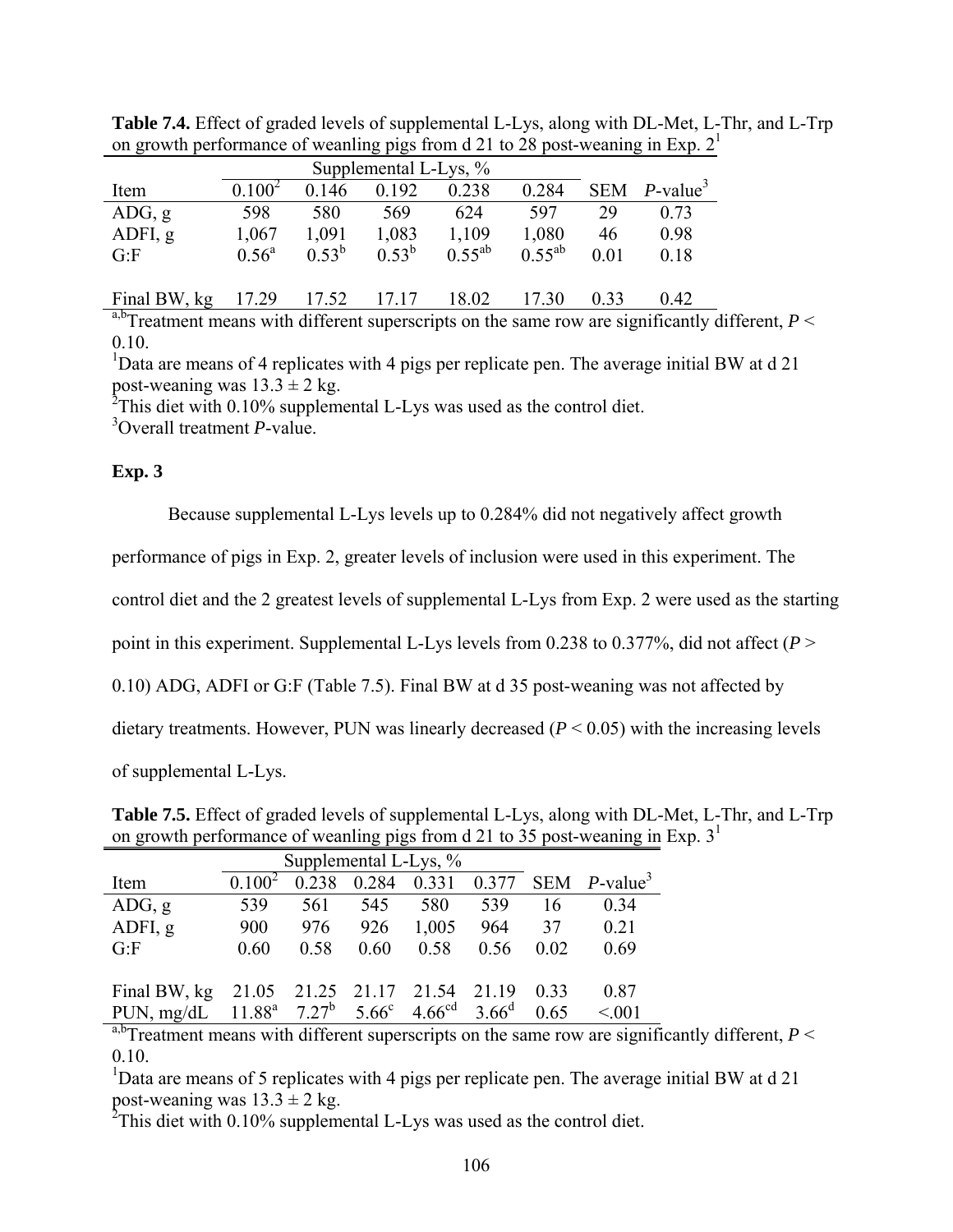| Supplemental L-Lys, % |                   |             |          |             |             |      |                             |  |  |
|-----------------------|-------------------|-------------|----------|-------------|-------------|------|-----------------------------|--|--|
| Item                  | $0.100^2$         | 0.146       | 0.192    | 0.238       | 0.284       |      | SEM $P$ -value <sup>3</sup> |  |  |
| ADG, g                | 598               | 580         | 569      | 624         | 597         | 29   | 0.73                        |  |  |
| ADFI, g               | 1,067             | 1,091       | 1,083    | 1,109       | 1,080       | 46   | 0.98                        |  |  |
| G: F                  | $0.56^{\text{a}}$ | $0.53^{b}$  | $0.53^b$ | $0.55^{ab}$ | $0.55^{ab}$ | 0.01 | 0.18                        |  |  |
|                       |                   |             |          |             |             |      |                             |  |  |
| Final BW, kg          | 17.29             | 17.52 17.17 |          | 18.02       | 17.30       | 0.33 | 0.42                        |  |  |

**Table 7.4.** Effect of graded levels of supplemental L-Lys, along with DL-Met, L-Thr, and L-Trp on growth performance of weanting pigs from d 21 to 28 post-weaning in Exp.  $2<sup>1</sup>$ 

 $a,b$ Treatment means with different superscripts on the same row are significantly different,  $P \leq$ 0.10.

<sup>1</sup>Data are means of 4 replicates with 4 pigs per replicate pen. The average initial BW at d 21 post-weaning was  $13.3 \pm 2$  kg.<br><sup>2</sup>This diet with 0.10% supplemental L-Lys was used as the control diet.

3 Overall treatment *P*-value.

## **Exp. 3**

Because supplemental L-Lys levels up to 0.284% did not negatively affect growth

performance of pigs in Exp. 2, greater levels of inclusion were used in this experiment. The

control diet and the 2 greatest levels of supplemental L-Lys from Exp. 2 were used as the starting

point in this experiment. Supplemental L-Lys levels from 0.238 to 0.377%, did not affect (*P* >

0.10) ADG, ADFI or G:F (Table 7.5). Final BW at d 35 post-weaning was not affected by

dietary treatments. However, PUN was linearly decreased  $(P < 0.05)$  with the increasing levels

of supplemental L-Lys.

**Table 7.5.** Effect of graded levels of supplemental L-Lys, along with DL-Met, L-Thr, and L-Trp on growth performance of weanling pigs from d 21 to 35 post-weaning in Exp.  $3<sup>1</sup>$ 

| Item                                                        |      | 0.238 |      |       |       |      | 0.284 0.331 0.377 SEM $P$ -value <sup>3</sup> |
|-------------------------------------------------------------|------|-------|------|-------|-------|------|-----------------------------------------------|
| ADG, g                                                      | 539  | 561   | 545  | 580   | 539   | 16   | 0.34                                          |
| ADFI, g                                                     | 900  | 976   | 926  | 1,005 | 964   | 37   | 0.21                                          |
| G.F                                                         | 0.60 | 0.58  | 0.60 | 0.58  | 0.56  | 0.02 | 0.69                                          |
|                                                             |      |       |      |       |       |      |                                               |
| Final BW, kg 21.05 21.25 21.17 21.54                        |      |       |      |       | 21.19 | 0.33 | 0.87                                          |
| PUN, mg/dL $11.88^a$ $7.27^b$ $5.66^c$ $4.66^{cd}$ $3.66^d$ |      |       |      |       |       | 0.65 | < 0.01                                        |

<sup>a,b</sup>Treatment means with different superscripts on the same row are significantly different,  $P \leq$ 0.10.

<sup>1</sup>Data are means of 5 replicates with 4 pigs per replicate pen. The average initial BW at d 21 post-weaning was  $13.3 \pm 2$  kg.

<sup>2</sup>This diet with 0.10% supplemental L-Lys was used as the control diet.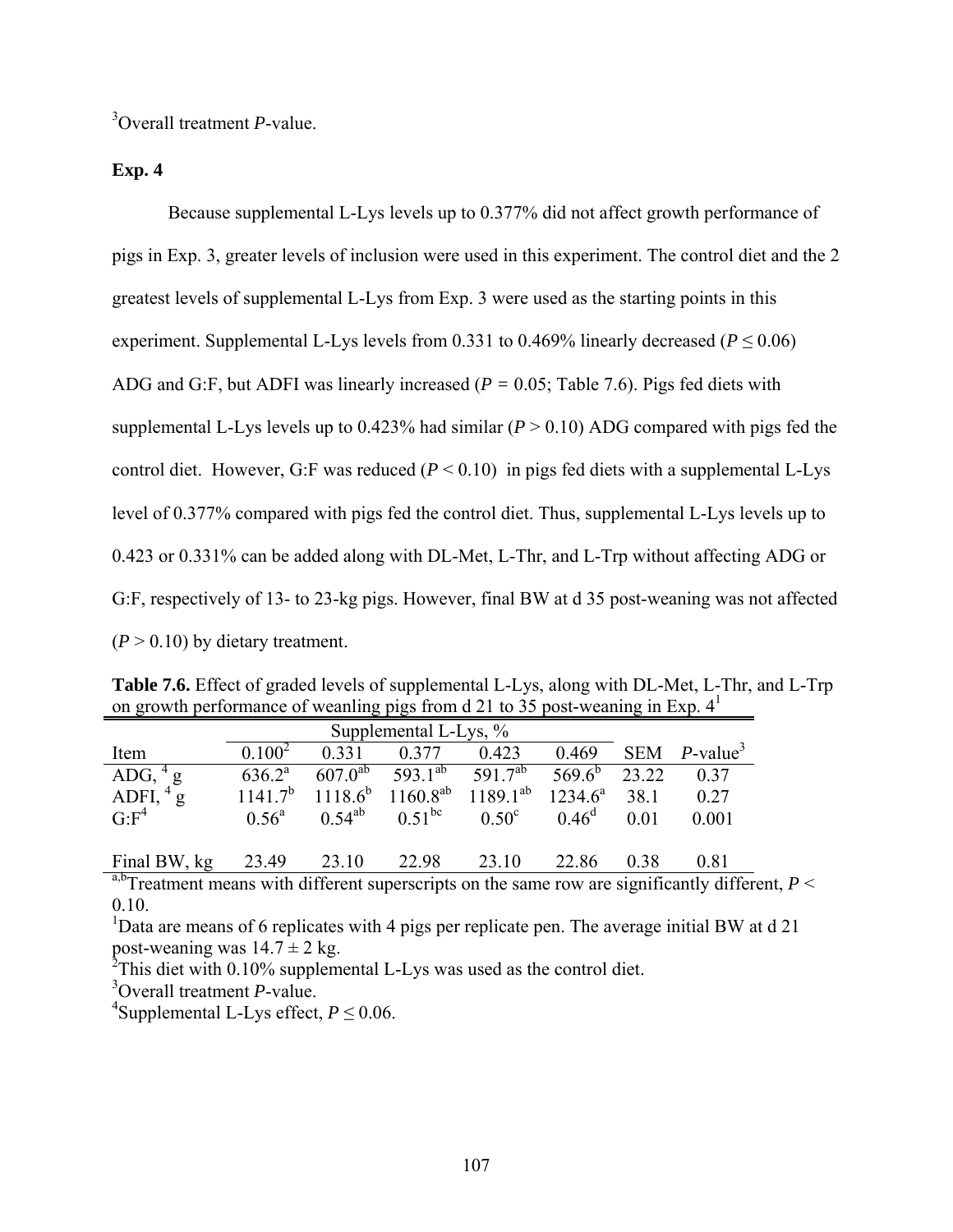3 Overall treatment *P*-value.

**Exp. 4** 

 Because supplemental L-Lys levels up to 0.377% did not affect growth performance of pigs in Exp. 3, greater levels of inclusion were used in this experiment. The control diet and the 2 greatest levels of supplemental L-Lys from Exp. 3 were used as the starting points in this experiment. Supplemental L-Lys levels from 0.331 to 0.469% linearly decreased ( $P \le 0.06$ ) ADG and G:F, but ADFI was linearly increased (*P =* 0.05; Table 7.6). Pigs fed diets with supplemental L-Lys levels up to 0.423% had similar (*P* > 0.10) ADG compared with pigs fed the control diet. However, G:F was reduced  $(P < 0.10)$  in pigs fed diets with a supplemental L-Lys level of 0.377% compared with pigs fed the control diet. Thus, supplemental L-Lys levels up to 0.423 or 0.331% can be added along with DL-Met, L-Thr, and L-Trp without affecting ADG or G:F, respectively of 13- to 23-kg pigs. However, final BW at d 35 post-weaning was not affected  $(P > 0.10)$  by dietary treatment.

| <b>Table 7.6.</b> Effect of graded levels of supplemental L-Lys, along with DL-Met, L-Thr, and L-Trp |  |
|------------------------------------------------------------------------------------------------------|--|
| on growth performance of weanting pigs from d 21 to 35 post-weaning in Exp. 4 <sup>1</sup>           |  |

| Item                                                | $0.100^2$      | 0.331 | 0.377                                                       | 0.423                                                        | 0.469           |      | SEM $P$ -value <sup>3</sup> |
|-----------------------------------------------------|----------------|-------|-------------------------------------------------------------|--------------------------------------------------------------|-----------------|------|-----------------------------|
| ADG, $^{4}$ g<br>ADFI, $^{4}$ g<br>G:F <sup>4</sup> | $636.2^a$      |       | 607.0 <sup>ab</sup> 593.1 <sup>ab</sup> 591.7 <sup>ab</sup> |                                                              | $569.6^b$ 23.22 |      | 0.37                        |
|                                                     |                |       |                                                             | $1141.7^b$ $1118.6^b$ $1160.8^{ab}$ $1189.1^{ab}$ $1234.6^a$ |                 | 38.1 | 0.27                        |
|                                                     | $0.56^{\circ}$ |       |                                                             | $0.54^{ab}$ $0.51^{bc}$ $0.50^c$                             | $0.46^d$ 0.01   |      | 0.001                       |
|                                                     |                |       |                                                             |                                                              |                 |      |                             |
| Final BW, kg                                        | 23.49          | 23.10 | 22.98                                                       | 23.10                                                        | 22.86           | 0.38 | 0.81                        |

 $a,b$ Treatment means with different superscripts on the same row are significantly different,  $P \leq$ 0.10.

<sup>1</sup>Data are means of 6 replicates with 4 pigs per replicate pen. The average initial BW at  $d$  21 post-weaning was  $14.7 \pm 2$  kg.

 $2$ This diet with 0.10% supplemental L-Lys was used as the control diet.

3 Overall treatment *P*-value.

<sup>4</sup>Supplemental L-Lys effect,  $P \le 0.06$ .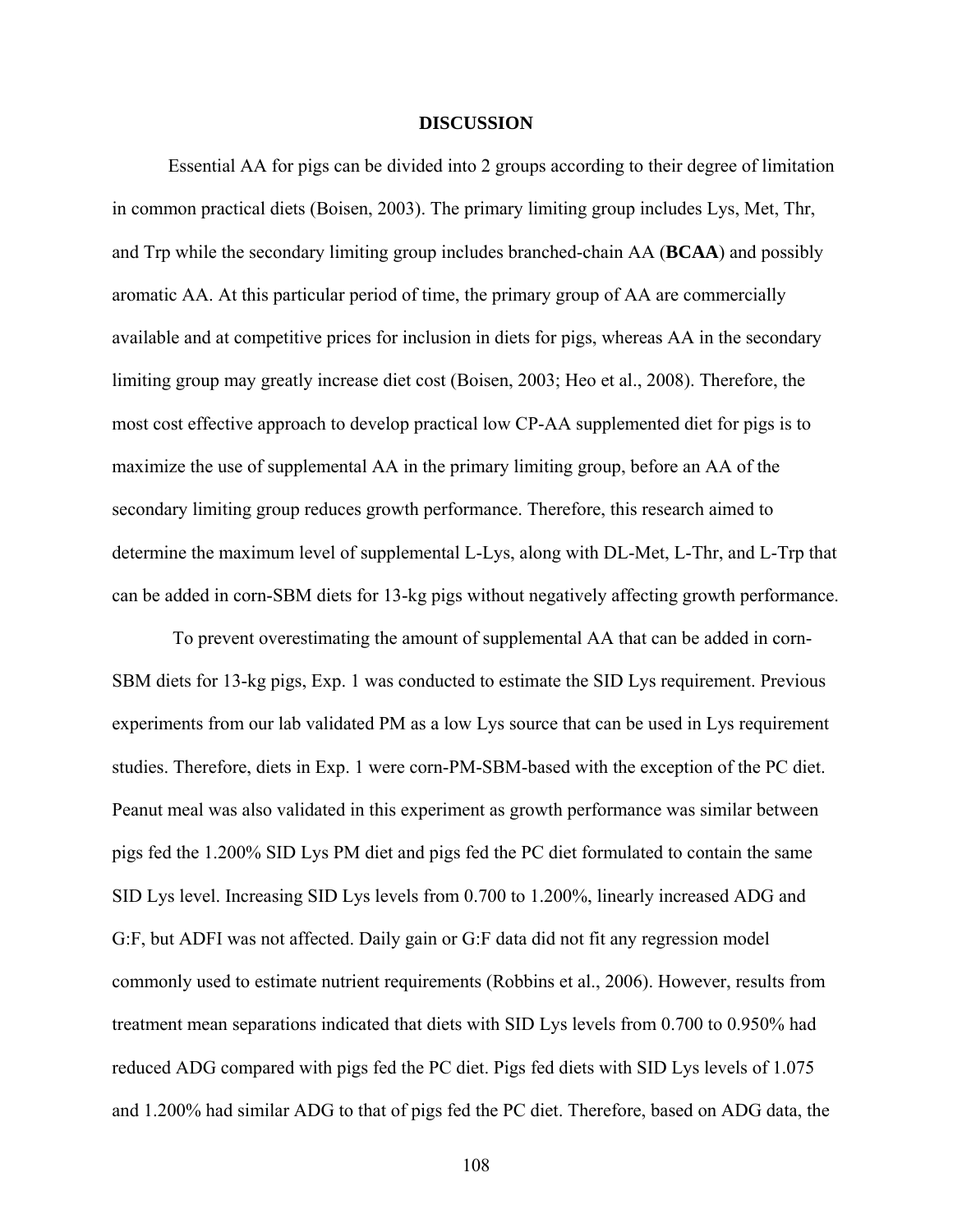#### **DISCUSSION**

Essential AA for pigs can be divided into 2 groups according to their degree of limitation in common practical diets (Boisen, 2003). The primary limiting group includes Lys, Met, Thr, and Trp while the secondary limiting group includes branched-chain AA (**BCAA**) and possibly aromatic AA. At this particular period of time, the primary group of AA are commercially available and at competitive prices for inclusion in diets for pigs, whereas AA in the secondary limiting group may greatly increase diet cost (Boisen, 2003; Heo et al., 2008). Therefore, the most cost effective approach to develop practical low CP-AA supplemented diet for pigs is to maximize the use of supplemental AA in the primary limiting group, before an AA of the secondary limiting group reduces growth performance. Therefore, this research aimed to determine the maximum level of supplemental L-Lys, along with DL-Met, L-Thr, and L-Trp that can be added in corn-SBM diets for 13-kg pigs without negatively affecting growth performance.

 To prevent overestimating the amount of supplemental AA that can be added in corn-SBM diets for 13-kg pigs, Exp. 1 was conducted to estimate the SID Lys requirement. Previous experiments from our lab validated PM as a low Lys source that can be used in Lys requirement studies. Therefore, diets in Exp. 1 were corn-PM-SBM-based with the exception of the PC diet. Peanut meal was also validated in this experiment as growth performance was similar between pigs fed the 1.200% SID Lys PM diet and pigs fed the PC diet formulated to contain the same SID Lys level. Increasing SID Lys levels from 0.700 to 1.200%, linearly increased ADG and G:F, but ADFI was not affected. Daily gain or G:F data did not fit any regression model commonly used to estimate nutrient requirements (Robbins et al., 2006). However, results from treatment mean separations indicated that diets with SID Lys levels from 0.700 to 0.950% had reduced ADG compared with pigs fed the PC diet. Pigs fed diets with SID Lys levels of 1.075 and 1.200% had similar ADG to that of pigs fed the PC diet. Therefore, based on ADG data, the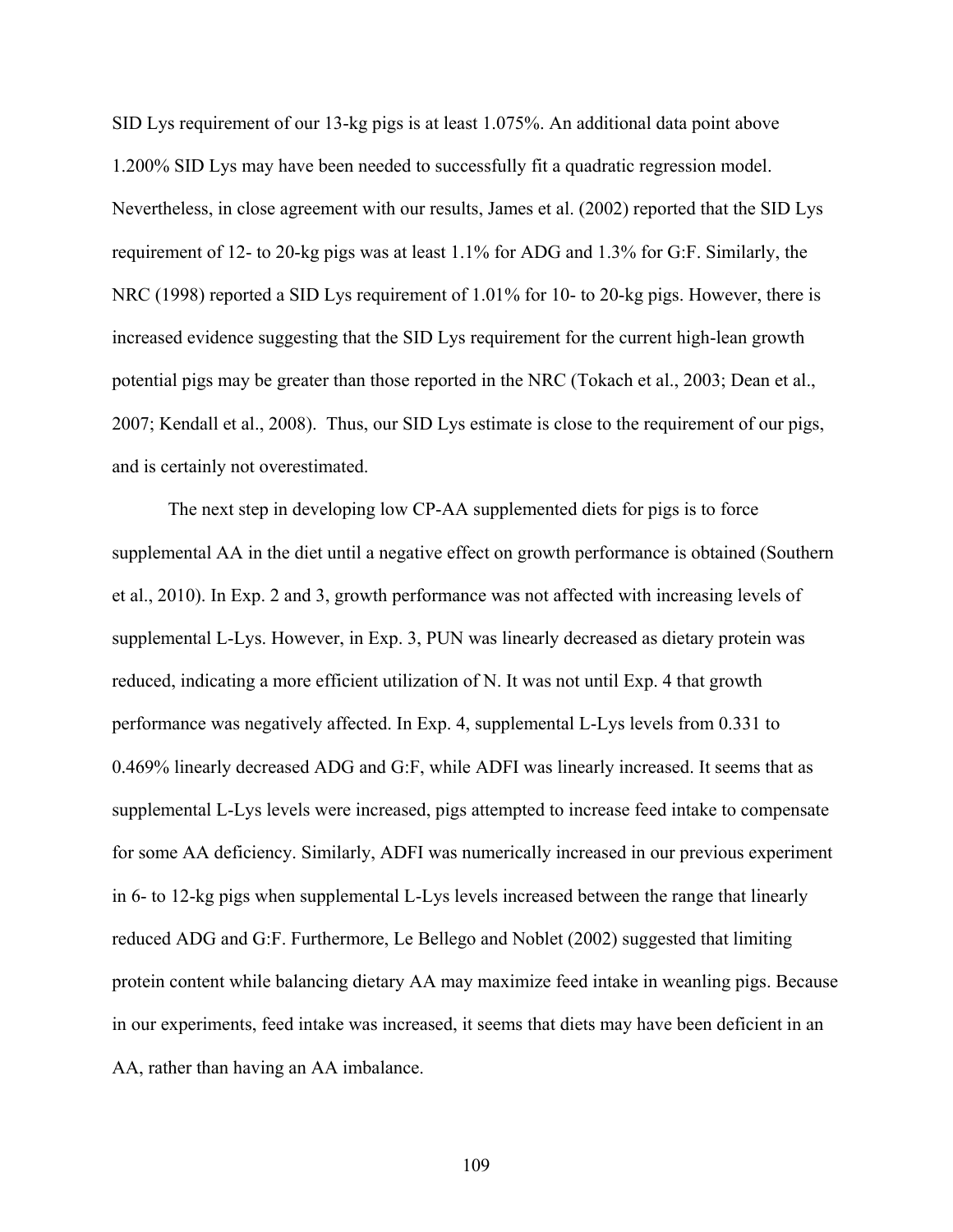SID Lys requirement of our 13-kg pigs is at least 1.075%. An additional data point above 1.200% SID Lys may have been needed to successfully fit a quadratic regression model. Nevertheless, in close agreement with our results, James et al. (2002) reported that the SID Lys requirement of 12- to 20-kg pigs was at least 1.1% for ADG and 1.3% for G:F. Similarly, the NRC (1998) reported a SID Lys requirement of 1.01% for 10- to 20-kg pigs. However, there is increased evidence suggesting that the SID Lys requirement for the current high-lean growth potential pigs may be greater than those reported in the NRC (Tokach et al., 2003; Dean et al., 2007; Kendall et al., 2008). Thus, our SID Lys estimate is close to the requirement of our pigs, and is certainly not overestimated.

The next step in developing low CP-AA supplemented diets for pigs is to force supplemental AA in the diet until a negative effect on growth performance is obtained (Southern et al., 2010). In Exp. 2 and 3, growth performance was not affected with increasing levels of supplemental L-Lys. However, in Exp. 3, PUN was linearly decreased as dietary protein was reduced, indicating a more efficient utilization of N. It was not until Exp. 4 that growth performance was negatively affected. In Exp. 4, supplemental L-Lys levels from 0.331 to 0.469% linearly decreased ADG and G:F, while ADFI was linearly increased. It seems that as supplemental L-Lys levels were increased, pigs attempted to increase feed intake to compensate for some AA deficiency. Similarly, ADFI was numerically increased in our previous experiment in 6- to 12-kg pigs when supplemental L-Lys levels increased between the range that linearly reduced ADG and G:F. Furthermore, Le Bellego and Noblet (2002) suggested that limiting protein content while balancing dietary AA may maximize feed intake in weanling pigs. Because in our experiments, feed intake was increased, it seems that diets may have been deficient in an AA, rather than having an AA imbalance.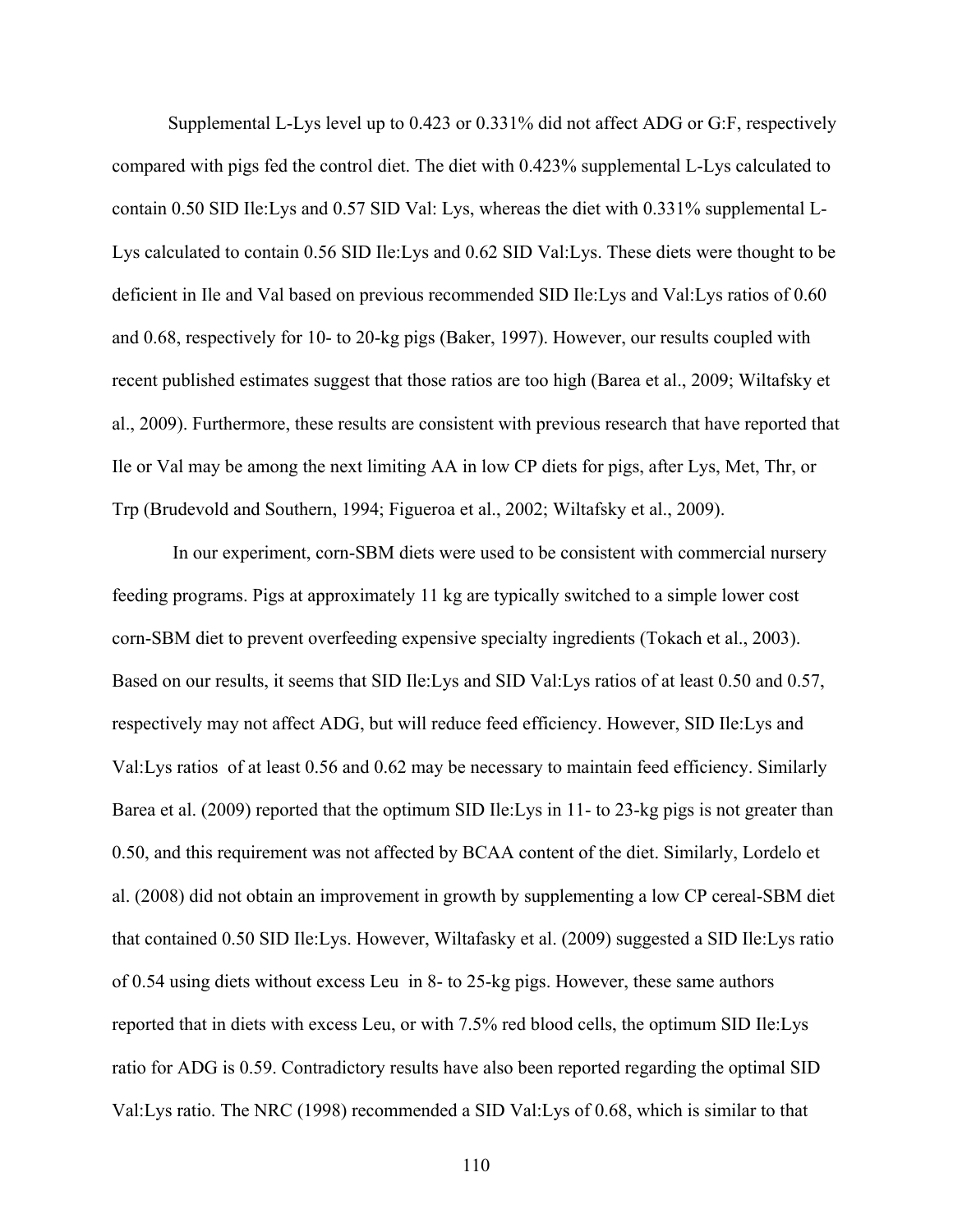Supplemental L-Lys level up to 0.423 or 0.331% did not affect ADG or G:F, respectively compared with pigs fed the control diet. The diet with 0.423% supplemental L-Lys calculated to contain 0.50 SID Ile:Lys and 0.57 SID Val: Lys, whereas the diet with 0.331% supplemental L-Lys calculated to contain 0.56 SID Ile:Lys and 0.62 SID Val:Lys. These diets were thought to be deficient in Ile and Val based on previous recommended SID Ile:Lys and Val:Lys ratios of 0.60 and 0.68, respectively for 10- to 20-kg pigs (Baker, 1997). However, our results coupled with recent published estimates suggest that those ratios are too high (Barea et al., 2009; Wiltafsky et al., 2009). Furthermore, these results are consistent with previous research that have reported that Ile or Val may be among the next limiting AA in low CP diets for pigs, after Lys, Met, Thr, or Trp (Brudevold and Southern, 1994; Figueroa et al., 2002; Wiltafsky et al., 2009).

 In our experiment, corn-SBM diets were used to be consistent with commercial nursery feeding programs. Pigs at approximately 11 kg are typically switched to a simple lower cost corn-SBM diet to prevent overfeeding expensive specialty ingredients (Tokach et al., 2003). Based on our results, it seems that SID Ile:Lys and SID Val:Lys ratios of at least 0.50 and 0.57, respectively may not affect ADG, but will reduce feed efficiency. However, SID Ile:Lys and Val:Lys ratios of at least 0.56 and 0.62 may be necessary to maintain feed efficiency. Similarly Barea et al. (2009) reported that the optimum SID Ile:Lys in 11- to 23-kg pigs is not greater than 0.50, and this requirement was not affected by BCAA content of the diet. Similarly, Lordelo et al. (2008) did not obtain an improvement in growth by supplementing a low CP cereal-SBM diet that contained 0.50 SID Ile:Lys. However, Wiltafasky et al. (2009) suggested a SID Ile:Lys ratio of 0.54 using diets without excess Leu in 8- to 25-kg pigs. However, these same authors reported that in diets with excess Leu, or with 7.5% red blood cells, the optimum SID Ile:Lys ratio for ADG is 0.59. Contradictory results have also been reported regarding the optimal SID Val:Lys ratio. The NRC (1998) recommended a SID Val:Lys of 0.68, which is similar to that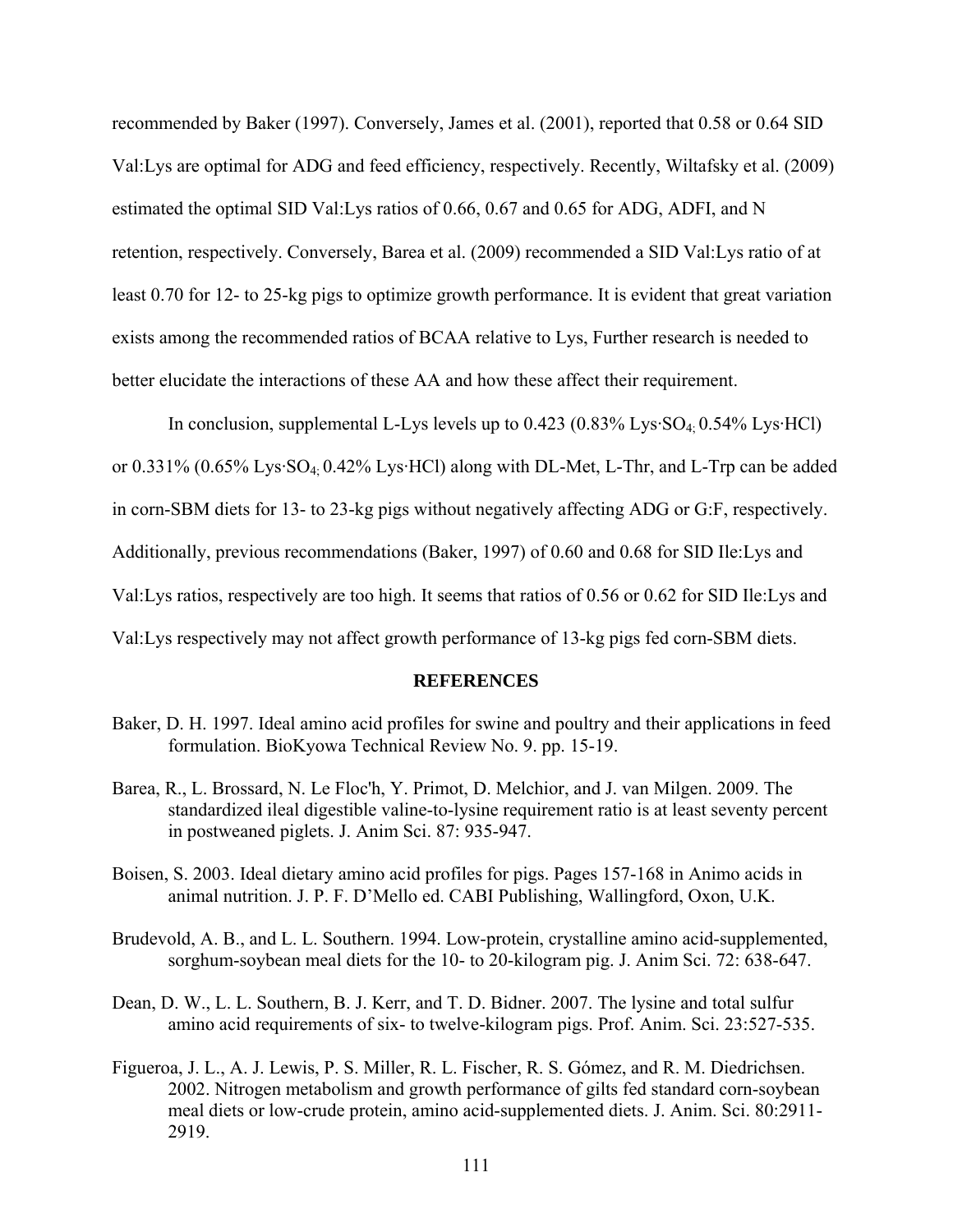recommended by Baker (1997). Conversely, James et al. (2001), reported that 0.58 or 0.64 SID Val:Lys are optimal for ADG and feed efficiency, respectively. Recently, Wiltafsky et al. (2009) estimated the optimal SID Val:Lys ratios of 0.66, 0.67 and 0.65 for ADG, ADFI, and N retention, respectively. Conversely, Barea et al. (2009) recommended a SID Val:Lys ratio of at least 0.70 for 12- to 25-kg pigs to optimize growth performance. It is evident that great variation exists among the recommended ratios of BCAA relative to Lys, Further research is needed to better elucidate the interactions of these AA and how these affect their requirement.

In conclusion, supplemental L-Lys levels up to  $0.423$   $(0.83\% \text{ Lys-SO}_4 \cdot 0.54\% \text{ Lys-HCl})$ or 0.331% (0.65% Lys·SO4; 0.42% Lys·HCl) along with DL-Met, L-Thr, and L-Trp can be added in corn-SBM diets for 13- to 23-kg pigs without negatively affecting ADG or G:F, respectively. Additionally, previous recommendations (Baker, 1997) of 0.60 and 0.68 for SID Ile:Lys and Val:Lys ratios, respectively are too high. It seems that ratios of 0.56 or 0.62 for SID Ile:Lys and Val:Lys respectively may not affect growth performance of 13-kg pigs fed corn-SBM diets.

#### **REFERENCES**

- Baker, D. H. 1997. Ideal amino acid profiles for swine and poultry and their applications in feed formulation. BioKyowa Technical Review No. 9. pp. 15-19.
- Barea, R., L. Brossard, N. Le Floc'h, Y. Primot, D. Melchior, and J. van Milgen. 2009. The standardized ileal digestible valine-to-lysine requirement ratio is at least seventy percent in postweaned piglets. J. Anim Sci. 87: 935-947.
- Boisen, S. 2003. Ideal dietary amino acid profiles for pigs. Pages 157-168 in Animo acids in animal nutrition. J. P. F. D'Mello ed. CABI Publishing, Wallingford, Oxon, U.K.
- Brudevold, A. B., and L. L. Southern. 1994. Low-protein, crystalline amino acid-supplemented, sorghum-soybean meal diets for the 10- to 20-kilogram pig. J. Anim Sci. 72: 638-647.
- Dean, D. W., L. L. Southern, B. J. Kerr, and T. D. Bidner. 2007. The lysine and total sulfur amino acid requirements of six- to twelve-kilogram pigs. Prof. Anim. Sci. 23:527-535.
- Figueroa, J. L., A. J. Lewis, P. S. Miller, R. L. Fischer, R. S. Gómez, and R. M. Diedrichsen. 2002. Nitrogen metabolism and growth performance of gilts fed standard corn-soybean meal diets or low-crude protein, amino acid-supplemented diets. J. Anim. Sci. 80:2911- 2919.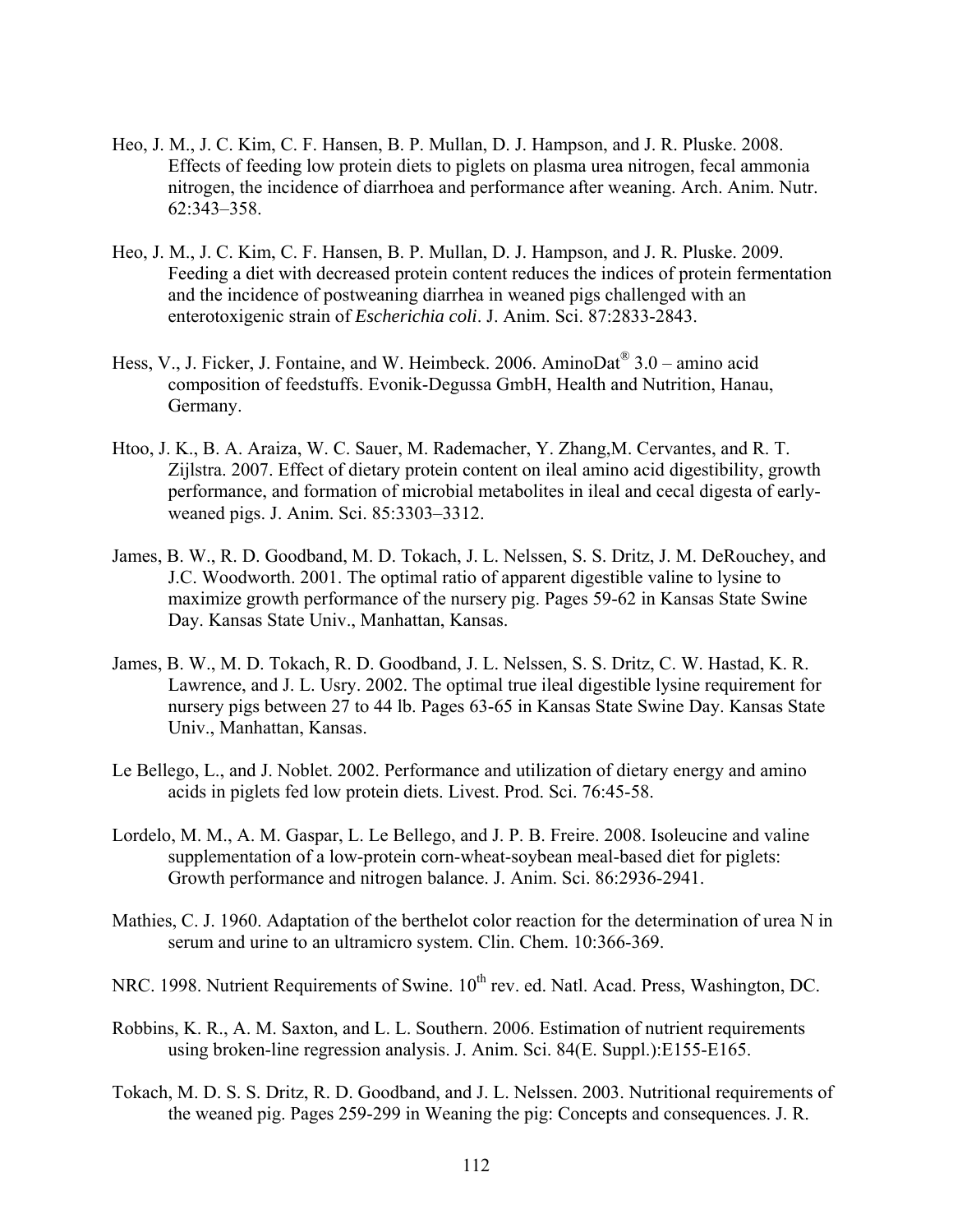- Heo, J. M., J. C. Kim, C. F. Hansen, B. P. Mullan, D. J. Hampson, and J. R. Pluske. 2008. Effects of feeding low protein diets to piglets on plasma urea nitrogen, fecal ammonia nitrogen, the incidence of diarrhoea and performance after weaning. Arch. Anim. Nutr. 62:343–358.
- Heo, J. M., J. C. Kim, C. F. Hansen, B. P. Mullan, D. J. Hampson, and J. R. Pluske. 2009. Feeding a diet with decreased protein content reduces the indices of protein fermentation and the incidence of postweaning diarrhea in weaned pigs challenged with an enterotoxigenic strain of *Escherichia coli*. J. Anim. Sci. 87:2833-2843.
- Hess, V., J. Ficker, J. Fontaine, and W. Heimbeck. 2006. AminoDat<sup>®</sup>  $3.0$  amino acid composition of feedstuffs. Evonik-Degussa GmbH, Health and Nutrition, Hanau, Germany.
- Htoo, J. K., B. A. Araiza, W. C. Sauer, M. Rademacher, Y. Zhang,M. Cervantes, and R. T. Zijlstra. 2007. Effect of dietary protein content on ileal amino acid digestibility, growth performance, and formation of microbial metabolites in ileal and cecal digesta of earlyweaned pigs. J. Anim. Sci. 85:3303–3312.
- James, B. W., R. D. Goodband, M. D. Tokach, J. L. Nelssen, S. S. Dritz, J. M. DeRouchey, and J.C. Woodworth. 2001. The optimal ratio of apparent digestible valine to lysine to maximize growth performance of the nursery pig. Pages 59-62 in Kansas State Swine Day. Kansas State Univ., Manhattan, Kansas.
- James, B. W., M. D. Tokach, R. D. Goodband, J. L. Nelssen, S. S. Dritz, C. W. Hastad, K. R. Lawrence, and J. L. Usry. 2002. The optimal true ileal digestible lysine requirement for nursery pigs between 27 to 44 lb. Pages 63-65 in Kansas State Swine Day. Kansas State Univ., Manhattan, Kansas.
- Le Bellego, L., and J. Noblet. 2002. Performance and utilization of dietary energy and amino acids in piglets fed low protein diets. Livest. Prod. Sci. 76:45-58.
- Lordelo, M. M., A. M. Gaspar, L. Le Bellego, and J. P. B. Freire. 2008. Isoleucine and valine supplementation of a low-protein corn-wheat-soybean meal-based diet for piglets: Growth performance and nitrogen balance. J. Anim. Sci. 86:2936-2941.
- Mathies, C. J. 1960. Adaptation of the berthelot color reaction for the determination of urea N in serum and urine to an ultramicro system. Clin. Chem. 10:366-369.
- NRC. 1998. Nutrient Requirements of Swine.  $10^{th}$  rev. ed. Natl. Acad. Press, Washington, DC.
- Robbins, K. R., A. M. Saxton, and L. L. Southern. 2006. Estimation of nutrient requirements using broken-line regression analysis. J. Anim. Sci. 84(E. Suppl.):E155-E165.
- Tokach, M. D. S. S. Dritz, R. D. Goodband, and J. L. Nelssen. 2003. Nutritional requirements of the weaned pig. Pages 259-299 in Weaning the pig: Concepts and consequences. J. R.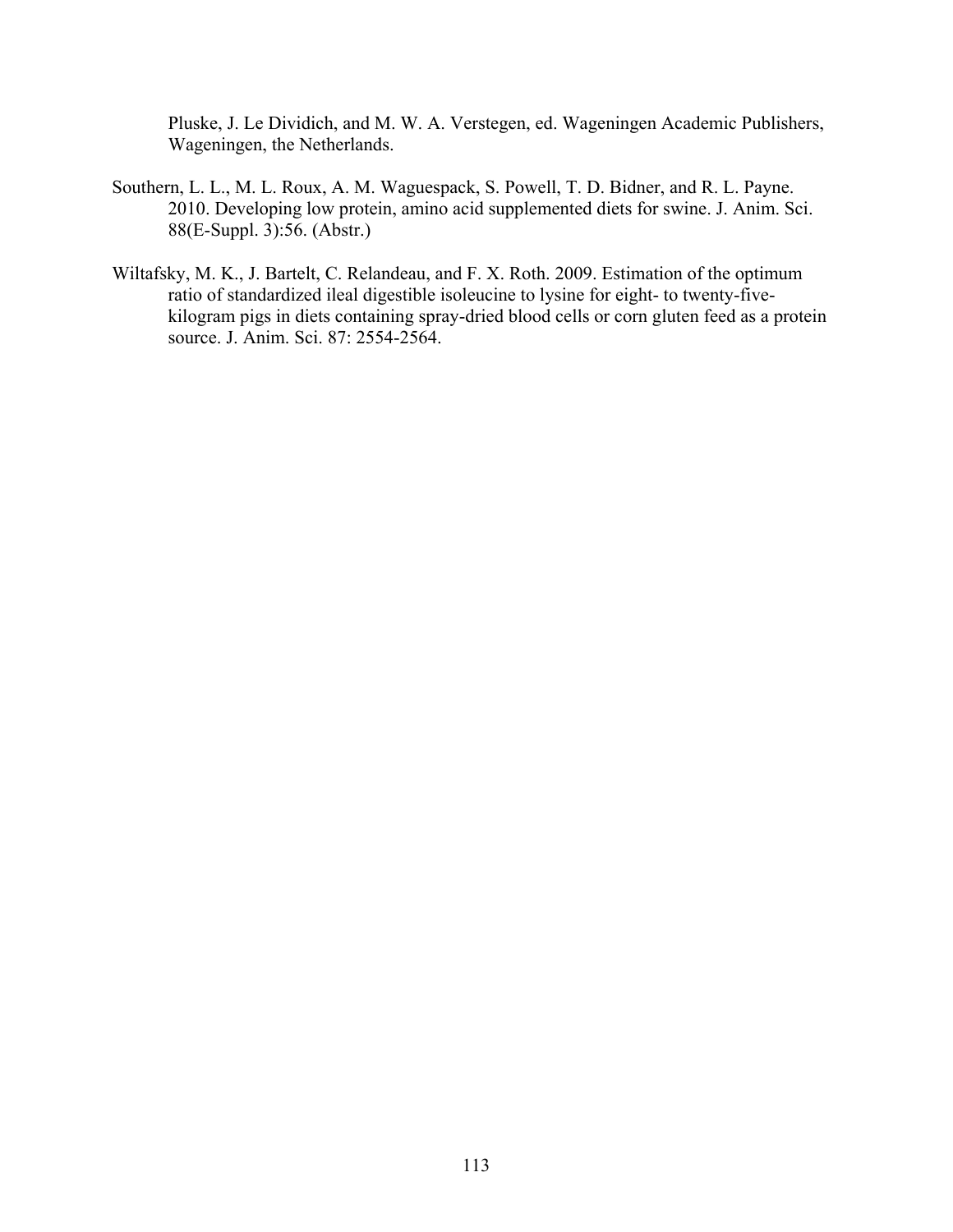Pluske, J. Le Dividich, and M. W. A. Verstegen, ed. Wageningen Academic Publishers, Wageningen, the Netherlands.

- Southern, L. L., M. L. Roux, A. M. Waguespack, S. Powell, T. D. Bidner, and R. L. Payne. 2010. Developing low protein, amino acid supplemented diets for swine. J. Anim. Sci. 88(E-Suppl. 3):56. (Abstr.)
- Wiltafsky, M. K., J. Bartelt, C. Relandeau, and F. X. Roth. 2009. Estimation of the optimum ratio of standardized ileal digestible isoleucine to lysine for eight- to twenty-fivekilogram pigs in diets containing spray-dried blood cells or corn gluten feed as a protein source. J. Anim. Sci. 87: 2554-2564.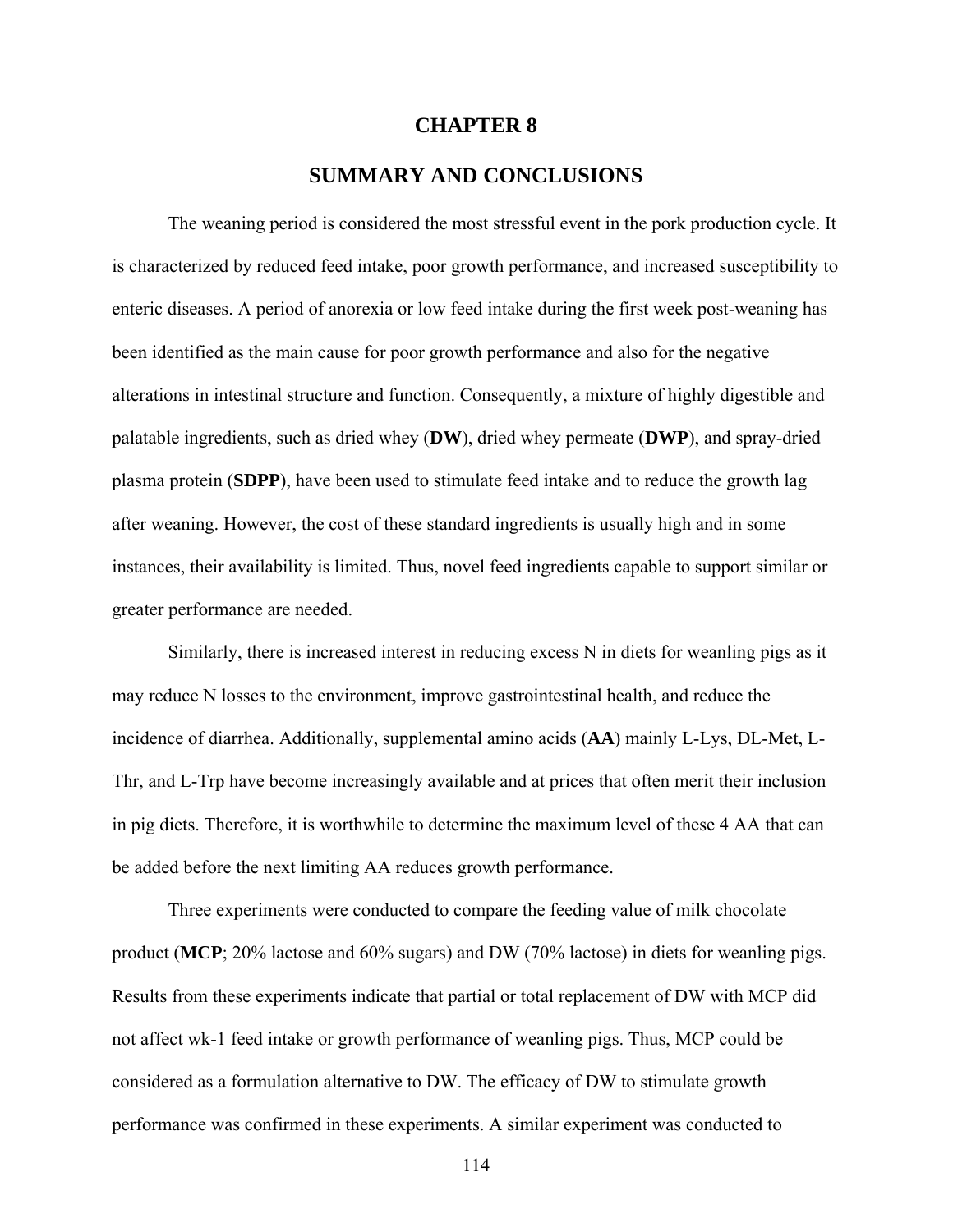### **CHAPTER 8**

# **SUMMARY AND CONCLUSIONS**

 The weaning period is considered the most stressful event in the pork production cycle. It is characterized by reduced feed intake, poor growth performance, and increased susceptibility to enteric diseases. A period of anorexia or low feed intake during the first week post-weaning has been identified as the main cause for poor growth performance and also for the negative alterations in intestinal structure and function. Consequently, a mixture of highly digestible and palatable ingredients, such as dried whey (**DW**), dried whey permeate (**DWP**), and spray-dried plasma protein (**SDPP**), have been used to stimulate feed intake and to reduce the growth lag after weaning. However, the cost of these standard ingredients is usually high and in some instances, their availability is limited. Thus, novel feed ingredients capable to support similar or greater performance are needed.

 Similarly, there is increased interest in reducing excess N in diets for weanling pigs as it may reduce N losses to the environment, improve gastrointestinal health, and reduce the incidence of diarrhea. Additionally, supplemental amino acids (**AA**) mainly L-Lys, DL-Met, L-Thr, and L-Trp have become increasingly available and at prices that often merit their inclusion in pig diets. Therefore, it is worthwhile to determine the maximum level of these 4 AA that can be added before the next limiting AA reduces growth performance.

 Three experiments were conducted to compare the feeding value of milk chocolate product (**MCP**; 20% lactose and 60% sugars) and DW (70% lactose) in diets for weanling pigs. Results from these experiments indicate that partial or total replacement of DW with MCP did not affect wk-1 feed intake or growth performance of weanling pigs. Thus, MCP could be considered as a formulation alternative to DW. The efficacy of DW to stimulate growth performance was confirmed in these experiments. A similar experiment was conducted to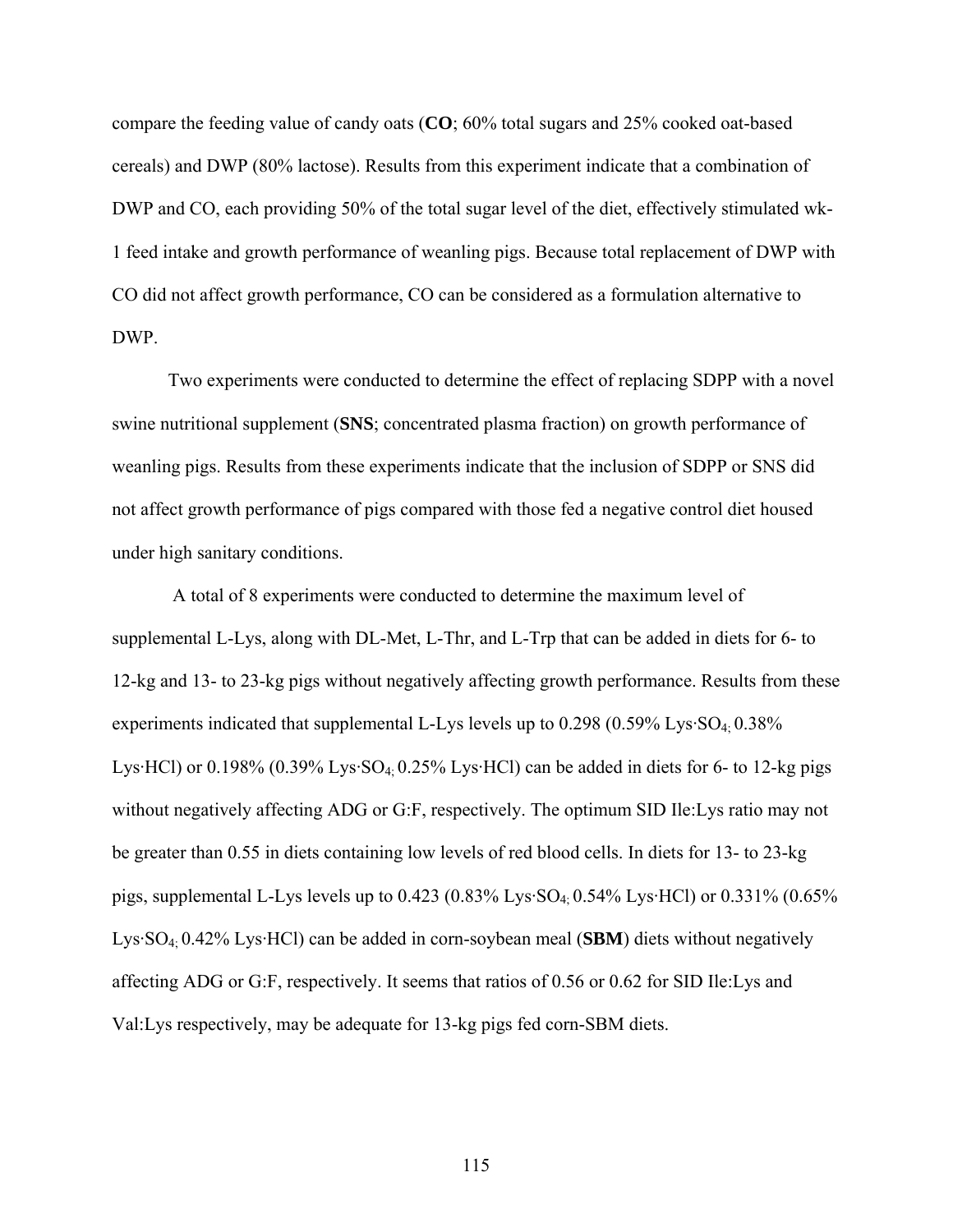compare the feeding value of candy oats (**CO**; 60% total sugars and 25% cooked oat-based cereals) and DWP (80% lactose). Results from this experiment indicate that a combination of DWP and CO, each providing 50% of the total sugar level of the diet, effectively stimulated wk-1 feed intake and growth performance of weanling pigs. Because total replacement of DWP with CO did not affect growth performance, CO can be considered as a formulation alternative to DWP.

Two experiments were conducted to determine the effect of replacing SDPP with a novel swine nutritional supplement (**SNS**; concentrated plasma fraction) on growth performance of weanling pigs. Results from these experiments indicate that the inclusion of SDPP or SNS did not affect growth performance of pigs compared with those fed a negative control diet housed under high sanitary conditions.

 A total of 8 experiments were conducted to determine the maximum level of supplemental L-Lys, along with DL-Met, L-Thr, and L-Trp that can be added in diets for 6- to 12-kg and 13- to 23-kg pigs without negatively affecting growth performance. Results from these experiments indicated that supplemental L-Lys levels up to 0.298 (0.59% Lys·SO<sub>4</sub>: 0.38%) Lys·HCl) or 0.198% (0.39% Lys·SO<sub>4</sub>: 0.25% Lys·HCl) can be added in diets for 6- to 12-kg pigs without negatively affecting ADG or G:F, respectively. The optimum SID Ile:Lys ratio may not be greater than 0.55 in diets containing low levels of red blood cells. In diets for 13- to 23-kg pigs, supplemental L-Lys levels up to  $0.423$  ( $0.83\%$  Lys·SO<sub>4</sub>:  $0.54\%$  Lys·HCl) or  $0.331\%$  ( $0.65\%$ ) Lys·SO4; 0.42% Lys·HCl) can be added in corn-soybean meal (**SBM**) diets without negatively affecting ADG or G:F, respectively. It seems that ratios of 0.56 or 0.62 for SID Ile:Lys and Val:Lys respectively, may be adequate for 13-kg pigs fed corn-SBM diets.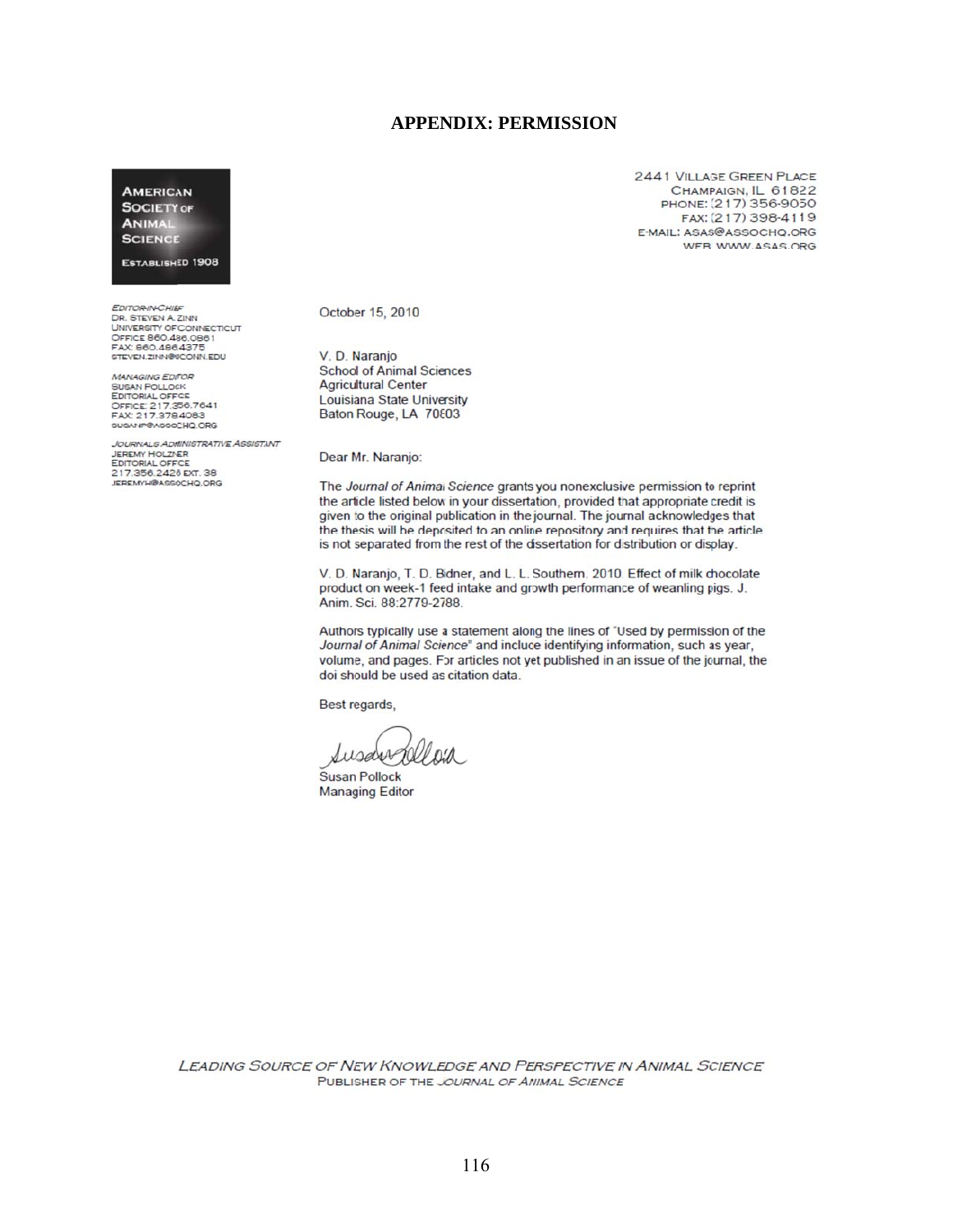#### **APPEN DIX: PERMISSION**

**AMERICAN SOCIETY OF** ANIMAL **SCIENCE** 

#### **ESTABLISHED 1908**

*EDITORINCHIEF*<br>DR. STEVEN A. ZINN UNIVERSITY OF CONNECTICUT<br>OFFICE 860.486.0861<br>FAX: 860.486.4375 STEVEN.ZINN@UCONN.EDU

**MANAGING EDITOR** MANAGING EDITOR<br>SUSAN POLLOCK<br>EDITORIAL OFFICE<br>OFFICE: 217.356.7641<br>FAX: 217.378.4083<br>SUSANP@ASSOCHQ.ORG

*JOURNALS ADMINISTRATIVE ASSISTANT*<br>JEREMY HOLZNER<br>EDITORIAL OFFICE 217.356.2426 EXT. 38

October 15, 2010

V. D. Naranjo **School of Animal Sciences Agricultural Center** Louisiana State University Baton Rouge, LA 70803

Dear Mr. Naranjo:

The Journal of Animal Science grants you nonexclusive permission to reprint the article listed below in your dissertation, provided that appropriate credit is given to the original publication in the journal. The journal acknowledges that the thesis will be deposited to an online repository and requires that the article is not separated from the rest of the dissertation for distribution or display.

V. D. Naranjo, T. D. Bidner, and L. L. Southern. 2010. Effect of milk chocolate product on week-1 feed intake and growth performance of weanling pigs. J. Anim. Sci. 88:2779-2788.

Authors typically use a statement along the lines of "Used by permission of the Journal of Animal Science" and include identifying information, such as year, volume, and pages. For articles not yet published in an issue of the journal, the doi should be used as citation data.

Best regards,

RIP DIA Susdiv

Susan Pollock **Managing Editor** 

**LEADING SOURCE OF NEW KNOWLEDGE AND PERSPECTIVE IN ANIMAL SCIENCE** PUBLISHER OF THE JOURNAL OF ANIMAL SCIENCE

2441 VILLAGE GREEN PLACE CHAMPAIGN, IL 61822 PHONE: (217) 356-9050 FAX: (217) 398-4119 E-MAIL: ASAS@ASSOCHO.ORG WEB: WWW.ASAS.ORG